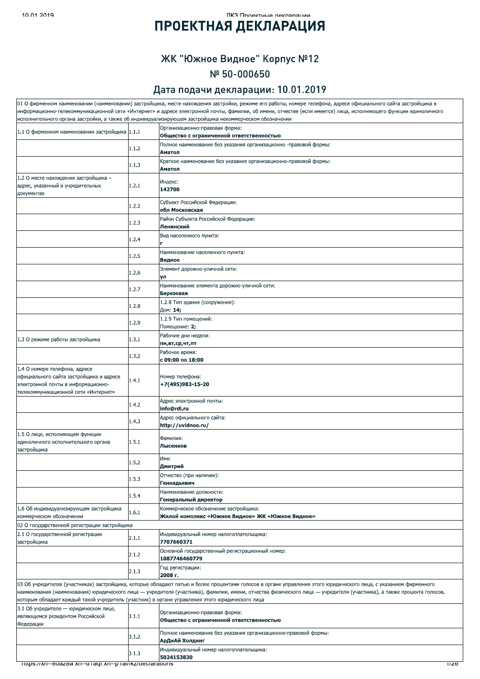### $\frac{1}{11}$

# ПРОЕКТНАЯ ДЕКЛАРАЦИЯ

## ЖК "Южное Видное" Корпус №12 Nº 50-000650

## Дата подачи декларации: 10.01.2019

|                                                                                                 |       | 01 О фирменном наименовании (наименовании) застройщика, месте нахождения застройки, режиме его работы, номере телефона, адресе официального сайта застройщика в                                                                                                                                                                            |
|-------------------------------------------------------------------------------------------------|-------|--------------------------------------------------------------------------------------------------------------------------------------------------------------------------------------------------------------------------------------------------------------------------------------------------------------------------------------------|
|                                                                                                 |       | информационно-телекоммуникационной сети «Интернет» и адресе электронной почты, фамилии, об имени, отчестве (если имеется) лица, исполняющего функции единоличного<br>исполнительного органа застройки, а также об индивидуализирующем застройщика некоммерческом обозначении                                                               |
| 1.1 О фирменном наименовании застройщика 1.1.1                                                  |       | Организационно-правовая форма:<br>Общество с ограниченной ответственностью                                                                                                                                                                                                                                                                 |
|                                                                                                 | 1.1.2 | Полное наименование без указания организационно -правовой формы:<br>Аматол                                                                                                                                                                                                                                                                 |
|                                                                                                 | 1.1.3 | Краткое наименование без указания организационно-правовой формы:<br>Аматол                                                                                                                                                                                                                                                                 |
| 1.2 О месте нахождения застройщика -                                                            |       |                                                                                                                                                                                                                                                                                                                                            |
| адрес, указанный в учредительных<br>документах                                                  | 1.2.1 | Индекс:<br>142700                                                                                                                                                                                                                                                                                                                          |
|                                                                                                 | 1.2.2 | Субъект Российской Федерации:<br>обл Московская                                                                                                                                                                                                                                                                                            |
|                                                                                                 | 1.2.3 | Район Субъекта Российской Федерации:<br>Ленинский                                                                                                                                                                                                                                                                                          |
|                                                                                                 | 1.2.4 | Вид населенного пункта:                                                                                                                                                                                                                                                                                                                    |
|                                                                                                 | 1.2.5 | Наименование населенного пункта:<br>Видное                                                                                                                                                                                                                                                                                                 |
|                                                                                                 | 1.2.6 | Элемент дорожно-уличной сети:<br>ул                                                                                                                                                                                                                                                                                                        |
|                                                                                                 | 1.2.7 | Наименование элемента дорожно-уличной сети:<br>Березовая                                                                                                                                                                                                                                                                                   |
|                                                                                                 | 1.2.8 | 1.2.8 Тип здания (сооружения):<br>Дом: 14;                                                                                                                                                                                                                                                                                                 |
|                                                                                                 | 1.2.9 | 1.2.9 Тип помешений:<br>Помещение: 2;                                                                                                                                                                                                                                                                                                      |
| 1.3 О режиме работы застройщика                                                                 | 1.3.1 | Рабочие дни недели:<br>пн,вт,ср,чт,пт                                                                                                                                                                                                                                                                                                      |
|                                                                                                 | 1.3.2 | Рабочее время:<br>с 09:00 по 18:00                                                                                                                                                                                                                                                                                                         |
| 1.4 О номере телефона, адресе<br>официального сайта застройщика и адресе                        |       | Номер телефона:                                                                                                                                                                                                                                                                                                                            |
| электронной почты в информационно-<br>телекоммуникационной сети «Интернет»                      | 1.4.1 | +7(495)983-15-20                                                                                                                                                                                                                                                                                                                           |
|                                                                                                 | 1.4.2 | Адрес электронной почты:<br>info@rdi.ru                                                                                                                                                                                                                                                                                                    |
|                                                                                                 | 1.4.3 | Адрес официального сайта:<br>http://uvidnoe.ru/                                                                                                                                                                                                                                                                                            |
| 1.5 О лице, исполняющем функции<br>единоличного исполнительного органа<br>застройщика           | 1.5.1 | Фамилия:<br>Лысенков                                                                                                                                                                                                                                                                                                                       |
|                                                                                                 | 1.5.2 | Имя:<br>Дмитрий                                                                                                                                                                                                                                                                                                                            |
|                                                                                                 | 1.5.3 | Отчество (при наличии):<br>Геннадьевич                                                                                                                                                                                                                                                                                                     |
|                                                                                                 | 1.5.4 | Наименование должности:<br>Генеральный директор                                                                                                                                                                                                                                                                                            |
| 1.6 Об индивидуализирующем застройщика<br>коммерческом обозначении                              | 1.6.1 | Коммерческое обозначение застройщика:<br>Жилой комплекс «Южное Видное» ЖК «Южное Видное»                                                                                                                                                                                                                                                   |
| 02 О государственной регистрации застройщика                                                    |       |                                                                                                                                                                                                                                                                                                                                            |
| 2.1 О государственной регистрации<br>застройщика                                                | 2.1.1 | Индивидуальный номер налогоплательщика:<br>7707660371                                                                                                                                                                                                                                                                                      |
|                                                                                                 | 2.1.2 | Основной государственный регистрационный номер:<br>1087746460779                                                                                                                                                                                                                                                                           |
|                                                                                                 | 2.1.3 | Год регистрации:<br>2008 г.                                                                                                                                                                                                                                                                                                                |
| которым обладает каждый такой учредитель (участник) в органе управления этого юридического лица |       | 03 Об учредителях (участниках) застройщика, которые обладают пятью и более процентами голосов в органе управления этого юридического лица, с указанием фирменного<br>наименования (наименования) юридического лица — учредителя (участника), фамилии, имени, отчества физического лица — учредителя (участника), а также процента голосов, |
| 3.1 Об учредителе - юридическом лице,                                                           |       |                                                                                                                                                                                                                                                                                                                                            |
| являющемся резидентом Российской<br>Федерации                                                   | 3.1.1 | Организационно-правовая форма:<br>Общество с ограниченной ответственностью                                                                                                                                                                                                                                                                 |
|                                                                                                 | 3.1.2 | Полное наименование без указания организационно-правовой формы:<br>АрДиАй Холдинг                                                                                                                                                                                                                                                          |
|                                                                                                 | 3.1.3 | Индивидуальный номер налогоплательщика:<br>5024153830                                                                                                                                                                                                                                                                                      |
| mups://xn--ovazoa.xn--u raqi.xn--p rai/ikz/deciarations                                         |       | 17Z0                                                                                                                                                                                                                                                                                                                                       |
|                                                                                                 |       |                                                                                                                                                                                                                                                                                                                                            |
|                                                                                                 |       |                                                                                                                                                                                                                                                                                                                                            |
|                                                                                                 |       |                                                                                                                                                                                                                                                                                                                                            |
|                                                                                                 |       |                                                                                                                                                                                                                                                                                                                                            |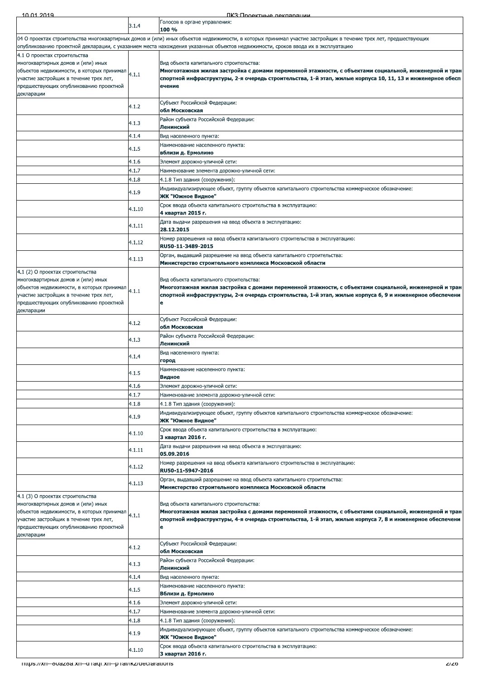| то от итч                                                                                                                                                                                                             |                | TIK:3'I INQAKTHLIA DAKOSNSITIMI                                                                                                                                                                                                                                                                    |
|-----------------------------------------------------------------------------------------------------------------------------------------------------------------------------------------------------------------------|----------------|----------------------------------------------------------------------------------------------------------------------------------------------------------------------------------------------------------------------------------------------------------------------------------------------------|
|                                                                                                                                                                                                                       | 3.1.4          | Голосов в органе управления:<br>100 %                                                                                                                                                                                                                                                              |
|                                                                                                                                                                                                                       |                | 04 О проектах строительства многоквартирных домов и (или) иных объектов недвижимости, в которых принимал участие застройщик в течение трех лет, предшествующих<br>опубликованию проектной декларации, с указанием места нахождения указанных объектов недвижимости, сроков ввода их в эксплуатацию |
| 4.1 О проектах строительства<br>многоквартирных домов и (или) иных<br>объектов недвижимости, в которых принимал<br>участие застройщик в течение трех лет,<br>предшествующих опубликованию проектной                   | 4.1.1          | Вид объекта капитального строительства:<br>Многоэтажная жилая застройка с домами переменной этажности, с объектами социальной, инженерной и тран<br>спортной инфраструктуры, 2-я очередь строительства, 1-й этап, жилые корпуса 10, 11, 13 и инженерное обесп<br>ечение                            |
| декларации                                                                                                                                                                                                            | 4.1.2          | Субъект Российской Федерации:<br>обл Московская                                                                                                                                                                                                                                                    |
|                                                                                                                                                                                                                       | 4.1.3          | Район субъекта Российской Федерации:<br>Ленинский                                                                                                                                                                                                                                                  |
|                                                                                                                                                                                                                       | 4.1.4          | Вид населенного пункта:                                                                                                                                                                                                                                                                            |
|                                                                                                                                                                                                                       | 4.1.5          | Наименование населенного пункта:<br>вблизи д. Ермолино                                                                                                                                                                                                                                             |
|                                                                                                                                                                                                                       | 4.1.6          | Элемент дорожно-уличной сети:                                                                                                                                                                                                                                                                      |
|                                                                                                                                                                                                                       | 4.1.7<br>4.1.8 | Наименование элемента дорожно-уличной сети:<br>4.1.8 Тип здания (сооружения):                                                                                                                                                                                                                      |
|                                                                                                                                                                                                                       | 4.1.9          | Индивидуализирующее объект, группу объектов капитального строительства коммерческое обозначение:<br>ЖК "Южное Видное"                                                                                                                                                                              |
|                                                                                                                                                                                                                       | 4.1.10         | Срок ввода объекта капитального строительства в эксплуатацию:<br>4 квартал 2015 г.                                                                                                                                                                                                                 |
|                                                                                                                                                                                                                       | 4.1.11         | Дата выдачи разрешения на ввод объекта в эксплуатацию:<br>28.12.2015                                                                                                                                                                                                                               |
|                                                                                                                                                                                                                       | 4.1.12         | Номер разрешения на ввод объекта капитального строительства в эксплуатацию:<br>RU50-11-3489-2015                                                                                                                                                                                                   |
|                                                                                                                                                                                                                       | 4.1.13         | Орган, выдавший разрешение на ввод объекта капитального строительства:<br>Министерство строительного комплекса Московской области                                                                                                                                                                  |
| 4.1 (2) О проектах строительства<br>многоквартирных домов и (или) иных<br>объектов недвижимости, в которых принимал<br>участие застройщик в течение трех лет,<br>предшествующих опубликованию проектной<br>декларации | 4.1.1          | Вид объекта капитального строительства:<br>Многоэтажная жилая застройка с домами переменной этажности, с объектами социальной, инженерной и тран<br>спортной инфраструктуры, 2-я очередь строительства, 1-й этап, жилые корпуса 6, 9 и инженерное обеспечени<br>e                                  |
|                                                                                                                                                                                                                       | 4.1.2          | Субъект Российской Федерации:<br>обл Московская                                                                                                                                                                                                                                                    |
|                                                                                                                                                                                                                       | 4.1.3          | Район субъекта Российской Федерации:<br>Ленинский                                                                                                                                                                                                                                                  |
|                                                                                                                                                                                                                       | 4.1.4          | Вид населенного пункта:<br>город                                                                                                                                                                                                                                                                   |
|                                                                                                                                                                                                                       | 4.1.5          | Наименование населенного пункта:<br>Видное                                                                                                                                                                                                                                                         |
|                                                                                                                                                                                                                       | 4.1.6          | Элемент дорожно-уличной сети:                                                                                                                                                                                                                                                                      |
|                                                                                                                                                                                                                       | 4.1.7          | Наименование элемента дорожно-уличной сети:                                                                                                                                                                                                                                                        |
|                                                                                                                                                                                                                       | 4.1.8<br>4.1.9 | 4.1.8 Тип здания (сооружения):<br>Индивидуализирующее объект, группу объектов капитального строительства коммерческое обозначение:<br>ЖК "Южное Видное"                                                                                                                                            |
|                                                                                                                                                                                                                       | 4.1.10         | Срок ввода объекта капитального строительства в эксплуатацию:<br>3 квартал 2016 г.                                                                                                                                                                                                                 |
|                                                                                                                                                                                                                       | 4.1.11         | Дата выдачи разрешения на ввод объекта в эксплуатацию:<br>05.09.2016                                                                                                                                                                                                                               |
|                                                                                                                                                                                                                       | 4.1.12         | Номер разрешения на ввод объекта капитального строительства в эксплуатацию:<br>RU50-11-5947-2016                                                                                                                                                                                                   |
|                                                                                                                                                                                                                       | 4.1.13         | Орган, выдавший разрешение на ввод объекта капитального строительства:<br>Министерство строительного комплекса Московской области                                                                                                                                                                  |
| 4.1 (3) О проектах строительства<br>многоквартирных домов и (или) иных<br>объектов недвижимости, в которых принимал<br>участие застройщик в течение трех лет,<br>предшествующих опубликованию проектной<br>декларации | 4.1.1          | Вид объекта капитального строительства:<br>Многоэтажная жилая застройка с домами переменной этажности, с объектами социальной, инженерной и тран<br>спортной инфраструктуры, 4-я очередь строительства, 1-й этап, жилые корпуса 7, 8 и инженерное обеспечени                                       |
|                                                                                                                                                                                                                       | 4.1.2          | Субъект Российской Федерации:<br>обл Московская                                                                                                                                                                                                                                                    |
|                                                                                                                                                                                                                       | 4.1.3          | Район субъекта Российской Федерации:<br>Ленинский                                                                                                                                                                                                                                                  |
|                                                                                                                                                                                                                       | 4.1.4          | Вид населенного пункта:<br>Наименование населенного пункта:                                                                                                                                                                                                                                        |
|                                                                                                                                                                                                                       | 4.1.5          | Вблизи д. Ермолино                                                                                                                                                                                                                                                                                 |
|                                                                                                                                                                                                                       | 4.1.6<br>4.1.7 | Элемент дорожно-уличной сети:<br>Наименование элемента дорожно-уличной сети:                                                                                                                                                                                                                       |
|                                                                                                                                                                                                                       | 4.1.8          | 4.1.8 Тип здания (сооружения):                                                                                                                                                                                                                                                                     |
|                                                                                                                                                                                                                       | 4.1.9          | Индивидуализирующее объект, группу объектов капитального строительства коммерческое обозначение:<br>ЖК "Южное Видное"                                                                                                                                                                              |
|                                                                                                                                                                                                                       | 4.1.10         | Срок ввода объекта капитального строительства в эксплуатацию:<br>3 квартал 2016 г.                                                                                                                                                                                                                 |
| TIttps://xn--ouazoa.xn--g ragi.xn--p rai/ikz/geciarations                                                                                                                                                             |                | ZIZO                                                                                                                                                                                                                                                                                               |
|                                                                                                                                                                                                                       |                |                                                                                                                                                                                                                                                                                                    |
|                                                                                                                                                                                                                       |                |                                                                                                                                                                                                                                                                                                    |
|                                                                                                                                                                                                                       |                |                                                                                                                                                                                                                                                                                                    |
|                                                                                                                                                                                                                       |                |                                                                                                                                                                                                                                                                                                    |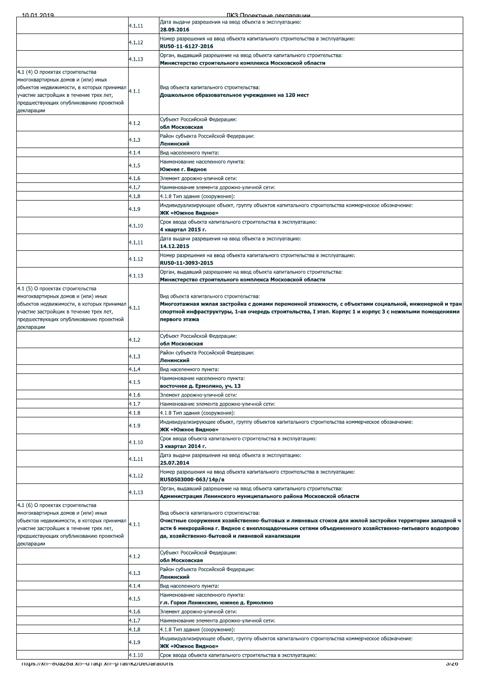| 10 01 2019                                                                                                                                                                                                            |        | ПКЗ: Проектные лекляряции                                                                                                                                                                                                                                                                                  |
|-----------------------------------------------------------------------------------------------------------------------------------------------------------------------------------------------------------------------|--------|------------------------------------------------------------------------------------------------------------------------------------------------------------------------------------------------------------------------------------------------------------------------------------------------------------|
|                                                                                                                                                                                                                       | 4.1.11 | Дата выдачи разрешения на ввод объекта в эксплуатацию:                                                                                                                                                                                                                                                     |
|                                                                                                                                                                                                                       |        | 28.09.2016<br>Номер разрешения на ввод объекта капитального строительства в эксплуатацию:                                                                                                                                                                                                                  |
|                                                                                                                                                                                                                       | 4.1.12 | RU50-11-6127-2016                                                                                                                                                                                                                                                                                          |
|                                                                                                                                                                                                                       | 4.1.13 | Орган, выдавший разрешение на ввод объекта капитального строительства:                                                                                                                                                                                                                                     |
|                                                                                                                                                                                                                       |        | Министерство строительного комплекса Московской области                                                                                                                                                                                                                                                    |
| 4.1 (4) О проектах строительства<br>многоквартирных домов и (или) иных<br>объектов недвижимости, в которых принимал<br>участие застройщик в течение трех лет,<br>предшествующих опубликованию проектной<br>декларации | 4.1.1  | Вид объекта капитального строительства:<br>Дошкольное образовательное учреждение на 120 мест                                                                                                                                                                                                               |
|                                                                                                                                                                                                                       | 4.1.2  | Субъект Российской Федерации:<br>обл Московская                                                                                                                                                                                                                                                            |
|                                                                                                                                                                                                                       | 4.1.3  | Район субъекта Российской Федерации:<br>Ленинский                                                                                                                                                                                                                                                          |
|                                                                                                                                                                                                                       | 4.1.4  | Вид населенного пункта:                                                                                                                                                                                                                                                                                    |
|                                                                                                                                                                                                                       | 4.1.5  | Наименование населенного пункта:                                                                                                                                                                                                                                                                           |
|                                                                                                                                                                                                                       | 4.1.6  | Южнее г. Видное<br>Элемент дорожно-уличной сети:                                                                                                                                                                                                                                                           |
|                                                                                                                                                                                                                       | 4.1.7  | Наименование элемента дорожно-уличной сети:                                                                                                                                                                                                                                                                |
|                                                                                                                                                                                                                       | 4.1.8  | 4.1.8 Тип здания (сооружения):                                                                                                                                                                                                                                                                             |
|                                                                                                                                                                                                                       | 4.1.9  | Индивидуализирующее объект, группу объектов капитального строительства коммерческое обозначение:<br>ЖК «Южное Видное»                                                                                                                                                                                      |
|                                                                                                                                                                                                                       | 4.1.10 | Срок ввода объекта капитального строительства в эксплуатацию:                                                                                                                                                                                                                                              |
|                                                                                                                                                                                                                       |        | 4 квартал 2015 г.<br>Дата выдачи разрешения на ввод объекта в эксплуатацию:                                                                                                                                                                                                                                |
|                                                                                                                                                                                                                       | 4.1.11 | 14.12.2015                                                                                                                                                                                                                                                                                                 |
|                                                                                                                                                                                                                       | 4.1.12 | Номер разрешения на ввод объекта капитального строительства в эксплуатацию:<br>RU50-11-3093-2015                                                                                                                                                                                                           |
|                                                                                                                                                                                                                       | 4.1.13 | Орган, выдавший разрешение на ввод объекта капитального строительства:<br>Министерство строительного комплекса Московской области                                                                                                                                                                          |
| 4.1 (5) О проектах строительства<br>многоквартирных домов и (или) иных<br>объектов недвижимости, в которых принимал<br>участие застройщик в течение трех лет,<br>предшествующих опубликованию проектной<br>декларации | 4.1.1  | Вид объекта капитального строительства:<br>Многоэтажная жилая застройка с домами переменной этажности, с объектами социальной, инженерной и тран<br>спортной инфраструктуры, 1-ая очередь строительства, I этап. Корпус 1 и корпус 3 с нежилыми помещениями<br>первого этажа                               |
|                                                                                                                                                                                                                       | 4.1.2  | Субъект Российской Федерации:<br>обл Московская                                                                                                                                                                                                                                                            |
|                                                                                                                                                                                                                       | 4.1.3  | Район субъекта Российской Федерации:                                                                                                                                                                                                                                                                       |
|                                                                                                                                                                                                                       | 4.1.4  | Ленинский<br>Вид населенного пункта:                                                                                                                                                                                                                                                                       |
|                                                                                                                                                                                                                       | 4.1.5  | Наименование населенного пункта:<br>восточнее д. Ермолино, уч. 13                                                                                                                                                                                                                                          |
|                                                                                                                                                                                                                       | 4.1.6  | Элемент дорожно-уличной сети:                                                                                                                                                                                                                                                                              |
|                                                                                                                                                                                                                       | 4.1.7  | Наименование элемента дорожно-уличной сети:                                                                                                                                                                                                                                                                |
|                                                                                                                                                                                                                       | 4.1.8  | 4.1.8 Тип здания (сооружения):                                                                                                                                                                                                                                                                             |
|                                                                                                                                                                                                                       | 4.1.9  | Индивидуализирующее объект, группу объектов капитального строительства коммерческое обозначение:<br>ЖК «Южное Видное»                                                                                                                                                                                      |
|                                                                                                                                                                                                                       | 4.1.10 | Срок ввода объекта капитального строительства в эксплуатацию:                                                                                                                                                                                                                                              |
|                                                                                                                                                                                                                       |        | 3 квартал 2014 г.<br>Дата выдачи разрешения на ввод объекта в эксплуатацию:                                                                                                                                                                                                                                |
|                                                                                                                                                                                                                       | 4.1.11 | 25.07.2014<br>Номер разрешения на ввод объекта капитального строительства в эксплуатацию:                                                                                                                                                                                                                  |
|                                                                                                                                                                                                                       | 4.1.12 | RU50503000-063/14p/B                                                                                                                                                                                                                                                                                       |
|                                                                                                                                                                                                                       | 4.1.13 | Орган, выдавший разрешение на ввод объекта капитального строительства:<br>Администрация Ленинского муниципального района Московской области                                                                                                                                                                |
| 4.1 (6) О проектах строительства<br>многоквартирных домов и (или) иных<br>объектов недвижимости, в которых принимал<br>участие застройщик в течение трех лет,<br>предшествующих опубликованию проектной<br>декларации | 4.1.1  | Вид объекта капитального строительства:<br>Очистные сооружения хозяйственно-бытовых и ливневых стоков для жилой застройки территории западной ч<br>асти 6 микрорайона г. Видное с внеплощадочными сетями объединенного хозяйственно-питьевого водопрово<br>да, хозяйственно-бытовой и ливневой канализации |
|                                                                                                                                                                                                                       | 4.1.2  | Субъект Российской Федерации:<br>обл Московская                                                                                                                                                                                                                                                            |
|                                                                                                                                                                                                                       | 4.1.3  | Район субъекта Российской Федерации:<br>Ленинский                                                                                                                                                                                                                                                          |
|                                                                                                                                                                                                                       | 4.1.4  | Вид населенного пункта:                                                                                                                                                                                                                                                                                    |
|                                                                                                                                                                                                                       | 4.1.5  | Наименование населенного пункта:<br>г.п. Горки Ленинские, южнее д. Ермолино                                                                                                                                                                                                                                |
|                                                                                                                                                                                                                       | 4.1.6  | Элемент дорожно-уличной сети:                                                                                                                                                                                                                                                                              |
|                                                                                                                                                                                                                       | 4.1.7  | Наименование элемента дорожно-уличной сети:                                                                                                                                                                                                                                                                |
|                                                                                                                                                                                                                       | 4.1.8  | 4.1.8 Тип здания (сооружения):                                                                                                                                                                                                                                                                             |
|                                                                                                                                                                                                                       | 4.1.9  | Индивидуализирующее объект, группу объектов капитального строительства коммерческое обозначение:<br>ЖК «Южное Видное»                                                                                                                                                                                      |
|                                                                                                                                                                                                                       | 4.1.10 | Срок ввода объекта капитального строительства в эксплуатацию:                                                                                                                                                                                                                                              |
|                                                                                                                                                                                                                       |        |                                                                                                                                                                                                                                                                                                            |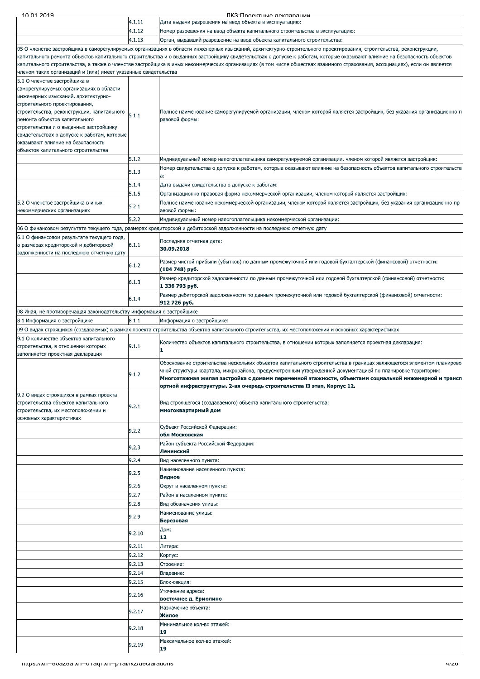| 4.1.12<br>Номер разрешения на ввод объекта капитального строительства в эксплуатацию:<br>4.1.13<br>Орган, выдавший разрешение на ввод объекта капитального строительства:<br>05 О членстве застройщика в саморегулируемых организациях в области инженерных изысканий, архитектурно-строительного проектирования, строительства, реконструкции,<br>капитального ремонта объектов капитального строительства и о выданных застройщику свидетельствах о допуске к работам, которые оказывают влияние на безопасность объектов<br>капитального строительства, а также о членстве застройщика в иных некоммерческих организациях (в том числе обществах взаимного страхования, ассоциациях), если он является<br>членом таких организаций и (или) имеет указанные свидетельства<br>5.1 О членстве застройщика в<br>саморегулируемых организациях в области<br>инженерных изысканий, архитектурно-<br>строительного проектирования,<br>Полное наименование саморегулируемой организации, членом которой является застройщик, без указания организационно-п<br>строительства, реконструкции, капитального<br>5.1.1<br>равовой формы:<br>ремонта объектов капитального<br>строительства и о выданных застройщику<br>свидетельствах о допуске к работам, которые<br>оказывают влияние на безопасность<br>объектов капитального строительства<br>5.1.2<br>Индивидуальный номер налогоплательщика саморегулируемой организации, членом которой является застройщик:<br>Номер свидетельства о допуске к работам, которые оказывают влияние на безопасность объектов капитального строительств<br>5.1.3<br>a:<br>5.1.4<br>Дата выдачи свидетельства о допуске к работам:<br>5.1.5<br>Организационно-правовая форма некоммерческой организации, членом которой является застройщик:<br>5.2 О членстве застройщика в иных<br>Полное наименование некоммерческой организации, членом которой является застройщик, без указания организационно-пр<br>5.2.1<br>авовой формы:<br>некоммерческих организациях<br>5.2.2<br>Индивидуальный номер налогоплательщика некоммерческой организации:<br>06 О финансовом результате текущего года, размерах кредиторской и дебиторской задолженности на последнюю отчетную дату<br>Последняя отчетная дата:<br>6.1.1<br>о размерах кредиторской и дебиторской<br>30.09.2018<br>задолженности на последнюю отчетную дату<br>Размер чистой прибыли (убытков) по данным промежуточной или годовой бухгалтерской (финансовой) отчетности:<br>6.1.2<br>(104 748) py6.<br>Размер кредиторской задолженности по данным промежуточной или годовой бухгалтерской (финансовой) отчетности:<br>6.1.3<br>1 336 793 руб.<br>Размер дебиторской задолженности по данным промежуточной или годовой бухгалтерской (финансовой) отчетности:<br>6.1.4<br>912 726 py6.<br>08 Иная, не противоречащая законодательству информация о застройщике<br>8.1.1<br>Информация о застройщике:<br>09 О видах строящихся (создаваемых) в рамках проекта строительства объектов капитального строительства, их местоположении и основных характеристиках<br>Количество объектов капитального строительства, в отношении которых заполняется проектная декларация:<br>9.1.1<br>строительства, в отношении которых<br>1<br>заполняется проектная декларация<br>Обоснование строительства нескольких объектов капитального строительства в границах являющегося элементом планирово<br>чной структуры квартала, микрорайона, предусмотренным утвержденной документацией по планировке территории:<br>9.1.2<br>ортной инфраструктуры. 2-ая очередь строительства II этап, Корпус 12.<br>9.2 О видах строящихся в рамках проекта<br>строительства объектов капитального<br>Вид строящегося (создаваемого) объекта капитального строительства:<br>9.2.1<br>многоквартирный дом<br>строительства, их местоположении и<br>основных характеристиках<br>Субъект Российской Федерации:<br>9.2.2<br>обл Московская<br>Район субъекта Российской Федерации:<br>9.2.3<br>Ленинский<br>9.2.4<br>Вид населенного пункта:<br>Наименование населенного пункта:<br>9.2.5<br>Видное<br>9.2.6<br>Округ в населенном пункте:<br>9.2.7<br>Район в населенном пункте:<br>9.2.8<br>Вид обозначения улицы:<br>Наименование улицы:<br>9.2.9<br>Березовая<br>Дом:<br>9.2.10<br>12<br>9.2.11<br>Литера:<br>9.2.12<br>Корпус:<br>9.2.13<br>Строение:<br>9.2.14<br>Владение:<br>9.2.15<br>Блок-секция:<br>Уточнение адреса:<br>9.2.16<br>восточнее д. Ермолино<br>Назначение объекта:<br>9.2.17<br>Жилое<br>Минимальное кол-во этажей:<br>9.2.18<br>19<br>Максимальное кол-во этажей:<br>9.2.19<br>19<br>mtps://xn--ovazoa.xn--unaqr.xn--phai/ikz/ueclarations<br>47Z0 | 10 01 2014                                 | 4.1.11 | TIK 3'I INQAKTHLIA NAKRANAHIMM<br>Дата выдачи разрешения на ввод объекта в эксплуатацию: |
|------------------------------------------------------------------------------------------------------------------------------------------------------------------------------------------------------------------------------------------------------------------------------------------------------------------------------------------------------------------------------------------------------------------------------------------------------------------------------------------------------------------------------------------------------------------------------------------------------------------------------------------------------------------------------------------------------------------------------------------------------------------------------------------------------------------------------------------------------------------------------------------------------------------------------------------------------------------------------------------------------------------------------------------------------------------------------------------------------------------------------------------------------------------------------------------------------------------------------------------------------------------------------------------------------------------------------------------------------------------------------------------------------------------------------------------------------------------------------------------------------------------------------------------------------------------------------------------------------------------------------------------------------------------------------------------------------------------------------------------------------------------------------------------------------------------------------------------------------------------------------------------------------------------------------------------------------------------------------------------------------------------------------------------------------------------------------------------------------------------------------------------------------------------------------------------------------------------------------------------------------------------------------------------------------------------------------------------------------------------------------------------------------------------------------------------------------------------------------------------------------------------------------------------------------------------------------------------------------------------------------------------------------------------------------------------------------------------------------------------------------------------------------------------------------------------------------------------------------------------------------------------------------------------------------------------------------------------------------------------------------------------------------------------------------------------------------------------------------------------------------------------------------------------------------------------------------------------------------------------------------------------------------------------------------------------------------------------------------------------------------------------------------------------------------------------------------------------------------------------------------------------------------------------------------------------------------------------------------------------------------------------------------------------------------------------------------------------------------------------------------------------------------------------------------------------------------------------------------------------------------------------------------------------------------------------------------------------------------------------------------------------------------------------------------------------------------------------------------------------------------------------------------------------------------------------------------------------------------------------------------------------------------------------------------------------------------------------------------------------------------------------------------------------------------------------------------------------------------------------------------------------------------------------------------------------------------------------------------------------------------|--------------------------------------------|--------|------------------------------------------------------------------------------------------|
|                                                                                                                                                                                                                                                                                                                                                                                                                                                                                                                                                                                                                                                                                                                                                                                                                                                                                                                                                                                                                                                                                                                                                                                                                                                                                                                                                                                                                                                                                                                                                                                                                                                                                                                                                                                                                                                                                                                                                                                                                                                                                                                                                                                                                                                                                                                                                                                                                                                                                                                                                                                                                                                                                                                                                                                                                                                                                                                                                                                                                                                                                                                                                                                                                                                                                                                                                                                                                                                                                                                                                                                                                                                                                                                                                                                                                                                                                                                                                                                                                                                                                                                                                                                                                                                                                                                                                                                                                                                                                                                                                                                                                              |                                            |        |                                                                                          |
|                                                                                                                                                                                                                                                                                                                                                                                                                                                                                                                                                                                                                                                                                                                                                                                                                                                                                                                                                                                                                                                                                                                                                                                                                                                                                                                                                                                                                                                                                                                                                                                                                                                                                                                                                                                                                                                                                                                                                                                                                                                                                                                                                                                                                                                                                                                                                                                                                                                                                                                                                                                                                                                                                                                                                                                                                                                                                                                                                                                                                                                                                                                                                                                                                                                                                                                                                                                                                                                                                                                                                                                                                                                                                                                                                                                                                                                                                                                                                                                                                                                                                                                                                                                                                                                                                                                                                                                                                                                                                                                                                                                                                              |                                            |        |                                                                                          |
|                                                                                                                                                                                                                                                                                                                                                                                                                                                                                                                                                                                                                                                                                                                                                                                                                                                                                                                                                                                                                                                                                                                                                                                                                                                                                                                                                                                                                                                                                                                                                                                                                                                                                                                                                                                                                                                                                                                                                                                                                                                                                                                                                                                                                                                                                                                                                                                                                                                                                                                                                                                                                                                                                                                                                                                                                                                                                                                                                                                                                                                                                                                                                                                                                                                                                                                                                                                                                                                                                                                                                                                                                                                                                                                                                                                                                                                                                                                                                                                                                                                                                                                                                                                                                                                                                                                                                                                                                                                                                                                                                                                                                              |                                            |        |                                                                                          |
|                                                                                                                                                                                                                                                                                                                                                                                                                                                                                                                                                                                                                                                                                                                                                                                                                                                                                                                                                                                                                                                                                                                                                                                                                                                                                                                                                                                                                                                                                                                                                                                                                                                                                                                                                                                                                                                                                                                                                                                                                                                                                                                                                                                                                                                                                                                                                                                                                                                                                                                                                                                                                                                                                                                                                                                                                                                                                                                                                                                                                                                                                                                                                                                                                                                                                                                                                                                                                                                                                                                                                                                                                                                                                                                                                                                                                                                                                                                                                                                                                                                                                                                                                                                                                                                                                                                                                                                                                                                                                                                                                                                                                              |                                            |        |                                                                                          |
|                                                                                                                                                                                                                                                                                                                                                                                                                                                                                                                                                                                                                                                                                                                                                                                                                                                                                                                                                                                                                                                                                                                                                                                                                                                                                                                                                                                                                                                                                                                                                                                                                                                                                                                                                                                                                                                                                                                                                                                                                                                                                                                                                                                                                                                                                                                                                                                                                                                                                                                                                                                                                                                                                                                                                                                                                                                                                                                                                                                                                                                                                                                                                                                                                                                                                                                                                                                                                                                                                                                                                                                                                                                                                                                                                                                                                                                                                                                                                                                                                                                                                                                                                                                                                                                                                                                                                                                                                                                                                                                                                                                                                              |                                            |        |                                                                                          |
| Многоэтажная жилая застройка с домами переменной этажности, объектами социальной инженерной и трансп                                                                                                                                                                                                                                                                                                                                                                                                                                                                                                                                                                                                                                                                                                                                                                                                                                                                                                                                                                                                                                                                                                                                                                                                                                                                                                                                                                                                                                                                                                                                                                                                                                                                                                                                                                                                                                                                                                                                                                                                                                                                                                                                                                                                                                                                                                                                                                                                                                                                                                                                                                                                                                                                                                                                                                                                                                                                                                                                                                                                                                                                                                                                                                                                                                                                                                                                                                                                                                                                                                                                                                                                                                                                                                                                                                                                                                                                                                                                                                                                                                                                                                                                                                                                                                                                                                                                                                                                                                                                                                                         |                                            |        |                                                                                          |
|                                                                                                                                                                                                                                                                                                                                                                                                                                                                                                                                                                                                                                                                                                                                                                                                                                                                                                                                                                                                                                                                                                                                                                                                                                                                                                                                                                                                                                                                                                                                                                                                                                                                                                                                                                                                                                                                                                                                                                                                                                                                                                                                                                                                                                                                                                                                                                                                                                                                                                                                                                                                                                                                                                                                                                                                                                                                                                                                                                                                                                                                                                                                                                                                                                                                                                                                                                                                                                                                                                                                                                                                                                                                                                                                                                                                                                                                                                                                                                                                                                                                                                                                                                                                                                                                                                                                                                                                                                                                                                                                                                                                                              |                                            |        |                                                                                          |
|                                                                                                                                                                                                                                                                                                                                                                                                                                                                                                                                                                                                                                                                                                                                                                                                                                                                                                                                                                                                                                                                                                                                                                                                                                                                                                                                                                                                                                                                                                                                                                                                                                                                                                                                                                                                                                                                                                                                                                                                                                                                                                                                                                                                                                                                                                                                                                                                                                                                                                                                                                                                                                                                                                                                                                                                                                                                                                                                                                                                                                                                                                                                                                                                                                                                                                                                                                                                                                                                                                                                                                                                                                                                                                                                                                                                                                                                                                                                                                                                                                                                                                                                                                                                                                                                                                                                                                                                                                                                                                                                                                                                                              |                                            |        |                                                                                          |
|                                                                                                                                                                                                                                                                                                                                                                                                                                                                                                                                                                                                                                                                                                                                                                                                                                                                                                                                                                                                                                                                                                                                                                                                                                                                                                                                                                                                                                                                                                                                                                                                                                                                                                                                                                                                                                                                                                                                                                                                                                                                                                                                                                                                                                                                                                                                                                                                                                                                                                                                                                                                                                                                                                                                                                                                                                                                                                                                                                                                                                                                                                                                                                                                                                                                                                                                                                                                                                                                                                                                                                                                                                                                                                                                                                                                                                                                                                                                                                                                                                                                                                                                                                                                                                                                                                                                                                                                                                                                                                                                                                                                                              |                                            |        |                                                                                          |
|                                                                                                                                                                                                                                                                                                                                                                                                                                                                                                                                                                                                                                                                                                                                                                                                                                                                                                                                                                                                                                                                                                                                                                                                                                                                                                                                                                                                                                                                                                                                                                                                                                                                                                                                                                                                                                                                                                                                                                                                                                                                                                                                                                                                                                                                                                                                                                                                                                                                                                                                                                                                                                                                                                                                                                                                                                                                                                                                                                                                                                                                                                                                                                                                                                                                                                                                                                                                                                                                                                                                                                                                                                                                                                                                                                                                                                                                                                                                                                                                                                                                                                                                                                                                                                                                                                                                                                                                                                                                                                                                                                                                                              |                                            |        |                                                                                          |
|                                                                                                                                                                                                                                                                                                                                                                                                                                                                                                                                                                                                                                                                                                                                                                                                                                                                                                                                                                                                                                                                                                                                                                                                                                                                                                                                                                                                                                                                                                                                                                                                                                                                                                                                                                                                                                                                                                                                                                                                                                                                                                                                                                                                                                                                                                                                                                                                                                                                                                                                                                                                                                                                                                                                                                                                                                                                                                                                                                                                                                                                                                                                                                                                                                                                                                                                                                                                                                                                                                                                                                                                                                                                                                                                                                                                                                                                                                                                                                                                                                                                                                                                                                                                                                                                                                                                                                                                                                                                                                                                                                                                                              |                                            |        |                                                                                          |
|                                                                                                                                                                                                                                                                                                                                                                                                                                                                                                                                                                                                                                                                                                                                                                                                                                                                                                                                                                                                                                                                                                                                                                                                                                                                                                                                                                                                                                                                                                                                                                                                                                                                                                                                                                                                                                                                                                                                                                                                                                                                                                                                                                                                                                                                                                                                                                                                                                                                                                                                                                                                                                                                                                                                                                                                                                                                                                                                                                                                                                                                                                                                                                                                                                                                                                                                                                                                                                                                                                                                                                                                                                                                                                                                                                                                                                                                                                                                                                                                                                                                                                                                                                                                                                                                                                                                                                                                                                                                                                                                                                                                                              |                                            |        |                                                                                          |
|                                                                                                                                                                                                                                                                                                                                                                                                                                                                                                                                                                                                                                                                                                                                                                                                                                                                                                                                                                                                                                                                                                                                                                                                                                                                                                                                                                                                                                                                                                                                                                                                                                                                                                                                                                                                                                                                                                                                                                                                                                                                                                                                                                                                                                                                                                                                                                                                                                                                                                                                                                                                                                                                                                                                                                                                                                                                                                                                                                                                                                                                                                                                                                                                                                                                                                                                                                                                                                                                                                                                                                                                                                                                                                                                                                                                                                                                                                                                                                                                                                                                                                                                                                                                                                                                                                                                                                                                                                                                                                                                                                                                                              |                                            |        |                                                                                          |
|                                                                                                                                                                                                                                                                                                                                                                                                                                                                                                                                                                                                                                                                                                                                                                                                                                                                                                                                                                                                                                                                                                                                                                                                                                                                                                                                                                                                                                                                                                                                                                                                                                                                                                                                                                                                                                                                                                                                                                                                                                                                                                                                                                                                                                                                                                                                                                                                                                                                                                                                                                                                                                                                                                                                                                                                                                                                                                                                                                                                                                                                                                                                                                                                                                                                                                                                                                                                                                                                                                                                                                                                                                                                                                                                                                                                                                                                                                                                                                                                                                                                                                                                                                                                                                                                                                                                                                                                                                                                                                                                                                                                                              |                                            |        |                                                                                          |
|                                                                                                                                                                                                                                                                                                                                                                                                                                                                                                                                                                                                                                                                                                                                                                                                                                                                                                                                                                                                                                                                                                                                                                                                                                                                                                                                                                                                                                                                                                                                                                                                                                                                                                                                                                                                                                                                                                                                                                                                                                                                                                                                                                                                                                                                                                                                                                                                                                                                                                                                                                                                                                                                                                                                                                                                                                                                                                                                                                                                                                                                                                                                                                                                                                                                                                                                                                                                                                                                                                                                                                                                                                                                                                                                                                                                                                                                                                                                                                                                                                                                                                                                                                                                                                                                                                                                                                                                                                                                                                                                                                                                                              |                                            |        |                                                                                          |
|                                                                                                                                                                                                                                                                                                                                                                                                                                                                                                                                                                                                                                                                                                                                                                                                                                                                                                                                                                                                                                                                                                                                                                                                                                                                                                                                                                                                                                                                                                                                                                                                                                                                                                                                                                                                                                                                                                                                                                                                                                                                                                                                                                                                                                                                                                                                                                                                                                                                                                                                                                                                                                                                                                                                                                                                                                                                                                                                                                                                                                                                                                                                                                                                                                                                                                                                                                                                                                                                                                                                                                                                                                                                                                                                                                                                                                                                                                                                                                                                                                                                                                                                                                                                                                                                                                                                                                                                                                                                                                                                                                                                                              |                                            |        |                                                                                          |
|                                                                                                                                                                                                                                                                                                                                                                                                                                                                                                                                                                                                                                                                                                                                                                                                                                                                                                                                                                                                                                                                                                                                                                                                                                                                                                                                                                                                                                                                                                                                                                                                                                                                                                                                                                                                                                                                                                                                                                                                                                                                                                                                                                                                                                                                                                                                                                                                                                                                                                                                                                                                                                                                                                                                                                                                                                                                                                                                                                                                                                                                                                                                                                                                                                                                                                                                                                                                                                                                                                                                                                                                                                                                                                                                                                                                                                                                                                                                                                                                                                                                                                                                                                                                                                                                                                                                                                                                                                                                                                                                                                                                                              |                                            |        |                                                                                          |
|                                                                                                                                                                                                                                                                                                                                                                                                                                                                                                                                                                                                                                                                                                                                                                                                                                                                                                                                                                                                                                                                                                                                                                                                                                                                                                                                                                                                                                                                                                                                                                                                                                                                                                                                                                                                                                                                                                                                                                                                                                                                                                                                                                                                                                                                                                                                                                                                                                                                                                                                                                                                                                                                                                                                                                                                                                                                                                                                                                                                                                                                                                                                                                                                                                                                                                                                                                                                                                                                                                                                                                                                                                                                                                                                                                                                                                                                                                                                                                                                                                                                                                                                                                                                                                                                                                                                                                                                                                                                                                                                                                                                                              |                                            |        |                                                                                          |
|                                                                                                                                                                                                                                                                                                                                                                                                                                                                                                                                                                                                                                                                                                                                                                                                                                                                                                                                                                                                                                                                                                                                                                                                                                                                                                                                                                                                                                                                                                                                                                                                                                                                                                                                                                                                                                                                                                                                                                                                                                                                                                                                                                                                                                                                                                                                                                                                                                                                                                                                                                                                                                                                                                                                                                                                                                                                                                                                                                                                                                                                                                                                                                                                                                                                                                                                                                                                                                                                                                                                                                                                                                                                                                                                                                                                                                                                                                                                                                                                                                                                                                                                                                                                                                                                                                                                                                                                                                                                                                                                                                                                                              |                                            |        |                                                                                          |
|                                                                                                                                                                                                                                                                                                                                                                                                                                                                                                                                                                                                                                                                                                                                                                                                                                                                                                                                                                                                                                                                                                                                                                                                                                                                                                                                                                                                                                                                                                                                                                                                                                                                                                                                                                                                                                                                                                                                                                                                                                                                                                                                                                                                                                                                                                                                                                                                                                                                                                                                                                                                                                                                                                                                                                                                                                                                                                                                                                                                                                                                                                                                                                                                                                                                                                                                                                                                                                                                                                                                                                                                                                                                                                                                                                                                                                                                                                                                                                                                                                                                                                                                                                                                                                                                                                                                                                                                                                                                                                                                                                                                                              |                                            |        |                                                                                          |
|                                                                                                                                                                                                                                                                                                                                                                                                                                                                                                                                                                                                                                                                                                                                                                                                                                                                                                                                                                                                                                                                                                                                                                                                                                                                                                                                                                                                                                                                                                                                                                                                                                                                                                                                                                                                                                                                                                                                                                                                                                                                                                                                                                                                                                                                                                                                                                                                                                                                                                                                                                                                                                                                                                                                                                                                                                                                                                                                                                                                                                                                                                                                                                                                                                                                                                                                                                                                                                                                                                                                                                                                                                                                                                                                                                                                                                                                                                                                                                                                                                                                                                                                                                                                                                                                                                                                                                                                                                                                                                                                                                                                                              |                                            |        |                                                                                          |
|                                                                                                                                                                                                                                                                                                                                                                                                                                                                                                                                                                                                                                                                                                                                                                                                                                                                                                                                                                                                                                                                                                                                                                                                                                                                                                                                                                                                                                                                                                                                                                                                                                                                                                                                                                                                                                                                                                                                                                                                                                                                                                                                                                                                                                                                                                                                                                                                                                                                                                                                                                                                                                                                                                                                                                                                                                                                                                                                                                                                                                                                                                                                                                                                                                                                                                                                                                                                                                                                                                                                                                                                                                                                                                                                                                                                                                                                                                                                                                                                                                                                                                                                                                                                                                                                                                                                                                                                                                                                                                                                                                                                                              |                                            |        |                                                                                          |
|                                                                                                                                                                                                                                                                                                                                                                                                                                                                                                                                                                                                                                                                                                                                                                                                                                                                                                                                                                                                                                                                                                                                                                                                                                                                                                                                                                                                                                                                                                                                                                                                                                                                                                                                                                                                                                                                                                                                                                                                                                                                                                                                                                                                                                                                                                                                                                                                                                                                                                                                                                                                                                                                                                                                                                                                                                                                                                                                                                                                                                                                                                                                                                                                                                                                                                                                                                                                                                                                                                                                                                                                                                                                                                                                                                                                                                                                                                                                                                                                                                                                                                                                                                                                                                                                                                                                                                                                                                                                                                                                                                                                                              |                                            |        |                                                                                          |
|                                                                                                                                                                                                                                                                                                                                                                                                                                                                                                                                                                                                                                                                                                                                                                                                                                                                                                                                                                                                                                                                                                                                                                                                                                                                                                                                                                                                                                                                                                                                                                                                                                                                                                                                                                                                                                                                                                                                                                                                                                                                                                                                                                                                                                                                                                                                                                                                                                                                                                                                                                                                                                                                                                                                                                                                                                                                                                                                                                                                                                                                                                                                                                                                                                                                                                                                                                                                                                                                                                                                                                                                                                                                                                                                                                                                                                                                                                                                                                                                                                                                                                                                                                                                                                                                                                                                                                                                                                                                                                                                                                                                                              | 6.1 О финансовом результате текущего года, |        |                                                                                          |
|                                                                                                                                                                                                                                                                                                                                                                                                                                                                                                                                                                                                                                                                                                                                                                                                                                                                                                                                                                                                                                                                                                                                                                                                                                                                                                                                                                                                                                                                                                                                                                                                                                                                                                                                                                                                                                                                                                                                                                                                                                                                                                                                                                                                                                                                                                                                                                                                                                                                                                                                                                                                                                                                                                                                                                                                                                                                                                                                                                                                                                                                                                                                                                                                                                                                                                                                                                                                                                                                                                                                                                                                                                                                                                                                                                                                                                                                                                                                                                                                                                                                                                                                                                                                                                                                                                                                                                                                                                                                                                                                                                                                                              |                                            |        |                                                                                          |
|                                                                                                                                                                                                                                                                                                                                                                                                                                                                                                                                                                                                                                                                                                                                                                                                                                                                                                                                                                                                                                                                                                                                                                                                                                                                                                                                                                                                                                                                                                                                                                                                                                                                                                                                                                                                                                                                                                                                                                                                                                                                                                                                                                                                                                                                                                                                                                                                                                                                                                                                                                                                                                                                                                                                                                                                                                                                                                                                                                                                                                                                                                                                                                                                                                                                                                                                                                                                                                                                                                                                                                                                                                                                                                                                                                                                                                                                                                                                                                                                                                                                                                                                                                                                                                                                                                                                                                                                                                                                                                                                                                                                                              |                                            |        |                                                                                          |
|                                                                                                                                                                                                                                                                                                                                                                                                                                                                                                                                                                                                                                                                                                                                                                                                                                                                                                                                                                                                                                                                                                                                                                                                                                                                                                                                                                                                                                                                                                                                                                                                                                                                                                                                                                                                                                                                                                                                                                                                                                                                                                                                                                                                                                                                                                                                                                                                                                                                                                                                                                                                                                                                                                                                                                                                                                                                                                                                                                                                                                                                                                                                                                                                                                                                                                                                                                                                                                                                                                                                                                                                                                                                                                                                                                                                                                                                                                                                                                                                                                                                                                                                                                                                                                                                                                                                                                                                                                                                                                                                                                                                                              |                                            |        |                                                                                          |
|                                                                                                                                                                                                                                                                                                                                                                                                                                                                                                                                                                                                                                                                                                                                                                                                                                                                                                                                                                                                                                                                                                                                                                                                                                                                                                                                                                                                                                                                                                                                                                                                                                                                                                                                                                                                                                                                                                                                                                                                                                                                                                                                                                                                                                                                                                                                                                                                                                                                                                                                                                                                                                                                                                                                                                                                                                                                                                                                                                                                                                                                                                                                                                                                                                                                                                                                                                                                                                                                                                                                                                                                                                                                                                                                                                                                                                                                                                                                                                                                                                                                                                                                                                                                                                                                                                                                                                                                                                                                                                                                                                                                                              |                                            |        |                                                                                          |
|                                                                                                                                                                                                                                                                                                                                                                                                                                                                                                                                                                                                                                                                                                                                                                                                                                                                                                                                                                                                                                                                                                                                                                                                                                                                                                                                                                                                                                                                                                                                                                                                                                                                                                                                                                                                                                                                                                                                                                                                                                                                                                                                                                                                                                                                                                                                                                                                                                                                                                                                                                                                                                                                                                                                                                                                                                                                                                                                                                                                                                                                                                                                                                                                                                                                                                                                                                                                                                                                                                                                                                                                                                                                                                                                                                                                                                                                                                                                                                                                                                                                                                                                                                                                                                                                                                                                                                                                                                                                                                                                                                                                                              |                                            |        |                                                                                          |
|                                                                                                                                                                                                                                                                                                                                                                                                                                                                                                                                                                                                                                                                                                                                                                                                                                                                                                                                                                                                                                                                                                                                                                                                                                                                                                                                                                                                                                                                                                                                                                                                                                                                                                                                                                                                                                                                                                                                                                                                                                                                                                                                                                                                                                                                                                                                                                                                                                                                                                                                                                                                                                                                                                                                                                                                                                                                                                                                                                                                                                                                                                                                                                                                                                                                                                                                                                                                                                                                                                                                                                                                                                                                                                                                                                                                                                                                                                                                                                                                                                                                                                                                                                                                                                                                                                                                                                                                                                                                                                                                                                                                                              |                                            |        |                                                                                          |
|                                                                                                                                                                                                                                                                                                                                                                                                                                                                                                                                                                                                                                                                                                                                                                                                                                                                                                                                                                                                                                                                                                                                                                                                                                                                                                                                                                                                                                                                                                                                                                                                                                                                                                                                                                                                                                                                                                                                                                                                                                                                                                                                                                                                                                                                                                                                                                                                                                                                                                                                                                                                                                                                                                                                                                                                                                                                                                                                                                                                                                                                                                                                                                                                                                                                                                                                                                                                                                                                                                                                                                                                                                                                                                                                                                                                                                                                                                                                                                                                                                                                                                                                                                                                                                                                                                                                                                                                                                                                                                                                                                                                                              |                                            |        |                                                                                          |
|                                                                                                                                                                                                                                                                                                                                                                                                                                                                                                                                                                                                                                                                                                                                                                                                                                                                                                                                                                                                                                                                                                                                                                                                                                                                                                                                                                                                                                                                                                                                                                                                                                                                                                                                                                                                                                                                                                                                                                                                                                                                                                                                                                                                                                                                                                                                                                                                                                                                                                                                                                                                                                                                                                                                                                                                                                                                                                                                                                                                                                                                                                                                                                                                                                                                                                                                                                                                                                                                                                                                                                                                                                                                                                                                                                                                                                                                                                                                                                                                                                                                                                                                                                                                                                                                                                                                                                                                                                                                                                                                                                                                                              |                                            |        |                                                                                          |
|                                                                                                                                                                                                                                                                                                                                                                                                                                                                                                                                                                                                                                                                                                                                                                                                                                                                                                                                                                                                                                                                                                                                                                                                                                                                                                                                                                                                                                                                                                                                                                                                                                                                                                                                                                                                                                                                                                                                                                                                                                                                                                                                                                                                                                                                                                                                                                                                                                                                                                                                                                                                                                                                                                                                                                                                                                                                                                                                                                                                                                                                                                                                                                                                                                                                                                                                                                                                                                                                                                                                                                                                                                                                                                                                                                                                                                                                                                                                                                                                                                                                                                                                                                                                                                                                                                                                                                                                                                                                                                                                                                                                                              | 8.1 Информация о застройщике               |        |                                                                                          |
|                                                                                                                                                                                                                                                                                                                                                                                                                                                                                                                                                                                                                                                                                                                                                                                                                                                                                                                                                                                                                                                                                                                                                                                                                                                                                                                                                                                                                                                                                                                                                                                                                                                                                                                                                                                                                                                                                                                                                                                                                                                                                                                                                                                                                                                                                                                                                                                                                                                                                                                                                                                                                                                                                                                                                                                                                                                                                                                                                                                                                                                                                                                                                                                                                                                                                                                                                                                                                                                                                                                                                                                                                                                                                                                                                                                                                                                                                                                                                                                                                                                                                                                                                                                                                                                                                                                                                                                                                                                                                                                                                                                                                              |                                            |        |                                                                                          |
|                                                                                                                                                                                                                                                                                                                                                                                                                                                                                                                                                                                                                                                                                                                                                                                                                                                                                                                                                                                                                                                                                                                                                                                                                                                                                                                                                                                                                                                                                                                                                                                                                                                                                                                                                                                                                                                                                                                                                                                                                                                                                                                                                                                                                                                                                                                                                                                                                                                                                                                                                                                                                                                                                                                                                                                                                                                                                                                                                                                                                                                                                                                                                                                                                                                                                                                                                                                                                                                                                                                                                                                                                                                                                                                                                                                                                                                                                                                                                                                                                                                                                                                                                                                                                                                                                                                                                                                                                                                                                                                                                                                                                              | 9.1 О количестве объектов капитального     |        |                                                                                          |
|                                                                                                                                                                                                                                                                                                                                                                                                                                                                                                                                                                                                                                                                                                                                                                                                                                                                                                                                                                                                                                                                                                                                                                                                                                                                                                                                                                                                                                                                                                                                                                                                                                                                                                                                                                                                                                                                                                                                                                                                                                                                                                                                                                                                                                                                                                                                                                                                                                                                                                                                                                                                                                                                                                                                                                                                                                                                                                                                                                                                                                                                                                                                                                                                                                                                                                                                                                                                                                                                                                                                                                                                                                                                                                                                                                                                                                                                                                                                                                                                                                                                                                                                                                                                                                                                                                                                                                                                                                                                                                                                                                                                                              |                                            |        |                                                                                          |
|                                                                                                                                                                                                                                                                                                                                                                                                                                                                                                                                                                                                                                                                                                                                                                                                                                                                                                                                                                                                                                                                                                                                                                                                                                                                                                                                                                                                                                                                                                                                                                                                                                                                                                                                                                                                                                                                                                                                                                                                                                                                                                                                                                                                                                                                                                                                                                                                                                                                                                                                                                                                                                                                                                                                                                                                                                                                                                                                                                                                                                                                                                                                                                                                                                                                                                                                                                                                                                                                                                                                                                                                                                                                                                                                                                                                                                                                                                                                                                                                                                                                                                                                                                                                                                                                                                                                                                                                                                                                                                                                                                                                                              |                                            |        |                                                                                          |
|                                                                                                                                                                                                                                                                                                                                                                                                                                                                                                                                                                                                                                                                                                                                                                                                                                                                                                                                                                                                                                                                                                                                                                                                                                                                                                                                                                                                                                                                                                                                                                                                                                                                                                                                                                                                                                                                                                                                                                                                                                                                                                                                                                                                                                                                                                                                                                                                                                                                                                                                                                                                                                                                                                                                                                                                                                                                                                                                                                                                                                                                                                                                                                                                                                                                                                                                                                                                                                                                                                                                                                                                                                                                                                                                                                                                                                                                                                                                                                                                                                                                                                                                                                                                                                                                                                                                                                                                                                                                                                                                                                                                                              |                                            |        |                                                                                          |
|                                                                                                                                                                                                                                                                                                                                                                                                                                                                                                                                                                                                                                                                                                                                                                                                                                                                                                                                                                                                                                                                                                                                                                                                                                                                                                                                                                                                                                                                                                                                                                                                                                                                                                                                                                                                                                                                                                                                                                                                                                                                                                                                                                                                                                                                                                                                                                                                                                                                                                                                                                                                                                                                                                                                                                                                                                                                                                                                                                                                                                                                                                                                                                                                                                                                                                                                                                                                                                                                                                                                                                                                                                                                                                                                                                                                                                                                                                                                                                                                                                                                                                                                                                                                                                                                                                                                                                                                                                                                                                                                                                                                                              |                                            |        |                                                                                          |
|                                                                                                                                                                                                                                                                                                                                                                                                                                                                                                                                                                                                                                                                                                                                                                                                                                                                                                                                                                                                                                                                                                                                                                                                                                                                                                                                                                                                                                                                                                                                                                                                                                                                                                                                                                                                                                                                                                                                                                                                                                                                                                                                                                                                                                                                                                                                                                                                                                                                                                                                                                                                                                                                                                                                                                                                                                                                                                                                                                                                                                                                                                                                                                                                                                                                                                                                                                                                                                                                                                                                                                                                                                                                                                                                                                                                                                                                                                                                                                                                                                                                                                                                                                                                                                                                                                                                                                                                                                                                                                                                                                                                                              |                                            |        |                                                                                          |
|                                                                                                                                                                                                                                                                                                                                                                                                                                                                                                                                                                                                                                                                                                                                                                                                                                                                                                                                                                                                                                                                                                                                                                                                                                                                                                                                                                                                                                                                                                                                                                                                                                                                                                                                                                                                                                                                                                                                                                                                                                                                                                                                                                                                                                                                                                                                                                                                                                                                                                                                                                                                                                                                                                                                                                                                                                                                                                                                                                                                                                                                                                                                                                                                                                                                                                                                                                                                                                                                                                                                                                                                                                                                                                                                                                                                                                                                                                                                                                                                                                                                                                                                                                                                                                                                                                                                                                                                                                                                                                                                                                                                                              |                                            |        |                                                                                          |
|                                                                                                                                                                                                                                                                                                                                                                                                                                                                                                                                                                                                                                                                                                                                                                                                                                                                                                                                                                                                                                                                                                                                                                                                                                                                                                                                                                                                                                                                                                                                                                                                                                                                                                                                                                                                                                                                                                                                                                                                                                                                                                                                                                                                                                                                                                                                                                                                                                                                                                                                                                                                                                                                                                                                                                                                                                                                                                                                                                                                                                                                                                                                                                                                                                                                                                                                                                                                                                                                                                                                                                                                                                                                                                                                                                                                                                                                                                                                                                                                                                                                                                                                                                                                                                                                                                                                                                                                                                                                                                                                                                                                                              |                                            |        |                                                                                          |
|                                                                                                                                                                                                                                                                                                                                                                                                                                                                                                                                                                                                                                                                                                                                                                                                                                                                                                                                                                                                                                                                                                                                                                                                                                                                                                                                                                                                                                                                                                                                                                                                                                                                                                                                                                                                                                                                                                                                                                                                                                                                                                                                                                                                                                                                                                                                                                                                                                                                                                                                                                                                                                                                                                                                                                                                                                                                                                                                                                                                                                                                                                                                                                                                                                                                                                                                                                                                                                                                                                                                                                                                                                                                                                                                                                                                                                                                                                                                                                                                                                                                                                                                                                                                                                                                                                                                                                                                                                                                                                                                                                                                                              |                                            |        |                                                                                          |
|                                                                                                                                                                                                                                                                                                                                                                                                                                                                                                                                                                                                                                                                                                                                                                                                                                                                                                                                                                                                                                                                                                                                                                                                                                                                                                                                                                                                                                                                                                                                                                                                                                                                                                                                                                                                                                                                                                                                                                                                                                                                                                                                                                                                                                                                                                                                                                                                                                                                                                                                                                                                                                                                                                                                                                                                                                                                                                                                                                                                                                                                                                                                                                                                                                                                                                                                                                                                                                                                                                                                                                                                                                                                                                                                                                                                                                                                                                                                                                                                                                                                                                                                                                                                                                                                                                                                                                                                                                                                                                                                                                                                                              |                                            |        |                                                                                          |
|                                                                                                                                                                                                                                                                                                                                                                                                                                                                                                                                                                                                                                                                                                                                                                                                                                                                                                                                                                                                                                                                                                                                                                                                                                                                                                                                                                                                                                                                                                                                                                                                                                                                                                                                                                                                                                                                                                                                                                                                                                                                                                                                                                                                                                                                                                                                                                                                                                                                                                                                                                                                                                                                                                                                                                                                                                                                                                                                                                                                                                                                                                                                                                                                                                                                                                                                                                                                                                                                                                                                                                                                                                                                                                                                                                                                                                                                                                                                                                                                                                                                                                                                                                                                                                                                                                                                                                                                                                                                                                                                                                                                                              |                                            |        |                                                                                          |
|                                                                                                                                                                                                                                                                                                                                                                                                                                                                                                                                                                                                                                                                                                                                                                                                                                                                                                                                                                                                                                                                                                                                                                                                                                                                                                                                                                                                                                                                                                                                                                                                                                                                                                                                                                                                                                                                                                                                                                                                                                                                                                                                                                                                                                                                                                                                                                                                                                                                                                                                                                                                                                                                                                                                                                                                                                                                                                                                                                                                                                                                                                                                                                                                                                                                                                                                                                                                                                                                                                                                                                                                                                                                                                                                                                                                                                                                                                                                                                                                                                                                                                                                                                                                                                                                                                                                                                                                                                                                                                                                                                                                                              |                                            |        |                                                                                          |
|                                                                                                                                                                                                                                                                                                                                                                                                                                                                                                                                                                                                                                                                                                                                                                                                                                                                                                                                                                                                                                                                                                                                                                                                                                                                                                                                                                                                                                                                                                                                                                                                                                                                                                                                                                                                                                                                                                                                                                                                                                                                                                                                                                                                                                                                                                                                                                                                                                                                                                                                                                                                                                                                                                                                                                                                                                                                                                                                                                                                                                                                                                                                                                                                                                                                                                                                                                                                                                                                                                                                                                                                                                                                                                                                                                                                                                                                                                                                                                                                                                                                                                                                                                                                                                                                                                                                                                                                                                                                                                                                                                                                                              |                                            |        |                                                                                          |
|                                                                                                                                                                                                                                                                                                                                                                                                                                                                                                                                                                                                                                                                                                                                                                                                                                                                                                                                                                                                                                                                                                                                                                                                                                                                                                                                                                                                                                                                                                                                                                                                                                                                                                                                                                                                                                                                                                                                                                                                                                                                                                                                                                                                                                                                                                                                                                                                                                                                                                                                                                                                                                                                                                                                                                                                                                                                                                                                                                                                                                                                                                                                                                                                                                                                                                                                                                                                                                                                                                                                                                                                                                                                                                                                                                                                                                                                                                                                                                                                                                                                                                                                                                                                                                                                                                                                                                                                                                                                                                                                                                                                                              |                                            |        |                                                                                          |
|                                                                                                                                                                                                                                                                                                                                                                                                                                                                                                                                                                                                                                                                                                                                                                                                                                                                                                                                                                                                                                                                                                                                                                                                                                                                                                                                                                                                                                                                                                                                                                                                                                                                                                                                                                                                                                                                                                                                                                                                                                                                                                                                                                                                                                                                                                                                                                                                                                                                                                                                                                                                                                                                                                                                                                                                                                                                                                                                                                                                                                                                                                                                                                                                                                                                                                                                                                                                                                                                                                                                                                                                                                                                                                                                                                                                                                                                                                                                                                                                                                                                                                                                                                                                                                                                                                                                                                                                                                                                                                                                                                                                                              |                                            |        |                                                                                          |
|                                                                                                                                                                                                                                                                                                                                                                                                                                                                                                                                                                                                                                                                                                                                                                                                                                                                                                                                                                                                                                                                                                                                                                                                                                                                                                                                                                                                                                                                                                                                                                                                                                                                                                                                                                                                                                                                                                                                                                                                                                                                                                                                                                                                                                                                                                                                                                                                                                                                                                                                                                                                                                                                                                                                                                                                                                                                                                                                                                                                                                                                                                                                                                                                                                                                                                                                                                                                                                                                                                                                                                                                                                                                                                                                                                                                                                                                                                                                                                                                                                                                                                                                                                                                                                                                                                                                                                                                                                                                                                                                                                                                                              |                                            |        |                                                                                          |
|                                                                                                                                                                                                                                                                                                                                                                                                                                                                                                                                                                                                                                                                                                                                                                                                                                                                                                                                                                                                                                                                                                                                                                                                                                                                                                                                                                                                                                                                                                                                                                                                                                                                                                                                                                                                                                                                                                                                                                                                                                                                                                                                                                                                                                                                                                                                                                                                                                                                                                                                                                                                                                                                                                                                                                                                                                                                                                                                                                                                                                                                                                                                                                                                                                                                                                                                                                                                                                                                                                                                                                                                                                                                                                                                                                                                                                                                                                                                                                                                                                                                                                                                                                                                                                                                                                                                                                                                                                                                                                                                                                                                                              |                                            |        |                                                                                          |
|                                                                                                                                                                                                                                                                                                                                                                                                                                                                                                                                                                                                                                                                                                                                                                                                                                                                                                                                                                                                                                                                                                                                                                                                                                                                                                                                                                                                                                                                                                                                                                                                                                                                                                                                                                                                                                                                                                                                                                                                                                                                                                                                                                                                                                                                                                                                                                                                                                                                                                                                                                                                                                                                                                                                                                                                                                                                                                                                                                                                                                                                                                                                                                                                                                                                                                                                                                                                                                                                                                                                                                                                                                                                                                                                                                                                                                                                                                                                                                                                                                                                                                                                                                                                                                                                                                                                                                                                                                                                                                                                                                                                                              |                                            |        |                                                                                          |
|                                                                                                                                                                                                                                                                                                                                                                                                                                                                                                                                                                                                                                                                                                                                                                                                                                                                                                                                                                                                                                                                                                                                                                                                                                                                                                                                                                                                                                                                                                                                                                                                                                                                                                                                                                                                                                                                                                                                                                                                                                                                                                                                                                                                                                                                                                                                                                                                                                                                                                                                                                                                                                                                                                                                                                                                                                                                                                                                                                                                                                                                                                                                                                                                                                                                                                                                                                                                                                                                                                                                                                                                                                                                                                                                                                                                                                                                                                                                                                                                                                                                                                                                                                                                                                                                                                                                                                                                                                                                                                                                                                                                                              |                                            |        |                                                                                          |
|                                                                                                                                                                                                                                                                                                                                                                                                                                                                                                                                                                                                                                                                                                                                                                                                                                                                                                                                                                                                                                                                                                                                                                                                                                                                                                                                                                                                                                                                                                                                                                                                                                                                                                                                                                                                                                                                                                                                                                                                                                                                                                                                                                                                                                                                                                                                                                                                                                                                                                                                                                                                                                                                                                                                                                                                                                                                                                                                                                                                                                                                                                                                                                                                                                                                                                                                                                                                                                                                                                                                                                                                                                                                                                                                                                                                                                                                                                                                                                                                                                                                                                                                                                                                                                                                                                                                                                                                                                                                                                                                                                                                                              |                                            |        |                                                                                          |
|                                                                                                                                                                                                                                                                                                                                                                                                                                                                                                                                                                                                                                                                                                                                                                                                                                                                                                                                                                                                                                                                                                                                                                                                                                                                                                                                                                                                                                                                                                                                                                                                                                                                                                                                                                                                                                                                                                                                                                                                                                                                                                                                                                                                                                                                                                                                                                                                                                                                                                                                                                                                                                                                                                                                                                                                                                                                                                                                                                                                                                                                                                                                                                                                                                                                                                                                                                                                                                                                                                                                                                                                                                                                                                                                                                                                                                                                                                                                                                                                                                                                                                                                                                                                                                                                                                                                                                                                                                                                                                                                                                                                                              |                                            |        |                                                                                          |
|                                                                                                                                                                                                                                                                                                                                                                                                                                                                                                                                                                                                                                                                                                                                                                                                                                                                                                                                                                                                                                                                                                                                                                                                                                                                                                                                                                                                                                                                                                                                                                                                                                                                                                                                                                                                                                                                                                                                                                                                                                                                                                                                                                                                                                                                                                                                                                                                                                                                                                                                                                                                                                                                                                                                                                                                                                                                                                                                                                                                                                                                                                                                                                                                                                                                                                                                                                                                                                                                                                                                                                                                                                                                                                                                                                                                                                                                                                                                                                                                                                                                                                                                                                                                                                                                                                                                                                                                                                                                                                                                                                                                                              |                                            |        |                                                                                          |
|                                                                                                                                                                                                                                                                                                                                                                                                                                                                                                                                                                                                                                                                                                                                                                                                                                                                                                                                                                                                                                                                                                                                                                                                                                                                                                                                                                                                                                                                                                                                                                                                                                                                                                                                                                                                                                                                                                                                                                                                                                                                                                                                                                                                                                                                                                                                                                                                                                                                                                                                                                                                                                                                                                                                                                                                                                                                                                                                                                                                                                                                                                                                                                                                                                                                                                                                                                                                                                                                                                                                                                                                                                                                                                                                                                                                                                                                                                                                                                                                                                                                                                                                                                                                                                                                                                                                                                                                                                                                                                                                                                                                                              |                                            |        |                                                                                          |
|                                                                                                                                                                                                                                                                                                                                                                                                                                                                                                                                                                                                                                                                                                                                                                                                                                                                                                                                                                                                                                                                                                                                                                                                                                                                                                                                                                                                                                                                                                                                                                                                                                                                                                                                                                                                                                                                                                                                                                                                                                                                                                                                                                                                                                                                                                                                                                                                                                                                                                                                                                                                                                                                                                                                                                                                                                                                                                                                                                                                                                                                                                                                                                                                                                                                                                                                                                                                                                                                                                                                                                                                                                                                                                                                                                                                                                                                                                                                                                                                                                                                                                                                                                                                                                                                                                                                                                                                                                                                                                                                                                                                                              |                                            |        |                                                                                          |
|                                                                                                                                                                                                                                                                                                                                                                                                                                                                                                                                                                                                                                                                                                                                                                                                                                                                                                                                                                                                                                                                                                                                                                                                                                                                                                                                                                                                                                                                                                                                                                                                                                                                                                                                                                                                                                                                                                                                                                                                                                                                                                                                                                                                                                                                                                                                                                                                                                                                                                                                                                                                                                                                                                                                                                                                                                                                                                                                                                                                                                                                                                                                                                                                                                                                                                                                                                                                                                                                                                                                                                                                                                                                                                                                                                                                                                                                                                                                                                                                                                                                                                                                                                                                                                                                                                                                                                                                                                                                                                                                                                                                                              |                                            |        |                                                                                          |
|                                                                                                                                                                                                                                                                                                                                                                                                                                                                                                                                                                                                                                                                                                                                                                                                                                                                                                                                                                                                                                                                                                                                                                                                                                                                                                                                                                                                                                                                                                                                                                                                                                                                                                                                                                                                                                                                                                                                                                                                                                                                                                                                                                                                                                                                                                                                                                                                                                                                                                                                                                                                                                                                                                                                                                                                                                                                                                                                                                                                                                                                                                                                                                                                                                                                                                                                                                                                                                                                                                                                                                                                                                                                                                                                                                                                                                                                                                                                                                                                                                                                                                                                                                                                                                                                                                                                                                                                                                                                                                                                                                                                                              |                                            |        |                                                                                          |
|                                                                                                                                                                                                                                                                                                                                                                                                                                                                                                                                                                                                                                                                                                                                                                                                                                                                                                                                                                                                                                                                                                                                                                                                                                                                                                                                                                                                                                                                                                                                                                                                                                                                                                                                                                                                                                                                                                                                                                                                                                                                                                                                                                                                                                                                                                                                                                                                                                                                                                                                                                                                                                                                                                                                                                                                                                                                                                                                                                                                                                                                                                                                                                                                                                                                                                                                                                                                                                                                                                                                                                                                                                                                                                                                                                                                                                                                                                                                                                                                                                                                                                                                                                                                                                                                                                                                                                                                                                                                                                                                                                                                                              |                                            |        |                                                                                          |
|                                                                                                                                                                                                                                                                                                                                                                                                                                                                                                                                                                                                                                                                                                                                                                                                                                                                                                                                                                                                                                                                                                                                                                                                                                                                                                                                                                                                                                                                                                                                                                                                                                                                                                                                                                                                                                                                                                                                                                                                                                                                                                                                                                                                                                                                                                                                                                                                                                                                                                                                                                                                                                                                                                                                                                                                                                                                                                                                                                                                                                                                                                                                                                                                                                                                                                                                                                                                                                                                                                                                                                                                                                                                                                                                                                                                                                                                                                                                                                                                                                                                                                                                                                                                                                                                                                                                                                                                                                                                                                                                                                                                                              |                                            |        |                                                                                          |
|                                                                                                                                                                                                                                                                                                                                                                                                                                                                                                                                                                                                                                                                                                                                                                                                                                                                                                                                                                                                                                                                                                                                                                                                                                                                                                                                                                                                                                                                                                                                                                                                                                                                                                                                                                                                                                                                                                                                                                                                                                                                                                                                                                                                                                                                                                                                                                                                                                                                                                                                                                                                                                                                                                                                                                                                                                                                                                                                                                                                                                                                                                                                                                                                                                                                                                                                                                                                                                                                                                                                                                                                                                                                                                                                                                                                                                                                                                                                                                                                                                                                                                                                                                                                                                                                                                                                                                                                                                                                                                                                                                                                                              |                                            |        |                                                                                          |
|                                                                                                                                                                                                                                                                                                                                                                                                                                                                                                                                                                                                                                                                                                                                                                                                                                                                                                                                                                                                                                                                                                                                                                                                                                                                                                                                                                                                                                                                                                                                                                                                                                                                                                                                                                                                                                                                                                                                                                                                                                                                                                                                                                                                                                                                                                                                                                                                                                                                                                                                                                                                                                                                                                                                                                                                                                                                                                                                                                                                                                                                                                                                                                                                                                                                                                                                                                                                                                                                                                                                                                                                                                                                                                                                                                                                                                                                                                                                                                                                                                                                                                                                                                                                                                                                                                                                                                                                                                                                                                                                                                                                                              |                                            |        |                                                                                          |
|                                                                                                                                                                                                                                                                                                                                                                                                                                                                                                                                                                                                                                                                                                                                                                                                                                                                                                                                                                                                                                                                                                                                                                                                                                                                                                                                                                                                                                                                                                                                                                                                                                                                                                                                                                                                                                                                                                                                                                                                                                                                                                                                                                                                                                                                                                                                                                                                                                                                                                                                                                                                                                                                                                                                                                                                                                                                                                                                                                                                                                                                                                                                                                                                                                                                                                                                                                                                                                                                                                                                                                                                                                                                                                                                                                                                                                                                                                                                                                                                                                                                                                                                                                                                                                                                                                                                                                                                                                                                                                                                                                                                                              |                                            |        |                                                                                          |
|                                                                                                                                                                                                                                                                                                                                                                                                                                                                                                                                                                                                                                                                                                                                                                                                                                                                                                                                                                                                                                                                                                                                                                                                                                                                                                                                                                                                                                                                                                                                                                                                                                                                                                                                                                                                                                                                                                                                                                                                                                                                                                                                                                                                                                                                                                                                                                                                                                                                                                                                                                                                                                                                                                                                                                                                                                                                                                                                                                                                                                                                                                                                                                                                                                                                                                                                                                                                                                                                                                                                                                                                                                                                                                                                                                                                                                                                                                                                                                                                                                                                                                                                                                                                                                                                                                                                                                                                                                                                                                                                                                                                                              |                                            |        |                                                                                          |
|                                                                                                                                                                                                                                                                                                                                                                                                                                                                                                                                                                                                                                                                                                                                                                                                                                                                                                                                                                                                                                                                                                                                                                                                                                                                                                                                                                                                                                                                                                                                                                                                                                                                                                                                                                                                                                                                                                                                                                                                                                                                                                                                                                                                                                                                                                                                                                                                                                                                                                                                                                                                                                                                                                                                                                                                                                                                                                                                                                                                                                                                                                                                                                                                                                                                                                                                                                                                                                                                                                                                                                                                                                                                                                                                                                                                                                                                                                                                                                                                                                                                                                                                                                                                                                                                                                                                                                                                                                                                                                                                                                                                                              |                                            |        |                                                                                          |
|                                                                                                                                                                                                                                                                                                                                                                                                                                                                                                                                                                                                                                                                                                                                                                                                                                                                                                                                                                                                                                                                                                                                                                                                                                                                                                                                                                                                                                                                                                                                                                                                                                                                                                                                                                                                                                                                                                                                                                                                                                                                                                                                                                                                                                                                                                                                                                                                                                                                                                                                                                                                                                                                                                                                                                                                                                                                                                                                                                                                                                                                                                                                                                                                                                                                                                                                                                                                                                                                                                                                                                                                                                                                                                                                                                                                                                                                                                                                                                                                                                                                                                                                                                                                                                                                                                                                                                                                                                                                                                                                                                                                                              |                                            |        |                                                                                          |
|                                                                                                                                                                                                                                                                                                                                                                                                                                                                                                                                                                                                                                                                                                                                                                                                                                                                                                                                                                                                                                                                                                                                                                                                                                                                                                                                                                                                                                                                                                                                                                                                                                                                                                                                                                                                                                                                                                                                                                                                                                                                                                                                                                                                                                                                                                                                                                                                                                                                                                                                                                                                                                                                                                                                                                                                                                                                                                                                                                                                                                                                                                                                                                                                                                                                                                                                                                                                                                                                                                                                                                                                                                                                                                                                                                                                                                                                                                                                                                                                                                                                                                                                                                                                                                                                                                                                                                                                                                                                                                                                                                                                                              |                                            |        |                                                                                          |
|                                                                                                                                                                                                                                                                                                                                                                                                                                                                                                                                                                                                                                                                                                                                                                                                                                                                                                                                                                                                                                                                                                                                                                                                                                                                                                                                                                                                                                                                                                                                                                                                                                                                                                                                                                                                                                                                                                                                                                                                                                                                                                                                                                                                                                                                                                                                                                                                                                                                                                                                                                                                                                                                                                                                                                                                                                                                                                                                                                                                                                                                                                                                                                                                                                                                                                                                                                                                                                                                                                                                                                                                                                                                                                                                                                                                                                                                                                                                                                                                                                                                                                                                                                                                                                                                                                                                                                                                                                                                                                                                                                                                                              |                                            |        |                                                                                          |
|                                                                                                                                                                                                                                                                                                                                                                                                                                                                                                                                                                                                                                                                                                                                                                                                                                                                                                                                                                                                                                                                                                                                                                                                                                                                                                                                                                                                                                                                                                                                                                                                                                                                                                                                                                                                                                                                                                                                                                                                                                                                                                                                                                                                                                                                                                                                                                                                                                                                                                                                                                                                                                                                                                                                                                                                                                                                                                                                                                                                                                                                                                                                                                                                                                                                                                                                                                                                                                                                                                                                                                                                                                                                                                                                                                                                                                                                                                                                                                                                                                                                                                                                                                                                                                                                                                                                                                                                                                                                                                                                                                                                                              |                                            |        |                                                                                          |
|                                                                                                                                                                                                                                                                                                                                                                                                                                                                                                                                                                                                                                                                                                                                                                                                                                                                                                                                                                                                                                                                                                                                                                                                                                                                                                                                                                                                                                                                                                                                                                                                                                                                                                                                                                                                                                                                                                                                                                                                                                                                                                                                                                                                                                                                                                                                                                                                                                                                                                                                                                                                                                                                                                                                                                                                                                                                                                                                                                                                                                                                                                                                                                                                                                                                                                                                                                                                                                                                                                                                                                                                                                                                                                                                                                                                                                                                                                                                                                                                                                                                                                                                                                                                                                                                                                                                                                                                                                                                                                                                                                                                                              |                                            |        |                                                                                          |
|                                                                                                                                                                                                                                                                                                                                                                                                                                                                                                                                                                                                                                                                                                                                                                                                                                                                                                                                                                                                                                                                                                                                                                                                                                                                                                                                                                                                                                                                                                                                                                                                                                                                                                                                                                                                                                                                                                                                                                                                                                                                                                                                                                                                                                                                                                                                                                                                                                                                                                                                                                                                                                                                                                                                                                                                                                                                                                                                                                                                                                                                                                                                                                                                                                                                                                                                                                                                                                                                                                                                                                                                                                                                                                                                                                                                                                                                                                                                                                                                                                                                                                                                                                                                                                                                                                                                                                                                                                                                                                                                                                                                                              |                                            |        |                                                                                          |
|                                                                                                                                                                                                                                                                                                                                                                                                                                                                                                                                                                                                                                                                                                                                                                                                                                                                                                                                                                                                                                                                                                                                                                                                                                                                                                                                                                                                                                                                                                                                                                                                                                                                                                                                                                                                                                                                                                                                                                                                                                                                                                                                                                                                                                                                                                                                                                                                                                                                                                                                                                                                                                                                                                                                                                                                                                                                                                                                                                                                                                                                                                                                                                                                                                                                                                                                                                                                                                                                                                                                                                                                                                                                                                                                                                                                                                                                                                                                                                                                                                                                                                                                                                                                                                                                                                                                                                                                                                                                                                                                                                                                                              |                                            |        |                                                                                          |
|                                                                                                                                                                                                                                                                                                                                                                                                                                                                                                                                                                                                                                                                                                                                                                                                                                                                                                                                                                                                                                                                                                                                                                                                                                                                                                                                                                                                                                                                                                                                                                                                                                                                                                                                                                                                                                                                                                                                                                                                                                                                                                                                                                                                                                                                                                                                                                                                                                                                                                                                                                                                                                                                                                                                                                                                                                                                                                                                                                                                                                                                                                                                                                                                                                                                                                                                                                                                                                                                                                                                                                                                                                                                                                                                                                                                                                                                                                                                                                                                                                                                                                                                                                                                                                                                                                                                                                                                                                                                                                                                                                                                                              |                                            |        |                                                                                          |
|                                                                                                                                                                                                                                                                                                                                                                                                                                                                                                                                                                                                                                                                                                                                                                                                                                                                                                                                                                                                                                                                                                                                                                                                                                                                                                                                                                                                                                                                                                                                                                                                                                                                                                                                                                                                                                                                                                                                                                                                                                                                                                                                                                                                                                                                                                                                                                                                                                                                                                                                                                                                                                                                                                                                                                                                                                                                                                                                                                                                                                                                                                                                                                                                                                                                                                                                                                                                                                                                                                                                                                                                                                                                                                                                                                                                                                                                                                                                                                                                                                                                                                                                                                                                                                                                                                                                                                                                                                                                                                                                                                                                                              |                                            |        |                                                                                          |
|                                                                                                                                                                                                                                                                                                                                                                                                                                                                                                                                                                                                                                                                                                                                                                                                                                                                                                                                                                                                                                                                                                                                                                                                                                                                                                                                                                                                                                                                                                                                                                                                                                                                                                                                                                                                                                                                                                                                                                                                                                                                                                                                                                                                                                                                                                                                                                                                                                                                                                                                                                                                                                                                                                                                                                                                                                                                                                                                                                                                                                                                                                                                                                                                                                                                                                                                                                                                                                                                                                                                                                                                                                                                                                                                                                                                                                                                                                                                                                                                                                                                                                                                                                                                                                                                                                                                                                                                                                                                                                                                                                                                                              |                                            |        |                                                                                          |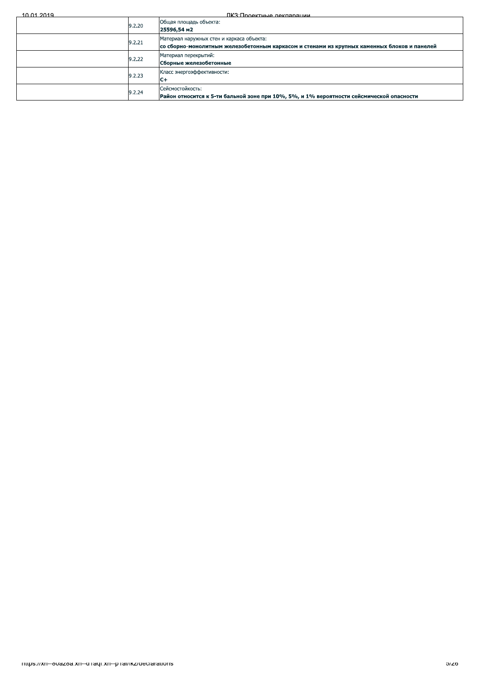$10.01.2019$ 

<u> ПКЗ·Проектные лекларации</u>

| 9.2.20 | Общая площадь объекта:<br>25596,54 м2                                                                                                    |
|--------|------------------------------------------------------------------------------------------------------------------------------------------|
| 9.2.21 | Материал наружных стен и каркаса объекта:<br>со сборно-монолитным железобетонным каркасом и стенами из крупных каменных блоков и панелей |
| 9.2.22 | Материал перекрытий:<br>Сборные железобетонные                                                                                           |
| 9.2.23 | Класс энергоэффективности:<br>C+                                                                                                         |
| 9.2.24 | Сейсмостойкость:<br>Район относится к 5-ти бальной зоне при 10%, 5%, и 1% вероятности сейсмической опасности                             |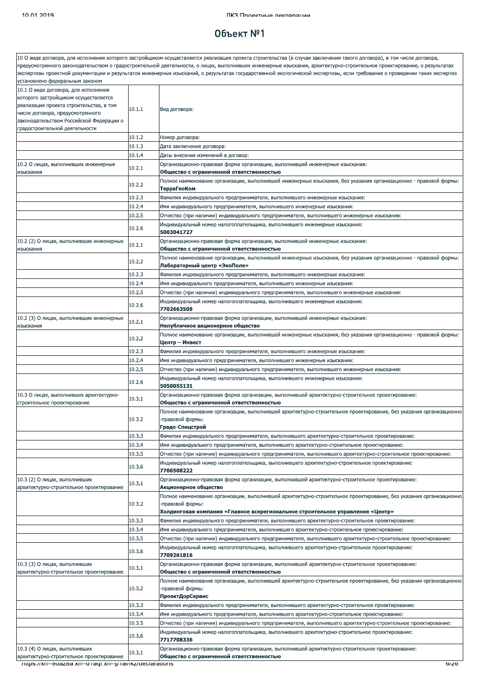### $06$ ъект  $N<sup>°</sup>1$

.<br>10 О виде договора, для исполнения которого застройщиком осуществляется реализация проекта строительства (в случае заключения такого договора), в том числе договора, предусмотренного законодательством о градостроительной деятельности, о лицах, выполнивших инженерные изыскания, архитектурно-строительное проектирование, о результатах экспертизы проектной документации и результатов инженерных изысканий, о результатах государственной экологической экспертизы, если требование о проведении таких экспертиз установлено федеральным законом 10.1 О виде договора, для исполнения которого застройщиком осуществляется реализация проекта строительства, в том  $10.1.1$ Вид договора: нисле договора, предусмотренного законодательством Российской Федерации о градостроительной деятельности  $10.1.2$ Номер договора:  $10.1.3$ Дата заключения договора:  $10.1.4$ Даты внесения изменений в договор: 10.2 О лицах, выполнивших инженерные Организационно-правовая форма организации, выполнившей инженерные изыскания:  $10.2.1$ лзыскания .<br>Общество с ограниченной ответственностью Полное наименование организации, выполнившей инженерные изыскания, без указания организационно - правовой формы:  $10.2.2$ **TeppaFeoKom**  $10.2.3$ .<br>Фамилия индивидуального предпринимателя, выполнившего инженерные изыскания  $10.2.4$ .<br>Имя индивидуального предпринимателя, выполнившего инженерные изыскания  $10.2.5$ Отчество (при наличии) индивидуального предпринимателя, выполнившего инженерные изыскания; Индивидуальный номер налогоплательщика, выполнившего инженерные изыскания: 10.2.6 5003041727 10.2 (2) О лицах, выполнивших инженерные .<br>Организационно-правовая форма организации, выполнившей инженерные изыскания  $10.2.1$ **изыскания** Общество с ограниченной ответственностью Толное наименование организации, выполнившей инженерные изыскания, без указания организационно - правовой формы:  $10.2.2$ Лабораторный центр «ЭкоПоле»  $10.2.3$ Фамилия индивидуального предпринимателя, выполнившего инженерные изыскания:  $10.2.4$ Имя индивидуального предпринимателя, выполнившего инженерные изыскания:  $10.2.5$ Отчество (при наличии) индивидуального предпринимателя, выполнившего инженерные изыскания: Индивидуальный номер налогоплательщика, выполнившего инженерные изыскания: 10.2.6 7702663509 10.2 (3) О лицах, выполнивших инженерные Организационно-правовая форма организации, выполнившей инженерные изыскания:  $10.2.1$ Непубличное акционерное общество 13ЫСКАНИЯ 1олное наименование организации, выполнившей инженерные изыскания, без указания организационно - правовой формы:  $1022$ .<br>Центр – Инвест  $10.2.3$ Фамилия индивилуального предпринимателя, выполнившего инженерные изыскания:  $10.2.4$ Имя индивидуального предпринимателя, выполнившего инженерные изыскания:  $10.2.5$ Отчество (при наличии) индивидуального предпринимателя, выполнившего инженерные изыскания: Индивидуальный номер налогоплательщика, выполнившего инженерные изыскания: 10.2.6 5050055131 10.3 О лицах, выполнивших архитектурно-Организационно-правовая форма организации, выполнившей архитектурно-строительное проектирование:  $10.3.1$ строительное проектирование Общество с ограниченной ответственностью .<br>Полное наименование организации, выполнившей архитектурно-строительное проектирование, без указания организационно  $10.3.2$ -правовой формы: Градо-Спецстрой  $10.3.3$ Фамилия индивидуального предпринимателя, выполнившего архитектурно-строительное проектирование: 10.3.4 Имя индивидуального предпринимателя, выполнившего архитектурно-строительное проектирование:  $10.3.5$ Отчество (при наличии) индивидуального предпринимателя, выполнившего архитектурно-строительное проектирование: Индивидуальный номер налогоплательщика, выполнившего архитектурно-строительное проектирование: 10.3.6 706508222 10.3 (2) О лицах, выполнивших .<br>Организационно-правовая форма организации, выполнившей архитектурно-строительное проектирование:  $10.3.1$ архитектурно-строительное проектирование Акционерное общество Полное наименование организации, выполнившей архитектурно-строительное проектирование, без указания организационно  $10.3.2$ правовой формы: Холдинговая компания «Главное всерегиональное строительное управление «Центр» 10.3.3 Фамилия индивидуального предпринимателя, выполнившего архитектурно-строительное проектирование: 10.3.4 Имя индивидуального предпринимателя, выполнившего архитектурно-строительное проектирование: 10.3.5 Отчество (при наличии) индивидуального предпринимателя, выполнившего архитектурно-строительное проектирование: Индивидуальный номер налогоплательщика, выполнившего архитектурно-строительное проектирование: 10.3.6 7709261816 10.3 (3) О лицах, выполнивших Организационно-правовая форма организации, выполнившей архитектурно-строительное проектирование:  $10.3.1$ архитектурно-строительное проектирование Общество с ограниченной ответственностью Полное наименование организации, выполнившей архитектурно-строительное проектирование, без указания организационно 10.3.2 правовой формы **ПроектДорСервис**  $10.3.3$ .<br>Фамилия индивидуального предпринимателя, выполнившего архитектурно-строительное проектирование:  $10.3.4$ Имя индивидуального предпринимателя, выполнившего архитектурно-строительное проектирование  $10.3.5$ Отчество (при наличии) индивидуального предпринимателя, выполнившего архитектурно-строительное проектирование: Индивидуальный номер налогоплательщика, выполнившего архитектурно-строительное проектирование: 10.3.6 7717708336 10.3 (4) О лицах, выполнивших Организационно-правовая форма организации, выполнившей архитектурно-строительное проектирование:  $10.3.1$ архитектурно-строительное проектирование Общество с ограниченной ответственностью

nttps://xn--ovazoa.xn--g ragi.xn--p rai/ikz/geciarations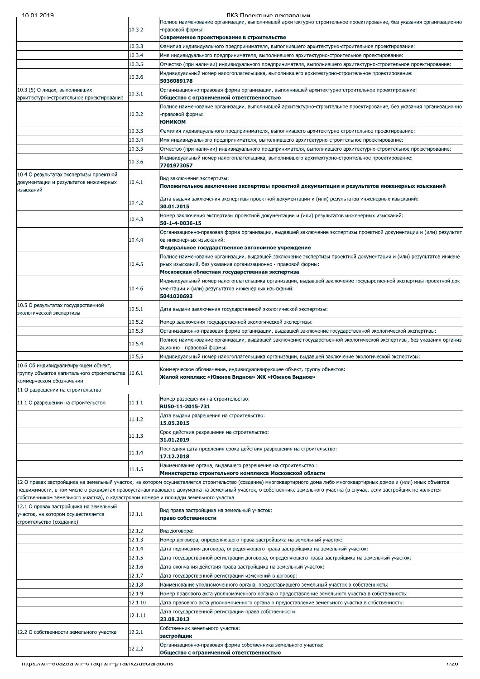|  | 10.01.2010 |  |
|--|------------|--|

ПКЗ Полектные лекляряции

|                                                                                               |         | Полное наименование организации, выполнившей архитектурно-строительное проектирование, без указания организационно                                                                                                             |
|-----------------------------------------------------------------------------------------------|---------|--------------------------------------------------------------------------------------------------------------------------------------------------------------------------------------------------------------------------------|
|                                                                                               | 10.3.2  | -правовой формы:<br>Современное проектирование в строительстве                                                                                                                                                                 |
|                                                                                               | 10.3.3  | .Фамилия индивидуального предпринимателя, выполнившего архитектурно-строительное проектирование                                                                                                                                |
|                                                                                               | 10.3.4  | "Имя индивидуального предпринимателя, выполнившего архитектурно-строительное проектирование                                                                                                                                    |
|                                                                                               | 10.3.5  | Отчество (при наличии) индивидуального предпринимателя, выполнившего архитектурно-строительное проектирование:                                                                                                                 |
|                                                                                               | 10.3.6  | "Индивидуальный номер налогоплательщика, выполнившего архитектурно-строительное проектирование<br>5036089178                                                                                                                   |
| 10.3 (5) О лицах, выполнивших<br>архитектурно-строительное проектирование                     | 10.3.1  | Организационно-правовая форма организации, выполнившей архитектурно-строительное проектирование:<br>Общество с ограниченной ответственностью                                                                                   |
|                                                                                               | 10.3.2  | Полное наименование организации, выполнившей архитектурно-строительное проектирование, без указания организационно<br>правовой формы:                                                                                          |
|                                                                                               |         | <b>ЮНИКОМ</b>                                                                                                                                                                                                                  |
|                                                                                               | 10.3.3  | Фамилия индивидуального предпринимателя, выполнившего архитектурно-строительное проектирование:                                                                                                                                |
|                                                                                               | 10.3.4  | Имя индивидуального предпринимателя, выполнившего архитектурно-строительное проектирование:                                                                                                                                    |
|                                                                                               | 10.3.5  | Отчество (при наличии) индивидуального предпринимателя, выполнившего архитектурно-строительное проектирование:                                                                                                                 |
|                                                                                               | 10.3.6  | Индивидуальный номер налогоплательщика, выполнившего архитектурно-строительное проектирование:<br>7701973057                                                                                                                   |
| 10.4 О результатах экспертизы проектной<br>документации и результатов инженерных<br>изысканий | 10.4.1  | Вид заключения экспертизы:<br>Положительное заключение экспертизы проектной документации и результатов инженерных изысканий                                                                                                    |
|                                                                                               | 10.4.2  | Дата выдачи заключения экспертизы проектной документации и (или) результатов инженерных изысканий:<br>30.01.2015                                                                                                               |
|                                                                                               | 10.4.3  | Номер заключения экспертизы проектной документации и (или) результатов инженерных изысканий:<br>50-1-4-0036-15                                                                                                                 |
|                                                                                               | 10.4.4  | Организационно-правовая форма организации, выдавшей заключение экспертизы проектной документации и (или) результат<br>ов инженерных изысканий:<br>Федеральное государственное автономное учреждение                            |
|                                                                                               |         | Полное наименование организации, выдавшей заключение экспертизы проектной документации и (или) результатов инжене                                                                                                              |
|                                                                                               | 10.4.5  | рных изысканий, без указания организационно - правовой формы:                                                                                                                                                                  |
|                                                                                               |         | Московская областная государственная экспертиза                                                                                                                                                                                |
|                                                                                               | 10.4.6  | Индивидуальный номер налогоплательщика организации, выдавшей заключение государственной экспертизы проектной док<br>ументации и (или) результатов инженерных изысканий:<br>5041020693                                          |
| 10.5 О результатах государственной<br>экологической экспертизы                                | 10.5.1  | Дата выдачи заключения государственной экологической экспертизы:                                                                                                                                                               |
|                                                                                               | 10.5.2  | Номер заключения государственной экологической экспертизы:                                                                                                                                                                     |
|                                                                                               | 10.5.3  | Организационно-правовая форма организации, выдавшей заключение государственной экологической экспертизы:                                                                                                                       |
|                                                                                               | 10.5.4  | Полное наименование организации, выдавшей заключение государственной экологической экспертизы, без указания организ                                                                                                            |
|                                                                                               |         | ационно - правовой формы:                                                                                                                                                                                                      |
| 10.6 Об индивидуализирующем объект,<br>группу объектов капитального строительства 10.6.1      | 10.5.5  | Индивидуальный номер налогоплательщика организации, выдавшей заключение экологической экспертизы:<br>Коммерческое обозначение, индивидуализирующее объект, группу объектов:<br>Жилой комплекс «Южное Видное» ЖК «Южное Видное» |
| коммерческом обозначении<br>11 О разрешении на строительство                                  |         |                                                                                                                                                                                                                                |
|                                                                                               |         | Номер разрешения на строительство:                                                                                                                                                                                             |
| 11.1 О разрешении на строительство                                                            | 11.1.1  | RU50-11-2015-731<br>Дата выдачи разрешения на строительство:                                                                                                                                                                   |
|                                                                                               | 11.1.2  | 15.05.2015                                                                                                                                                                                                                     |
|                                                                                               | 11.1.3  | Срок действия разрешения на строительство:<br>31.01.2019                                                                                                                                                                       |
|                                                                                               | 11.1.4  | Последняя дата продления срока действия разрешения на строительство:<br>17.12.2018                                                                                                                                             |
|                                                                                               | 11.1.5  | Наименование органа, выдавшего разрешение на строительство:<br>Министерство строительного комплекса Московской области                                                                                                         |
|                                                                                               |         | 12 О правах застройщика на земельный участок, на котором осуществляется строительство (создание) многоквартирного дома либо многоквартирных домов и (или) иных объектов                                                        |
| собственником земельного участка), о кадастровом номере и площади земельного участка          |         | недвижимости, в том числе о реквизитах правоустанавливающего документа на земельный участок, о собственнике земельного участка (в случае, если застройщик не является                                                          |
| 12.1 О правах застройщика на земельный<br>участок, на котором осуществляется                  | 12.1.1  | Вид права застройщика на земельный участок:<br>право собственности                                                                                                                                                             |
| строительство (создание)                                                                      | 12.1.2  | Вид договора:                                                                                                                                                                                                                  |
|                                                                                               | 12.1.3  | Номер договора, определяющего права застройщика на земельный участок:                                                                                                                                                          |
|                                                                                               | 12.1.4  | Дата подписания договора, определяющего права застройщика на земельный участок:                                                                                                                                                |
|                                                                                               | 12.1.5  | Дата государственной регистрации договора, определяющего права застройщика на земельный участок:                                                                                                                               |
|                                                                                               | 12.1.6  | Дата окончания действия права застройщика на земельный участок:                                                                                                                                                                |
|                                                                                               | 12.1.7  | Дата государственной регистрации изменений в договор:                                                                                                                                                                          |
|                                                                                               | 12.1.8  | Наименование уполномоченного органа, предоставившего земельный участок в собственность:                                                                                                                                        |
|                                                                                               | 12.1.9  | "Номер правового акта уполномоченного органа о предоставление земельного участка в собственность                                                                                                                               |
|                                                                                               | 12.1.10 | Дата правового акта уполномоченного органа о предоставление земельного участка в собственность:                                                                                                                                |
|                                                                                               | 12.1.11 | Дата государственной регистрации права собственности:<br>23.08.2013                                                                                                                                                            |
| 12.2 О собственности земельного участка                                                       | 12.2.1  | Собственник земельного участка:<br>застройщик                                                                                                                                                                                  |
|                                                                                               | 12.2.2  | Организационно-правовая форма собственника земельного участка:<br>Общество с ограниченной ответственностью                                                                                                                     |
| <u> Thttps://xn--ovazoa.xn--diraqi.xn--piral/ikz/declarations</u>                             |         | 1120                                                                                                                                                                                                                           |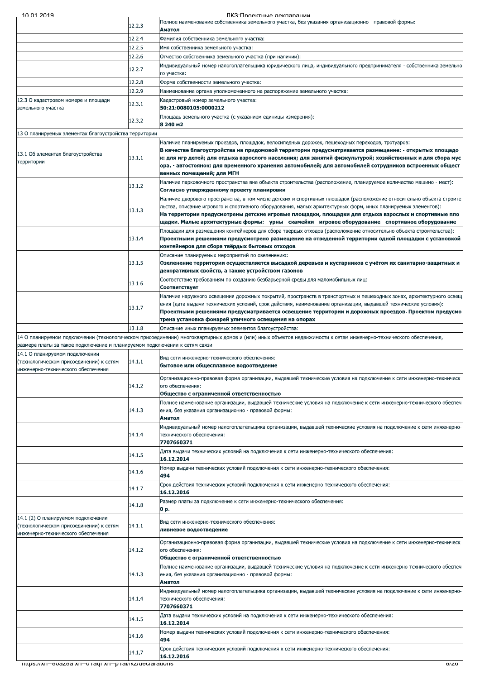|  | 10.01.2019 |  |
|--|------------|--|

| 10 01 2014                                                                 |        | IIK:K'I INOAKTHLIA NAKRANAIIMM                                                                                                                                                                                       |
|----------------------------------------------------------------------------|--------|----------------------------------------------------------------------------------------------------------------------------------------------------------------------------------------------------------------------|
|                                                                            | 12.2.3 | Полное наименование собственника земельного участка, без указания организационно - правовой формы:<br>Аматол                                                                                                         |
|                                                                            | 12.2.4 | Фамилия собственника земельного участка:                                                                                                                                                                             |
|                                                                            | 12.2.5 | Имя собственника земельного участка:                                                                                                                                                                                 |
|                                                                            | 12.2.6 | Отчество собственника земельного участка (при наличии):                                                                                                                                                              |
|                                                                            |        | Индивидуальный номер налогоплательщика юридического лица, индивидуального предпринимателя - собственника земельно                                                                                                    |
|                                                                            | 12.2.7 | го участка:                                                                                                                                                                                                          |
|                                                                            | 12.2.8 | Форма собственности земельного участка:                                                                                                                                                                              |
|                                                                            | 12.2.9 | Наименование органа уполномоченного на распоряжение земельного участка:                                                                                                                                              |
| 12.3 О кадастровом номере и площади                                        | 12.3.1 | Кадастровый номер земельного участка:                                                                                                                                                                                |
| земельного участка                                                         |        | 50:21:0080105:0000212                                                                                                                                                                                                |
|                                                                            | 12.3.2 | Площадь земельного участка (с указанием единицы измерения):                                                                                                                                                          |
|                                                                            |        | 8 240 m2                                                                                                                                                                                                             |
| 13 О планируемых элементах благоустройства территории                      |        | Наличие планируемых проездов, площадок, велосипедных дорожек, пешеходных переходов, тротуаров:                                                                                                                       |
|                                                                            |        | В качестве благоустройства на придомовой территории предусматривается размещение: - открытых площадо                                                                                                                 |
| 13.1 Об элементах благоустройства                                          | 13.1.1 | к: для игр детей; для отдыха взрослого населения; для занятий физкультурой; хозяйственных и для сбора мус                                                                                                            |
| территории                                                                 |        | ора. - автостоянок: для временного хранения автомобилей; для автомобилей сотрудников встроенных общест                                                                                                               |
|                                                                            |        | венных помещений; для МГН                                                                                                                                                                                            |
|                                                                            | 13.1.2 | Наличие парковочного пространства вне объекта строительства (расположение, планируемое количество машино - мест):                                                                                                    |
|                                                                            |        | Согласно утвержденному проекту планировки<br>Наличие дворового пространства, в том числе детских и спортивных площадок (расположение относительно объекта строите                                                    |
|                                                                            |        | льства, описание игрового и спортивного оборудования, малых архитектурных форм, иных планируемых элементов):                                                                                                         |
|                                                                            | 13.1.3 | На территории предусмотрены детские игровые площадки, площадки для отдыха взрослых и спортивные пло                                                                                                                  |
|                                                                            |        | щадки. Малые архитектурные формы: - урны - скамейки - игровое оборудование - спортивное оборудование                                                                                                                 |
|                                                                            |        | Площадки для размещения контейнеров для сбора твердых отходов (расположение относительно объекта строительства):                                                                                                     |
|                                                                            | 13.1.4 | Проектными решениями предусмотрено размещение на отведенной территории одной площадки с установкой<br>контейнеров для сбора твёрдых бытовых отходов                                                                  |
|                                                                            |        | Описание планируемых мероприятий по озеленению:                                                                                                                                                                      |
|                                                                            | 13.1.5 | Озеленение территории осуществляется высадкой деревьев и кустарников с учётом их санитарно-защитных и                                                                                                                |
|                                                                            |        | декоративных свойств, а также устройством газонов                                                                                                                                                                    |
|                                                                            | 13.1.6 | Соответствие требованиям по созданию безбарьерной среды для маломобильных лиц:                                                                                                                                       |
|                                                                            |        | Соответствует                                                                                                                                                                                                        |
|                                                                            |        | Наличие наружного освещения дорожных покрытий, пространств в транспортных и пешеходных зонах, архитектурного освещ                                                                                                   |
|                                                                            | 13.1.7 | ения (дата выдачи технических условий, срок действия, наименование организации, выдавшей технические условия):<br>Проектными решениями предусматривается освещение территории и дорожных проездов. Проектом предусмо |
|                                                                            |        | трена установка фонарей уличного освещения на опорах                                                                                                                                                                 |
|                                                                            | 13.1.8 | Описание иных планируемых элементов благоустройства:                                                                                                                                                                 |
|                                                                            |        | 14 О планируемом подключении (технологическом присоединении) многоквартирных домов и (или) иных объектов недвижимости к сетям инженерно-технического обеспечения,                                                    |
| размере платы за такое подключение и планируемом подключении к сетям связи |        |                                                                                                                                                                                                                      |
| 14.1 О планируемом подключении                                             |        | Вид сети инженерно-технического обеспечения:                                                                                                                                                                         |
| (технологическом присоединении) к сетям                                    | 14.1.1 | бытовое или общесплавное водоотведение                                                                                                                                                                               |
| инженерно-технического обеспечения                                         |        | Организационно-правовая форма организации, выдавшей технические условия на подключение к сети инженерно-техническ                                                                                                    |
|                                                                            | 14.1.2 | ого обеспечения:                                                                                                                                                                                                     |
|                                                                            |        | Общество с ограниченной ответственностью                                                                                                                                                                             |
|                                                                            |        | Полное наименование организации, выдавшей технические условия на подключение к сети инженерно-технического обеспеч                                                                                                   |
|                                                                            | 14.1.3 | ения, без указания организационно - правовой формы:                                                                                                                                                                  |
|                                                                            |        | Аматол                                                                                                                                                                                                               |
|                                                                            | 14.1.4 | Индивидуальный номер налогоплательщика организации, выдавшей технические условия на подключение к сети инженерно-<br>технического обеспечения:                                                                       |
|                                                                            |        | 7707660371                                                                                                                                                                                                           |
|                                                                            |        | Дата выдачи технических условий на подключения к сети инженерно-технического обеспечения:                                                                                                                            |
|                                                                            | 14.1.5 | 16.12.2014                                                                                                                                                                                                           |
|                                                                            | 14.1.6 | Номер выдачи технических условий подключения к сети инженерно-технического обеспечения:                                                                                                                              |
|                                                                            |        | 494                                                                                                                                                                                                                  |
|                                                                            | 14.1.7 | Срок действия технических условий подключения к сети инженерно-технического обеспечения:                                                                                                                             |
|                                                                            |        | 16.12.2016                                                                                                                                                                                                           |
|                                                                            | 14.1.8 | Размер платы за подключение к сети инженерно-технического обеспечения:<br>0 p.                                                                                                                                       |
| 14.1 (2) О планируемом подключении                                         |        |                                                                                                                                                                                                                      |
| (технологическом присоединении) к сетям                                    | 14.1.1 | Вид сети инженерно-технического обеспечения:                                                                                                                                                                         |
| инженерно-технического обеспечения                                         |        | ливневое водоотведение                                                                                                                                                                                               |
|                                                                            |        | Организационно-правовая форма организации, выдавшей технические условия на подключение к сети инженерно-техническ                                                                                                    |
|                                                                            | 14.1.2 | ого обеспечения:                                                                                                                                                                                                     |
|                                                                            |        | Общество с ограниченной ответственностью                                                                                                                                                                             |
|                                                                            | 14.1.3 | Полное наименование организации, выдавшей технические условия на подключение к сети инженерно-технического обеспеч<br>ения, без указания организационно - правовой формы:                                            |
|                                                                            |        | Аматол                                                                                                                                                                                                               |
|                                                                            |        | Индивидуальный номер налогоплательщика организации, выдавшей технические условия на подключение к сети инженерно-                                                                                                    |
|                                                                            | 14.1.4 | технического обеспечения:                                                                                                                                                                                            |
|                                                                            |        | 7707660371                                                                                                                                                                                                           |
|                                                                            | 14.1.5 | Дата выдачи технических условий на подключения к сети инженерно-технического обеспечения:<br>16.12.2014                                                                                                              |
|                                                                            |        | Номер выдачи технических условий подключения к сети инженерно-технического обеспечения:                                                                                                                              |
|                                                                            | 14.1.6 | 494                                                                                                                                                                                                                  |
|                                                                            |        | Срок действия технических условий подключения к сети инженерно-технического обеспечения:                                                                                                                             |
|                                                                            | 14.1.7 | 16.12.2016                                                                                                                                                                                                           |
| mups://xn--ovazoa.xn--g ragi.xn--p rai/ikz/geciarations                    |        | o/zo                                                                                                                                                                                                                 |
|                                                                            |        |                                                                                                                                                                                                                      |
|                                                                            |        |                                                                                                                                                                                                                      |
|                                                                            |        |                                                                                                                                                                                                                      |
|                                                                            |        |                                                                                                                                                                                                                      |
|                                                                            |        |                                                                                                                                                                                                                      |
|                                                                            |        |                                                                                                                                                                                                                      |
|                                                                            |        |                                                                                                                                                                                                                      |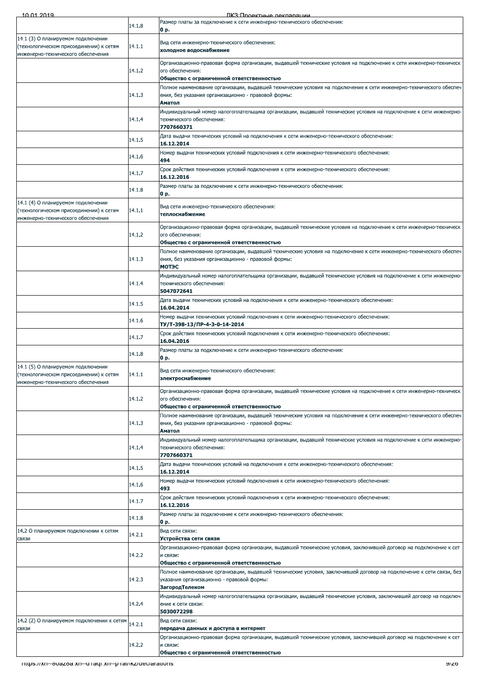| יות נובח                                                                      |        | TIK 3 TIDOAKTHLIA HAKRADAITI <i>NA</i>                                                                                                                          |
|-------------------------------------------------------------------------------|--------|-----------------------------------------------------------------------------------------------------------------------------------------------------------------|
|                                                                               | 14.1.8 | Размер платы за подключение к сети инженерно-технического обеспечения:<br>0 p.                                                                                  |
| 14.1 (3) О планируемом подключении<br>(технологическом присоединении) к сетям | 14.1.1 | Вид сети инженерно-технического обеспечения:                                                                                                                    |
| инженерно-технического обеспечения                                            |        | холодное водоснабжение                                                                                                                                          |
|                                                                               | 14.1.2 | Организационно-правовая форма организации, выдавшей технические условия на подключение к сети инженерно-техническ<br>ого обеспечения:                           |
|                                                                               |        | Общество с ограниченной ответственностью<br>Полное наименование организации, выдавшей технические условия на подключение к сети инженерно-технического обеспеч  |
|                                                                               | 14.1.3 | ения, без указания организационно - правовой формы:<br>Аматол                                                                                                   |
|                                                                               |        | Индивидуальный номер налогоплательщика организации, выдавшей технические условия на подключение к сети инженерно-                                               |
|                                                                               | 14.1.4 | технического обеспечения:<br>7707660371                                                                                                                         |
|                                                                               | 14.1.5 | Дата выдачи технических условий на подключения к сети инженерно-технического обеспечения:<br>16.12.2014                                                         |
|                                                                               | 14.1.6 | Номер выдачи технических условий подключения к сети инженерно-технического обеспечения:<br>494                                                                  |
|                                                                               | 14.1.7 | Срок действия технических условий подключения к сети инженерно-технического обеспечения:                                                                        |
|                                                                               | 14.1.8 | 16.12.2016<br>Размер платы за подключение к сети инженерно-технического обеспечения:                                                                            |
| 14.1 (4) О планируемом подключении                                            |        | 0 p.                                                                                                                                                            |
| (технологическом присоединении) к сетям<br>инженерно-технического обеспечения | 14.1.1 | Вид сети инженерно-технического обеспечения:<br>теплоснабжение                                                                                                  |
|                                                                               |        | Организационно-правовая форма организации, выдавшей технические условия на подключение к сети инженерно-техническ                                               |
|                                                                               | 14.1.2 | ого обеспечения:<br>Общество с ограниченной ответственностью                                                                                                    |
|                                                                               |        | Полное наименование организации, выдавшей технические условия на подключение к сети инженерно-технического обеспеч                                              |
|                                                                               | 14.1.3 | ения, без указания организационно - правовой формы:<br>МОТЭС                                                                                                    |
|                                                                               | 14.1.4 | Индивидуальный номер налогоплательщика организации, выдавшей технические условия на подключение к сети инженерно-<br>технического обеспечения:                  |
|                                                                               |        | 5047072641                                                                                                                                                      |
|                                                                               | 14.1.5 | Дата выдачи технических условий на подключения к сети инженерно-технического обеспечения:<br>16.04.2014                                                         |
|                                                                               | 14.1.6 | Номер выдачи технических условий подключения к сети инженерно-технического обеспечения:<br>ТУ/Т-398-13/ПР-4-3-0-14-2014                                         |
|                                                                               | 14.1.7 | Срок действия технических условий подключения к сети инженерно-технического обеспечения:<br>16.04.2016                                                          |
|                                                                               | 14.1.8 | Размер платы за подключение к сети инженерно-технического обеспечения:<br>0 p.                                                                                  |
| 14.1 (5) О планируемом подключении                                            |        | Вид сети инженерно-технического обеспечения:                                                                                                                    |
| (технологическом присоединении) к сетям<br>инженерно-технического обеспечения | 14.1.1 | электроснабжение                                                                                                                                                |
|                                                                               | 14.1.2 | Организационно-правовая форма организации, выдавшей технические условия на подключение к сети инженерно-техническ<br>ого обеспечения:                           |
|                                                                               |        | Общество с ограниченной ответственностью<br>Полное наименование организации, выдавшей технические условия на подключение к сети инженерно-технического обеспеч  |
|                                                                               | 14.1.3 | ения, без указания организационно - правовой формы:<br>Аматол                                                                                                   |
|                                                                               |        | Индивидуальный номер налогоплательщика организации, выдавшей технические условия на подключение к сети инженерно-                                               |
|                                                                               | 14.1.4 | технического обеспечения:<br>7707660371                                                                                                                         |
|                                                                               | 14.1.5 | Дата выдачи технических условий на подключения к сети инженерно-технического обеспечения:<br>16.12.2014                                                         |
|                                                                               | 14.1.6 | Номер выдачи технических условий подключения к сети инженерно-технического обеспечения:<br>493                                                                  |
|                                                                               | 14.1.7 | Срок действия технических условий подключения к сети инженерно-технического обеспечения:                                                                        |
|                                                                               |        | 16.12.2016<br>Размер платы за подключение к сети инженерно-технического обеспечения:                                                                            |
| 14.2 О планируемом подключении к сетям                                        | 14.1.8 | 0 p.<br>Вид сети связи:                                                                                                                                         |
| СВЯЗИ                                                                         | 14.2.1 | Устройства сети связи                                                                                                                                           |
|                                                                               | 14.2.2 | Организационно-правовая форма организации, выдавшей технические условия, заключившей договор на подключение к сет<br>и связи:                                   |
|                                                                               |        | Общество с ограниченной ответственностью<br>Полное наименование организации, выдавшей технические условия, заключившей договор на подключение к сети связи, без |
|                                                                               | 14.2.3 | указания организационно - правовой формы:                                                                                                                       |
|                                                                               |        | ЗагородТелеком<br>Индивидуальный номер налогоплательщика организации, выдавшей технические условия, заключившей договор на подключ                              |
|                                                                               | 14.2.4 | ение к сети связи:<br>5030072298                                                                                                                                |
| 14.2 (2) О планируемом подключении к сетям<br>СВЯЗИ                           | 14.2.1 | Вид сети связи:<br>передача данных и доступа в интернет                                                                                                         |
|                                                                               |        | Организационно-правовая форма организации, выдавшей технические условия, заключившей договор на подключение к сет                                               |
|                                                                               | 14.2.2 | и связи:<br>Общество с ограниченной ответственностью                                                                                                            |
| mups.//xn--ovazoa.xn--g ragi.xn--p rai/ikz/geciarations                       |        | সাত্রত                                                                                                                                                          |
|                                                                               |        |                                                                                                                                                                 |
|                                                                               |        |                                                                                                                                                                 |
|                                                                               |        |                                                                                                                                                                 |
|                                                                               |        |                                                                                                                                                                 |
|                                                                               |        |                                                                                                                                                                 |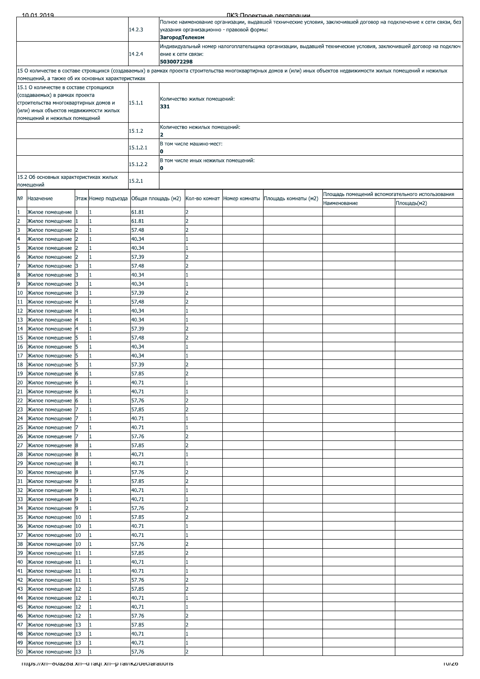Полное наименование организации, выдавшей технические условия, заключившей договор на подключение к сети связи, без 14.2.3 указания организационно - правовой формы: ЗагородТелеком Индивидуальный номер налогоплательщика организации, выдавшей технические условия, заключившей договор на подключ 14.2.4 ние к сети связи: 5030072298 .<br>15 О количестве в составе строящихся (создаваемых) в рамках проекта строительства многоквартирных домов и (или) иных объектов недвижимости жилых помещений и нежилых помещений, а также об их основных характеристи<mark>ка</mark>х 15.1 О количестве в составе строящихся (создаваемых) в рамках проекта Количество жилых помещений: 15.1.1 строительства многоквартирных домов и 331 (или) иных объектов недвижимости жилых помещений и нежилых помещений Количество нежилых помещений: 15.1.2 В том числе машино-мест: 15.1.2.1 В том числе иных нежилых помещений: 15.1.2.2 15.2 Об основных характеристиках жилых  $15.2.1$ томещений Площадь помещений вспомогательного использования Νġ Назачение Этаж Номер подъезда Общая площадь (м2) Кол-во комнат Номер комнаты Площадь комнаты (м2) Наименование Площадь(м2) Жилое помещение 61.81 61.81 Жилое помещение 57.48 Жилое помещение 40.34 Жилое помещение 40.34 Жилое помещение 5739 Жилое помещение  $\overline{57.48}$ Жилое помещение 40.34 Жилое помещение 40.34 Жилое помещение 57.39 Жилое помешение ١C 57.48  $\overline{11}$ Жилое помешение Жилое помешение 40.34 ١D 40.34 13 Жилое помещение Жилое помещение 57.39  $\overline{14}$ 15 Жилое помешение 57.48 16 Жилое помещение 40.34 17 Жилое помещение 40.34 Жилое помещение 57.39 18 19 Жилое помещение 57.85  $\overline{20}$ Жилое помещение 40.71 40.71 Жилое помещение  $\overline{21}$ 57.76  $\overline{22}$ Жилое помещение 57.85  $\overline{23}$ Жилое помещение Жилое помещение 40.71  $^{24}$ Жилое помещение 40.71 25 Жилое помещение 57.76 26 Жилое помещение 57.85 Жилое помещение 40.71 28 29 Жилое помещение 40.71 8 Жилое помещение 57.76 30  $31$ Жилое помещение 57.85 40.71 32 Жилое помещение 40.71 33 Жилое помещение 57.76  $34$ Жилое помещение  $\overline{35}$  $57.85$ Жилое помещение  $10$  $36 \overline{6}$ 40.71 Жилое помешение 10 37 40.71 Жилое помешение 10 38 57.76 Жилое помешение 10  $\overline{39}$  $\frac{1}{57.85}$ Жилое помешение 11 40 Жилое помешение 40.71 11  $\overline{41}$ Жилое помешение  $40.71$  $11$ 42 Жилое помещение 57.76  $11$  $43$ Жилое помешение  $57.85$ 14 Жилое помешение 40.71 45 Жилое помещение  $12$ 40.71  $16^{12}$ Жилое помещение  $12$ 57.76  $57.85$  $17$ Жилое помещение  $13$ 40.71 48 Жилое помещение 13 40.71 1C Жилое помещение  $13$ 50 Жилое помещение 13 57.76

ПКЗ Проектные леклярации

10.01.2019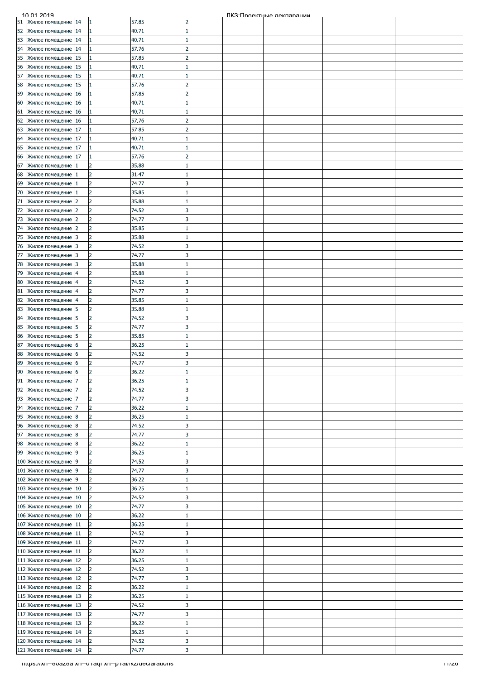|                                                 | 10.01.2019                                                                                                                                     |    |                |       |                          | ПКЗ: Проектные лекляряции |       |
|-------------------------------------------------|------------------------------------------------------------------------------------------------------------------------------------------------|----|----------------|-------|--------------------------|---------------------------|-------|
|                                                 |                                                                                                                                                | 14 |                | 57.85 | 2                        |                           |       |
|                                                 |                                                                                                                                                | 14 | 1              | 40.71 |                          |                           |       |
|                                                 |                                                                                                                                                | 14 |                | 40.71 |                          |                           |       |
|                                                 | 10.01.2019<br>51 Жилое помещение<br>52 Жилое помещение<br>53 Жилое помещение<br>54 Жилое помещение<br>56 Жилое помещение<br>57 Жилое помещение | 14 |                | 57.76 |                          |                           |       |
|                                                 |                                                                                                                                                | 15 |                | 57.85 |                          |                           |       |
|                                                 |                                                                                                                                                |    |                |       |                          |                           |       |
|                                                 |                                                                                                                                                | 15 |                | 40.71 |                          |                           |       |
|                                                 |                                                                                                                                                | 15 |                | 40.71 |                          |                           |       |
| 58<br>59                                        | Жилое помещение                                                                                                                                | 15 |                | 57.76 | $\overline{2}$           |                           |       |
|                                                 | Жилое помещение                                                                                                                                | 16 |                | 57.85 | $\overline{\phantom{a}}$ |                           |       |
| 60                                              | Жилое помещение                                                                                                                                | 16 |                | 40.71 |                          |                           |       |
|                                                 | Жилое помещение                                                                                                                                | 16 |                | 40.71 |                          |                           |       |
| $\frac{61}{62}$                                 | Жилое помещение                                                                                                                                | 16 |                | 57.76 |                          |                           |       |
|                                                 |                                                                                                                                                |    |                |       |                          |                           |       |
| 63<br>64<br>65<br>66<br>67                      | Жилое помещение                                                                                                                                | 17 |                | 57.85 |                          |                           |       |
|                                                 | Жилое помещение                                                                                                                                | 17 |                | 40.71 |                          |                           |       |
|                                                 | Жилое помещение                                                                                                                                | 17 | 1              | 40.71 |                          |                           |       |
|                                                 | Жилое помещение                                                                                                                                | 17 | 1              | 57.76 | 2                        |                           |       |
|                                                 | Жилое помещение                                                                                                                                |    | $\overline{z}$ | 35.88 |                          |                           |       |
|                                                 | Жилое помещение                                                                                                                                |    | $\overline{2}$ | 31.47 |                          |                           |       |
| 68<br>69                                        | Жилое помещение                                                                                                                                |    | $\overline{2}$ | 74.77 |                          |                           |       |
|                                                 |                                                                                                                                                |    |                |       |                          |                           |       |
| 70                                              | Жилое помещение                                                                                                                                |    | $\overline{2}$ | 35.85 |                          |                           |       |
| $\frac{71}{72}$                                 | Жилое помещение                                                                                                                                |    | $\overline{2}$ | 35.88 |                          |                           |       |
|                                                 | Жилое помещение                                                                                                                                |    | $\overline{2}$ | 74.52 | 3                        |                           |       |
|                                                 | Жилое помещение                                                                                                                                | 12 | $\overline{2}$ | 74.77 | R                        |                           |       |
|                                                 | Жилое помещение                                                                                                                                |    | $\overline{2}$ | 35.85 |                          |                           |       |
|                                                 |                                                                                                                                                |    | $\overline{2}$ |       |                          |                           |       |
| $\frac{73}{74}$ $\frac{74}{75}$ $\frac{75}{77}$ | Жилое помещение                                                                                                                                | 13 |                | 35.88 |                          |                           |       |
|                                                 | Жилое помещение                                                                                                                                | 13 | $\overline{2}$ | 74.52 |                          |                           |       |
|                                                 | Жилое помещение                                                                                                                                | 3  | $\overline{2}$ | 74.77 |                          |                           |       |
| 78<br>79                                        | Жилое помещение                                                                                                                                | 3  | 2              | 35.88 |                          |                           |       |
|                                                 | Жилое помещение                                                                                                                                |    | $\overline{2}$ | 35.88 |                          |                           |       |
| 80                                              | Жилое помещение                                                                                                                                |    | $\overline{2}$ | 74.52 |                          |                           |       |
| 81                                              | Жилое помещение                                                                                                                                |    | $\overline{2}$ | 74.77 |                          |                           |       |
|                                                 |                                                                                                                                                |    |                |       |                          |                           |       |
| 82<br>83<br>84                                  | Жилое помещение                                                                                                                                |    | $\overline{2}$ | 35.85 |                          |                           |       |
|                                                 | Жилое помещение                                                                                                                                | 5  | $\overline{2}$ | 35.88 |                          |                           |       |
|                                                 | Жилое помещение                                                                                                                                | 5  | $\overline{2}$ | 74.52 | k                        |                           |       |
| 85                                              | Жилое помещение                                                                                                                                | 15 | 2              | 74.77 | R                        |                           |       |
| 86                                              | Жилое помещение                                                                                                                                | 5  | $\overline{2}$ | 35.85 |                          |                           |       |
| 87                                              | Жилое помещение                                                                                                                                | 16 | $\overline{2}$ | 36.25 |                          |                           |       |
|                                                 |                                                                                                                                                |    |                |       |                          |                           |       |
| $\frac{1}{88}$                                  | Жилое помещение                                                                                                                                | 6  | $\overline{2}$ | 74.52 |                          |                           |       |
|                                                 | Жилое помещение 6                                                                                                                              |    | $\overline{2}$ | 74.77 | k                        |                           |       |
|                                                 | 90 Жилое помещение 6                                                                                                                           |    | $\overline{2}$ | 36.22 |                          |                           |       |
| 91                                              | Жилое помещение                                                                                                                                | 7  | $\overline{2}$ | 36.25 |                          |                           |       |
|                                                 | Жилое помещение                                                                                                                                |    | 2              | 74.52 |                          |                           |       |
| 92<br>93                                        | Жилое помещение                                                                                                                                |    | $\overline{2}$ | 74.77 | ٦                        |                           |       |
|                                                 |                                                                                                                                                |    |                |       |                          |                           |       |
| 94                                              | Жилое помещение                                                                                                                                |    | $\overline{2}$ | 36.22 |                          |                           |       |
| 95                                              | Жилое помещение                                                                                                                                | 8  | $\overline{2}$ | 36.25 |                          |                           |       |
| 96                                              | Жилое помещение                                                                                                                                | 18 | $\overline{2}$ | 74.52 | 3                        |                           |       |
| 97                                              | Жилое помещение                                                                                                                                | 8  | $\overline{2}$ | 74.77 | ß                        |                           |       |
| 98                                              | Жилое помещение                                                                                                                                | 8  | $\overline{2}$ | 36.22 |                          |                           |       |
| 99                                              |                                                                                                                                                | 19 | $\overline{2}$ | 36.25 |                          |                           |       |
|                                                 | Жилое помещение<br>100 Жилое помещение                                                                                                         |    | $\overline{2}$ | 74.52 |                          |                           |       |
|                                                 |                                                                                                                                                | 19 |                |       |                          |                           |       |
|                                                 | 101 Жилое помещение                                                                                                                            | 9  | $\overline{2}$ | 74.77 | 3                        |                           |       |
|                                                 | 102 Жилое помещение 9                                                                                                                          |    | $\overline{2}$ | 36.22 |                          |                           |       |
|                                                 | 103 Жилое помещение                                                                                                                            | 10 | $\overline{2}$ | 36.25 |                          |                           |       |
|                                                 | 104 Жилое помещение                                                                                                                            | 10 | $\overline{2}$ | 74.52 | k                        |                           |       |
|                                                 | 105 Жилое помещение                                                                                                                            | 10 | $\overline{2}$ | 74.77 |                          |                           |       |
|                                                 | 106 Жилое помещение                                                                                                                            | 10 | $\overline{2}$ | 36.22 |                          |                           |       |
|                                                 |                                                                                                                                                |    |                |       |                          |                           |       |
|                                                 | 107 Жилое помещение                                                                                                                            | 11 | $\overline{2}$ | 36.25 |                          |                           |       |
|                                                 | 108 Жилое помещение                                                                                                                            | 11 | $\overline{2}$ | 74.52 | 3                        |                           |       |
|                                                 | 109 Жилое помещение                                                                                                                            | 11 | $\overline{2}$ | 74.77 | R                        |                           |       |
|                                                 | 110 Жилое помещение                                                                                                                            | 11 | $\overline{2}$ | 36.22 |                          |                           |       |
|                                                 | 111 Жилое помещение                                                                                                                            | 12 | $\overline{2}$ | 36.25 |                          |                           |       |
|                                                 | 112 Жилое помещение                                                                                                                            | 12 | $\overline{2}$ | 74.52 |                          |                           |       |
|                                                 |                                                                                                                                                |    |                |       |                          |                           |       |
|                                                 | 113 Жилое помещение                                                                                                                            | 12 | $\overline{2}$ | 74.77 |                          |                           |       |
|                                                 | 114 Жилое помещение                                                                                                                            | 12 | $\overline{2}$ | 36.22 |                          |                           |       |
|                                                 | 115 Жилое помещение                                                                                                                            | 13 | $\overline{2}$ | 36.25 |                          |                           |       |
|                                                 | 116 Жилое помещение                                                                                                                            | 13 | $\overline{2}$ | 74.52 | 13                       |                           |       |
|                                                 | 117 Жилое помещение                                                                                                                            | 13 | $\overline{2}$ | 74.77 |                          |                           |       |
|                                                 | 118 Жилое помещение                                                                                                                            | 13 | $\overline{2}$ | 36.22 |                          |                           |       |
|                                                 |                                                                                                                                                |    | $\overline{2}$ |       |                          |                           |       |
|                                                 | 119 Жилое помещение                                                                                                                            | 14 |                | 36.25 |                          |                           |       |
|                                                 | 120 Жилое помещение 14                                                                                                                         |    | $\overline{2}$ | 74.52 | 3                        |                           |       |
|                                                 | 121 Жилое помещение 14                                                                                                                         |    | $\overline{2}$ | 74.77 | 3                        |                           |       |
|                                                 | mups://xn--ovazoa.xn--a-raqr.xn--p-ramkz/declarations                                                                                          |    |                |       |                          |                           | 11/20 |
|                                                 |                                                                                                                                                |    |                |       |                          |                           |       |
|                                                 |                                                                                                                                                |    |                |       |                          |                           |       |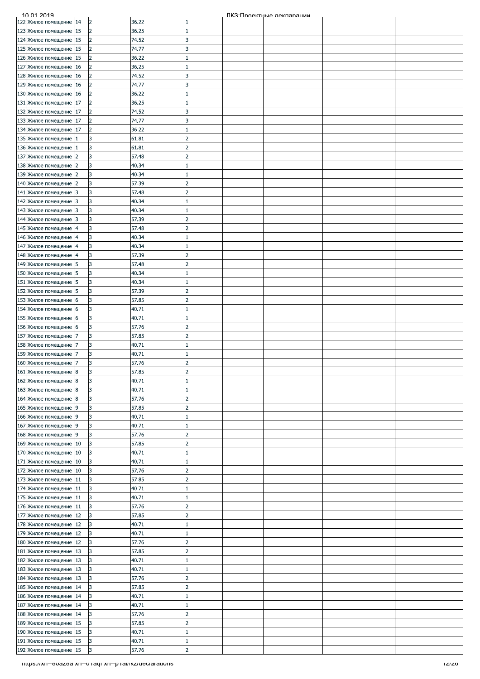| 122 Жилое помещение 14<br>2<br>123 Жилое помещение<br>15<br>$\overline{2}$<br>36.25<br>124 Жилое помещение<br>15<br>74.52<br>2<br>R<br>125 Жилое помещение<br>15<br>74.77<br>2<br>R<br>126 Жилое помещение<br>15<br>$\overline{z}$<br>36.22<br>127 Жилое помещение<br>$\overline{2}$<br>36.25<br>16<br>128 Жилое помещение<br>$\overline{2}$<br>74.52<br>16<br>129 Жилое помещение<br>74.77<br>16<br>$\overline{2}$<br>3<br>130 Жилое помещение 16<br>36.22<br>$\overline{2}$<br>131 Жилое помещение<br>36.25<br>17<br>$\overline{2}$<br>132 Жилое помещение<br>74.52<br>17<br>$\overline{\phantom{a}}$<br>133 Жилое помещение<br>$\overline{2}$<br>17<br>74.77<br>134 Жилое помещение<br>$\overline{2}$<br>36.22<br>17<br>135 Жилое помещение<br>3<br>61.81<br>2<br>136 Жилое помещение<br>3<br>61.81<br>$\overline{2}$<br>137 Жилое помещение<br>3<br>57.48<br>2<br>138 Жилое помещение<br>3<br>40.34<br>139 Жилое помещение<br>3<br>40.34<br>140 Жилое помещение<br>3<br>57.39<br>141 Жилое помещение<br>3<br>57.48<br>3<br>142 Жилое помещение<br>3<br>40.34<br>13<br>143 Жилое помещение<br>3<br>40.34<br>13<br>144 Жилое помещение<br>3<br>57.39<br>$\overline{\phantom{a}}$<br>13<br>145 Жилое помещение<br>3<br>57.48<br>146 Жилое помещение<br>3<br>40.34<br>147 Жилое помещение<br>3<br>40.34<br>148 Жилое помещение<br>3<br>57.39<br>149 Жилое помещение<br>3<br>57.48<br>5<br>150 Жилое помещение<br>3<br>40.34<br>5<br>151 Жилое помещение<br>3<br>40.34<br>5<br>152 Жилое помещение<br>3<br>57.39<br>5<br>153 Жилое помещение<br>3<br>57.85<br>6<br>154 Жилое помещение<br>3<br>40.71<br>16<br>155 Жилое помещение<br>3<br>40.71<br>6<br>156 Жилое помещение<br>3<br>57.76<br>6<br>157 Жилое помещение<br>3<br>57.85<br>158 Жилое помещение<br>3<br>40.71<br>159 Жилое помещение<br>3<br>40.71<br>160 Жилое помещение<br>3<br>57.76<br>161 Жилое помещение 8<br>$\overline{3}$<br>57.85<br>b<br>162 Жилое помещение<br>8<br>3<br>40.71<br>163 Жилое помещение<br>40.71<br>3<br>18<br>3<br>57.76<br>164 Жилое помещение<br>8<br>165 Жилое помещение<br>3<br>57.85<br>9<br>2<br>166 Жилое помещение<br>3<br>40.71<br>19<br>167 Жилое помещение<br>3<br>40.71<br>19<br>168 Жилое помещение<br>3<br>57.76<br>9<br>$\overline{\phantom{a}}$<br>169 Жилое помещение<br>57.85<br>10<br>3<br>l2<br>170 Жилое помещение<br>3<br>10<br>40.71<br>171 Жилое помещение<br>3<br>40.71<br>10<br>172 Жилое помещение<br>3<br>57.76<br>10<br>173 Жилое помещение<br>3<br>57.85<br>11<br>12<br>174 Жилое помещение<br>3<br>40.71<br>11<br>175 Жилое помещение<br>3<br>40.71<br>11<br>176 Жилое помещение<br>3<br>57.76<br>11<br>177 Жилое помещение<br>12<br>3<br>57.85<br>178 Жилое помещение<br>3<br>40.71<br>12<br>179 Жилое помещение<br>40.71<br>12<br>3<br>180 Жилое помещение<br>3<br>57.76<br>12<br>2<br>181 Жилое помещение<br>57.85<br>3<br>13<br>$\overline{\phantom{a}}$<br>182 Жилое помещение<br>3<br>40.71<br>13<br>183 Жилое помещение<br>3<br>13<br>40.71<br>3<br>57.76<br>184 Жилое помещение<br>13<br>3<br>185 Жилое помещение<br>57.85<br>14<br>$\overline{\phantom{a}}$<br>186 Жилое помещение<br>3<br>40.71<br>14<br>187 Жилое помещение<br>14<br>3<br>40.71<br>188 Жилое помещение<br>3<br>57.76<br>14<br>189 Жилое помещение<br>15<br>3<br>57.85<br>190 Жилое помещение<br>15<br>3<br>40.71<br>191 Жилое помещение 15<br>3<br>40.71<br>3<br>57.76<br>192 Жилое помещение 15<br>$\overline{2}$<br>mups://xn--ovazoa.xn--a raqr.xn--p ramkz/declarations | 10.01.2019 |  |       |  | ПКЗ: Проектные лекляряции |       |
|----------------------------------------------------------------------------------------------------------------------------------------------------------------------------------------------------------------------------------------------------------------------------------------------------------------------------------------------------------------------------------------------------------------------------------------------------------------------------------------------------------------------------------------------------------------------------------------------------------------------------------------------------------------------------------------------------------------------------------------------------------------------------------------------------------------------------------------------------------------------------------------------------------------------------------------------------------------------------------------------------------------------------------------------------------------------------------------------------------------------------------------------------------------------------------------------------------------------------------------------------------------------------------------------------------------------------------------------------------------------------------------------------------------------------------------------------------------------------------------------------------------------------------------------------------------------------------------------------------------------------------------------------------------------------------------------------------------------------------------------------------------------------------------------------------------------------------------------------------------------------------------------------------------------------------------------------------------------------------------------------------------------------------------------------------------------------------------------------------------------------------------------------------------------------------------------------------------------------------------------------------------------------------------------------------------------------------------------------------------------------------------------------------------------------------------------------------------------------------------------------------------------------------------------------------------------------------------------------------------------------------------------------------------------------------------------------------------------------------------------------------------------------------------------------------------------------------------------------------------------------------------------------------------------------------------------------------------------------------------------------------------------------------------------------------------------------------------------------------------------------------------------------------------------------------------------------------------------------------------------------------------------------------------------------------------------------------------------------------------------------------------------------------------------------------------------------------------------------|------------|--|-------|--|---------------------------|-------|
|                                                                                                                                                                                                                                                                                                                                                                                                                                                                                                                                                                                                                                                                                                                                                                                                                                                                                                                                                                                                                                                                                                                                                                                                                                                                                                                                                                                                                                                                                                                                                                                                                                                                                                                                                                                                                                                                                                                                                                                                                                                                                                                                                                                                                                                                                                                                                                                                                                                                                                                                                                                                                                                                                                                                                                                                                                                                                                                                                                                                                                                                                                                                                                                                                                                                                                                                                                                                                                                                            |            |  | 36.22 |  |                           |       |
|                                                                                                                                                                                                                                                                                                                                                                                                                                                                                                                                                                                                                                                                                                                                                                                                                                                                                                                                                                                                                                                                                                                                                                                                                                                                                                                                                                                                                                                                                                                                                                                                                                                                                                                                                                                                                                                                                                                                                                                                                                                                                                                                                                                                                                                                                                                                                                                                                                                                                                                                                                                                                                                                                                                                                                                                                                                                                                                                                                                                                                                                                                                                                                                                                                                                                                                                                                                                                                                                            |            |  |       |  |                           |       |
|                                                                                                                                                                                                                                                                                                                                                                                                                                                                                                                                                                                                                                                                                                                                                                                                                                                                                                                                                                                                                                                                                                                                                                                                                                                                                                                                                                                                                                                                                                                                                                                                                                                                                                                                                                                                                                                                                                                                                                                                                                                                                                                                                                                                                                                                                                                                                                                                                                                                                                                                                                                                                                                                                                                                                                                                                                                                                                                                                                                                                                                                                                                                                                                                                                                                                                                                                                                                                                                                            |            |  |       |  |                           |       |
|                                                                                                                                                                                                                                                                                                                                                                                                                                                                                                                                                                                                                                                                                                                                                                                                                                                                                                                                                                                                                                                                                                                                                                                                                                                                                                                                                                                                                                                                                                                                                                                                                                                                                                                                                                                                                                                                                                                                                                                                                                                                                                                                                                                                                                                                                                                                                                                                                                                                                                                                                                                                                                                                                                                                                                                                                                                                                                                                                                                                                                                                                                                                                                                                                                                                                                                                                                                                                                                                            |            |  |       |  |                           |       |
|                                                                                                                                                                                                                                                                                                                                                                                                                                                                                                                                                                                                                                                                                                                                                                                                                                                                                                                                                                                                                                                                                                                                                                                                                                                                                                                                                                                                                                                                                                                                                                                                                                                                                                                                                                                                                                                                                                                                                                                                                                                                                                                                                                                                                                                                                                                                                                                                                                                                                                                                                                                                                                                                                                                                                                                                                                                                                                                                                                                                                                                                                                                                                                                                                                                                                                                                                                                                                                                                            |            |  |       |  |                           |       |
|                                                                                                                                                                                                                                                                                                                                                                                                                                                                                                                                                                                                                                                                                                                                                                                                                                                                                                                                                                                                                                                                                                                                                                                                                                                                                                                                                                                                                                                                                                                                                                                                                                                                                                                                                                                                                                                                                                                                                                                                                                                                                                                                                                                                                                                                                                                                                                                                                                                                                                                                                                                                                                                                                                                                                                                                                                                                                                                                                                                                                                                                                                                                                                                                                                                                                                                                                                                                                                                                            |            |  |       |  |                           |       |
|                                                                                                                                                                                                                                                                                                                                                                                                                                                                                                                                                                                                                                                                                                                                                                                                                                                                                                                                                                                                                                                                                                                                                                                                                                                                                                                                                                                                                                                                                                                                                                                                                                                                                                                                                                                                                                                                                                                                                                                                                                                                                                                                                                                                                                                                                                                                                                                                                                                                                                                                                                                                                                                                                                                                                                                                                                                                                                                                                                                                                                                                                                                                                                                                                                                                                                                                                                                                                                                                            |            |  |       |  |                           |       |
|                                                                                                                                                                                                                                                                                                                                                                                                                                                                                                                                                                                                                                                                                                                                                                                                                                                                                                                                                                                                                                                                                                                                                                                                                                                                                                                                                                                                                                                                                                                                                                                                                                                                                                                                                                                                                                                                                                                                                                                                                                                                                                                                                                                                                                                                                                                                                                                                                                                                                                                                                                                                                                                                                                                                                                                                                                                                                                                                                                                                                                                                                                                                                                                                                                                                                                                                                                                                                                                                            |            |  |       |  |                           |       |
|                                                                                                                                                                                                                                                                                                                                                                                                                                                                                                                                                                                                                                                                                                                                                                                                                                                                                                                                                                                                                                                                                                                                                                                                                                                                                                                                                                                                                                                                                                                                                                                                                                                                                                                                                                                                                                                                                                                                                                                                                                                                                                                                                                                                                                                                                                                                                                                                                                                                                                                                                                                                                                                                                                                                                                                                                                                                                                                                                                                                                                                                                                                                                                                                                                                                                                                                                                                                                                                                            |            |  |       |  |                           |       |
|                                                                                                                                                                                                                                                                                                                                                                                                                                                                                                                                                                                                                                                                                                                                                                                                                                                                                                                                                                                                                                                                                                                                                                                                                                                                                                                                                                                                                                                                                                                                                                                                                                                                                                                                                                                                                                                                                                                                                                                                                                                                                                                                                                                                                                                                                                                                                                                                                                                                                                                                                                                                                                                                                                                                                                                                                                                                                                                                                                                                                                                                                                                                                                                                                                                                                                                                                                                                                                                                            |            |  |       |  |                           |       |
|                                                                                                                                                                                                                                                                                                                                                                                                                                                                                                                                                                                                                                                                                                                                                                                                                                                                                                                                                                                                                                                                                                                                                                                                                                                                                                                                                                                                                                                                                                                                                                                                                                                                                                                                                                                                                                                                                                                                                                                                                                                                                                                                                                                                                                                                                                                                                                                                                                                                                                                                                                                                                                                                                                                                                                                                                                                                                                                                                                                                                                                                                                                                                                                                                                                                                                                                                                                                                                                                            |            |  |       |  |                           |       |
|                                                                                                                                                                                                                                                                                                                                                                                                                                                                                                                                                                                                                                                                                                                                                                                                                                                                                                                                                                                                                                                                                                                                                                                                                                                                                                                                                                                                                                                                                                                                                                                                                                                                                                                                                                                                                                                                                                                                                                                                                                                                                                                                                                                                                                                                                                                                                                                                                                                                                                                                                                                                                                                                                                                                                                                                                                                                                                                                                                                                                                                                                                                                                                                                                                                                                                                                                                                                                                                                            |            |  |       |  |                           |       |
|                                                                                                                                                                                                                                                                                                                                                                                                                                                                                                                                                                                                                                                                                                                                                                                                                                                                                                                                                                                                                                                                                                                                                                                                                                                                                                                                                                                                                                                                                                                                                                                                                                                                                                                                                                                                                                                                                                                                                                                                                                                                                                                                                                                                                                                                                                                                                                                                                                                                                                                                                                                                                                                                                                                                                                                                                                                                                                                                                                                                                                                                                                                                                                                                                                                                                                                                                                                                                                                                            |            |  |       |  |                           |       |
|                                                                                                                                                                                                                                                                                                                                                                                                                                                                                                                                                                                                                                                                                                                                                                                                                                                                                                                                                                                                                                                                                                                                                                                                                                                                                                                                                                                                                                                                                                                                                                                                                                                                                                                                                                                                                                                                                                                                                                                                                                                                                                                                                                                                                                                                                                                                                                                                                                                                                                                                                                                                                                                                                                                                                                                                                                                                                                                                                                                                                                                                                                                                                                                                                                                                                                                                                                                                                                                                            |            |  |       |  |                           |       |
|                                                                                                                                                                                                                                                                                                                                                                                                                                                                                                                                                                                                                                                                                                                                                                                                                                                                                                                                                                                                                                                                                                                                                                                                                                                                                                                                                                                                                                                                                                                                                                                                                                                                                                                                                                                                                                                                                                                                                                                                                                                                                                                                                                                                                                                                                                                                                                                                                                                                                                                                                                                                                                                                                                                                                                                                                                                                                                                                                                                                                                                                                                                                                                                                                                                                                                                                                                                                                                                                            |            |  |       |  |                           |       |
|                                                                                                                                                                                                                                                                                                                                                                                                                                                                                                                                                                                                                                                                                                                                                                                                                                                                                                                                                                                                                                                                                                                                                                                                                                                                                                                                                                                                                                                                                                                                                                                                                                                                                                                                                                                                                                                                                                                                                                                                                                                                                                                                                                                                                                                                                                                                                                                                                                                                                                                                                                                                                                                                                                                                                                                                                                                                                                                                                                                                                                                                                                                                                                                                                                                                                                                                                                                                                                                                            |            |  |       |  |                           |       |
|                                                                                                                                                                                                                                                                                                                                                                                                                                                                                                                                                                                                                                                                                                                                                                                                                                                                                                                                                                                                                                                                                                                                                                                                                                                                                                                                                                                                                                                                                                                                                                                                                                                                                                                                                                                                                                                                                                                                                                                                                                                                                                                                                                                                                                                                                                                                                                                                                                                                                                                                                                                                                                                                                                                                                                                                                                                                                                                                                                                                                                                                                                                                                                                                                                                                                                                                                                                                                                                                            |            |  |       |  |                           |       |
|                                                                                                                                                                                                                                                                                                                                                                                                                                                                                                                                                                                                                                                                                                                                                                                                                                                                                                                                                                                                                                                                                                                                                                                                                                                                                                                                                                                                                                                                                                                                                                                                                                                                                                                                                                                                                                                                                                                                                                                                                                                                                                                                                                                                                                                                                                                                                                                                                                                                                                                                                                                                                                                                                                                                                                                                                                                                                                                                                                                                                                                                                                                                                                                                                                                                                                                                                                                                                                                                            |            |  |       |  |                           |       |
|                                                                                                                                                                                                                                                                                                                                                                                                                                                                                                                                                                                                                                                                                                                                                                                                                                                                                                                                                                                                                                                                                                                                                                                                                                                                                                                                                                                                                                                                                                                                                                                                                                                                                                                                                                                                                                                                                                                                                                                                                                                                                                                                                                                                                                                                                                                                                                                                                                                                                                                                                                                                                                                                                                                                                                                                                                                                                                                                                                                                                                                                                                                                                                                                                                                                                                                                                                                                                                                                            |            |  |       |  |                           |       |
|                                                                                                                                                                                                                                                                                                                                                                                                                                                                                                                                                                                                                                                                                                                                                                                                                                                                                                                                                                                                                                                                                                                                                                                                                                                                                                                                                                                                                                                                                                                                                                                                                                                                                                                                                                                                                                                                                                                                                                                                                                                                                                                                                                                                                                                                                                                                                                                                                                                                                                                                                                                                                                                                                                                                                                                                                                                                                                                                                                                                                                                                                                                                                                                                                                                                                                                                                                                                                                                                            |            |  |       |  |                           |       |
|                                                                                                                                                                                                                                                                                                                                                                                                                                                                                                                                                                                                                                                                                                                                                                                                                                                                                                                                                                                                                                                                                                                                                                                                                                                                                                                                                                                                                                                                                                                                                                                                                                                                                                                                                                                                                                                                                                                                                                                                                                                                                                                                                                                                                                                                                                                                                                                                                                                                                                                                                                                                                                                                                                                                                                                                                                                                                                                                                                                                                                                                                                                                                                                                                                                                                                                                                                                                                                                                            |            |  |       |  |                           |       |
|                                                                                                                                                                                                                                                                                                                                                                                                                                                                                                                                                                                                                                                                                                                                                                                                                                                                                                                                                                                                                                                                                                                                                                                                                                                                                                                                                                                                                                                                                                                                                                                                                                                                                                                                                                                                                                                                                                                                                                                                                                                                                                                                                                                                                                                                                                                                                                                                                                                                                                                                                                                                                                                                                                                                                                                                                                                                                                                                                                                                                                                                                                                                                                                                                                                                                                                                                                                                                                                                            |            |  |       |  |                           |       |
|                                                                                                                                                                                                                                                                                                                                                                                                                                                                                                                                                                                                                                                                                                                                                                                                                                                                                                                                                                                                                                                                                                                                                                                                                                                                                                                                                                                                                                                                                                                                                                                                                                                                                                                                                                                                                                                                                                                                                                                                                                                                                                                                                                                                                                                                                                                                                                                                                                                                                                                                                                                                                                                                                                                                                                                                                                                                                                                                                                                                                                                                                                                                                                                                                                                                                                                                                                                                                                                                            |            |  |       |  |                           |       |
|                                                                                                                                                                                                                                                                                                                                                                                                                                                                                                                                                                                                                                                                                                                                                                                                                                                                                                                                                                                                                                                                                                                                                                                                                                                                                                                                                                                                                                                                                                                                                                                                                                                                                                                                                                                                                                                                                                                                                                                                                                                                                                                                                                                                                                                                                                                                                                                                                                                                                                                                                                                                                                                                                                                                                                                                                                                                                                                                                                                                                                                                                                                                                                                                                                                                                                                                                                                                                                                                            |            |  |       |  |                           |       |
|                                                                                                                                                                                                                                                                                                                                                                                                                                                                                                                                                                                                                                                                                                                                                                                                                                                                                                                                                                                                                                                                                                                                                                                                                                                                                                                                                                                                                                                                                                                                                                                                                                                                                                                                                                                                                                                                                                                                                                                                                                                                                                                                                                                                                                                                                                                                                                                                                                                                                                                                                                                                                                                                                                                                                                                                                                                                                                                                                                                                                                                                                                                                                                                                                                                                                                                                                                                                                                                                            |            |  |       |  |                           |       |
|                                                                                                                                                                                                                                                                                                                                                                                                                                                                                                                                                                                                                                                                                                                                                                                                                                                                                                                                                                                                                                                                                                                                                                                                                                                                                                                                                                                                                                                                                                                                                                                                                                                                                                                                                                                                                                                                                                                                                                                                                                                                                                                                                                                                                                                                                                                                                                                                                                                                                                                                                                                                                                                                                                                                                                                                                                                                                                                                                                                                                                                                                                                                                                                                                                                                                                                                                                                                                                                                            |            |  |       |  |                           |       |
|                                                                                                                                                                                                                                                                                                                                                                                                                                                                                                                                                                                                                                                                                                                                                                                                                                                                                                                                                                                                                                                                                                                                                                                                                                                                                                                                                                                                                                                                                                                                                                                                                                                                                                                                                                                                                                                                                                                                                                                                                                                                                                                                                                                                                                                                                                                                                                                                                                                                                                                                                                                                                                                                                                                                                                                                                                                                                                                                                                                                                                                                                                                                                                                                                                                                                                                                                                                                                                                                            |            |  |       |  |                           |       |
|                                                                                                                                                                                                                                                                                                                                                                                                                                                                                                                                                                                                                                                                                                                                                                                                                                                                                                                                                                                                                                                                                                                                                                                                                                                                                                                                                                                                                                                                                                                                                                                                                                                                                                                                                                                                                                                                                                                                                                                                                                                                                                                                                                                                                                                                                                                                                                                                                                                                                                                                                                                                                                                                                                                                                                                                                                                                                                                                                                                                                                                                                                                                                                                                                                                                                                                                                                                                                                                                            |            |  |       |  |                           |       |
|                                                                                                                                                                                                                                                                                                                                                                                                                                                                                                                                                                                                                                                                                                                                                                                                                                                                                                                                                                                                                                                                                                                                                                                                                                                                                                                                                                                                                                                                                                                                                                                                                                                                                                                                                                                                                                                                                                                                                                                                                                                                                                                                                                                                                                                                                                                                                                                                                                                                                                                                                                                                                                                                                                                                                                                                                                                                                                                                                                                                                                                                                                                                                                                                                                                                                                                                                                                                                                                                            |            |  |       |  |                           |       |
|                                                                                                                                                                                                                                                                                                                                                                                                                                                                                                                                                                                                                                                                                                                                                                                                                                                                                                                                                                                                                                                                                                                                                                                                                                                                                                                                                                                                                                                                                                                                                                                                                                                                                                                                                                                                                                                                                                                                                                                                                                                                                                                                                                                                                                                                                                                                                                                                                                                                                                                                                                                                                                                                                                                                                                                                                                                                                                                                                                                                                                                                                                                                                                                                                                                                                                                                                                                                                                                                            |            |  |       |  |                           |       |
|                                                                                                                                                                                                                                                                                                                                                                                                                                                                                                                                                                                                                                                                                                                                                                                                                                                                                                                                                                                                                                                                                                                                                                                                                                                                                                                                                                                                                                                                                                                                                                                                                                                                                                                                                                                                                                                                                                                                                                                                                                                                                                                                                                                                                                                                                                                                                                                                                                                                                                                                                                                                                                                                                                                                                                                                                                                                                                                                                                                                                                                                                                                                                                                                                                                                                                                                                                                                                                                                            |            |  |       |  |                           |       |
|                                                                                                                                                                                                                                                                                                                                                                                                                                                                                                                                                                                                                                                                                                                                                                                                                                                                                                                                                                                                                                                                                                                                                                                                                                                                                                                                                                                                                                                                                                                                                                                                                                                                                                                                                                                                                                                                                                                                                                                                                                                                                                                                                                                                                                                                                                                                                                                                                                                                                                                                                                                                                                                                                                                                                                                                                                                                                                                                                                                                                                                                                                                                                                                                                                                                                                                                                                                                                                                                            |            |  |       |  |                           |       |
|                                                                                                                                                                                                                                                                                                                                                                                                                                                                                                                                                                                                                                                                                                                                                                                                                                                                                                                                                                                                                                                                                                                                                                                                                                                                                                                                                                                                                                                                                                                                                                                                                                                                                                                                                                                                                                                                                                                                                                                                                                                                                                                                                                                                                                                                                                                                                                                                                                                                                                                                                                                                                                                                                                                                                                                                                                                                                                                                                                                                                                                                                                                                                                                                                                                                                                                                                                                                                                                                            |            |  |       |  |                           |       |
|                                                                                                                                                                                                                                                                                                                                                                                                                                                                                                                                                                                                                                                                                                                                                                                                                                                                                                                                                                                                                                                                                                                                                                                                                                                                                                                                                                                                                                                                                                                                                                                                                                                                                                                                                                                                                                                                                                                                                                                                                                                                                                                                                                                                                                                                                                                                                                                                                                                                                                                                                                                                                                                                                                                                                                                                                                                                                                                                                                                                                                                                                                                                                                                                                                                                                                                                                                                                                                                                            |            |  |       |  |                           |       |
|                                                                                                                                                                                                                                                                                                                                                                                                                                                                                                                                                                                                                                                                                                                                                                                                                                                                                                                                                                                                                                                                                                                                                                                                                                                                                                                                                                                                                                                                                                                                                                                                                                                                                                                                                                                                                                                                                                                                                                                                                                                                                                                                                                                                                                                                                                                                                                                                                                                                                                                                                                                                                                                                                                                                                                                                                                                                                                                                                                                                                                                                                                                                                                                                                                                                                                                                                                                                                                                                            |            |  |       |  |                           |       |
|                                                                                                                                                                                                                                                                                                                                                                                                                                                                                                                                                                                                                                                                                                                                                                                                                                                                                                                                                                                                                                                                                                                                                                                                                                                                                                                                                                                                                                                                                                                                                                                                                                                                                                                                                                                                                                                                                                                                                                                                                                                                                                                                                                                                                                                                                                                                                                                                                                                                                                                                                                                                                                                                                                                                                                                                                                                                                                                                                                                                                                                                                                                                                                                                                                                                                                                                                                                                                                                                            |            |  |       |  |                           |       |
|                                                                                                                                                                                                                                                                                                                                                                                                                                                                                                                                                                                                                                                                                                                                                                                                                                                                                                                                                                                                                                                                                                                                                                                                                                                                                                                                                                                                                                                                                                                                                                                                                                                                                                                                                                                                                                                                                                                                                                                                                                                                                                                                                                                                                                                                                                                                                                                                                                                                                                                                                                                                                                                                                                                                                                                                                                                                                                                                                                                                                                                                                                                                                                                                                                                                                                                                                                                                                                                                            |            |  |       |  |                           |       |
|                                                                                                                                                                                                                                                                                                                                                                                                                                                                                                                                                                                                                                                                                                                                                                                                                                                                                                                                                                                                                                                                                                                                                                                                                                                                                                                                                                                                                                                                                                                                                                                                                                                                                                                                                                                                                                                                                                                                                                                                                                                                                                                                                                                                                                                                                                                                                                                                                                                                                                                                                                                                                                                                                                                                                                                                                                                                                                                                                                                                                                                                                                                                                                                                                                                                                                                                                                                                                                                                            |            |  |       |  |                           |       |
|                                                                                                                                                                                                                                                                                                                                                                                                                                                                                                                                                                                                                                                                                                                                                                                                                                                                                                                                                                                                                                                                                                                                                                                                                                                                                                                                                                                                                                                                                                                                                                                                                                                                                                                                                                                                                                                                                                                                                                                                                                                                                                                                                                                                                                                                                                                                                                                                                                                                                                                                                                                                                                                                                                                                                                                                                                                                                                                                                                                                                                                                                                                                                                                                                                                                                                                                                                                                                                                                            |            |  |       |  |                           |       |
|                                                                                                                                                                                                                                                                                                                                                                                                                                                                                                                                                                                                                                                                                                                                                                                                                                                                                                                                                                                                                                                                                                                                                                                                                                                                                                                                                                                                                                                                                                                                                                                                                                                                                                                                                                                                                                                                                                                                                                                                                                                                                                                                                                                                                                                                                                                                                                                                                                                                                                                                                                                                                                                                                                                                                                                                                                                                                                                                                                                                                                                                                                                                                                                                                                                                                                                                                                                                                                                                            |            |  |       |  |                           |       |
|                                                                                                                                                                                                                                                                                                                                                                                                                                                                                                                                                                                                                                                                                                                                                                                                                                                                                                                                                                                                                                                                                                                                                                                                                                                                                                                                                                                                                                                                                                                                                                                                                                                                                                                                                                                                                                                                                                                                                                                                                                                                                                                                                                                                                                                                                                                                                                                                                                                                                                                                                                                                                                                                                                                                                                                                                                                                                                                                                                                                                                                                                                                                                                                                                                                                                                                                                                                                                                                                            |            |  |       |  |                           |       |
|                                                                                                                                                                                                                                                                                                                                                                                                                                                                                                                                                                                                                                                                                                                                                                                                                                                                                                                                                                                                                                                                                                                                                                                                                                                                                                                                                                                                                                                                                                                                                                                                                                                                                                                                                                                                                                                                                                                                                                                                                                                                                                                                                                                                                                                                                                                                                                                                                                                                                                                                                                                                                                                                                                                                                                                                                                                                                                                                                                                                                                                                                                                                                                                                                                                                                                                                                                                                                                                                            |            |  |       |  |                           |       |
|                                                                                                                                                                                                                                                                                                                                                                                                                                                                                                                                                                                                                                                                                                                                                                                                                                                                                                                                                                                                                                                                                                                                                                                                                                                                                                                                                                                                                                                                                                                                                                                                                                                                                                                                                                                                                                                                                                                                                                                                                                                                                                                                                                                                                                                                                                                                                                                                                                                                                                                                                                                                                                                                                                                                                                                                                                                                                                                                                                                                                                                                                                                                                                                                                                                                                                                                                                                                                                                                            |            |  |       |  |                           |       |
|                                                                                                                                                                                                                                                                                                                                                                                                                                                                                                                                                                                                                                                                                                                                                                                                                                                                                                                                                                                                                                                                                                                                                                                                                                                                                                                                                                                                                                                                                                                                                                                                                                                                                                                                                                                                                                                                                                                                                                                                                                                                                                                                                                                                                                                                                                                                                                                                                                                                                                                                                                                                                                                                                                                                                                                                                                                                                                                                                                                                                                                                                                                                                                                                                                                                                                                                                                                                                                                                            |            |  |       |  |                           |       |
|                                                                                                                                                                                                                                                                                                                                                                                                                                                                                                                                                                                                                                                                                                                                                                                                                                                                                                                                                                                                                                                                                                                                                                                                                                                                                                                                                                                                                                                                                                                                                                                                                                                                                                                                                                                                                                                                                                                                                                                                                                                                                                                                                                                                                                                                                                                                                                                                                                                                                                                                                                                                                                                                                                                                                                                                                                                                                                                                                                                                                                                                                                                                                                                                                                                                                                                                                                                                                                                                            |            |  |       |  |                           |       |
|                                                                                                                                                                                                                                                                                                                                                                                                                                                                                                                                                                                                                                                                                                                                                                                                                                                                                                                                                                                                                                                                                                                                                                                                                                                                                                                                                                                                                                                                                                                                                                                                                                                                                                                                                                                                                                                                                                                                                                                                                                                                                                                                                                                                                                                                                                                                                                                                                                                                                                                                                                                                                                                                                                                                                                                                                                                                                                                                                                                                                                                                                                                                                                                                                                                                                                                                                                                                                                                                            |            |  |       |  |                           |       |
|                                                                                                                                                                                                                                                                                                                                                                                                                                                                                                                                                                                                                                                                                                                                                                                                                                                                                                                                                                                                                                                                                                                                                                                                                                                                                                                                                                                                                                                                                                                                                                                                                                                                                                                                                                                                                                                                                                                                                                                                                                                                                                                                                                                                                                                                                                                                                                                                                                                                                                                                                                                                                                                                                                                                                                                                                                                                                                                                                                                                                                                                                                                                                                                                                                                                                                                                                                                                                                                                            |            |  |       |  |                           |       |
|                                                                                                                                                                                                                                                                                                                                                                                                                                                                                                                                                                                                                                                                                                                                                                                                                                                                                                                                                                                                                                                                                                                                                                                                                                                                                                                                                                                                                                                                                                                                                                                                                                                                                                                                                                                                                                                                                                                                                                                                                                                                                                                                                                                                                                                                                                                                                                                                                                                                                                                                                                                                                                                                                                                                                                                                                                                                                                                                                                                                                                                                                                                                                                                                                                                                                                                                                                                                                                                                            |            |  |       |  |                           |       |
|                                                                                                                                                                                                                                                                                                                                                                                                                                                                                                                                                                                                                                                                                                                                                                                                                                                                                                                                                                                                                                                                                                                                                                                                                                                                                                                                                                                                                                                                                                                                                                                                                                                                                                                                                                                                                                                                                                                                                                                                                                                                                                                                                                                                                                                                                                                                                                                                                                                                                                                                                                                                                                                                                                                                                                                                                                                                                                                                                                                                                                                                                                                                                                                                                                                                                                                                                                                                                                                                            |            |  |       |  |                           |       |
|                                                                                                                                                                                                                                                                                                                                                                                                                                                                                                                                                                                                                                                                                                                                                                                                                                                                                                                                                                                                                                                                                                                                                                                                                                                                                                                                                                                                                                                                                                                                                                                                                                                                                                                                                                                                                                                                                                                                                                                                                                                                                                                                                                                                                                                                                                                                                                                                                                                                                                                                                                                                                                                                                                                                                                                                                                                                                                                                                                                                                                                                                                                                                                                                                                                                                                                                                                                                                                                                            |            |  |       |  |                           |       |
|                                                                                                                                                                                                                                                                                                                                                                                                                                                                                                                                                                                                                                                                                                                                                                                                                                                                                                                                                                                                                                                                                                                                                                                                                                                                                                                                                                                                                                                                                                                                                                                                                                                                                                                                                                                                                                                                                                                                                                                                                                                                                                                                                                                                                                                                                                                                                                                                                                                                                                                                                                                                                                                                                                                                                                                                                                                                                                                                                                                                                                                                                                                                                                                                                                                                                                                                                                                                                                                                            |            |  |       |  |                           |       |
|                                                                                                                                                                                                                                                                                                                                                                                                                                                                                                                                                                                                                                                                                                                                                                                                                                                                                                                                                                                                                                                                                                                                                                                                                                                                                                                                                                                                                                                                                                                                                                                                                                                                                                                                                                                                                                                                                                                                                                                                                                                                                                                                                                                                                                                                                                                                                                                                                                                                                                                                                                                                                                                                                                                                                                                                                                                                                                                                                                                                                                                                                                                                                                                                                                                                                                                                                                                                                                                                            |            |  |       |  |                           |       |
|                                                                                                                                                                                                                                                                                                                                                                                                                                                                                                                                                                                                                                                                                                                                                                                                                                                                                                                                                                                                                                                                                                                                                                                                                                                                                                                                                                                                                                                                                                                                                                                                                                                                                                                                                                                                                                                                                                                                                                                                                                                                                                                                                                                                                                                                                                                                                                                                                                                                                                                                                                                                                                                                                                                                                                                                                                                                                                                                                                                                                                                                                                                                                                                                                                                                                                                                                                                                                                                                            |            |  |       |  |                           |       |
|                                                                                                                                                                                                                                                                                                                                                                                                                                                                                                                                                                                                                                                                                                                                                                                                                                                                                                                                                                                                                                                                                                                                                                                                                                                                                                                                                                                                                                                                                                                                                                                                                                                                                                                                                                                                                                                                                                                                                                                                                                                                                                                                                                                                                                                                                                                                                                                                                                                                                                                                                                                                                                                                                                                                                                                                                                                                                                                                                                                                                                                                                                                                                                                                                                                                                                                                                                                                                                                                            |            |  |       |  |                           |       |
|                                                                                                                                                                                                                                                                                                                                                                                                                                                                                                                                                                                                                                                                                                                                                                                                                                                                                                                                                                                                                                                                                                                                                                                                                                                                                                                                                                                                                                                                                                                                                                                                                                                                                                                                                                                                                                                                                                                                                                                                                                                                                                                                                                                                                                                                                                                                                                                                                                                                                                                                                                                                                                                                                                                                                                                                                                                                                                                                                                                                                                                                                                                                                                                                                                                                                                                                                                                                                                                                            |            |  |       |  |                           |       |
|                                                                                                                                                                                                                                                                                                                                                                                                                                                                                                                                                                                                                                                                                                                                                                                                                                                                                                                                                                                                                                                                                                                                                                                                                                                                                                                                                                                                                                                                                                                                                                                                                                                                                                                                                                                                                                                                                                                                                                                                                                                                                                                                                                                                                                                                                                                                                                                                                                                                                                                                                                                                                                                                                                                                                                                                                                                                                                                                                                                                                                                                                                                                                                                                                                                                                                                                                                                                                                                                            |            |  |       |  |                           |       |
|                                                                                                                                                                                                                                                                                                                                                                                                                                                                                                                                                                                                                                                                                                                                                                                                                                                                                                                                                                                                                                                                                                                                                                                                                                                                                                                                                                                                                                                                                                                                                                                                                                                                                                                                                                                                                                                                                                                                                                                                                                                                                                                                                                                                                                                                                                                                                                                                                                                                                                                                                                                                                                                                                                                                                                                                                                                                                                                                                                                                                                                                                                                                                                                                                                                                                                                                                                                                                                                                            |            |  |       |  |                           |       |
|                                                                                                                                                                                                                                                                                                                                                                                                                                                                                                                                                                                                                                                                                                                                                                                                                                                                                                                                                                                                                                                                                                                                                                                                                                                                                                                                                                                                                                                                                                                                                                                                                                                                                                                                                                                                                                                                                                                                                                                                                                                                                                                                                                                                                                                                                                                                                                                                                                                                                                                                                                                                                                                                                                                                                                                                                                                                                                                                                                                                                                                                                                                                                                                                                                                                                                                                                                                                                                                                            |            |  |       |  |                           |       |
|                                                                                                                                                                                                                                                                                                                                                                                                                                                                                                                                                                                                                                                                                                                                                                                                                                                                                                                                                                                                                                                                                                                                                                                                                                                                                                                                                                                                                                                                                                                                                                                                                                                                                                                                                                                                                                                                                                                                                                                                                                                                                                                                                                                                                                                                                                                                                                                                                                                                                                                                                                                                                                                                                                                                                                                                                                                                                                                                                                                                                                                                                                                                                                                                                                                                                                                                                                                                                                                                            |            |  |       |  |                           |       |
|                                                                                                                                                                                                                                                                                                                                                                                                                                                                                                                                                                                                                                                                                                                                                                                                                                                                                                                                                                                                                                                                                                                                                                                                                                                                                                                                                                                                                                                                                                                                                                                                                                                                                                                                                                                                                                                                                                                                                                                                                                                                                                                                                                                                                                                                                                                                                                                                                                                                                                                                                                                                                                                                                                                                                                                                                                                                                                                                                                                                                                                                                                                                                                                                                                                                                                                                                                                                                                                                            |            |  |       |  |                           |       |
|                                                                                                                                                                                                                                                                                                                                                                                                                                                                                                                                                                                                                                                                                                                                                                                                                                                                                                                                                                                                                                                                                                                                                                                                                                                                                                                                                                                                                                                                                                                                                                                                                                                                                                                                                                                                                                                                                                                                                                                                                                                                                                                                                                                                                                                                                                                                                                                                                                                                                                                                                                                                                                                                                                                                                                                                                                                                                                                                                                                                                                                                                                                                                                                                                                                                                                                                                                                                                                                                            |            |  |       |  |                           |       |
|                                                                                                                                                                                                                                                                                                                                                                                                                                                                                                                                                                                                                                                                                                                                                                                                                                                                                                                                                                                                                                                                                                                                                                                                                                                                                                                                                                                                                                                                                                                                                                                                                                                                                                                                                                                                                                                                                                                                                                                                                                                                                                                                                                                                                                                                                                                                                                                                                                                                                                                                                                                                                                                                                                                                                                                                                                                                                                                                                                                                                                                                                                                                                                                                                                                                                                                                                                                                                                                                            |            |  |       |  |                           |       |
|                                                                                                                                                                                                                                                                                                                                                                                                                                                                                                                                                                                                                                                                                                                                                                                                                                                                                                                                                                                                                                                                                                                                                                                                                                                                                                                                                                                                                                                                                                                                                                                                                                                                                                                                                                                                                                                                                                                                                                                                                                                                                                                                                                                                                                                                                                                                                                                                                                                                                                                                                                                                                                                                                                                                                                                                                                                                                                                                                                                                                                                                                                                                                                                                                                                                                                                                                                                                                                                                            |            |  |       |  |                           |       |
|                                                                                                                                                                                                                                                                                                                                                                                                                                                                                                                                                                                                                                                                                                                                                                                                                                                                                                                                                                                                                                                                                                                                                                                                                                                                                                                                                                                                                                                                                                                                                                                                                                                                                                                                                                                                                                                                                                                                                                                                                                                                                                                                                                                                                                                                                                                                                                                                                                                                                                                                                                                                                                                                                                                                                                                                                                                                                                                                                                                                                                                                                                                                                                                                                                                                                                                                                                                                                                                                            |            |  |       |  |                           |       |
|                                                                                                                                                                                                                                                                                                                                                                                                                                                                                                                                                                                                                                                                                                                                                                                                                                                                                                                                                                                                                                                                                                                                                                                                                                                                                                                                                                                                                                                                                                                                                                                                                                                                                                                                                                                                                                                                                                                                                                                                                                                                                                                                                                                                                                                                                                                                                                                                                                                                                                                                                                                                                                                                                                                                                                                                                                                                                                                                                                                                                                                                                                                                                                                                                                                                                                                                                                                                                                                                            |            |  |       |  |                           |       |
|                                                                                                                                                                                                                                                                                                                                                                                                                                                                                                                                                                                                                                                                                                                                                                                                                                                                                                                                                                                                                                                                                                                                                                                                                                                                                                                                                                                                                                                                                                                                                                                                                                                                                                                                                                                                                                                                                                                                                                                                                                                                                                                                                                                                                                                                                                                                                                                                                                                                                                                                                                                                                                                                                                                                                                                                                                                                                                                                                                                                                                                                                                                                                                                                                                                                                                                                                                                                                                                                            |            |  |       |  |                           |       |
|                                                                                                                                                                                                                                                                                                                                                                                                                                                                                                                                                                                                                                                                                                                                                                                                                                                                                                                                                                                                                                                                                                                                                                                                                                                                                                                                                                                                                                                                                                                                                                                                                                                                                                                                                                                                                                                                                                                                                                                                                                                                                                                                                                                                                                                                                                                                                                                                                                                                                                                                                                                                                                                                                                                                                                                                                                                                                                                                                                                                                                                                                                                                                                                                                                                                                                                                                                                                                                                                            |            |  |       |  |                           |       |
|                                                                                                                                                                                                                                                                                                                                                                                                                                                                                                                                                                                                                                                                                                                                                                                                                                                                                                                                                                                                                                                                                                                                                                                                                                                                                                                                                                                                                                                                                                                                                                                                                                                                                                                                                                                                                                                                                                                                                                                                                                                                                                                                                                                                                                                                                                                                                                                                                                                                                                                                                                                                                                                                                                                                                                                                                                                                                                                                                                                                                                                                                                                                                                                                                                                                                                                                                                                                                                                                            |            |  |       |  |                           |       |
|                                                                                                                                                                                                                                                                                                                                                                                                                                                                                                                                                                                                                                                                                                                                                                                                                                                                                                                                                                                                                                                                                                                                                                                                                                                                                                                                                                                                                                                                                                                                                                                                                                                                                                                                                                                                                                                                                                                                                                                                                                                                                                                                                                                                                                                                                                                                                                                                                                                                                                                                                                                                                                                                                                                                                                                                                                                                                                                                                                                                                                                                                                                                                                                                                                                                                                                                                                                                                                                                            |            |  |       |  |                           |       |
|                                                                                                                                                                                                                                                                                                                                                                                                                                                                                                                                                                                                                                                                                                                                                                                                                                                                                                                                                                                                                                                                                                                                                                                                                                                                                                                                                                                                                                                                                                                                                                                                                                                                                                                                                                                                                                                                                                                                                                                                                                                                                                                                                                                                                                                                                                                                                                                                                                                                                                                                                                                                                                                                                                                                                                                                                                                                                                                                                                                                                                                                                                                                                                                                                                                                                                                                                                                                                                                                            |            |  |       |  |                           |       |
|                                                                                                                                                                                                                                                                                                                                                                                                                                                                                                                                                                                                                                                                                                                                                                                                                                                                                                                                                                                                                                                                                                                                                                                                                                                                                                                                                                                                                                                                                                                                                                                                                                                                                                                                                                                                                                                                                                                                                                                                                                                                                                                                                                                                                                                                                                                                                                                                                                                                                                                                                                                                                                                                                                                                                                                                                                                                                                                                                                                                                                                                                                                                                                                                                                                                                                                                                                                                                                                                            |            |  |       |  |                           |       |
|                                                                                                                                                                                                                                                                                                                                                                                                                                                                                                                                                                                                                                                                                                                                                                                                                                                                                                                                                                                                                                                                                                                                                                                                                                                                                                                                                                                                                                                                                                                                                                                                                                                                                                                                                                                                                                                                                                                                                                                                                                                                                                                                                                                                                                                                                                                                                                                                                                                                                                                                                                                                                                                                                                                                                                                                                                                                                                                                                                                                                                                                                                                                                                                                                                                                                                                                                                                                                                                                            |            |  |       |  |                           |       |
|                                                                                                                                                                                                                                                                                                                                                                                                                                                                                                                                                                                                                                                                                                                                                                                                                                                                                                                                                                                                                                                                                                                                                                                                                                                                                                                                                                                                                                                                                                                                                                                                                                                                                                                                                                                                                                                                                                                                                                                                                                                                                                                                                                                                                                                                                                                                                                                                                                                                                                                                                                                                                                                                                                                                                                                                                                                                                                                                                                                                                                                                                                                                                                                                                                                                                                                                                                                                                                                                            |            |  |       |  |                           |       |
|                                                                                                                                                                                                                                                                                                                                                                                                                                                                                                                                                                                                                                                                                                                                                                                                                                                                                                                                                                                                                                                                                                                                                                                                                                                                                                                                                                                                                                                                                                                                                                                                                                                                                                                                                                                                                                                                                                                                                                                                                                                                                                                                                                                                                                                                                                                                                                                                                                                                                                                                                                                                                                                                                                                                                                                                                                                                                                                                                                                                                                                                                                                                                                                                                                                                                                                                                                                                                                                                            |            |  |       |  |                           |       |
|                                                                                                                                                                                                                                                                                                                                                                                                                                                                                                                                                                                                                                                                                                                                                                                                                                                                                                                                                                                                                                                                                                                                                                                                                                                                                                                                                                                                                                                                                                                                                                                                                                                                                                                                                                                                                                                                                                                                                                                                                                                                                                                                                                                                                                                                                                                                                                                                                                                                                                                                                                                                                                                                                                                                                                                                                                                                                                                                                                                                                                                                                                                                                                                                                                                                                                                                                                                                                                                                            |            |  |       |  |                           |       |
|                                                                                                                                                                                                                                                                                                                                                                                                                                                                                                                                                                                                                                                                                                                                                                                                                                                                                                                                                                                                                                                                                                                                                                                                                                                                                                                                                                                                                                                                                                                                                                                                                                                                                                                                                                                                                                                                                                                                                                                                                                                                                                                                                                                                                                                                                                                                                                                                                                                                                                                                                                                                                                                                                                                                                                                                                                                                                                                                                                                                                                                                                                                                                                                                                                                                                                                                                                                                                                                                            |            |  |       |  |                           |       |
|                                                                                                                                                                                                                                                                                                                                                                                                                                                                                                                                                                                                                                                                                                                                                                                                                                                                                                                                                                                                                                                                                                                                                                                                                                                                                                                                                                                                                                                                                                                                                                                                                                                                                                                                                                                                                                                                                                                                                                                                                                                                                                                                                                                                                                                                                                                                                                                                                                                                                                                                                                                                                                                                                                                                                                                                                                                                                                                                                                                                                                                                                                                                                                                                                                                                                                                                                                                                                                                                            |            |  |       |  |                           |       |
|                                                                                                                                                                                                                                                                                                                                                                                                                                                                                                                                                                                                                                                                                                                                                                                                                                                                                                                                                                                                                                                                                                                                                                                                                                                                                                                                                                                                                                                                                                                                                                                                                                                                                                                                                                                                                                                                                                                                                                                                                                                                                                                                                                                                                                                                                                                                                                                                                                                                                                                                                                                                                                                                                                                                                                                                                                                                                                                                                                                                                                                                                                                                                                                                                                                                                                                                                                                                                                                                            |            |  |       |  |                           |       |
|                                                                                                                                                                                                                                                                                                                                                                                                                                                                                                                                                                                                                                                                                                                                                                                                                                                                                                                                                                                                                                                                                                                                                                                                                                                                                                                                                                                                                                                                                                                                                                                                                                                                                                                                                                                                                                                                                                                                                                                                                                                                                                                                                                                                                                                                                                                                                                                                                                                                                                                                                                                                                                                                                                                                                                                                                                                                                                                                                                                                                                                                                                                                                                                                                                                                                                                                                                                                                                                                            |            |  |       |  |                           |       |
|                                                                                                                                                                                                                                                                                                                                                                                                                                                                                                                                                                                                                                                                                                                                                                                                                                                                                                                                                                                                                                                                                                                                                                                                                                                                                                                                                                                                                                                                                                                                                                                                                                                                                                                                                                                                                                                                                                                                                                                                                                                                                                                                                                                                                                                                                                                                                                                                                                                                                                                                                                                                                                                                                                                                                                                                                                                                                                                                                                                                                                                                                                                                                                                                                                                                                                                                                                                                                                                                            |            |  |       |  |                           |       |
|                                                                                                                                                                                                                                                                                                                                                                                                                                                                                                                                                                                                                                                                                                                                                                                                                                                                                                                                                                                                                                                                                                                                                                                                                                                                                                                                                                                                                                                                                                                                                                                                                                                                                                                                                                                                                                                                                                                                                                                                                                                                                                                                                                                                                                                                                                                                                                                                                                                                                                                                                                                                                                                                                                                                                                                                                                                                                                                                                                                                                                                                                                                                                                                                                                                                                                                                                                                                                                                                            |            |  |       |  |                           |       |
|                                                                                                                                                                                                                                                                                                                                                                                                                                                                                                                                                                                                                                                                                                                                                                                                                                                                                                                                                                                                                                                                                                                                                                                                                                                                                                                                                                                                                                                                                                                                                                                                                                                                                                                                                                                                                                                                                                                                                                                                                                                                                                                                                                                                                                                                                                                                                                                                                                                                                                                                                                                                                                                                                                                                                                                                                                                                                                                                                                                                                                                                                                                                                                                                                                                                                                                                                                                                                                                                            |            |  |       |  |                           | 12/20 |
|                                                                                                                                                                                                                                                                                                                                                                                                                                                                                                                                                                                                                                                                                                                                                                                                                                                                                                                                                                                                                                                                                                                                                                                                                                                                                                                                                                                                                                                                                                                                                                                                                                                                                                                                                                                                                                                                                                                                                                                                                                                                                                                                                                                                                                                                                                                                                                                                                                                                                                                                                                                                                                                                                                                                                                                                                                                                                                                                                                                                                                                                                                                                                                                                                                                                                                                                                                                                                                                                            |            |  |       |  |                           |       |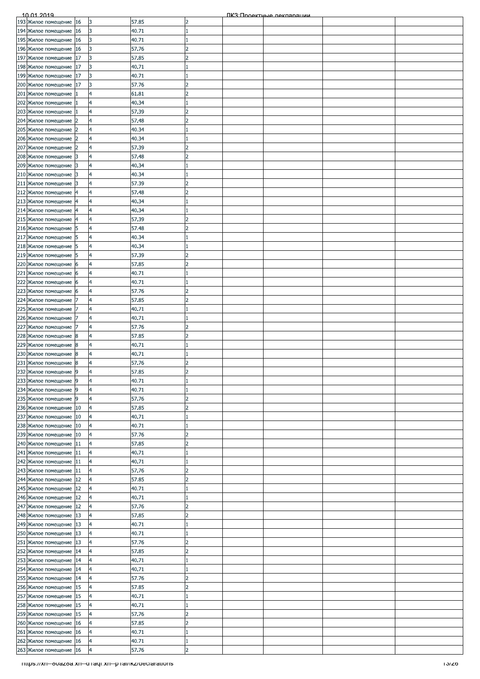| 193 Жилое помещение 16                                             |    | 3                       | 57.85 | 2              |  |       |
|--------------------------------------------------------------------|----|-------------------------|-------|----------------|--|-------|
| 194 Жилое помещение 16                                             |    | 3                       | 40.71 |                |  |       |
| 195 Жилое помещение 16                                             |    | 3                       | 40.71 |                |  |       |
|                                                                    | 16 | 3                       | 57.76 | D              |  |       |
| 196 Жилое помещение                                                |    |                         |       |                |  |       |
| 197 Жилое помещение 17                                             |    | 3                       | 57.85 | 2              |  |       |
| 198 Жилое помещение 17                                             |    | 3                       | 40.71 |                |  |       |
| 199 Жилое помещение 17                                             |    | 3                       | 40.71 |                |  |       |
| 200 Жилое помещение 17                                             |    | 3                       | 57.76 | $\overline{2}$ |  |       |
| 201 Жилое помещение 1                                              |    | 4                       | 61.81 | $\overline{2}$ |  |       |
|                                                                    |    |                         |       |                |  |       |
| 202 Жилое помещение                                                |    | 4                       | 40.34 |                |  |       |
| 203 Жилое помещение                                                |    | 4                       | 57.39 | 12             |  |       |
| 204 Жилое помещение 2                                              |    | $\overline{\mathsf{4}}$ | 57.48 | 2              |  |       |
| 205 Жилое помещение 2                                              |    | 4                       | 40.34 |                |  |       |
| 206 Жилое помещение 2                                              |    | 4                       | 40.34 |                |  |       |
| 207 Жилое помещение 2                                              |    | 4                       | 57.39 | $\overline{2}$ |  |       |
|                                                                    |    |                         |       |                |  |       |
| 208 Жилое помещение 3                                              |    | 4                       | 57.48 | 2              |  |       |
| 209 Жилое помещение 3                                              |    | 4                       | 40.34 |                |  |       |
| 210 Жилое помещение 3                                              |    | 4                       | 40.34 |                |  |       |
| 211 Жилое помещение 3                                              |    | 4                       | 57.39 | $\overline{2}$ |  |       |
| 212 Жилое помещение 4                                              |    | 4                       | 57.48 | $\overline{2}$ |  |       |
|                                                                    |    |                         |       | Ι1             |  |       |
| 213 Жилое помещение 4                                              |    | 4                       | 40.34 |                |  |       |
| 214 Жилое помещение  4                                             |    | $\overline{4}$          | 40.34 |                |  |       |
| 215 Жилое помещение 4                                              |    | 4                       | 57.39 | $\overline{2}$ |  |       |
| 216 Жилое помещение 5                                              |    | 4                       | 57.48 | l2             |  |       |
| 217 Жилое помещение 5                                              |    | 4                       | 40.34 |                |  |       |
| 218 Жилое помещение 5                                              |    | 4                       | 40.34 |                |  |       |
| 219 Жилое помещение 5                                              |    | 4                       | 57.39 | $\overline{2}$ |  |       |
|                                                                    |    |                         |       |                |  |       |
| 220 Жилое помещение 6                                              |    | 4                       | 57.85 | 2              |  |       |
| 221 Жилое помещение 6                                              |    | 4                       | 40.71 |                |  |       |
| 222 Жилое помещение 6                                              |    | 4                       | 40.71 |                |  |       |
| 223 Жилое помещение 6                                              |    | $\overline{4}$          | 57.76 | l2             |  |       |
| 224 Жилое помещение 7                                              |    | 4                       | 57.85 | $\overline{2}$ |  |       |
| 225 Жилое помещение 7                                              |    | 4                       | 40.71 |                |  |       |
| 226 Жилое помещение 7                                              |    | 4                       | 40.71 |                |  |       |
|                                                                    |    |                         |       |                |  |       |
| 227 Жилое помещение 7                                              |    | 4                       | 57.76 | 2              |  |       |
| 228 Жилое помещение 8                                              |    | 4                       | 57.85 | D              |  |       |
| 229 Жилое помещение 8                                              |    | 4                       | 40.71 |                |  |       |
| 230 Жилое помещение 8                                              |    | 4                       | 40.71 |                |  |       |
| 231 Жилое помещение 8                                              |    | $\overline{a}$          | 57.76 | l2             |  |       |
| 232 Жилое помещение 9                                              |    | $\overline{4}$          | 57.85 | $\overline{2}$ |  |       |
| 233 Жилое помещение 9                                              |    | 4                       | 40.71 |                |  |       |
| 234 Жилое помещение 9                                              |    | 4                       | 40.71 |                |  |       |
| 235 Жилое помещение 9                                              |    | 4                       | 57.76 | 2              |  |       |
|                                                                    |    |                         | 57.85 | $\overline{2}$ |  |       |
| 236 Жилое помещение 10                                             |    | 4                       |       |                |  |       |
| 237 Жилое помещение 10                                             |    | $\overline{a}$          | 40.71 |                |  |       |
| 238 Жилое помещение 10                                             |    | $\overline{\mathbf{4}}$ | 40.71 |                |  |       |
| 239 Жилое помещение 10                                             |    | 4                       | 57.76 | 2              |  |       |
| 240 Жилое помещение                                                | 11 | $\overline{a}$          | 57.85 | $\overline{2}$ |  |       |
| 241 Жилое помещение 11                                             |    | 4                       | 40.71 |                |  |       |
| 242 Жилое помещение 11                                             |    | 4                       |       |                |  |       |
|                                                                    |    |                         | 40.71 |                |  |       |
| 243 Жилое помещение 11                                             |    | 4                       | 57.76 | $\overline{2}$ |  |       |
| 244 Жилое помещение 12                                             |    | 4                       | 57.85 | 2              |  |       |
| 245 Жилое помещение 12                                             |    | 4                       | 40.71 |                |  |       |
| 246 Жилое помещение 12                                             |    | 4                       | 40.71 |                |  |       |
| 247 Жилое помещение 12                                             |    | 14                      | 57.76 | $\overline{2}$ |  |       |
| 248 Жилое помещение 13                                             |    | 4                       | 57.85 | 2              |  |       |
| 249 Жилое помещение 13                                             |    | 4                       | 40.71 |                |  |       |
| 250 Жилое помещение                                                | 13 | $\overline{a}$          | 40.71 |                |  |       |
|                                                                    |    |                         |       |                |  |       |
| 251 Жилое помещение 13                                             |    | 4                       | 57.76 | 12             |  |       |
| 252 Жилое помещение                                                | 14 | $\overline{4}$          | 57.85 | $\overline{2}$ |  |       |
| 253 Жилое помещение 14                                             |    | 4                       | 40.71 |                |  |       |
| 254 Жилое помещение 14                                             |    | $\overline{4}$          | 40.71 |                |  |       |
| 255 Жилое помещение 14                                             |    | 4                       | 57.76 | 2              |  |       |
| 256 Жилое помещение 15                                             |    | 4                       | 57.85 | 2              |  |       |
| 257 Жилое помещение                                                | 15 | 4                       | 40.71 |                |  |       |
| 258 Жилое помещение                                                | 15 | 4                       | 40.71 |                |  |       |
| 259 Жилое помещение 15                                             |    | 4                       | 57.76 | D              |  |       |
| 260 Жилое помещение 16                                             |    | 4                       | 57.85 | $\overline{2}$ |  |       |
|                                                                    |    |                         |       |                |  |       |
| 261 Жилое помещение 16                                             |    | $\overline{4}$          | 40.71 |                |  |       |
| 262 Жилое помещение 16                                             |    | $\overline{4}$          | 40.71 | Π.             |  |       |
| 263 Жилое помещение 16                                             |    | $\overline{\mathbf{4}}$ | 57.76 | $\overline{2}$ |  |       |
| <del>mups://xn--ovazoa.xn--u raqr.xn--p rai/ikz/ueciarations</del> |    |                         |       |                |  | ס∠וכו |
|                                                                    |    |                         |       |                |  |       |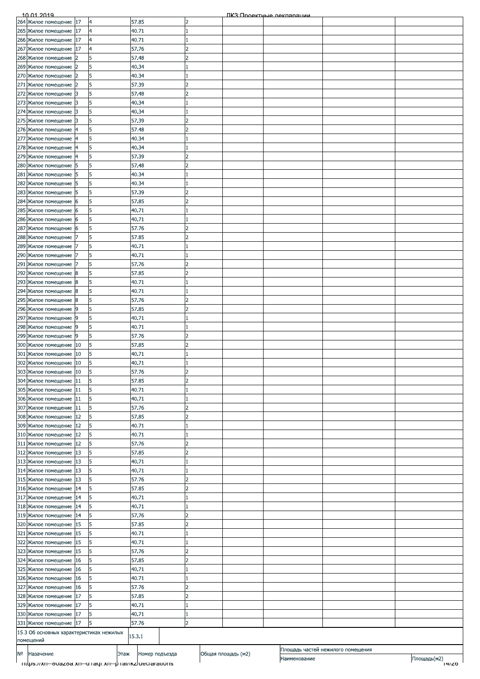|    | 10.01.2019                                                         |                |      |                |                          |                    | ПКЗ: Проектные лекляряции |                                   |                      |
|----|--------------------------------------------------------------------|----------------|------|----------------|--------------------------|--------------------|---------------------------|-----------------------------------|----------------------|
|    | 264 Жилое помещение                                                | 17             | 14   | 57.85          | 2                        |                    |                           |                                   |                      |
|    | 265 Жилое помещение                                                | 17             | 4    | 40.71          |                          |                    |                           |                                   |                      |
|    | 266 Жилое помещение                                                | 17             |      | 40.71          |                          |                    |                           |                                   |                      |
|    | 267 Жилое помещение                                                | 17             |      | 57.76          | フ                        |                    |                           |                                   |                      |
|    |                                                                    |                |      |                |                          |                    |                           |                                   |                      |
|    | 268 Жилое помещение                                                | 2              |      | 57.48          |                          |                    |                           |                                   |                      |
|    | 269 Жилое помещение                                                | $\overline{2}$ |      | 40.34          |                          |                    |                           |                                   |                      |
|    | 270 Жилое помещение                                                | 12             |      | 40.34          |                          |                    |                           |                                   |                      |
|    | 271 Жилое помещение                                                | 2              | 5    | 57.39          | $\overline{2}$           |                    |                           |                                   |                      |
|    | 272 Жилое помещение                                                | 3              |      | 57.48          | $\overline{2}$           |                    |                           |                                   |                      |
|    |                                                                    |                |      |                |                          |                    |                           |                                   |                      |
|    | 273 Жилое помещение                                                | 3              |      | 40.34          |                          |                    |                           |                                   |                      |
|    | 274 Жилое помещение                                                | 3              |      | 40.34          |                          |                    |                           |                                   |                      |
|    | 275 Жилое помещение                                                | 13             |      | 57.39          |                          |                    |                           |                                   |                      |
|    | 276 Жилое помещение                                                |                |      | 57.48          |                          |                    |                           |                                   |                      |
|    | 277 Жилое помещение                                                | 14             |      | 40.34          |                          |                    |                           |                                   |                      |
|    | 278 Жилое помещение                                                |                | 5    | 40.34          |                          |                    |                           |                                   |                      |
|    |                                                                    | 4              |      |                |                          |                    |                           |                                   |                      |
|    | 279 Жилое помещение                                                | 4              |      | 57.39          | 2                        |                    |                           |                                   |                      |
|    | 280 Жилое помещение                                                | 5              |      | 57.48          | C                        |                    |                           |                                   |                      |
|    | 281 Жилое помещение                                                | 15             |      | 40.34          |                          |                    |                           |                                   |                      |
|    | 282 Жилое помещение                                                | 15             |      | 40.34          |                          |                    |                           |                                   |                      |
|    | 283 Жилое помещение                                                | 5              |      | 57.39          |                          |                    |                           |                                   |                      |
|    |                                                                    |                |      |                | $\overline{2}$           |                    |                           |                                   |                      |
|    | 284 Жилое помещение 6                                              |                | 5    | 57.85          |                          |                    |                           |                                   |                      |
|    | 285 Жилое помещение                                                | 16             | 5    | 40.71          |                          |                    |                           |                                   |                      |
|    | 286 Жилое помещение                                                | 16             |      | 40.71          |                          |                    |                           |                                   |                      |
|    | 287 Жилое помещение                                                | 16             |      | 57.76          |                          |                    |                           |                                   |                      |
|    | 288 Жилое помещение                                                |                |      | 57.85          | フ                        |                    |                           |                                   |                      |
|    | 289 Жилое помещение                                                |                |      | 40.71          |                          |                    |                           |                                   |                      |
|    | 290 Жилое помещение                                                |                |      | 40.71          |                          |                    |                           |                                   |                      |
|    |                                                                    |                |      |                |                          |                    |                           |                                   |                      |
|    | 291 Жилое помещение                                                |                |      | 57.76          | 2                        |                    |                           |                                   |                      |
|    | 292 Жилое помещение                                                | 8              |      | 57.85          | $\overline{\phantom{a}}$ |                    |                           |                                   |                      |
|    | 293 Жилое помещение                                                | 8              |      | 40.71          |                          |                    |                           |                                   |                      |
|    | 294 Жилое помещение                                                | 8              |      | 40.71          |                          |                    |                           |                                   |                      |
|    | 295 Жилое помещение                                                | 18             |      | 57.76          | $\overline{2}$           |                    |                           |                                   |                      |
|    | 296 Жилое помещение 9                                              |                | 5    | 57.85          | $\overline{2}$           |                    |                           |                                   |                      |
|    | 297 Жилое помещение                                                | 9              | 5    | 40.71          |                          |                    |                           |                                   |                      |
|    |                                                                    |                |      |                |                          |                    |                           |                                   |                      |
|    | 298 Жилое помещение                                                | 19             |      | 40.71          |                          |                    |                           |                                   |                      |
|    | 299 Жилое помещение                                                | 19             |      | 57.76          |                          |                    |                           |                                   |                      |
|    | 300 Жилое помещение 10                                             |                |      | 57.85          |                          |                    |                           |                                   |                      |
|    | 301 Жилое помещение                                                | 10             |      | 40.71          |                          |                    |                           |                                   |                      |
|    | 302 Жилое помещение 10                                             |                | 5    | 40.71          |                          |                    |                           |                                   |                      |
|    | 303 Жилое помещение 10                                             |                | 5    | 57.76          | <sup>2</sup>             |                    |                           |                                   |                      |
|    | 304 Жилое помещение                                                | 11             | 5    | 57.85          | っ                        |                    |                           |                                   |                      |
|    |                                                                    |                |      |                |                          |                    |                           |                                   |                      |
|    | 305 Жилое помещение                                                | 11             |      | 40.71          |                          |                    |                           |                                   |                      |
|    | 306 Жилое помещение                                                | 11             | 5    | 40.71          |                          |                    |                           |                                   |                      |
|    | 307 Жилое помещение                                                | 11             | 5    | 57.76          | 2                        |                    |                           |                                   |                      |
|    | 308 Жилое помещение                                                | 12             | 5    | 57.85          | $\overline{2}$           |                    |                           |                                   |                      |
|    | 309 Жилое помещение                                                | 12             | 5    | 40.71          |                          |                    |                           |                                   |                      |
|    | 310 Жилое помещение                                                | 12             | 5    | 40.71          |                          |                    |                           |                                   |                      |
|    | 311 Жилое помещение                                                | 12             |      | 57.76          | C                        |                    |                           |                                   |                      |
|    |                                                                    |                |      |                |                          |                    |                           |                                   |                      |
|    | 312 Жилое помещение                                                | 13             |      | 57.85          | フ                        |                    |                           |                                   |                      |
|    | 313 Жилое помещение                                                | 13             | 5    | 40.71          |                          |                    |                           |                                   |                      |
|    | 314 Жилое помещение                                                | 13             |      | 40.71          |                          |                    |                           |                                   |                      |
|    | 315 Жилое помещение                                                | 13             | 5    | 57.76          | $\overline{z}$           |                    |                           |                                   |                      |
|    | 316 Жилое помещение                                                | 14             | 5    | 57.85          | $\overline{z}$           |                    |                           |                                   |                      |
|    | 317 Жилое помещение                                                | 14             |      | 40.71          |                          |                    |                           |                                   |                      |
|    |                                                                    |                |      |                |                          |                    |                           |                                   |                      |
|    | 318 Жилое помещение                                                | 14             |      | 40.71          |                          |                    |                           |                                   |                      |
|    | 319 Жилое помещение                                                | 14             | 5    | 57.76          | $\overline{2}$           |                    |                           |                                   |                      |
|    | 320 Жилое помещение                                                | 15             | 5    | 57.85          | 2                        |                    |                           |                                   |                      |
|    | 321 Жилое помещение                                                | 15             |      | 40.71          |                          |                    |                           |                                   |                      |
|    | 322 Жилое помещение                                                | 15             |      | 40.71          |                          |                    |                           |                                   |                      |
|    | 323 Жилое помещение                                                | 15             |      | 57.76          | っ                        |                    |                           |                                   |                      |
|    | 324 Жилое помещение                                                | 16             |      | 57.85          |                          |                    |                           |                                   |                      |
|    |                                                                    |                |      |                |                          |                    |                           |                                   |                      |
|    | 325 Жилое помещение                                                | 16             |      | 40.71          |                          |                    |                           |                                   |                      |
|    | 326 Жилое помещение                                                | 16             |      | 40.71          |                          |                    |                           |                                   |                      |
|    | 327 Жилое помещение                                                | 16             | 5    | 57.76          | $\overline{2}$           |                    |                           |                                   |                      |
|    | 328 Жилое помещение                                                | 17             |      | 57.85          | $\overline{2}$           |                    |                           |                                   |                      |
|    | 329 Жилое помещение                                                | 17             |      | 40.71          |                          |                    |                           |                                   |                      |
|    | 330 Жилое помещение                                                | 17             | 5    | 40.71          |                          |                    |                           |                                   |                      |
|    | 331 Жилое помещение                                                | 17             | 5    | 57.76          | 2                        |                    |                           |                                   |                      |
|    | 15.3 Об основных характеристиках нежилых                           |                |      |                |                          |                    |                           |                                   |                      |
|    | помещений                                                          |                |      | 15.3.1         |                          |                    |                           |                                   |                      |
|    |                                                                    |                |      |                |                          |                    |                           | Площадь частей нежилого помещения |                      |
| Nº | Назачение<br>mtps://xn--ovazoa.xn--o+aqi.xn--p+ai/ikz/deciarations |                | Этаж | Номер подъезда |                          | Общая площадь (м2) | Наименование              |                                   | Площадь(м2)<br>14/20 |
|    |                                                                    |                |      |                |                          |                    |                           |                                   |                      |
|    |                                                                    |                |      |                |                          |                    |                           |                                   |                      |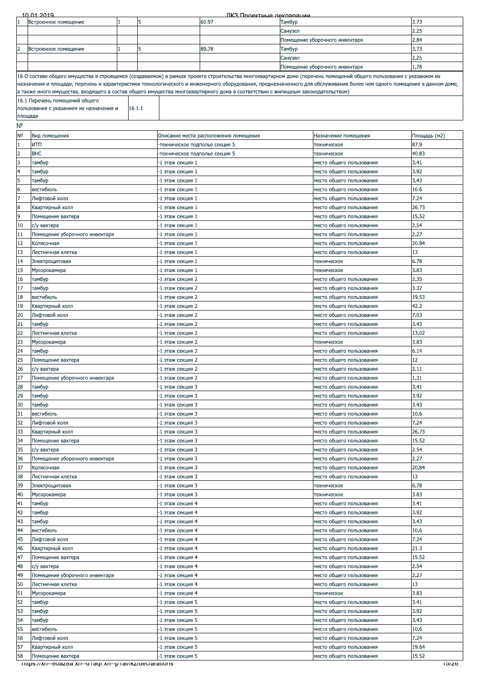| 2.25<br>Санузел<br>2.84<br>Помещение уборочного инвентаря<br>3.73<br>2<br>89.78<br>5<br>Тамбур<br>Встроенное помещение<br>2.25<br>Санузел<br>1.78<br>Помещение уборочного инвентаря<br>16 О составе общего имущества в строящемся (создаваемом) в рамках проекта строительства многоквартирном доме (перечень помещений общего пользования с указанием их<br>назначения и площади, перечень и характеристики технологического и инженерного оборудования, предназначенного для обслуживания более чем одного помещения в данном доме,<br>а также иного имущества, входящего в состав общего имущества многоквартирного дома в соответствии с жилищным законодательством)<br>16.1 Перечень помещений общего<br>16.1.1<br>пользования с указанием их назначения и<br>площади<br>N٥<br>N <sub>o</sub><br>Площадь (м2)<br>Вид помещения<br>Описание места расположения помещения<br>Назначение помещения<br>$\mathbf{1}$<br>итп<br>87.9<br>техническое подполье секция 5<br>техническое<br>$\overline{2}$<br><b>BHC</b><br>40.83<br>техническое подполье секция 5<br>техническое<br>l3<br>3.41<br>тамбур<br>-1 этаж секция 1<br>место общего пользования<br>$\overline{\mathbf{4}}$<br>3.92<br>тамбур<br>-1 этаж секция 1<br>место общего пользования<br>5<br>3.43<br>место общего пользования<br>тамбур<br>-1 этаж секция 1<br>6<br>10.6<br>вестибюль<br>-1 этаж секция 1<br>место общего пользования<br>17<br>7.24<br>Лифтовой холл<br>-1 этаж секция 1<br>место общего пользования<br>$\bf{8}$<br>26.73<br>Квартирный холл<br>место общего пользования<br>-1 этаж секция 1<br>9<br>15.52<br>Помещение вахтера<br>-1 этаж секция 1<br>место общего пользования<br>2.54<br>10<br>с/у вахтера<br>-1 этаж секция 1<br>место общего пользования<br>11<br>2.27<br>-1 этаж секция 1<br>место общего пользования<br>Помещение уборочного инвентаря<br>12<br>20.84<br>-1 этаж секция 1<br>место общего пользования<br>Колясочная<br>13<br>13<br>Лестничная клетка<br>-1 этаж секция 1<br>место общего пользования<br>14<br>6.78<br>Электрощитовая<br>-1 этаж секция 1<br>техническое<br>15<br>3.83<br>-1 этаж секция 1<br>Мусорокамера<br>техническое<br>2.35<br>16<br>тамбур<br>-1 этаж секция 2<br>место общего пользования<br>3.32<br>17<br>тамбур<br>-1 этаж секция 2<br>место общего пользования<br>18<br>19.53<br>вестибюль<br>-1 этаж секция 2<br>место общего пользования<br>42.2<br>19<br>Квартирный холл<br>-1 этаж секция 2<br>место общего пользования<br>20<br>7.03<br>Лифтовой холл<br>-1 этаж секция 2<br>место общего пользования<br>21<br>3.43<br>-1 этаж секция 2<br>тамбур<br>место общего пользования<br>22<br>13.02<br>Лестничная клетка<br>-1 этаж секция 2<br>место общего пользования<br>3.83<br>23<br>-1 этаж секция 2<br>Мусорокамера<br>техническое<br>24<br>6.14<br>тамбур<br>-1 этаж секция 2<br>место общего пользования<br>25<br>12<br>Помещение вахтера<br>-1 этаж секция 2<br>место общего пользования<br>26<br>с/у вахтера<br>2.11<br>-1 этаж секция 2<br>место общего пользования<br>27<br>1.31<br>Помещение уборочного инвентаря<br>-1 этаж секция 2<br>место общего пользования<br>28<br>3.41<br>тамбур<br>-1 этаж секция 3<br>место общего пользования<br>29<br>3.92<br>тамбур<br>-1 этаж секция 3<br>место общего пользования<br>3.43<br>30<br>тамбур<br>-1 этаж секция 3<br>место общего пользования<br>31<br>10.6<br>вестибюль<br>-1 этаж секция 3<br>место общего пользования<br>32<br>7.24<br>Лифтовой холл<br>-1 этаж секция 3<br>место общего пользования<br>33<br>Квартирный холл<br>26.73<br>1 этаж секция 3<br>место общего пользования<br>34<br>15.52<br>Помещение вахтера<br>-1 этаж секция 3<br>место общего пользования<br>2.54<br>35<br>-1 этаж секция 3<br>с/у вахтера<br>место общего пользования<br>2.27<br>36<br>Помещение уборочного инвентаря<br>-1 этаж секция 3<br>место общего пользования<br>37<br>20.84<br>Колясочная<br>-1 этаж секция 3<br>место общего пользования<br>38<br>13<br>-1 этаж секция 3<br>Лестничная клетка<br>место общего пользования<br>39<br>6.78<br>-1 этаж секция 3<br>Электрощитовая<br>техническое<br>40<br>3.83<br>Мусорокамера<br>-1 этаж секция 3<br>техническое<br>41<br>3.41<br>тамбур<br>-1 этаж секция 4<br>место общего пользования<br>42<br>3.92<br>тамбур<br>место общего пользования<br>-1 этаж секция 4<br>43<br>3.43<br>тамбур<br>-1 этаж секция 4<br>место общего пользования<br>44<br>10.6<br>вестибюль<br>-1 этаж секция 4<br>место общего пользования<br>45<br>7.24<br>Лифтовой холл<br>-1 этаж секция 4<br>место общего пользования<br>46<br>21.3<br>Квартирный холл<br>-1 этаж секция 4<br>место общего пользования<br>47<br>15.52<br>Помещение вахтера<br>-1 этаж секция 4<br>место общего пользования<br>2.54<br>48<br>с/у вахтера<br>-1 этаж секция 4<br>место общего пользования<br>2.27<br>49<br>Помещение уборочного инвентаря<br>-1 этаж секция 4<br>место общего пользования<br>50<br>13<br>Лестничная клетка<br>место общего пользования<br>-1 этаж секция 4<br>3.83<br>51<br>Мусорокамера<br>-1 этаж секция 4<br>техническое<br>52<br>3.41<br>тамбур<br>-1 этаж секция 5<br>место общего пользования<br>53<br>3.92<br>тамбур<br>-1 этаж секция 5<br>место общего пользования<br>54<br>3.43<br>тамбур<br>-1 этаж секция 5<br>место общего пользования<br>55<br>10.6<br>вестибюль<br>-1 этаж секция 5<br>место общего пользования<br>7.24<br>56<br>Лифтовой холл<br>-1 этаж секция 5<br>место общего пользования<br>57<br>19.64<br>Квартирный холл<br>-1 этаж секция 5<br>место общего пользования<br>58<br>15.52<br>Помещение вахтера<br>-1 этаж секция 5<br>место общего пользования<br>mups.//xn--ouazoa.xn--a raqi.xn--p rai/ikz/deciarations<br>סאכו | <u>10 01 2019</u>    |   |       | ПКЗ: Проектные лекляряции |        |  |      |
|-------------------------------------------------------------------------------------------------------------------------------------------------------------------------------------------------------------------------------------------------------------------------------------------------------------------------------------------------------------------------------------------------------------------------------------------------------------------------------------------------------------------------------------------------------------------------------------------------------------------------------------------------------------------------------------------------------------------------------------------------------------------------------------------------------------------------------------------------------------------------------------------------------------------------------------------------------------------------------------------------------------------------------------------------------------------------------------------------------------------------------------------------------------------------------------------------------------------------------------------------------------------------------------------------------------------------------------------------------------------------------------------------------------------------------------------------------------------------------------------------------------------------------------------------------------------------------------------------------------------------------------------------------------------------------------------------------------------------------------------------------------------------------------------------------------------------------------------------------------------------------------------------------------------------------------------------------------------------------------------------------------------------------------------------------------------------------------------------------------------------------------------------------------------------------------------------------------------------------------------------------------------------------------------------------------------------------------------------------------------------------------------------------------------------------------------------------------------------------------------------------------------------------------------------------------------------------------------------------------------------------------------------------------------------------------------------------------------------------------------------------------------------------------------------------------------------------------------------------------------------------------------------------------------------------------------------------------------------------------------------------------------------------------------------------------------------------------------------------------------------------------------------------------------------------------------------------------------------------------------------------------------------------------------------------------------------------------------------------------------------------------------------------------------------------------------------------------------------------------------------------------------------------------------------------------------------------------------------------------------------------------------------------------------------------------------------------------------------------------------------------------------------------------------------------------------------------------------------------------------------------------------------------------------------------------------------------------------------------------------------------------------------------------------------------------------------------------------------------------------------------------------------------------------------------------------------------------------------------------------------------------------------------------------------------------------------------------------------------------------------------------------------------------------------------------------------------------------------------------------------------------------------------------------------------------------------------------------------------------------------------------------------------------------------------------------------------------------------------------------------------------------------------------------------------------------------------------------------------------------------------------------------------------------------------------------------------------------------------------------------------------------------------------------------------------------------------------------------------------------------------------------------------------------------------------------------------------------------------------------------------------------------------------------------------------------------------------------------------------------------------------------------------------------------------------------------------------------------------------------------------------------------------------------------------------------------------------------------------------------------------------------------------------------|----------------------|---|-------|---------------------------|--------|--|------|
|                                                                                                                                                                                                                                                                                                                                                                                                                                                                                                                                                                                                                                                                                                                                                                                                                                                                                                                                                                                                                                                                                                                                                                                                                                                                                                                                                                                                                                                                                                                                                                                                                                                                                                                                                                                                                                                                                                                                                                                                                                                                                                                                                                                                                                                                                                                                                                                                                                                                                                                                                                                                                                                                                                                                                                                                                                                                                                                                                                                                                                                                                                                                                                                                                                                                                                                                                                                                                                                                                                                                                                                                                                                                                                                                                                                                                                                                                                                                                                                                                                                                                                                                                                                                                                                                                                                                                                                                                                                                                                                                                                                                                                                                                                                                                                                                                                                                                                                                                                                                                                                                                                                                                                                                                                                                                                                                                                                                                                                                                                                                                                                                                                                                   | Встроенное помещение | 5 | 60.97 |                           | Тамбур |  | 3.73 |
|                                                                                                                                                                                                                                                                                                                                                                                                                                                                                                                                                                                                                                                                                                                                                                                                                                                                                                                                                                                                                                                                                                                                                                                                                                                                                                                                                                                                                                                                                                                                                                                                                                                                                                                                                                                                                                                                                                                                                                                                                                                                                                                                                                                                                                                                                                                                                                                                                                                                                                                                                                                                                                                                                                                                                                                                                                                                                                                                                                                                                                                                                                                                                                                                                                                                                                                                                                                                                                                                                                                                                                                                                                                                                                                                                                                                                                                                                                                                                                                                                                                                                                                                                                                                                                                                                                                                                                                                                                                                                                                                                                                                                                                                                                                                                                                                                                                                                                                                                                                                                                                                                                                                                                                                                                                                                                                                                                                                                                                                                                                                                                                                                                                                   |                      |   |       |                           |        |  |      |
|                                                                                                                                                                                                                                                                                                                                                                                                                                                                                                                                                                                                                                                                                                                                                                                                                                                                                                                                                                                                                                                                                                                                                                                                                                                                                                                                                                                                                                                                                                                                                                                                                                                                                                                                                                                                                                                                                                                                                                                                                                                                                                                                                                                                                                                                                                                                                                                                                                                                                                                                                                                                                                                                                                                                                                                                                                                                                                                                                                                                                                                                                                                                                                                                                                                                                                                                                                                                                                                                                                                                                                                                                                                                                                                                                                                                                                                                                                                                                                                                                                                                                                                                                                                                                                                                                                                                                                                                                                                                                                                                                                                                                                                                                                                                                                                                                                                                                                                                                                                                                                                                                                                                                                                                                                                                                                                                                                                                                                                                                                                                                                                                                                                                   |                      |   |       |                           |        |  |      |
|                                                                                                                                                                                                                                                                                                                                                                                                                                                                                                                                                                                                                                                                                                                                                                                                                                                                                                                                                                                                                                                                                                                                                                                                                                                                                                                                                                                                                                                                                                                                                                                                                                                                                                                                                                                                                                                                                                                                                                                                                                                                                                                                                                                                                                                                                                                                                                                                                                                                                                                                                                                                                                                                                                                                                                                                                                                                                                                                                                                                                                                                                                                                                                                                                                                                                                                                                                                                                                                                                                                                                                                                                                                                                                                                                                                                                                                                                                                                                                                                                                                                                                                                                                                                                                                                                                                                                                                                                                                                                                                                                                                                                                                                                                                                                                                                                                                                                                                                                                                                                                                                                                                                                                                                                                                                                                                                                                                                                                                                                                                                                                                                                                                                   |                      |   |       |                           |        |  |      |
|                                                                                                                                                                                                                                                                                                                                                                                                                                                                                                                                                                                                                                                                                                                                                                                                                                                                                                                                                                                                                                                                                                                                                                                                                                                                                                                                                                                                                                                                                                                                                                                                                                                                                                                                                                                                                                                                                                                                                                                                                                                                                                                                                                                                                                                                                                                                                                                                                                                                                                                                                                                                                                                                                                                                                                                                                                                                                                                                                                                                                                                                                                                                                                                                                                                                                                                                                                                                                                                                                                                                                                                                                                                                                                                                                                                                                                                                                                                                                                                                                                                                                                                                                                                                                                                                                                                                                                                                                                                                                                                                                                                                                                                                                                                                                                                                                                                                                                                                                                                                                                                                                                                                                                                                                                                                                                                                                                                                                                                                                                                                                                                                                                                                   |                      |   |       |                           |        |  |      |
|                                                                                                                                                                                                                                                                                                                                                                                                                                                                                                                                                                                                                                                                                                                                                                                                                                                                                                                                                                                                                                                                                                                                                                                                                                                                                                                                                                                                                                                                                                                                                                                                                                                                                                                                                                                                                                                                                                                                                                                                                                                                                                                                                                                                                                                                                                                                                                                                                                                                                                                                                                                                                                                                                                                                                                                                                                                                                                                                                                                                                                                                                                                                                                                                                                                                                                                                                                                                                                                                                                                                                                                                                                                                                                                                                                                                                                                                                                                                                                                                                                                                                                                                                                                                                                                                                                                                                                                                                                                                                                                                                                                                                                                                                                                                                                                                                                                                                                                                                                                                                                                                                                                                                                                                                                                                                                                                                                                                                                                                                                                                                                                                                                                                   |                      |   |       |                           |        |  |      |
|                                                                                                                                                                                                                                                                                                                                                                                                                                                                                                                                                                                                                                                                                                                                                                                                                                                                                                                                                                                                                                                                                                                                                                                                                                                                                                                                                                                                                                                                                                                                                                                                                                                                                                                                                                                                                                                                                                                                                                                                                                                                                                                                                                                                                                                                                                                                                                                                                                                                                                                                                                                                                                                                                                                                                                                                                                                                                                                                                                                                                                                                                                                                                                                                                                                                                                                                                                                                                                                                                                                                                                                                                                                                                                                                                                                                                                                                                                                                                                                                                                                                                                                                                                                                                                                                                                                                                                                                                                                                                                                                                                                                                                                                                                                                                                                                                                                                                                                                                                                                                                                                                                                                                                                                                                                                                                                                                                                                                                                                                                                                                                                                                                                                   |                      |   |       |                           |        |  |      |
|                                                                                                                                                                                                                                                                                                                                                                                                                                                                                                                                                                                                                                                                                                                                                                                                                                                                                                                                                                                                                                                                                                                                                                                                                                                                                                                                                                                                                                                                                                                                                                                                                                                                                                                                                                                                                                                                                                                                                                                                                                                                                                                                                                                                                                                                                                                                                                                                                                                                                                                                                                                                                                                                                                                                                                                                                                                                                                                                                                                                                                                                                                                                                                                                                                                                                                                                                                                                                                                                                                                                                                                                                                                                                                                                                                                                                                                                                                                                                                                                                                                                                                                                                                                                                                                                                                                                                                                                                                                                                                                                                                                                                                                                                                                                                                                                                                                                                                                                                                                                                                                                                                                                                                                                                                                                                                                                                                                                                                                                                                                                                                                                                                                                   |                      |   |       |                           |        |  |      |
|                                                                                                                                                                                                                                                                                                                                                                                                                                                                                                                                                                                                                                                                                                                                                                                                                                                                                                                                                                                                                                                                                                                                                                                                                                                                                                                                                                                                                                                                                                                                                                                                                                                                                                                                                                                                                                                                                                                                                                                                                                                                                                                                                                                                                                                                                                                                                                                                                                                                                                                                                                                                                                                                                                                                                                                                                                                                                                                                                                                                                                                                                                                                                                                                                                                                                                                                                                                                                                                                                                                                                                                                                                                                                                                                                                                                                                                                                                                                                                                                                                                                                                                                                                                                                                                                                                                                                                                                                                                                                                                                                                                                                                                                                                                                                                                                                                                                                                                                                                                                                                                                                                                                                                                                                                                                                                                                                                                                                                                                                                                                                                                                                                                                   |                      |   |       |                           |        |  |      |
|                                                                                                                                                                                                                                                                                                                                                                                                                                                                                                                                                                                                                                                                                                                                                                                                                                                                                                                                                                                                                                                                                                                                                                                                                                                                                                                                                                                                                                                                                                                                                                                                                                                                                                                                                                                                                                                                                                                                                                                                                                                                                                                                                                                                                                                                                                                                                                                                                                                                                                                                                                                                                                                                                                                                                                                                                                                                                                                                                                                                                                                                                                                                                                                                                                                                                                                                                                                                                                                                                                                                                                                                                                                                                                                                                                                                                                                                                                                                                                                                                                                                                                                                                                                                                                                                                                                                                                                                                                                                                                                                                                                                                                                                                                                                                                                                                                                                                                                                                                                                                                                                                                                                                                                                                                                                                                                                                                                                                                                                                                                                                                                                                                                                   |                      |   |       |                           |        |  |      |
|                                                                                                                                                                                                                                                                                                                                                                                                                                                                                                                                                                                                                                                                                                                                                                                                                                                                                                                                                                                                                                                                                                                                                                                                                                                                                                                                                                                                                                                                                                                                                                                                                                                                                                                                                                                                                                                                                                                                                                                                                                                                                                                                                                                                                                                                                                                                                                                                                                                                                                                                                                                                                                                                                                                                                                                                                                                                                                                                                                                                                                                                                                                                                                                                                                                                                                                                                                                                                                                                                                                                                                                                                                                                                                                                                                                                                                                                                                                                                                                                                                                                                                                                                                                                                                                                                                                                                                                                                                                                                                                                                                                                                                                                                                                                                                                                                                                                                                                                                                                                                                                                                                                                                                                                                                                                                                                                                                                                                                                                                                                                                                                                                                                                   |                      |   |       |                           |        |  |      |
|                                                                                                                                                                                                                                                                                                                                                                                                                                                                                                                                                                                                                                                                                                                                                                                                                                                                                                                                                                                                                                                                                                                                                                                                                                                                                                                                                                                                                                                                                                                                                                                                                                                                                                                                                                                                                                                                                                                                                                                                                                                                                                                                                                                                                                                                                                                                                                                                                                                                                                                                                                                                                                                                                                                                                                                                                                                                                                                                                                                                                                                                                                                                                                                                                                                                                                                                                                                                                                                                                                                                                                                                                                                                                                                                                                                                                                                                                                                                                                                                                                                                                                                                                                                                                                                                                                                                                                                                                                                                                                                                                                                                                                                                                                                                                                                                                                                                                                                                                                                                                                                                                                                                                                                                                                                                                                                                                                                                                                                                                                                                                                                                                                                                   |                      |   |       |                           |        |  |      |
|                                                                                                                                                                                                                                                                                                                                                                                                                                                                                                                                                                                                                                                                                                                                                                                                                                                                                                                                                                                                                                                                                                                                                                                                                                                                                                                                                                                                                                                                                                                                                                                                                                                                                                                                                                                                                                                                                                                                                                                                                                                                                                                                                                                                                                                                                                                                                                                                                                                                                                                                                                                                                                                                                                                                                                                                                                                                                                                                                                                                                                                                                                                                                                                                                                                                                                                                                                                                                                                                                                                                                                                                                                                                                                                                                                                                                                                                                                                                                                                                                                                                                                                                                                                                                                                                                                                                                                                                                                                                                                                                                                                                                                                                                                                                                                                                                                                                                                                                                                                                                                                                                                                                                                                                                                                                                                                                                                                                                                                                                                                                                                                                                                                                   |                      |   |       |                           |        |  |      |
|                                                                                                                                                                                                                                                                                                                                                                                                                                                                                                                                                                                                                                                                                                                                                                                                                                                                                                                                                                                                                                                                                                                                                                                                                                                                                                                                                                                                                                                                                                                                                                                                                                                                                                                                                                                                                                                                                                                                                                                                                                                                                                                                                                                                                                                                                                                                                                                                                                                                                                                                                                                                                                                                                                                                                                                                                                                                                                                                                                                                                                                                                                                                                                                                                                                                                                                                                                                                                                                                                                                                                                                                                                                                                                                                                                                                                                                                                                                                                                                                                                                                                                                                                                                                                                                                                                                                                                                                                                                                                                                                                                                                                                                                                                                                                                                                                                                                                                                                                                                                                                                                                                                                                                                                                                                                                                                                                                                                                                                                                                                                                                                                                                                                   |                      |   |       |                           |        |  |      |
|                                                                                                                                                                                                                                                                                                                                                                                                                                                                                                                                                                                                                                                                                                                                                                                                                                                                                                                                                                                                                                                                                                                                                                                                                                                                                                                                                                                                                                                                                                                                                                                                                                                                                                                                                                                                                                                                                                                                                                                                                                                                                                                                                                                                                                                                                                                                                                                                                                                                                                                                                                                                                                                                                                                                                                                                                                                                                                                                                                                                                                                                                                                                                                                                                                                                                                                                                                                                                                                                                                                                                                                                                                                                                                                                                                                                                                                                                                                                                                                                                                                                                                                                                                                                                                                                                                                                                                                                                                                                                                                                                                                                                                                                                                                                                                                                                                                                                                                                                                                                                                                                                                                                                                                                                                                                                                                                                                                                                                                                                                                                                                                                                                                                   |                      |   |       |                           |        |  |      |
|                                                                                                                                                                                                                                                                                                                                                                                                                                                                                                                                                                                                                                                                                                                                                                                                                                                                                                                                                                                                                                                                                                                                                                                                                                                                                                                                                                                                                                                                                                                                                                                                                                                                                                                                                                                                                                                                                                                                                                                                                                                                                                                                                                                                                                                                                                                                                                                                                                                                                                                                                                                                                                                                                                                                                                                                                                                                                                                                                                                                                                                                                                                                                                                                                                                                                                                                                                                                                                                                                                                                                                                                                                                                                                                                                                                                                                                                                                                                                                                                                                                                                                                                                                                                                                                                                                                                                                                                                                                                                                                                                                                                                                                                                                                                                                                                                                                                                                                                                                                                                                                                                                                                                                                                                                                                                                                                                                                                                                                                                                                                                                                                                                                                   |                      |   |       |                           |        |  |      |
|                                                                                                                                                                                                                                                                                                                                                                                                                                                                                                                                                                                                                                                                                                                                                                                                                                                                                                                                                                                                                                                                                                                                                                                                                                                                                                                                                                                                                                                                                                                                                                                                                                                                                                                                                                                                                                                                                                                                                                                                                                                                                                                                                                                                                                                                                                                                                                                                                                                                                                                                                                                                                                                                                                                                                                                                                                                                                                                                                                                                                                                                                                                                                                                                                                                                                                                                                                                                                                                                                                                                                                                                                                                                                                                                                                                                                                                                                                                                                                                                                                                                                                                                                                                                                                                                                                                                                                                                                                                                                                                                                                                                                                                                                                                                                                                                                                                                                                                                                                                                                                                                                                                                                                                                                                                                                                                                                                                                                                                                                                                                                                                                                                                                   |                      |   |       |                           |        |  |      |
|                                                                                                                                                                                                                                                                                                                                                                                                                                                                                                                                                                                                                                                                                                                                                                                                                                                                                                                                                                                                                                                                                                                                                                                                                                                                                                                                                                                                                                                                                                                                                                                                                                                                                                                                                                                                                                                                                                                                                                                                                                                                                                                                                                                                                                                                                                                                                                                                                                                                                                                                                                                                                                                                                                                                                                                                                                                                                                                                                                                                                                                                                                                                                                                                                                                                                                                                                                                                                                                                                                                                                                                                                                                                                                                                                                                                                                                                                                                                                                                                                                                                                                                                                                                                                                                                                                                                                                                                                                                                                                                                                                                                                                                                                                                                                                                                                                                                                                                                                                                                                                                                                                                                                                                                                                                                                                                                                                                                                                                                                                                                                                                                                                                                   |                      |   |       |                           |        |  |      |
|                                                                                                                                                                                                                                                                                                                                                                                                                                                                                                                                                                                                                                                                                                                                                                                                                                                                                                                                                                                                                                                                                                                                                                                                                                                                                                                                                                                                                                                                                                                                                                                                                                                                                                                                                                                                                                                                                                                                                                                                                                                                                                                                                                                                                                                                                                                                                                                                                                                                                                                                                                                                                                                                                                                                                                                                                                                                                                                                                                                                                                                                                                                                                                                                                                                                                                                                                                                                                                                                                                                                                                                                                                                                                                                                                                                                                                                                                                                                                                                                                                                                                                                                                                                                                                                                                                                                                                                                                                                                                                                                                                                                                                                                                                                                                                                                                                                                                                                                                                                                                                                                                                                                                                                                                                                                                                                                                                                                                                                                                                                                                                                                                                                                   |                      |   |       |                           |        |  |      |
|                                                                                                                                                                                                                                                                                                                                                                                                                                                                                                                                                                                                                                                                                                                                                                                                                                                                                                                                                                                                                                                                                                                                                                                                                                                                                                                                                                                                                                                                                                                                                                                                                                                                                                                                                                                                                                                                                                                                                                                                                                                                                                                                                                                                                                                                                                                                                                                                                                                                                                                                                                                                                                                                                                                                                                                                                                                                                                                                                                                                                                                                                                                                                                                                                                                                                                                                                                                                                                                                                                                                                                                                                                                                                                                                                                                                                                                                                                                                                                                                                                                                                                                                                                                                                                                                                                                                                                                                                                                                                                                                                                                                                                                                                                                                                                                                                                                                                                                                                                                                                                                                                                                                                                                                                                                                                                                                                                                                                                                                                                                                                                                                                                                                   |                      |   |       |                           |        |  |      |
|                                                                                                                                                                                                                                                                                                                                                                                                                                                                                                                                                                                                                                                                                                                                                                                                                                                                                                                                                                                                                                                                                                                                                                                                                                                                                                                                                                                                                                                                                                                                                                                                                                                                                                                                                                                                                                                                                                                                                                                                                                                                                                                                                                                                                                                                                                                                                                                                                                                                                                                                                                                                                                                                                                                                                                                                                                                                                                                                                                                                                                                                                                                                                                                                                                                                                                                                                                                                                                                                                                                                                                                                                                                                                                                                                                                                                                                                                                                                                                                                                                                                                                                                                                                                                                                                                                                                                                                                                                                                                                                                                                                                                                                                                                                                                                                                                                                                                                                                                                                                                                                                                                                                                                                                                                                                                                                                                                                                                                                                                                                                                                                                                                                                   |                      |   |       |                           |        |  |      |
|                                                                                                                                                                                                                                                                                                                                                                                                                                                                                                                                                                                                                                                                                                                                                                                                                                                                                                                                                                                                                                                                                                                                                                                                                                                                                                                                                                                                                                                                                                                                                                                                                                                                                                                                                                                                                                                                                                                                                                                                                                                                                                                                                                                                                                                                                                                                                                                                                                                                                                                                                                                                                                                                                                                                                                                                                                                                                                                                                                                                                                                                                                                                                                                                                                                                                                                                                                                                                                                                                                                                                                                                                                                                                                                                                                                                                                                                                                                                                                                                                                                                                                                                                                                                                                                                                                                                                                                                                                                                                                                                                                                                                                                                                                                                                                                                                                                                                                                                                                                                                                                                                                                                                                                                                                                                                                                                                                                                                                                                                                                                                                                                                                                                   |                      |   |       |                           |        |  |      |
|                                                                                                                                                                                                                                                                                                                                                                                                                                                                                                                                                                                                                                                                                                                                                                                                                                                                                                                                                                                                                                                                                                                                                                                                                                                                                                                                                                                                                                                                                                                                                                                                                                                                                                                                                                                                                                                                                                                                                                                                                                                                                                                                                                                                                                                                                                                                                                                                                                                                                                                                                                                                                                                                                                                                                                                                                                                                                                                                                                                                                                                                                                                                                                                                                                                                                                                                                                                                                                                                                                                                                                                                                                                                                                                                                                                                                                                                                                                                                                                                                                                                                                                                                                                                                                                                                                                                                                                                                                                                                                                                                                                                                                                                                                                                                                                                                                                                                                                                                                                                                                                                                                                                                                                                                                                                                                                                                                                                                                                                                                                                                                                                                                                                   |                      |   |       |                           |        |  |      |
|                                                                                                                                                                                                                                                                                                                                                                                                                                                                                                                                                                                                                                                                                                                                                                                                                                                                                                                                                                                                                                                                                                                                                                                                                                                                                                                                                                                                                                                                                                                                                                                                                                                                                                                                                                                                                                                                                                                                                                                                                                                                                                                                                                                                                                                                                                                                                                                                                                                                                                                                                                                                                                                                                                                                                                                                                                                                                                                                                                                                                                                                                                                                                                                                                                                                                                                                                                                                                                                                                                                                                                                                                                                                                                                                                                                                                                                                                                                                                                                                                                                                                                                                                                                                                                                                                                                                                                                                                                                                                                                                                                                                                                                                                                                                                                                                                                                                                                                                                                                                                                                                                                                                                                                                                                                                                                                                                                                                                                                                                                                                                                                                                                                                   |                      |   |       |                           |        |  |      |
|                                                                                                                                                                                                                                                                                                                                                                                                                                                                                                                                                                                                                                                                                                                                                                                                                                                                                                                                                                                                                                                                                                                                                                                                                                                                                                                                                                                                                                                                                                                                                                                                                                                                                                                                                                                                                                                                                                                                                                                                                                                                                                                                                                                                                                                                                                                                                                                                                                                                                                                                                                                                                                                                                                                                                                                                                                                                                                                                                                                                                                                                                                                                                                                                                                                                                                                                                                                                                                                                                                                                                                                                                                                                                                                                                                                                                                                                                                                                                                                                                                                                                                                                                                                                                                                                                                                                                                                                                                                                                                                                                                                                                                                                                                                                                                                                                                                                                                                                                                                                                                                                                                                                                                                                                                                                                                                                                                                                                                                                                                                                                                                                                                                                   |                      |   |       |                           |        |  |      |
|                                                                                                                                                                                                                                                                                                                                                                                                                                                                                                                                                                                                                                                                                                                                                                                                                                                                                                                                                                                                                                                                                                                                                                                                                                                                                                                                                                                                                                                                                                                                                                                                                                                                                                                                                                                                                                                                                                                                                                                                                                                                                                                                                                                                                                                                                                                                                                                                                                                                                                                                                                                                                                                                                                                                                                                                                                                                                                                                                                                                                                                                                                                                                                                                                                                                                                                                                                                                                                                                                                                                                                                                                                                                                                                                                                                                                                                                                                                                                                                                                                                                                                                                                                                                                                                                                                                                                                                                                                                                                                                                                                                                                                                                                                                                                                                                                                                                                                                                                                                                                                                                                                                                                                                                                                                                                                                                                                                                                                                                                                                                                                                                                                                                   |                      |   |       |                           |        |  |      |
|                                                                                                                                                                                                                                                                                                                                                                                                                                                                                                                                                                                                                                                                                                                                                                                                                                                                                                                                                                                                                                                                                                                                                                                                                                                                                                                                                                                                                                                                                                                                                                                                                                                                                                                                                                                                                                                                                                                                                                                                                                                                                                                                                                                                                                                                                                                                                                                                                                                                                                                                                                                                                                                                                                                                                                                                                                                                                                                                                                                                                                                                                                                                                                                                                                                                                                                                                                                                                                                                                                                                                                                                                                                                                                                                                                                                                                                                                                                                                                                                                                                                                                                                                                                                                                                                                                                                                                                                                                                                                                                                                                                                                                                                                                                                                                                                                                                                                                                                                                                                                                                                                                                                                                                                                                                                                                                                                                                                                                                                                                                                                                                                                                                                   |                      |   |       |                           |        |  |      |
|                                                                                                                                                                                                                                                                                                                                                                                                                                                                                                                                                                                                                                                                                                                                                                                                                                                                                                                                                                                                                                                                                                                                                                                                                                                                                                                                                                                                                                                                                                                                                                                                                                                                                                                                                                                                                                                                                                                                                                                                                                                                                                                                                                                                                                                                                                                                                                                                                                                                                                                                                                                                                                                                                                                                                                                                                                                                                                                                                                                                                                                                                                                                                                                                                                                                                                                                                                                                                                                                                                                                                                                                                                                                                                                                                                                                                                                                                                                                                                                                                                                                                                                                                                                                                                                                                                                                                                                                                                                                                                                                                                                                                                                                                                                                                                                                                                                                                                                                                                                                                                                                                                                                                                                                                                                                                                                                                                                                                                                                                                                                                                                                                                                                   |                      |   |       |                           |        |  |      |
|                                                                                                                                                                                                                                                                                                                                                                                                                                                                                                                                                                                                                                                                                                                                                                                                                                                                                                                                                                                                                                                                                                                                                                                                                                                                                                                                                                                                                                                                                                                                                                                                                                                                                                                                                                                                                                                                                                                                                                                                                                                                                                                                                                                                                                                                                                                                                                                                                                                                                                                                                                                                                                                                                                                                                                                                                                                                                                                                                                                                                                                                                                                                                                                                                                                                                                                                                                                                                                                                                                                                                                                                                                                                                                                                                                                                                                                                                                                                                                                                                                                                                                                                                                                                                                                                                                                                                                                                                                                                                                                                                                                                                                                                                                                                                                                                                                                                                                                                                                                                                                                                                                                                                                                                                                                                                                                                                                                                                                                                                                                                                                                                                                                                   |                      |   |       |                           |        |  |      |
|                                                                                                                                                                                                                                                                                                                                                                                                                                                                                                                                                                                                                                                                                                                                                                                                                                                                                                                                                                                                                                                                                                                                                                                                                                                                                                                                                                                                                                                                                                                                                                                                                                                                                                                                                                                                                                                                                                                                                                                                                                                                                                                                                                                                                                                                                                                                                                                                                                                                                                                                                                                                                                                                                                                                                                                                                                                                                                                                                                                                                                                                                                                                                                                                                                                                                                                                                                                                                                                                                                                                                                                                                                                                                                                                                                                                                                                                                                                                                                                                                                                                                                                                                                                                                                                                                                                                                                                                                                                                                                                                                                                                                                                                                                                                                                                                                                                                                                                                                                                                                                                                                                                                                                                                                                                                                                                                                                                                                                                                                                                                                                                                                                                                   |                      |   |       |                           |        |  |      |
|                                                                                                                                                                                                                                                                                                                                                                                                                                                                                                                                                                                                                                                                                                                                                                                                                                                                                                                                                                                                                                                                                                                                                                                                                                                                                                                                                                                                                                                                                                                                                                                                                                                                                                                                                                                                                                                                                                                                                                                                                                                                                                                                                                                                                                                                                                                                                                                                                                                                                                                                                                                                                                                                                                                                                                                                                                                                                                                                                                                                                                                                                                                                                                                                                                                                                                                                                                                                                                                                                                                                                                                                                                                                                                                                                                                                                                                                                                                                                                                                                                                                                                                                                                                                                                                                                                                                                                                                                                                                                                                                                                                                                                                                                                                                                                                                                                                                                                                                                                                                                                                                                                                                                                                                                                                                                                                                                                                                                                                                                                                                                                                                                                                                   |                      |   |       |                           |        |  |      |
|                                                                                                                                                                                                                                                                                                                                                                                                                                                                                                                                                                                                                                                                                                                                                                                                                                                                                                                                                                                                                                                                                                                                                                                                                                                                                                                                                                                                                                                                                                                                                                                                                                                                                                                                                                                                                                                                                                                                                                                                                                                                                                                                                                                                                                                                                                                                                                                                                                                                                                                                                                                                                                                                                                                                                                                                                                                                                                                                                                                                                                                                                                                                                                                                                                                                                                                                                                                                                                                                                                                                                                                                                                                                                                                                                                                                                                                                                                                                                                                                                                                                                                                                                                                                                                                                                                                                                                                                                                                                                                                                                                                                                                                                                                                                                                                                                                                                                                                                                                                                                                                                                                                                                                                                                                                                                                                                                                                                                                                                                                                                                                                                                                                                   |                      |   |       |                           |        |  |      |
|                                                                                                                                                                                                                                                                                                                                                                                                                                                                                                                                                                                                                                                                                                                                                                                                                                                                                                                                                                                                                                                                                                                                                                                                                                                                                                                                                                                                                                                                                                                                                                                                                                                                                                                                                                                                                                                                                                                                                                                                                                                                                                                                                                                                                                                                                                                                                                                                                                                                                                                                                                                                                                                                                                                                                                                                                                                                                                                                                                                                                                                                                                                                                                                                                                                                                                                                                                                                                                                                                                                                                                                                                                                                                                                                                                                                                                                                                                                                                                                                                                                                                                                                                                                                                                                                                                                                                                                                                                                                                                                                                                                                                                                                                                                                                                                                                                                                                                                                                                                                                                                                                                                                                                                                                                                                                                                                                                                                                                                                                                                                                                                                                                                                   |                      |   |       |                           |        |  |      |
|                                                                                                                                                                                                                                                                                                                                                                                                                                                                                                                                                                                                                                                                                                                                                                                                                                                                                                                                                                                                                                                                                                                                                                                                                                                                                                                                                                                                                                                                                                                                                                                                                                                                                                                                                                                                                                                                                                                                                                                                                                                                                                                                                                                                                                                                                                                                                                                                                                                                                                                                                                                                                                                                                                                                                                                                                                                                                                                                                                                                                                                                                                                                                                                                                                                                                                                                                                                                                                                                                                                                                                                                                                                                                                                                                                                                                                                                                                                                                                                                                                                                                                                                                                                                                                                                                                                                                                                                                                                                                                                                                                                                                                                                                                                                                                                                                                                                                                                                                                                                                                                                                                                                                                                                                                                                                                                                                                                                                                                                                                                                                                                                                                                                   |                      |   |       |                           |        |  |      |
|                                                                                                                                                                                                                                                                                                                                                                                                                                                                                                                                                                                                                                                                                                                                                                                                                                                                                                                                                                                                                                                                                                                                                                                                                                                                                                                                                                                                                                                                                                                                                                                                                                                                                                                                                                                                                                                                                                                                                                                                                                                                                                                                                                                                                                                                                                                                                                                                                                                                                                                                                                                                                                                                                                                                                                                                                                                                                                                                                                                                                                                                                                                                                                                                                                                                                                                                                                                                                                                                                                                                                                                                                                                                                                                                                                                                                                                                                                                                                                                                                                                                                                                                                                                                                                                                                                                                                                                                                                                                                                                                                                                                                                                                                                                                                                                                                                                                                                                                                                                                                                                                                                                                                                                                                                                                                                                                                                                                                                                                                                                                                                                                                                                                   |                      |   |       |                           |        |  |      |
|                                                                                                                                                                                                                                                                                                                                                                                                                                                                                                                                                                                                                                                                                                                                                                                                                                                                                                                                                                                                                                                                                                                                                                                                                                                                                                                                                                                                                                                                                                                                                                                                                                                                                                                                                                                                                                                                                                                                                                                                                                                                                                                                                                                                                                                                                                                                                                                                                                                                                                                                                                                                                                                                                                                                                                                                                                                                                                                                                                                                                                                                                                                                                                                                                                                                                                                                                                                                                                                                                                                                                                                                                                                                                                                                                                                                                                                                                                                                                                                                                                                                                                                                                                                                                                                                                                                                                                                                                                                                                                                                                                                                                                                                                                                                                                                                                                                                                                                                                                                                                                                                                                                                                                                                                                                                                                                                                                                                                                                                                                                                                                                                                                                                   |                      |   |       |                           |        |  |      |
|                                                                                                                                                                                                                                                                                                                                                                                                                                                                                                                                                                                                                                                                                                                                                                                                                                                                                                                                                                                                                                                                                                                                                                                                                                                                                                                                                                                                                                                                                                                                                                                                                                                                                                                                                                                                                                                                                                                                                                                                                                                                                                                                                                                                                                                                                                                                                                                                                                                                                                                                                                                                                                                                                                                                                                                                                                                                                                                                                                                                                                                                                                                                                                                                                                                                                                                                                                                                                                                                                                                                                                                                                                                                                                                                                                                                                                                                                                                                                                                                                                                                                                                                                                                                                                                                                                                                                                                                                                                                                                                                                                                                                                                                                                                                                                                                                                                                                                                                                                                                                                                                                                                                                                                                                                                                                                                                                                                                                                                                                                                                                                                                                                                                   |                      |   |       |                           |        |  |      |
|                                                                                                                                                                                                                                                                                                                                                                                                                                                                                                                                                                                                                                                                                                                                                                                                                                                                                                                                                                                                                                                                                                                                                                                                                                                                                                                                                                                                                                                                                                                                                                                                                                                                                                                                                                                                                                                                                                                                                                                                                                                                                                                                                                                                                                                                                                                                                                                                                                                                                                                                                                                                                                                                                                                                                                                                                                                                                                                                                                                                                                                                                                                                                                                                                                                                                                                                                                                                                                                                                                                                                                                                                                                                                                                                                                                                                                                                                                                                                                                                                                                                                                                                                                                                                                                                                                                                                                                                                                                                                                                                                                                                                                                                                                                                                                                                                                                                                                                                                                                                                                                                                                                                                                                                                                                                                                                                                                                                                                                                                                                                                                                                                                                                   |                      |   |       |                           |        |  |      |
|                                                                                                                                                                                                                                                                                                                                                                                                                                                                                                                                                                                                                                                                                                                                                                                                                                                                                                                                                                                                                                                                                                                                                                                                                                                                                                                                                                                                                                                                                                                                                                                                                                                                                                                                                                                                                                                                                                                                                                                                                                                                                                                                                                                                                                                                                                                                                                                                                                                                                                                                                                                                                                                                                                                                                                                                                                                                                                                                                                                                                                                                                                                                                                                                                                                                                                                                                                                                                                                                                                                                                                                                                                                                                                                                                                                                                                                                                                                                                                                                                                                                                                                                                                                                                                                                                                                                                                                                                                                                                                                                                                                                                                                                                                                                                                                                                                                                                                                                                                                                                                                                                                                                                                                                                                                                                                                                                                                                                                                                                                                                                                                                                                                                   |                      |   |       |                           |        |  |      |
|                                                                                                                                                                                                                                                                                                                                                                                                                                                                                                                                                                                                                                                                                                                                                                                                                                                                                                                                                                                                                                                                                                                                                                                                                                                                                                                                                                                                                                                                                                                                                                                                                                                                                                                                                                                                                                                                                                                                                                                                                                                                                                                                                                                                                                                                                                                                                                                                                                                                                                                                                                                                                                                                                                                                                                                                                                                                                                                                                                                                                                                                                                                                                                                                                                                                                                                                                                                                                                                                                                                                                                                                                                                                                                                                                                                                                                                                                                                                                                                                                                                                                                                                                                                                                                                                                                                                                                                                                                                                                                                                                                                                                                                                                                                                                                                                                                                                                                                                                                                                                                                                                                                                                                                                                                                                                                                                                                                                                                                                                                                                                                                                                                                                   |                      |   |       |                           |        |  |      |
|                                                                                                                                                                                                                                                                                                                                                                                                                                                                                                                                                                                                                                                                                                                                                                                                                                                                                                                                                                                                                                                                                                                                                                                                                                                                                                                                                                                                                                                                                                                                                                                                                                                                                                                                                                                                                                                                                                                                                                                                                                                                                                                                                                                                                                                                                                                                                                                                                                                                                                                                                                                                                                                                                                                                                                                                                                                                                                                                                                                                                                                                                                                                                                                                                                                                                                                                                                                                                                                                                                                                                                                                                                                                                                                                                                                                                                                                                                                                                                                                                                                                                                                                                                                                                                                                                                                                                                                                                                                                                                                                                                                                                                                                                                                                                                                                                                                                                                                                                                                                                                                                                                                                                                                                                                                                                                                                                                                                                                                                                                                                                                                                                                                                   |                      |   |       |                           |        |  |      |
|                                                                                                                                                                                                                                                                                                                                                                                                                                                                                                                                                                                                                                                                                                                                                                                                                                                                                                                                                                                                                                                                                                                                                                                                                                                                                                                                                                                                                                                                                                                                                                                                                                                                                                                                                                                                                                                                                                                                                                                                                                                                                                                                                                                                                                                                                                                                                                                                                                                                                                                                                                                                                                                                                                                                                                                                                                                                                                                                                                                                                                                                                                                                                                                                                                                                                                                                                                                                                                                                                                                                                                                                                                                                                                                                                                                                                                                                                                                                                                                                                                                                                                                                                                                                                                                                                                                                                                                                                                                                                                                                                                                                                                                                                                                                                                                                                                                                                                                                                                                                                                                                                                                                                                                                                                                                                                                                                                                                                                                                                                                                                                                                                                                                   |                      |   |       |                           |        |  |      |
|                                                                                                                                                                                                                                                                                                                                                                                                                                                                                                                                                                                                                                                                                                                                                                                                                                                                                                                                                                                                                                                                                                                                                                                                                                                                                                                                                                                                                                                                                                                                                                                                                                                                                                                                                                                                                                                                                                                                                                                                                                                                                                                                                                                                                                                                                                                                                                                                                                                                                                                                                                                                                                                                                                                                                                                                                                                                                                                                                                                                                                                                                                                                                                                                                                                                                                                                                                                                                                                                                                                                                                                                                                                                                                                                                                                                                                                                                                                                                                                                                                                                                                                                                                                                                                                                                                                                                                                                                                                                                                                                                                                                                                                                                                                                                                                                                                                                                                                                                                                                                                                                                                                                                                                                                                                                                                                                                                                                                                                                                                                                                                                                                                                                   |                      |   |       |                           |        |  |      |
|                                                                                                                                                                                                                                                                                                                                                                                                                                                                                                                                                                                                                                                                                                                                                                                                                                                                                                                                                                                                                                                                                                                                                                                                                                                                                                                                                                                                                                                                                                                                                                                                                                                                                                                                                                                                                                                                                                                                                                                                                                                                                                                                                                                                                                                                                                                                                                                                                                                                                                                                                                                                                                                                                                                                                                                                                                                                                                                                                                                                                                                                                                                                                                                                                                                                                                                                                                                                                                                                                                                                                                                                                                                                                                                                                                                                                                                                                                                                                                                                                                                                                                                                                                                                                                                                                                                                                                                                                                                                                                                                                                                                                                                                                                                                                                                                                                                                                                                                                                                                                                                                                                                                                                                                                                                                                                                                                                                                                                                                                                                                                                                                                                                                   |                      |   |       |                           |        |  |      |
|                                                                                                                                                                                                                                                                                                                                                                                                                                                                                                                                                                                                                                                                                                                                                                                                                                                                                                                                                                                                                                                                                                                                                                                                                                                                                                                                                                                                                                                                                                                                                                                                                                                                                                                                                                                                                                                                                                                                                                                                                                                                                                                                                                                                                                                                                                                                                                                                                                                                                                                                                                                                                                                                                                                                                                                                                                                                                                                                                                                                                                                                                                                                                                                                                                                                                                                                                                                                                                                                                                                                                                                                                                                                                                                                                                                                                                                                                                                                                                                                                                                                                                                                                                                                                                                                                                                                                                                                                                                                                                                                                                                                                                                                                                                                                                                                                                                                                                                                                                                                                                                                                                                                                                                                                                                                                                                                                                                                                                                                                                                                                                                                                                                                   |                      |   |       |                           |        |  |      |
|                                                                                                                                                                                                                                                                                                                                                                                                                                                                                                                                                                                                                                                                                                                                                                                                                                                                                                                                                                                                                                                                                                                                                                                                                                                                                                                                                                                                                                                                                                                                                                                                                                                                                                                                                                                                                                                                                                                                                                                                                                                                                                                                                                                                                                                                                                                                                                                                                                                                                                                                                                                                                                                                                                                                                                                                                                                                                                                                                                                                                                                                                                                                                                                                                                                                                                                                                                                                                                                                                                                                                                                                                                                                                                                                                                                                                                                                                                                                                                                                                                                                                                                                                                                                                                                                                                                                                                                                                                                                                                                                                                                                                                                                                                                                                                                                                                                                                                                                                                                                                                                                                                                                                                                                                                                                                                                                                                                                                                                                                                                                                                                                                                                                   |                      |   |       |                           |        |  |      |
|                                                                                                                                                                                                                                                                                                                                                                                                                                                                                                                                                                                                                                                                                                                                                                                                                                                                                                                                                                                                                                                                                                                                                                                                                                                                                                                                                                                                                                                                                                                                                                                                                                                                                                                                                                                                                                                                                                                                                                                                                                                                                                                                                                                                                                                                                                                                                                                                                                                                                                                                                                                                                                                                                                                                                                                                                                                                                                                                                                                                                                                                                                                                                                                                                                                                                                                                                                                                                                                                                                                                                                                                                                                                                                                                                                                                                                                                                                                                                                                                                                                                                                                                                                                                                                                                                                                                                                                                                                                                                                                                                                                                                                                                                                                                                                                                                                                                                                                                                                                                                                                                                                                                                                                                                                                                                                                                                                                                                                                                                                                                                                                                                                                                   |                      |   |       |                           |        |  |      |
|                                                                                                                                                                                                                                                                                                                                                                                                                                                                                                                                                                                                                                                                                                                                                                                                                                                                                                                                                                                                                                                                                                                                                                                                                                                                                                                                                                                                                                                                                                                                                                                                                                                                                                                                                                                                                                                                                                                                                                                                                                                                                                                                                                                                                                                                                                                                                                                                                                                                                                                                                                                                                                                                                                                                                                                                                                                                                                                                                                                                                                                                                                                                                                                                                                                                                                                                                                                                                                                                                                                                                                                                                                                                                                                                                                                                                                                                                                                                                                                                                                                                                                                                                                                                                                                                                                                                                                                                                                                                                                                                                                                                                                                                                                                                                                                                                                                                                                                                                                                                                                                                                                                                                                                                                                                                                                                                                                                                                                                                                                                                                                                                                                                                   |                      |   |       |                           |        |  |      |
|                                                                                                                                                                                                                                                                                                                                                                                                                                                                                                                                                                                                                                                                                                                                                                                                                                                                                                                                                                                                                                                                                                                                                                                                                                                                                                                                                                                                                                                                                                                                                                                                                                                                                                                                                                                                                                                                                                                                                                                                                                                                                                                                                                                                                                                                                                                                                                                                                                                                                                                                                                                                                                                                                                                                                                                                                                                                                                                                                                                                                                                                                                                                                                                                                                                                                                                                                                                                                                                                                                                                                                                                                                                                                                                                                                                                                                                                                                                                                                                                                                                                                                                                                                                                                                                                                                                                                                                                                                                                                                                                                                                                                                                                                                                                                                                                                                                                                                                                                                                                                                                                                                                                                                                                                                                                                                                                                                                                                                                                                                                                                                                                                                                                   |                      |   |       |                           |        |  |      |
|                                                                                                                                                                                                                                                                                                                                                                                                                                                                                                                                                                                                                                                                                                                                                                                                                                                                                                                                                                                                                                                                                                                                                                                                                                                                                                                                                                                                                                                                                                                                                                                                                                                                                                                                                                                                                                                                                                                                                                                                                                                                                                                                                                                                                                                                                                                                                                                                                                                                                                                                                                                                                                                                                                                                                                                                                                                                                                                                                                                                                                                                                                                                                                                                                                                                                                                                                                                                                                                                                                                                                                                                                                                                                                                                                                                                                                                                                                                                                                                                                                                                                                                                                                                                                                                                                                                                                                                                                                                                                                                                                                                                                                                                                                                                                                                                                                                                                                                                                                                                                                                                                                                                                                                                                                                                                                                                                                                                                                                                                                                                                                                                                                                                   |                      |   |       |                           |        |  |      |
|                                                                                                                                                                                                                                                                                                                                                                                                                                                                                                                                                                                                                                                                                                                                                                                                                                                                                                                                                                                                                                                                                                                                                                                                                                                                                                                                                                                                                                                                                                                                                                                                                                                                                                                                                                                                                                                                                                                                                                                                                                                                                                                                                                                                                                                                                                                                                                                                                                                                                                                                                                                                                                                                                                                                                                                                                                                                                                                                                                                                                                                                                                                                                                                                                                                                                                                                                                                                                                                                                                                                                                                                                                                                                                                                                                                                                                                                                                                                                                                                                                                                                                                                                                                                                                                                                                                                                                                                                                                                                                                                                                                                                                                                                                                                                                                                                                                                                                                                                                                                                                                                                                                                                                                                                                                                                                                                                                                                                                                                                                                                                                                                                                                                   |                      |   |       |                           |        |  |      |
|                                                                                                                                                                                                                                                                                                                                                                                                                                                                                                                                                                                                                                                                                                                                                                                                                                                                                                                                                                                                                                                                                                                                                                                                                                                                                                                                                                                                                                                                                                                                                                                                                                                                                                                                                                                                                                                                                                                                                                                                                                                                                                                                                                                                                                                                                                                                                                                                                                                                                                                                                                                                                                                                                                                                                                                                                                                                                                                                                                                                                                                                                                                                                                                                                                                                                                                                                                                                                                                                                                                                                                                                                                                                                                                                                                                                                                                                                                                                                                                                                                                                                                                                                                                                                                                                                                                                                                                                                                                                                                                                                                                                                                                                                                                                                                                                                                                                                                                                                                                                                                                                                                                                                                                                                                                                                                                                                                                                                                                                                                                                                                                                                                                                   |                      |   |       |                           |        |  |      |
|                                                                                                                                                                                                                                                                                                                                                                                                                                                                                                                                                                                                                                                                                                                                                                                                                                                                                                                                                                                                                                                                                                                                                                                                                                                                                                                                                                                                                                                                                                                                                                                                                                                                                                                                                                                                                                                                                                                                                                                                                                                                                                                                                                                                                                                                                                                                                                                                                                                                                                                                                                                                                                                                                                                                                                                                                                                                                                                                                                                                                                                                                                                                                                                                                                                                                                                                                                                                                                                                                                                                                                                                                                                                                                                                                                                                                                                                                                                                                                                                                                                                                                                                                                                                                                                                                                                                                                                                                                                                                                                                                                                                                                                                                                                                                                                                                                                                                                                                                                                                                                                                                                                                                                                                                                                                                                                                                                                                                                                                                                                                                                                                                                                                   |                      |   |       |                           |        |  |      |
|                                                                                                                                                                                                                                                                                                                                                                                                                                                                                                                                                                                                                                                                                                                                                                                                                                                                                                                                                                                                                                                                                                                                                                                                                                                                                                                                                                                                                                                                                                                                                                                                                                                                                                                                                                                                                                                                                                                                                                                                                                                                                                                                                                                                                                                                                                                                                                                                                                                                                                                                                                                                                                                                                                                                                                                                                                                                                                                                                                                                                                                                                                                                                                                                                                                                                                                                                                                                                                                                                                                                                                                                                                                                                                                                                                                                                                                                                                                                                                                                                                                                                                                                                                                                                                                                                                                                                                                                                                                                                                                                                                                                                                                                                                                                                                                                                                                                                                                                                                                                                                                                                                                                                                                                                                                                                                                                                                                                                                                                                                                                                                                                                                                                   |                      |   |       |                           |        |  |      |
|                                                                                                                                                                                                                                                                                                                                                                                                                                                                                                                                                                                                                                                                                                                                                                                                                                                                                                                                                                                                                                                                                                                                                                                                                                                                                                                                                                                                                                                                                                                                                                                                                                                                                                                                                                                                                                                                                                                                                                                                                                                                                                                                                                                                                                                                                                                                                                                                                                                                                                                                                                                                                                                                                                                                                                                                                                                                                                                                                                                                                                                                                                                                                                                                                                                                                                                                                                                                                                                                                                                                                                                                                                                                                                                                                                                                                                                                                                                                                                                                                                                                                                                                                                                                                                                                                                                                                                                                                                                                                                                                                                                                                                                                                                                                                                                                                                                                                                                                                                                                                                                                                                                                                                                                                                                                                                                                                                                                                                                                                                                                                                                                                                                                   |                      |   |       |                           |        |  |      |
|                                                                                                                                                                                                                                                                                                                                                                                                                                                                                                                                                                                                                                                                                                                                                                                                                                                                                                                                                                                                                                                                                                                                                                                                                                                                                                                                                                                                                                                                                                                                                                                                                                                                                                                                                                                                                                                                                                                                                                                                                                                                                                                                                                                                                                                                                                                                                                                                                                                                                                                                                                                                                                                                                                                                                                                                                                                                                                                                                                                                                                                                                                                                                                                                                                                                                                                                                                                                                                                                                                                                                                                                                                                                                                                                                                                                                                                                                                                                                                                                                                                                                                                                                                                                                                                                                                                                                                                                                                                                                                                                                                                                                                                                                                                                                                                                                                                                                                                                                                                                                                                                                                                                                                                                                                                                                                                                                                                                                                                                                                                                                                                                                                                                   |                      |   |       |                           |        |  |      |
|                                                                                                                                                                                                                                                                                                                                                                                                                                                                                                                                                                                                                                                                                                                                                                                                                                                                                                                                                                                                                                                                                                                                                                                                                                                                                                                                                                                                                                                                                                                                                                                                                                                                                                                                                                                                                                                                                                                                                                                                                                                                                                                                                                                                                                                                                                                                                                                                                                                                                                                                                                                                                                                                                                                                                                                                                                                                                                                                                                                                                                                                                                                                                                                                                                                                                                                                                                                                                                                                                                                                                                                                                                                                                                                                                                                                                                                                                                                                                                                                                                                                                                                                                                                                                                                                                                                                                                                                                                                                                                                                                                                                                                                                                                                                                                                                                                                                                                                                                                                                                                                                                                                                                                                                                                                                                                                                                                                                                                                                                                                                                                                                                                                                   |                      |   |       |                           |        |  |      |
|                                                                                                                                                                                                                                                                                                                                                                                                                                                                                                                                                                                                                                                                                                                                                                                                                                                                                                                                                                                                                                                                                                                                                                                                                                                                                                                                                                                                                                                                                                                                                                                                                                                                                                                                                                                                                                                                                                                                                                                                                                                                                                                                                                                                                                                                                                                                                                                                                                                                                                                                                                                                                                                                                                                                                                                                                                                                                                                                                                                                                                                                                                                                                                                                                                                                                                                                                                                                                                                                                                                                                                                                                                                                                                                                                                                                                                                                                                                                                                                                                                                                                                                                                                                                                                                                                                                                                                                                                                                                                                                                                                                                                                                                                                                                                                                                                                                                                                                                                                                                                                                                                                                                                                                                                                                                                                                                                                                                                                                                                                                                                                                                                                                                   |                      |   |       |                           |        |  |      |
|                                                                                                                                                                                                                                                                                                                                                                                                                                                                                                                                                                                                                                                                                                                                                                                                                                                                                                                                                                                                                                                                                                                                                                                                                                                                                                                                                                                                                                                                                                                                                                                                                                                                                                                                                                                                                                                                                                                                                                                                                                                                                                                                                                                                                                                                                                                                                                                                                                                                                                                                                                                                                                                                                                                                                                                                                                                                                                                                                                                                                                                                                                                                                                                                                                                                                                                                                                                                                                                                                                                                                                                                                                                                                                                                                                                                                                                                                                                                                                                                                                                                                                                                                                                                                                                                                                                                                                                                                                                                                                                                                                                                                                                                                                                                                                                                                                                                                                                                                                                                                                                                                                                                                                                                                                                                                                                                                                                                                                                                                                                                                                                                                                                                   |                      |   |       |                           |        |  |      |
|                                                                                                                                                                                                                                                                                                                                                                                                                                                                                                                                                                                                                                                                                                                                                                                                                                                                                                                                                                                                                                                                                                                                                                                                                                                                                                                                                                                                                                                                                                                                                                                                                                                                                                                                                                                                                                                                                                                                                                                                                                                                                                                                                                                                                                                                                                                                                                                                                                                                                                                                                                                                                                                                                                                                                                                                                                                                                                                                                                                                                                                                                                                                                                                                                                                                                                                                                                                                                                                                                                                                                                                                                                                                                                                                                                                                                                                                                                                                                                                                                                                                                                                                                                                                                                                                                                                                                                                                                                                                                                                                                                                                                                                                                                                                                                                                                                                                                                                                                                                                                                                                                                                                                                                                                                                                                                                                                                                                                                                                                                                                                                                                                                                                   |                      |   |       |                           |        |  |      |
|                                                                                                                                                                                                                                                                                                                                                                                                                                                                                                                                                                                                                                                                                                                                                                                                                                                                                                                                                                                                                                                                                                                                                                                                                                                                                                                                                                                                                                                                                                                                                                                                                                                                                                                                                                                                                                                                                                                                                                                                                                                                                                                                                                                                                                                                                                                                                                                                                                                                                                                                                                                                                                                                                                                                                                                                                                                                                                                                                                                                                                                                                                                                                                                                                                                                                                                                                                                                                                                                                                                                                                                                                                                                                                                                                                                                                                                                                                                                                                                                                                                                                                                                                                                                                                                                                                                                                                                                                                                                                                                                                                                                                                                                                                                                                                                                                                                                                                                                                                                                                                                                                                                                                                                                                                                                                                                                                                                                                                                                                                                                                                                                                                                                   |                      |   |       |                           |        |  |      |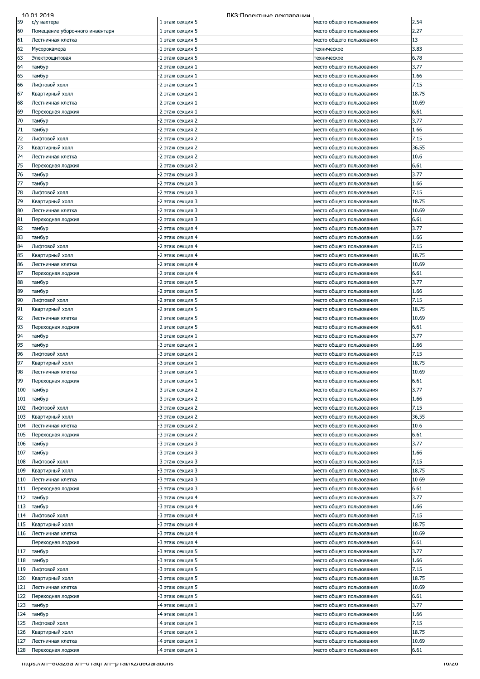|     | 10 01 2019                                             | ПКЗ: Проектные лекпарации |                          |       |
|-----|--------------------------------------------------------|---------------------------|--------------------------|-------|
| 59  | с/у вахтера                                            | -1 этаж секция 5          | место общего пользования | 2.54  |
| 60  | Помещение уборочного инвентаря                         | -1 этаж секция 5          | место общего пользования | 2.27  |
|     |                                                        |                           |                          |       |
| 61  | Лестничная клетка                                      | -1 этаж секция 5          | место общего пользования | 13    |
| 62  | Мусорокамера                                           | -1 этаж секция 5          | техническое              | 3.83  |
| 63  | Электрощитовая                                         | -1 этаж секция 5          | техническое              | 6.78  |
| 64  | тамбур                                                 | -2 этаж секция 1          | место общего пользования | 3.77  |
|     |                                                        |                           |                          |       |
| 65  | тамбур                                                 | -2 этаж секция 1          | место общего пользования | 1.66  |
| 66  | Лифтовой холл                                          | -2 этаж секция 1          | место общего пользования | 7.15  |
| 67  | Квартирный холл                                        | -2 этаж секция 1          | место общего пользования | 18.75 |
| 68  | Лестничная клетка                                      | -2 этаж секция 1          | место общего пользования | 10.69 |
|     |                                                        |                           |                          |       |
| 69  | Переходная лоджия                                      | -2 этаж секция 1          | место общего пользования | 6.61  |
| 70  | тамбур                                                 | -2 этаж секция 2          | место общего пользования | 3.77  |
| 71  | тамбур                                                 | -2 этаж секция 2          | место общего пользования | 1.66  |
| 72  | Лифтовой холл                                          | -2 этаж секция 2          | место общего пользования | 7.15  |
|     |                                                        |                           |                          |       |
| 73  | Квартирный холл                                        | -2 этаж секция 2          | место общего пользования | 36.55 |
| 74  | Лестничная клетка                                      | -2 этаж секция 2          | место общего пользования | 10.6  |
| 75  | Переходная лоджия                                      | -2 этаж секция 2          | место общего пользования | 6.61  |
| 76  | тамбур                                                 | -2 этаж секция 3          | место общего пользования | 3.77  |
| 77  | тамбур                                                 | -2 этаж секция 3          | место общего пользования | 1.66  |
|     |                                                        |                           |                          |       |
| 78  | Лифтовой холл                                          | -2 этаж секция 3          | место общего пользования | 7.15  |
| 79  | Квартирный холл                                        | -2 этаж секция 3          | место общего пользования | 18.75 |
| 80  | Лестничная клетка                                      | -2 этаж секция 3          | место общего пользования | 10.69 |
| 81  | Переходная лоджия                                      | -2 этаж секция 3          | место общего пользования | 6.61  |
|     |                                                        |                           |                          |       |
| 82  | тамбур                                                 | 2 этаж секция 4           | место общего пользования | 3.77  |
| 83  | тамбур                                                 | -2 этаж секция 4          | место общего пользования | 1.66  |
| 84  | Лифтовой холл                                          | -2 этаж секция 4          | место общего пользования | 7.15  |
| 85  | Квартирный холл                                        | 2 этаж секция 4           | место общего пользования | 18.75 |
|     |                                                        |                           |                          |       |
| 86  | Лестничная клетка                                      | -2 этаж секция 4          | место общего пользования | 10.69 |
| 87  | Переходная лоджия                                      | -2 этаж секция 4          | место общего пользования | 6.61  |
| 88  | тамбур                                                 | -2 этаж секция 5          | место общего пользования | 3.77  |
| 89  | тамбур                                                 | -2 этаж секция 5          | место общего пользования | 1.66  |
|     |                                                        |                           |                          |       |
| 90  | Лифтовой холл                                          | -2 этаж секция 5          | место общего пользования | 7.15  |
| 91  | Квартирный холл                                        | -2 этаж секция 5          | место общего пользования | 18.75 |
| 92  | Лестничная клетка                                      | -2 этаж секция 5          | место общего пользования | 10.69 |
| 93  | Переходная лоджия                                      | -2 этаж секция 5          | место общего пользования | 6.61  |
|     |                                                        |                           |                          |       |
| 94  | тамбур                                                 | -3 этаж секция 1          | место общего пользования | 3.77  |
| 95  | тамбур                                                 | -3 этаж секция 1          | место общего пользования | 1.66  |
| 96  | Лифтовой холл                                          | -3 этаж секция 1          | место общего пользования | 7.15  |
| 97  | Квартирный холл                                        | -3 этаж секция 1          | место общего пользования | 18.75 |
| 98  | Лестничная клетка                                      | -3 этаж секция 1          | место общего пользования | 10.69 |
|     |                                                        |                           |                          |       |
| 99  | Переходная лоджия                                      | 3 этаж секция 1           | место общего пользования | 6.61  |
| 100 | тамбур                                                 | -3 этаж секция 2          | место общего пользования | 3.77  |
| 101 | тамбур                                                 | -3 этаж секция 2          | место общего пользования | 1.66  |
| 102 | Лифтовой холл                                          | -3 этаж секция 2          | место общего пользования | 7.15  |
|     |                                                        |                           |                          |       |
| 103 | Квартирный холл                                        | -3 этаж секция 2          | место общего пользования | 36.55 |
| 104 | Лестничная клетка                                      | -3 этаж секция 2          | место общего пользования | 10.6  |
| 105 | Переходная лоджия                                      | -3 этаж секция 2          | место общего пользования | 6.61  |
| 106 | тамбур                                                 | -3 этаж секция 3          | место общего пользования | 3.77  |
|     |                                                        |                           |                          |       |
| 107 | тамбур                                                 | -3 этаж секция 3          | место общего пользования | 1.66  |
| 108 | Лифтовой холл                                          | -3 этаж секция 3          | место общего пользования | 7.15  |
| 109 | Квартирный холл                                        | -3 этаж секция 3          | место общего пользования | 18.75 |
| 110 | Лестничная клетка                                      | -3 этаж секция 3          | место общего пользования | 10.69 |
| 111 |                                                        |                           |                          | 6.61  |
|     | Переходная лоджия                                      | -3 этаж секция 3          | место общего пользования |       |
| 112 | тамбур                                                 | -3 этаж секция 4          | место общего пользования | 3.77  |
| 113 | тамбур                                                 | -3 этаж секция 4          | место общего пользования | 1.66  |
| 114 | Лифтовой холл                                          | -3 этаж секция 4          | место общего пользования | 7.15  |
| 115 | Квартирный холл                                        | -3 этаж секция 4          | место общего пользования | 18.75 |
|     |                                                        |                           |                          |       |
| 116 | Лестничная клетка                                      | 3 этаж секция 4           | место общего пользования | 10.69 |
|     | Переходная лоджия                                      | -3 этаж секция 4          | место общего пользования | 6.61  |
| 117 | тамбур                                                 | -3 этаж секция 5          | место общего пользования | 3.77  |
| 118 | тамбур                                                 | -3 этаж секция 5          | место общего пользования | 1.66  |
| 119 | Лифтовой холл                                          | -3 этаж секция 5          |                          | 7.15  |
|     |                                                        |                           | место общего пользования |       |
| 120 | Квартирный холл                                        | -3 этаж секция 5          | место общего пользования | 18.75 |
| 121 | Лестничная клетка                                      | -3 этаж секция 5          | место общего пользования | 10.69 |
| 122 | Переходная лоджия                                      | -3 этаж секция 5          | место общего пользования | 6.61  |
| 123 | тамбур                                                 | -4 этаж секция 1          | место общего пользования | 3.77  |
|     |                                                        |                           |                          |       |
| 124 | тамбур                                                 | -4 этаж секция 1          | место общего пользования | 1.66  |
| 125 | Лифтовой холл                                          | -4 этаж секция 1          | место общего пользования | 7.15  |
| 126 | Квартирный холл                                        | -4 этаж секция 1          | место общего пользования | 18.75 |
| 127 | Лестничная клетка                                      | -4 этаж секция 1          | место общего пользования | 10.69 |
|     |                                                        |                           |                          |       |
| 128 | Переходная лоджия                                      | -4 этаж секция 1          | место общего пользования | 6.61  |
|     | https://xn--ouazoa.xn--unaqi.xn--phai/ikz/ueciarations |                           |                          | ס∠וסו |
|     |                                                        |                           |                          |       |
|     |                                                        |                           |                          |       |
|     |                                                        |                           |                          |       |
|     |                                                        |                           |                          |       |
|     |                                                        |                           |                          |       |
|     |                                                        |                           |                          |       |
|     |                                                        |                           |                          |       |
|     |                                                        |                           |                          |       |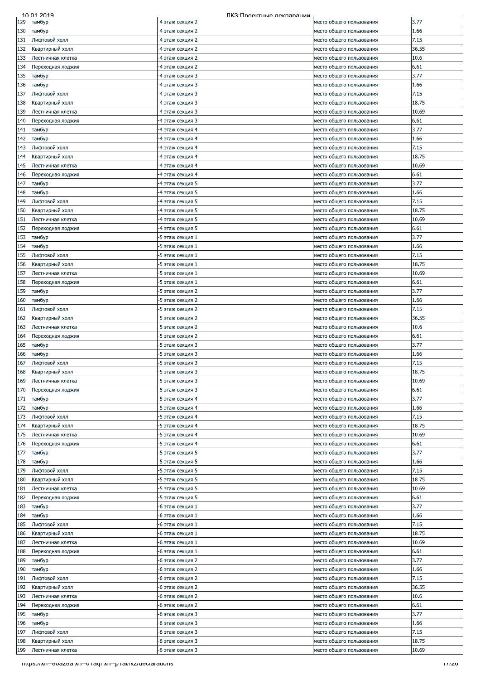|     | 10 01 2019                                                 | ПКЗ: Проектные лекпарации |                          |       |
|-----|------------------------------------------------------------|---------------------------|--------------------------|-------|
| 129 | тамбур                                                     | -4 этаж секция 2          | место общего пользования | 3.77  |
| 130 | тамбур                                                     | -4 этаж секция 2          | место общего пользования | 1.66  |
| 131 | Лифтовой холл                                              | 4 этаж секция 2           | место общего пользования | 7.15  |
| 132 | Квартирный холл                                            | -4 этаж секция 2          | место общего пользования | 36.55 |
|     |                                                            |                           |                          |       |
| 133 | Лестничная клетка                                          | -4 этаж секция 2          | место общего пользования | 10.6  |
| 134 | Переходная лоджия                                          | -4 этаж секция 2          | место общего пользования | 6.61  |
| 135 | тамбур                                                     | -4 этаж секция 3          | место общего пользования | 3.77  |
| 136 | тамбур                                                     | 4 этаж секция 3           | место общего пользования | 1.66  |
| 137 | Лифтовой холл                                              | -4 этаж секция 3          | место общего пользования | 7.15  |
| 138 | Квартирный холл                                            | -4 этаж секция 3          | место общего пользования | 18.75 |
| 139 | Лестничная клетка                                          | -4 этаж секция 3          | место общего пользования | 10.69 |
| 140 | Переходная лоджия                                          | -4 этаж секция 3          | место общего пользования | 6.61  |
| 141 | тамбур                                                     | -4 этаж секция 4          | место общего пользования | 3.77  |
| 142 | тамбур                                                     | -4 этаж секция 4          | место общего пользования | 1.66  |
| 143 | Лифтовой холл                                              | -4 этаж секция 4          | место общего пользования | 7.15  |
|     |                                                            |                           |                          |       |
| 144 | Квартирный холл                                            | -4 этаж секция 4          | место общего пользования | 18.75 |
| 145 | Лестничная клетка                                          | -4 этаж секция 4          | место общего пользования | 10.69 |
| 146 | Тереходная лоджия                                          | -4 этаж секция 4          | место общего пользования | 6.61  |
| 147 | тамбур                                                     | -4 этаж секция 5          | место общего пользования | 3.77  |
| 148 | тамбур                                                     | -4 этаж секция 5          | место общего пользования | 1.66  |
| 149 | Лифтовой холл                                              | -4 этаж секция 5          | место общего пользования | 7.15  |
| 150 | Квартирный холл                                            | -4 этаж секция 5          | место общего пользования | 18.75 |
| 151 | Лестничная клетка                                          | -4 этаж секция 5          | место общего пользования | 10.69 |
| 152 | Переходная лоджия                                          | -4 этаж секция 5          | место общего пользования | 6.61  |
| 153 | тамбур                                                     | -5 этаж секция 1          | место общего пользования | 3.77  |
| 154 | тамбур                                                     | -5 этаж секция 1          | место общего пользования | 1.66  |
|     |                                                            |                           |                          |       |
| 155 | Лифтовой холл                                              | -5 этаж секция 1          | место общего пользования | 7.15  |
| 156 | Квартирный холл                                            | -5 этаж секция 1          | место общего пользования | 18.75 |
| 157 | Лестничная клетка                                          | -5 этаж секция 1          | место общего пользования | 10.69 |
| 158 | Тереходная лоджия                                          | -5 этаж секция 1          | место общего пользования | 6.61  |
| 159 | тамбур                                                     | -5 этаж секция 2          | место общего пользования | 3.77  |
| 160 | тамбур                                                     | -5 этаж секция 2          | место общего пользования | 1.66  |
| 161 | Лифтовой холл                                              | -5 этаж секция 2          | место общего пользования | 7.15  |
| 162 | Квартирный холл                                            | -5 этаж секция 2          | место общего пользования | 36.55 |
| 163 | Лестничная клетка                                          | -5 этаж секция 2          | место общего пользования | 10.6  |
| 164 | Переходная лоджия                                          | -5 этаж секция 2          | место общего пользования | 6.61  |
| 165 |                                                            | -5 этаж секция 3          | место общего пользования | 3.77  |
|     | тамбур                                                     |                           |                          |       |
| 166 | тамбур                                                     | -5 этаж секция 3          | место общего пользования | 1.66  |
| 167 | Лифтовой холл                                              | -5 этаж секция 3          | место общего пользования | 7.15  |
| 168 | Квартирный холл                                            | -5 этаж секция 3          | место общего пользования | 18.75 |
| 169 | Лестничная клетка                                          | -5 этаж секция 3          | место общего пользования | 10.69 |
| 170 | Переходная лоджия                                          | -5 этаж секция 3          | место общего пользования | 6.61  |
| 171 | тамбур                                                     | -5 этаж секция 4          | место общего пользования | 3.77  |
| 172 | тамбур                                                     | -5 этаж секция 4          | место общего пользования | 1.66  |
| 173 | Лифтовой холл                                              | -5 этаж секция 4          | место общего пользования | 7.15  |
| 174 | Квартирный холл                                            | -5 этаж секция 4          | место общего пользования | 18.75 |
| 175 | Лестничная клетка                                          | -5 этаж секция 4          | место общего пользования | 10.69 |
| 176 | Переходная лоджия                                          | -5 этаж секция 4          | место общего пользования | 6.61  |
| 177 | тамбур                                                     | -5 этаж секция 5          | место общего пользования | 3.77  |
| 178 | тамбур                                                     | -5 этаж секция 5          | место общего пользования | 1.66  |
|     |                                                            |                           |                          | 7.15  |
| 179 | Лифтовой холл                                              | -5 этаж секция 5          | место общего пользования |       |
| 180 | Квартирный холл                                            | -5 этаж секция 5          | место общего пользования | 18.75 |
| 181 | Лестничная клетка                                          | -5 этаж секция 5          | место общего пользования | 10.69 |
| 182 | Переходная лоджия                                          | -5 этаж секция 5          | место общего пользования | 6.61  |
| 183 | тамбур                                                     | -6 этаж секция 1          | место общего пользования | 3.77  |
| 184 | тамбур                                                     | -6 этаж секция 1          | место общего пользования | 1.66  |
| 185 | Лифтовой холл                                              | -6 этаж секция 1          | место общего пользования | 7.15  |
| 186 | Квартирный холл                                            | -6 этаж секция 1          | место общего пользования | 18.75 |
| 187 | Лестничная клетка                                          | -6 этаж секция 1          | место общего пользования | 10.69 |
| 188 | Переходная лоджия                                          | -6 этаж секция 1          | место общего пользования | 6.61  |
| 189 | тамбур                                                     | -6 этаж секция 2          | место общего пользования | 3.77  |
| 190 | тамбур                                                     | -6 этаж секция 2          | место общего пользования | 1.66  |
| 191 | Лифтовой холл                                              | -6 этаж секция 2          | место общего пользования | 7.15  |
| 192 | Квартирный холл                                            | -6 этаж секция 2          |                          | 36.55 |
|     |                                                            |                           | место общего пользования |       |
| 193 | Лестничная клетка                                          | -6 этаж секция 2          | место общего пользования | 10.6  |
| 194 | Переходная лоджия                                          | -6 этаж секция 2          | место общего пользования | 6.61  |
| 195 | тамбур                                                     | -6 этаж секция 3          | место общего пользования | 3.77  |
| 196 | тамбур                                                     | -6 этаж секция 3          | место общего пользования | 1.66  |
| 197 | Лифтовой холл                                              | -6 этаж секция 3          | место общего пользования | 7.15  |
| 198 | Квартирный холл                                            | -6 этаж секция 3          | место общего пользования | 18.75 |
| 199 | Лестничная клетка                                          | -6 этаж секция 3          | место общего пользования | 10.69 |
|     | - https://xn--ouazoa.xn--u-ragi.xn--p-rai/ikz/deciarations |                           |                          | 177ZO |
|     |                                                            |                           |                          |       |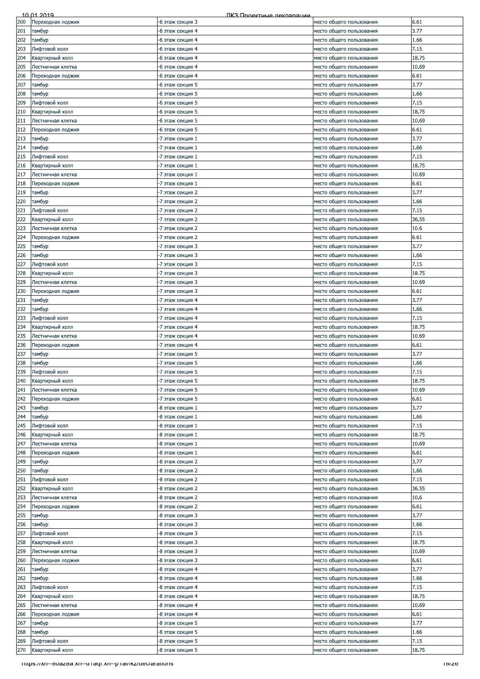| 200<br>201<br>тамбур<br>202<br>тамбур<br>203<br>204<br>205<br>206<br>207<br>тамбур<br>208<br>тамбур<br>209<br>210<br>211<br>212<br>213<br>тамбур<br>214<br>тамбур<br>215<br>216<br>217<br>218<br>219<br>тамбур<br>220<br>тамбур<br>221<br>222 | Переходная лоджия<br>Лифтовой холл<br>Квартирный холл<br>Лестничная клетка<br>Переходная лоджия<br>Лифтовой холл<br>Квартирный холл<br>Лестничная клетка<br>Переходная лоджия<br>Лифтовой холл<br>Квартирный холл<br>Лестничная клетка<br>Переходная лоджия | -6 этаж секция 3<br>-6 этаж секция 4<br>-6 этаж секция 4<br>-6 этаж секция 4<br>-6 этаж секция 4<br>-6 этаж секция 4<br>-6 этаж секция 4<br>-6 этаж секция 5<br>-6 этаж секция 5<br>-6 этаж секция 5<br>-6 этаж секция 5<br>-6 этаж секция 5<br>-6 этаж секция 5<br>-7 этаж секция 1<br>-7 этаж секция 1<br>-7 этаж секция 1<br>-7 этаж секция 1 | место общего пользования<br>место общего пользования<br>место общего пользования<br>место общего пользования<br>место общего пользования<br>место общего пользования<br>место общего пользования<br>место общего пользования<br>место общего пользования<br>место общего пользования<br>место общего пользования<br>место общего пользования<br>место общего пользования<br>место общего пользования<br>место общего пользования | 6.61<br>3.77<br>1.66<br>7.15<br>18.75<br>10.69<br>6.61<br>3.77<br>1.66<br>7.15<br>18.75<br>10.69<br>6.61 |
|-----------------------------------------------------------------------------------------------------------------------------------------------------------------------------------------------------------------------------------------------|-------------------------------------------------------------------------------------------------------------------------------------------------------------------------------------------------------------------------------------------------------------|--------------------------------------------------------------------------------------------------------------------------------------------------------------------------------------------------------------------------------------------------------------------------------------------------------------------------------------------------|----------------------------------------------------------------------------------------------------------------------------------------------------------------------------------------------------------------------------------------------------------------------------------------------------------------------------------------------------------------------------------------------------------------------------------|----------------------------------------------------------------------------------------------------------|
|                                                                                                                                                                                                                                               |                                                                                                                                                                                                                                                             |                                                                                                                                                                                                                                                                                                                                                  |                                                                                                                                                                                                                                                                                                                                                                                                                                  |                                                                                                          |
|                                                                                                                                                                                                                                               |                                                                                                                                                                                                                                                             |                                                                                                                                                                                                                                                                                                                                                  |                                                                                                                                                                                                                                                                                                                                                                                                                                  |                                                                                                          |
|                                                                                                                                                                                                                                               |                                                                                                                                                                                                                                                             |                                                                                                                                                                                                                                                                                                                                                  |                                                                                                                                                                                                                                                                                                                                                                                                                                  |                                                                                                          |
|                                                                                                                                                                                                                                               |                                                                                                                                                                                                                                                             |                                                                                                                                                                                                                                                                                                                                                  |                                                                                                                                                                                                                                                                                                                                                                                                                                  |                                                                                                          |
|                                                                                                                                                                                                                                               |                                                                                                                                                                                                                                                             |                                                                                                                                                                                                                                                                                                                                                  |                                                                                                                                                                                                                                                                                                                                                                                                                                  |                                                                                                          |
|                                                                                                                                                                                                                                               |                                                                                                                                                                                                                                                             |                                                                                                                                                                                                                                                                                                                                                  |                                                                                                                                                                                                                                                                                                                                                                                                                                  |                                                                                                          |
|                                                                                                                                                                                                                                               |                                                                                                                                                                                                                                                             |                                                                                                                                                                                                                                                                                                                                                  |                                                                                                                                                                                                                                                                                                                                                                                                                                  |                                                                                                          |
|                                                                                                                                                                                                                                               |                                                                                                                                                                                                                                                             |                                                                                                                                                                                                                                                                                                                                                  |                                                                                                                                                                                                                                                                                                                                                                                                                                  |                                                                                                          |
|                                                                                                                                                                                                                                               |                                                                                                                                                                                                                                                             |                                                                                                                                                                                                                                                                                                                                                  |                                                                                                                                                                                                                                                                                                                                                                                                                                  |                                                                                                          |
|                                                                                                                                                                                                                                               |                                                                                                                                                                                                                                                             |                                                                                                                                                                                                                                                                                                                                                  |                                                                                                                                                                                                                                                                                                                                                                                                                                  |                                                                                                          |
|                                                                                                                                                                                                                                               |                                                                                                                                                                                                                                                             |                                                                                                                                                                                                                                                                                                                                                  |                                                                                                                                                                                                                                                                                                                                                                                                                                  |                                                                                                          |
|                                                                                                                                                                                                                                               |                                                                                                                                                                                                                                                             |                                                                                                                                                                                                                                                                                                                                                  |                                                                                                                                                                                                                                                                                                                                                                                                                                  |                                                                                                          |
|                                                                                                                                                                                                                                               |                                                                                                                                                                                                                                                             |                                                                                                                                                                                                                                                                                                                                                  |                                                                                                                                                                                                                                                                                                                                                                                                                                  |                                                                                                          |
|                                                                                                                                                                                                                                               |                                                                                                                                                                                                                                                             |                                                                                                                                                                                                                                                                                                                                                  |                                                                                                                                                                                                                                                                                                                                                                                                                                  |                                                                                                          |
|                                                                                                                                                                                                                                               |                                                                                                                                                                                                                                                             |                                                                                                                                                                                                                                                                                                                                                  |                                                                                                                                                                                                                                                                                                                                                                                                                                  | 3.77                                                                                                     |
|                                                                                                                                                                                                                                               |                                                                                                                                                                                                                                                             |                                                                                                                                                                                                                                                                                                                                                  |                                                                                                                                                                                                                                                                                                                                                                                                                                  | 1.66                                                                                                     |
|                                                                                                                                                                                                                                               |                                                                                                                                                                                                                                                             |                                                                                                                                                                                                                                                                                                                                                  |                                                                                                                                                                                                                                                                                                                                                                                                                                  | 7.15                                                                                                     |
|                                                                                                                                                                                                                                               |                                                                                                                                                                                                                                                             |                                                                                                                                                                                                                                                                                                                                                  | место общего пользования                                                                                                                                                                                                                                                                                                                                                                                                         |                                                                                                          |
|                                                                                                                                                                                                                                               |                                                                                                                                                                                                                                                             |                                                                                                                                                                                                                                                                                                                                                  | место общего пользования                                                                                                                                                                                                                                                                                                                                                                                                         | 18.75                                                                                                    |
|                                                                                                                                                                                                                                               |                                                                                                                                                                                                                                                             | -7 этаж секция 1                                                                                                                                                                                                                                                                                                                                 | место общего пользования                                                                                                                                                                                                                                                                                                                                                                                                         | 10.69                                                                                                    |
|                                                                                                                                                                                                                                               |                                                                                                                                                                                                                                                             | -7 этаж секция 1                                                                                                                                                                                                                                                                                                                                 | место общего пользования                                                                                                                                                                                                                                                                                                                                                                                                         | 6.61                                                                                                     |
|                                                                                                                                                                                                                                               |                                                                                                                                                                                                                                                             | -7 этаж секция 2                                                                                                                                                                                                                                                                                                                                 | место общего пользования                                                                                                                                                                                                                                                                                                                                                                                                         | 3.77                                                                                                     |
|                                                                                                                                                                                                                                               |                                                                                                                                                                                                                                                             | -7 этаж секция 2                                                                                                                                                                                                                                                                                                                                 | место общего пользования                                                                                                                                                                                                                                                                                                                                                                                                         | 1.66                                                                                                     |
|                                                                                                                                                                                                                                               | Лифтовой холл                                                                                                                                                                                                                                               | -7 этаж секция 2                                                                                                                                                                                                                                                                                                                                 | место общего пользования                                                                                                                                                                                                                                                                                                                                                                                                         | 7.15                                                                                                     |
|                                                                                                                                                                                                                                               | Квартирный холл                                                                                                                                                                                                                                             | -7 этаж секция 2                                                                                                                                                                                                                                                                                                                                 | место общего пользования                                                                                                                                                                                                                                                                                                                                                                                                         | 36.55                                                                                                    |
| 223                                                                                                                                                                                                                                           | Лестничная клетка                                                                                                                                                                                                                                           | -7 этаж секция 2                                                                                                                                                                                                                                                                                                                                 | место общего пользования                                                                                                                                                                                                                                                                                                                                                                                                         | 10.6                                                                                                     |
| 224                                                                                                                                                                                                                                           | Переходная лоджия                                                                                                                                                                                                                                           | -7 этаж секция 2                                                                                                                                                                                                                                                                                                                                 | место общего пользования                                                                                                                                                                                                                                                                                                                                                                                                         | 6.61                                                                                                     |
| 225<br>тамбур                                                                                                                                                                                                                                 |                                                                                                                                                                                                                                                             | -7 этаж секция 3                                                                                                                                                                                                                                                                                                                                 | место общего пользования                                                                                                                                                                                                                                                                                                                                                                                                         | 3.77                                                                                                     |
| 226<br>тамбур                                                                                                                                                                                                                                 |                                                                                                                                                                                                                                                             | -7 этаж секция 3                                                                                                                                                                                                                                                                                                                                 | место общего пользования                                                                                                                                                                                                                                                                                                                                                                                                         | 1.66                                                                                                     |
|                                                                                                                                                                                                                                               |                                                                                                                                                                                                                                                             |                                                                                                                                                                                                                                                                                                                                                  |                                                                                                                                                                                                                                                                                                                                                                                                                                  |                                                                                                          |
| 227                                                                                                                                                                                                                                           | Лифтовой холл                                                                                                                                                                                                                                               | -7 этаж секция 3                                                                                                                                                                                                                                                                                                                                 | место общего пользования                                                                                                                                                                                                                                                                                                                                                                                                         | 7.15                                                                                                     |
| 228                                                                                                                                                                                                                                           | Квартирный холл                                                                                                                                                                                                                                             | -7 этаж секция 3                                                                                                                                                                                                                                                                                                                                 | место общего пользования                                                                                                                                                                                                                                                                                                                                                                                                         | 18.75                                                                                                    |
| 229                                                                                                                                                                                                                                           | Лестничная клетка                                                                                                                                                                                                                                           | -7 этаж секция 3                                                                                                                                                                                                                                                                                                                                 | место общего пользования                                                                                                                                                                                                                                                                                                                                                                                                         | 10.69                                                                                                    |
| 230                                                                                                                                                                                                                                           | Переходная лоджия                                                                                                                                                                                                                                           | -7 этаж секция 3                                                                                                                                                                                                                                                                                                                                 | место общего пользования                                                                                                                                                                                                                                                                                                                                                                                                         | 6.61                                                                                                     |
| 231<br>тамбур                                                                                                                                                                                                                                 |                                                                                                                                                                                                                                                             | -7 этаж секция 4                                                                                                                                                                                                                                                                                                                                 | место общего пользования                                                                                                                                                                                                                                                                                                                                                                                                         | 3.77                                                                                                     |
| 232<br>тамбур                                                                                                                                                                                                                                 |                                                                                                                                                                                                                                                             | -7 этаж секция 4                                                                                                                                                                                                                                                                                                                                 | место общего пользования                                                                                                                                                                                                                                                                                                                                                                                                         | 1.66                                                                                                     |
| 233                                                                                                                                                                                                                                           | Лифтовой холл                                                                                                                                                                                                                                               | -7 этаж секция 4                                                                                                                                                                                                                                                                                                                                 | место общего пользования                                                                                                                                                                                                                                                                                                                                                                                                         | 7.15                                                                                                     |
| 234                                                                                                                                                                                                                                           | Квартирный холл                                                                                                                                                                                                                                             | -7 этаж секция 4                                                                                                                                                                                                                                                                                                                                 | место общего пользования                                                                                                                                                                                                                                                                                                                                                                                                         | 18.75                                                                                                    |
| 235                                                                                                                                                                                                                                           | Лестничная клетка                                                                                                                                                                                                                                           | -7 этаж секция 4                                                                                                                                                                                                                                                                                                                                 | место общего пользования                                                                                                                                                                                                                                                                                                                                                                                                         | 10.69                                                                                                    |
| 236                                                                                                                                                                                                                                           | Переходная лоджия                                                                                                                                                                                                                                           | -7 этаж секция 4                                                                                                                                                                                                                                                                                                                                 | место общего пользования                                                                                                                                                                                                                                                                                                                                                                                                         | 6.61                                                                                                     |
| 237<br>тамбур                                                                                                                                                                                                                                 |                                                                                                                                                                                                                                                             | -7 этаж секция 5                                                                                                                                                                                                                                                                                                                                 | место общего пользования                                                                                                                                                                                                                                                                                                                                                                                                         | 3.77                                                                                                     |
| 238                                                                                                                                                                                                                                           |                                                                                                                                                                                                                                                             | -7 этаж секция 5                                                                                                                                                                                                                                                                                                                                 | место общего пользования                                                                                                                                                                                                                                                                                                                                                                                                         | 1.66                                                                                                     |
| тамбур                                                                                                                                                                                                                                        |                                                                                                                                                                                                                                                             |                                                                                                                                                                                                                                                                                                                                                  |                                                                                                                                                                                                                                                                                                                                                                                                                                  |                                                                                                          |
| 239                                                                                                                                                                                                                                           | Лифтовой холл                                                                                                                                                                                                                                               | -7 этаж секция 5                                                                                                                                                                                                                                                                                                                                 | место общего пользования                                                                                                                                                                                                                                                                                                                                                                                                         | 7.15                                                                                                     |
| 240                                                                                                                                                                                                                                           | Квартирный холл                                                                                                                                                                                                                                             | -7 этаж секция 5                                                                                                                                                                                                                                                                                                                                 | место общего пользования                                                                                                                                                                                                                                                                                                                                                                                                         | 18.75                                                                                                    |
| 241                                                                                                                                                                                                                                           | Лестничная клетка                                                                                                                                                                                                                                           | -7 этаж секция 5                                                                                                                                                                                                                                                                                                                                 | место общего пользования                                                                                                                                                                                                                                                                                                                                                                                                         | 10.69                                                                                                    |
| 242                                                                                                                                                                                                                                           | Переходная лоджия                                                                                                                                                                                                                                           | 7 этаж секция 5                                                                                                                                                                                                                                                                                                                                  | место общего пользования                                                                                                                                                                                                                                                                                                                                                                                                         | 6.61                                                                                                     |
| 243<br>тамбур                                                                                                                                                                                                                                 |                                                                                                                                                                                                                                                             | -8 этаж секция 1                                                                                                                                                                                                                                                                                                                                 | место общего пользования                                                                                                                                                                                                                                                                                                                                                                                                         | 3.77                                                                                                     |
| 244<br>тамбур                                                                                                                                                                                                                                 |                                                                                                                                                                                                                                                             | -8 этаж секция 1                                                                                                                                                                                                                                                                                                                                 | место общего пользования                                                                                                                                                                                                                                                                                                                                                                                                         | 1.66                                                                                                     |
| 245                                                                                                                                                                                                                                           | Лифтовой холл                                                                                                                                                                                                                                               | -8 этаж секция 1                                                                                                                                                                                                                                                                                                                                 | место общего пользования                                                                                                                                                                                                                                                                                                                                                                                                         | 7.15                                                                                                     |
| 246                                                                                                                                                                                                                                           | Квартирный холл                                                                                                                                                                                                                                             | -8 этаж секция 1                                                                                                                                                                                                                                                                                                                                 | место общего пользования                                                                                                                                                                                                                                                                                                                                                                                                         | 18.75                                                                                                    |
| 247                                                                                                                                                                                                                                           | Лестничная клетка                                                                                                                                                                                                                                           | -8 этаж секция 1                                                                                                                                                                                                                                                                                                                                 | место общего пользования                                                                                                                                                                                                                                                                                                                                                                                                         | 10.69                                                                                                    |
| 248                                                                                                                                                                                                                                           | Переходная лоджия                                                                                                                                                                                                                                           | -8 этаж секция 1                                                                                                                                                                                                                                                                                                                                 | место общего пользования                                                                                                                                                                                                                                                                                                                                                                                                         | 6.61                                                                                                     |
| 249<br>тамбур                                                                                                                                                                                                                                 |                                                                                                                                                                                                                                                             | -8 этаж секция 2                                                                                                                                                                                                                                                                                                                                 | место общего пользования                                                                                                                                                                                                                                                                                                                                                                                                         | 3.77                                                                                                     |
| 250<br>тамбур                                                                                                                                                                                                                                 |                                                                                                                                                                                                                                                             | -8 этаж секция 2                                                                                                                                                                                                                                                                                                                                 | место общего пользования                                                                                                                                                                                                                                                                                                                                                                                                         | 1.66                                                                                                     |
|                                                                                                                                                                                                                                               |                                                                                                                                                                                                                                                             |                                                                                                                                                                                                                                                                                                                                                  |                                                                                                                                                                                                                                                                                                                                                                                                                                  |                                                                                                          |
| 251                                                                                                                                                                                                                                           | Лифтовой холл                                                                                                                                                                                                                                               | -8 этаж секция 2                                                                                                                                                                                                                                                                                                                                 | место общего пользования                                                                                                                                                                                                                                                                                                                                                                                                         | 7.15                                                                                                     |
| 252                                                                                                                                                                                                                                           | Квартирный холл                                                                                                                                                                                                                                             | -8 этаж секция 2                                                                                                                                                                                                                                                                                                                                 | место общего пользования                                                                                                                                                                                                                                                                                                                                                                                                         | 36.55                                                                                                    |
| 253                                                                                                                                                                                                                                           | Лестничная клетка                                                                                                                                                                                                                                           | -8 этаж секция 2                                                                                                                                                                                                                                                                                                                                 | место общего пользования                                                                                                                                                                                                                                                                                                                                                                                                         | 10.6                                                                                                     |
| 254                                                                                                                                                                                                                                           | Переходная лоджия                                                                                                                                                                                                                                           | -8 этаж секция 2                                                                                                                                                                                                                                                                                                                                 | место общего пользования                                                                                                                                                                                                                                                                                                                                                                                                         | 6.61                                                                                                     |
| 255<br>тамбур                                                                                                                                                                                                                                 |                                                                                                                                                                                                                                                             | -8 этаж секция 3                                                                                                                                                                                                                                                                                                                                 | место общего пользования                                                                                                                                                                                                                                                                                                                                                                                                         | 3.77                                                                                                     |
| 256<br>тамбур                                                                                                                                                                                                                                 |                                                                                                                                                                                                                                                             | -8 этаж секция 3                                                                                                                                                                                                                                                                                                                                 | место общего пользования                                                                                                                                                                                                                                                                                                                                                                                                         | 1.66                                                                                                     |
| 257                                                                                                                                                                                                                                           | Лифтовой холл                                                                                                                                                                                                                                               | -8 этаж секция 3                                                                                                                                                                                                                                                                                                                                 | место общего пользования                                                                                                                                                                                                                                                                                                                                                                                                         | 7.15                                                                                                     |
| 258                                                                                                                                                                                                                                           | Квартирный холл                                                                                                                                                                                                                                             | -8 этаж секция 3                                                                                                                                                                                                                                                                                                                                 | место общего пользования                                                                                                                                                                                                                                                                                                                                                                                                         | 18.75                                                                                                    |
| 259                                                                                                                                                                                                                                           | Лестничная клетка                                                                                                                                                                                                                                           | -8 этаж секция 3                                                                                                                                                                                                                                                                                                                                 | место общего пользования                                                                                                                                                                                                                                                                                                                                                                                                         | 10.69                                                                                                    |
| 260                                                                                                                                                                                                                                           | Переходная лоджия                                                                                                                                                                                                                                           | -8 этаж секция 3                                                                                                                                                                                                                                                                                                                                 | место общего пользования                                                                                                                                                                                                                                                                                                                                                                                                         | 6.61                                                                                                     |
| 261<br>тамбур                                                                                                                                                                                                                                 |                                                                                                                                                                                                                                                             | -8 этаж секция 4                                                                                                                                                                                                                                                                                                                                 | место общего пользования                                                                                                                                                                                                                                                                                                                                                                                                         | 3.77                                                                                                     |
| 262<br>тамбур                                                                                                                                                                                                                                 |                                                                                                                                                                                                                                                             | -8 этаж секция 4                                                                                                                                                                                                                                                                                                                                 | место общего пользования                                                                                                                                                                                                                                                                                                                                                                                                         | 1.66                                                                                                     |
| 263                                                                                                                                                                                                                                           | Лифтовой холл                                                                                                                                                                                                                                               | -8 этаж секция 4                                                                                                                                                                                                                                                                                                                                 | место общего пользования                                                                                                                                                                                                                                                                                                                                                                                                         | 7.15                                                                                                     |
| 264                                                                                                                                                                                                                                           | Квартирный холл                                                                                                                                                                                                                                             | -8 этаж секция 4                                                                                                                                                                                                                                                                                                                                 | место общего пользования                                                                                                                                                                                                                                                                                                                                                                                                         | 18.75                                                                                                    |
|                                                                                                                                                                                                                                               | Лестничная клетка                                                                                                                                                                                                                                           | -8 этаж секция 4                                                                                                                                                                                                                                                                                                                                 |                                                                                                                                                                                                                                                                                                                                                                                                                                  | 10.69                                                                                                    |
| 265<br>266                                                                                                                                                                                                                                    |                                                                                                                                                                                                                                                             |                                                                                                                                                                                                                                                                                                                                                  | место общего пользования                                                                                                                                                                                                                                                                                                                                                                                                         | 6.61                                                                                                     |
|                                                                                                                                                                                                                                               | Переходная лоджия                                                                                                                                                                                                                                           | -8 этаж секция 4                                                                                                                                                                                                                                                                                                                                 | место общего пользования                                                                                                                                                                                                                                                                                                                                                                                                         |                                                                                                          |
| 267<br>тамбур                                                                                                                                                                                                                                 |                                                                                                                                                                                                                                                             | -8 этаж секция 5                                                                                                                                                                                                                                                                                                                                 | место общего пользования                                                                                                                                                                                                                                                                                                                                                                                                         | 3.77                                                                                                     |
| 268<br>тамбур                                                                                                                                                                                                                                 |                                                                                                                                                                                                                                                             | -8 этаж секция 5                                                                                                                                                                                                                                                                                                                                 | место общего пользования                                                                                                                                                                                                                                                                                                                                                                                                         | 1.66                                                                                                     |
| 269                                                                                                                                                                                                                                           | Лифтовой холл                                                                                                                                                                                                                                               | -8 этаж секция 5                                                                                                                                                                                                                                                                                                                                 | место общего пользования                                                                                                                                                                                                                                                                                                                                                                                                         | 7.15                                                                                                     |
| 270                                                                                                                                                                                                                                           | Квартирный холл                                                                                                                                                                                                                                             | -8 этаж секция 5                                                                                                                                                                                                                                                                                                                                 | место общего пользования                                                                                                                                                                                                                                                                                                                                                                                                         | 18.75                                                                                                    |
|                                                                                                                                                                                                                                               | TIttps://xn--ouazoa.xn--u ragi.xn--p rai/ikz/deciarations                                                                                                                                                                                                   |                                                                                                                                                                                                                                                                                                                                                  |                                                                                                                                                                                                                                                                                                                                                                                                                                  | 10/Z0                                                                                                    |
|                                                                                                                                                                                                                                               |                                                                                                                                                                                                                                                             |                                                                                                                                                                                                                                                                                                                                                  |                                                                                                                                                                                                                                                                                                                                                                                                                                  |                                                                                                          |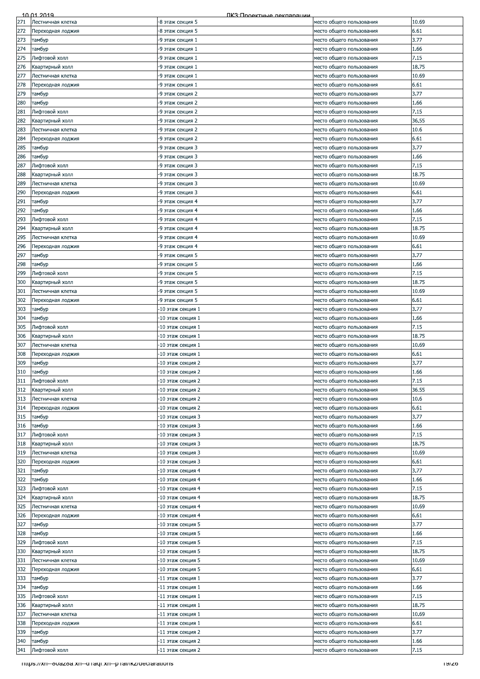| 10.69<br>Лестничная клетка<br>-8 этаж секция 5<br>место общего пользования<br>6.61<br>Переходная лоджия<br>-8 этаж секция 5<br>место общего пользования<br>3.77<br>273<br>тамбур<br>-9 этаж секция 1<br>место общего пользования<br>274<br>1.66<br>тамбур<br>-9 этаж секция 1<br>место общего пользования<br>275<br>7.15<br>Лифтовой холл<br>место общего пользования<br>-9 этаж секция 1<br>276<br>18.75<br>Квартирный холл<br>-9 этаж секция 1<br>место общего пользования<br>277<br>10.69<br>Лестничная клетка<br>-9 этаж секция 1<br>место общего пользования<br>278<br>6.61<br>Переходная лоджия<br>-9 этаж секция 1<br>место общего пользования<br>3.77<br>тамбур<br>-9 этаж секция 2<br>место общего пользования<br>тамбур<br>-9 этаж секция 2<br>1.66<br>место общего пользования<br>7.15<br>Лифтовой холл<br>-9 этаж секция 2<br>место общего пользования<br>Квартирный холл<br>36.55<br>-9 этаж секция 2<br>место общего пользования<br>283<br>10.6<br>Лестничная клетка<br>-9 этаж секция 2<br>место общего пользования<br>284<br>6.61<br>Переходная лоджия<br>-9 этаж секция 2<br>место общего пользования<br>285<br>3.77<br>тамбур<br>-9 этаж секция 3<br>место общего пользования<br>286<br>1.66<br>тамбур<br>-9 этаж секция 3<br>место общего пользования<br>7.15<br>Лифтовой холл<br>-9 этаж секция 3<br>место общего пользования<br>18.75<br>-9 этаж секция 3<br>Квартирный холл<br>место общего пользования<br>10.69<br>Лестничная клетка<br>-9 этаж секция 3<br>место общего пользования<br>6.61<br>Переходная лоджия<br>-9 этаж секция 3<br>место общего пользования<br>3.77<br>тамбур<br>-9 этаж секция 4<br>место общего пользования<br>292<br>1.66<br>тамбур<br>-9 этаж секция 4<br>место общего пользования<br>7.15<br>293<br>Лифтовой холл<br>-9 этаж секция 4<br>место общего пользования<br>18.75<br>294<br>Квартирный холл<br>-9 этаж секция 4<br>место общего пользования<br>295<br>10.69<br>Лестничная клетка<br>-9 этаж секция 4<br>место общего пользования<br>296<br>6.61<br>Переходная лоджия<br>-9 этаж секция 4<br>место общего пользования<br>3.77<br>9 этаж секция 5<br>место общего пользования<br>тамбур<br>-9 этаж секция 5<br>1.66<br>тамбур<br>место общего пользования<br>7.15<br>Лифтовой холл<br>-9 этаж секция 5<br>место общего пользования<br>Квартирный холл<br>18.75<br>-9 этаж секция 5<br>место общего пользования<br>10.69<br>Лестничная клетка<br>-9 этаж секция 5<br>место общего пользования<br>302<br>6.61<br>Переходная лоджия<br>-9 этаж секция 5<br>место общего пользования<br>3.77<br>303<br>тамбур<br>-10 этаж секция 1<br>место общего пользования<br>304<br>1.66<br>тамбур<br>10 этаж секция 1<br>место общего пользования<br>305<br>Лифтовой холл<br>7.15<br>-10 этаж секция 1<br>место общего пользования<br>18.75<br>Квартирный холл<br>-10 этаж секция 1<br>место общего пользования<br>10.69<br>Лестничная клетка<br>-10 этаж секция 1<br>место общего пользования<br>6.61<br>Переходная лоджия<br>-10 этаж секция 1<br>место общего пользования<br>3.77<br>тамбур<br>-10 этаж секция 2<br>место общего пользования<br>тамбур<br>1.66<br>-10 этаж секция 2<br>место общего пользования<br>7.15<br>311<br>Лифтовой холл<br>10 этаж секция 2<br>место общего пользования<br>312<br>36.55<br>Квартирный холл<br>10 этаж секция 2<br>место общего пользования<br>313<br>10.6<br>Лестничная клетка<br>10 этаж секция 2<br>место общего пользования<br>314<br>6.61<br>10 этаж секция 2<br>Переходная лоджия<br>место общего пользования<br>3.77<br>315<br>тамбур<br>-10 этаж секция 3<br>место общего пользования<br>1.66<br>тамбур<br>-10 этаж секция 3<br>место общего пользования<br>7.15<br>Лифтовой холл<br>-10 этаж секция 3<br>место общего пользования<br>18.75<br>Квартирный холл<br>10 этаж секция 3<br>место общего пользования<br>10.69<br>Лестничная клетка<br>-10 этаж секция 3<br>место общего пользования<br>6.61<br>10 этаж секция 3<br>место общего пользования<br>Переходная лоджия<br>321<br>3.77<br>тамбур<br>10 этаж секция 4<br>место общего пользования<br>322<br>тамбур<br>1.66<br>-10 этаж секция 4<br>место общего пользования<br>7.15<br>323<br>Лифтовой холл<br>-10 этаж секция 4<br>место общего пользования<br>18.75<br>324<br>Квартирный холл<br>-10 этаж секция 4<br>место общего пользования<br>325<br>10.69<br>10 этаж секция 4<br>Лестничная клетка<br>место общего пользования<br>6.61<br>326<br>Тереходная лоджия<br>-10 этаж секция 4<br>место общего пользования<br>3.77<br>тамбур<br>-10 этаж секция 5<br>место общего пользования<br>1.66<br>тамбур<br>-10 этаж секция 5<br>место общего пользования<br>7.15<br>Лифтовой холл<br>-10 этаж секция 5<br>место общего пользования<br>18.75<br>-10 этаж секция 5<br>Квартирный холл<br>место общего пользования<br>10.69<br>Лестничная клетка<br>-10 этаж секция 5<br>место общего пользования<br>6.61<br>10 этаж секция 5<br>Переходная лоджия<br>место общего пользования<br>3.77<br>333<br>тамбур<br>-11 этаж секция 1<br>место общего пользования<br>1.66<br>334<br>тамбур<br>-11 этаж секция 1<br>место общего пользования<br>335<br>7.15<br>Лифтовой холл<br>11 этаж секция 1<br>место общего пользования<br>18.75<br>Квартирный холл<br>-11 этаж секция 1<br>место общего пользования<br>10.69<br>Лестничная клетка<br>-11 этаж секция 1<br>место общего пользования<br>6.61<br>Переходная лоджия<br>-11 этаж секция 1<br>место общего пользования<br>3.77<br>тамбур<br>-11 этаж секция 2<br>место общего пользования<br>1.66<br>тамбур<br>-11 этаж секция 2<br>место общего пользования<br>7.15<br>Лифтовой холл<br>-11 этаж секция 2<br>место общего пользования<br>- https://xn--ouazoa.xn--u ragi.xn--p rai/ikz/deciarations<br>ם אופו |     | 10 01 2019 | ПКЗ:Проектные лекпарации |  |
|----------------------------------------------------------------------------------------------------------------------------------------------------------------------------------------------------------------------------------------------------------------------------------------------------------------------------------------------------------------------------------------------------------------------------------------------------------------------------------------------------------------------------------------------------------------------------------------------------------------------------------------------------------------------------------------------------------------------------------------------------------------------------------------------------------------------------------------------------------------------------------------------------------------------------------------------------------------------------------------------------------------------------------------------------------------------------------------------------------------------------------------------------------------------------------------------------------------------------------------------------------------------------------------------------------------------------------------------------------------------------------------------------------------------------------------------------------------------------------------------------------------------------------------------------------------------------------------------------------------------------------------------------------------------------------------------------------------------------------------------------------------------------------------------------------------------------------------------------------------------------------------------------------------------------------------------------------------------------------------------------------------------------------------------------------------------------------------------------------------------------------------------------------------------------------------------------------------------------------------------------------------------------------------------------------------------------------------------------------------------------------------------------------------------------------------------------------------------------------------------------------------------------------------------------------------------------------------------------------------------------------------------------------------------------------------------------------------------------------------------------------------------------------------------------------------------------------------------------------------------------------------------------------------------------------------------------------------------------------------------------------------------------------------------------------------------------------------------------------------------------------------------------------------------------------------------------------------------------------------------------------------------------------------------------------------------------------------------------------------------------------------------------------------------------------------------------------------------------------------------------------------------------------------------------------------------------------------------------------------------------------------------------------------------------------------------------------------------------------------------------------------------------------------------------------------------------------------------------------------------------------------------------------------------------------------------------------------------------------------------------------------------------------------------------------------------------------------------------------------------------------------------------------------------------------------------------------------------------------------------------------------------------------------------------------------------------------------------------------------------------------------------------------------------------------------------------------------------------------------------------------------------------------------------------------------------------------------------------------------------------------------------------------------------------------------------------------------------------------------------------------------------------------------------------------------------------------------------------------------------------------------------------------------------------------------------------------------------------------------------------------------------------------------------------------------------------------------------------------------------------------------------------------------------------------------------------------------------------------------------------------------------------------------------------------------------------------------------------------------------------------------------------------------------------------------------------------------------------------------------------------------------------------------------------------------------------------------------------------------------------------------------------------------------------------------------------------|-----|------------|--------------------------|--|
|                                                                                                                                                                                                                                                                                                                                                                                                                                                                                                                                                                                                                                                                                                                                                                                                                                                                                                                                                                                                                                                                                                                                                                                                                                                                                                                                                                                                                                                                                                                                                                                                                                                                                                                                                                                                                                                                                                                                                                                                                                                                                                                                                                                                                                                                                                                                                                                                                                                                                                                                                                                                                                                                                                                                                                                                                                                                                                                                                                                                                                                                                                                                                                                                                                                                                                                                                                                                                                                                                                                                                                                                                                                                                                                                                                                                                                                                                                                                                                                                                                                                                                                                                                                                                                                                                                                                                                                                                                                                                                                                                                                                                                                                                                                                                                                                                                                                                                                                                                                                                                                                                                                                                                                                                                                                                                                                                                                                                                                                                                                                                                                                                                                                                                          | 271 |            |                          |  |
|                                                                                                                                                                                                                                                                                                                                                                                                                                                                                                                                                                                                                                                                                                                                                                                                                                                                                                                                                                                                                                                                                                                                                                                                                                                                                                                                                                                                                                                                                                                                                                                                                                                                                                                                                                                                                                                                                                                                                                                                                                                                                                                                                                                                                                                                                                                                                                                                                                                                                                                                                                                                                                                                                                                                                                                                                                                                                                                                                                                                                                                                                                                                                                                                                                                                                                                                                                                                                                                                                                                                                                                                                                                                                                                                                                                                                                                                                                                                                                                                                                                                                                                                                                                                                                                                                                                                                                                                                                                                                                                                                                                                                                                                                                                                                                                                                                                                                                                                                                                                                                                                                                                                                                                                                                                                                                                                                                                                                                                                                                                                                                                                                                                                                                          | 272 |            |                          |  |
|                                                                                                                                                                                                                                                                                                                                                                                                                                                                                                                                                                                                                                                                                                                                                                                                                                                                                                                                                                                                                                                                                                                                                                                                                                                                                                                                                                                                                                                                                                                                                                                                                                                                                                                                                                                                                                                                                                                                                                                                                                                                                                                                                                                                                                                                                                                                                                                                                                                                                                                                                                                                                                                                                                                                                                                                                                                                                                                                                                                                                                                                                                                                                                                                                                                                                                                                                                                                                                                                                                                                                                                                                                                                                                                                                                                                                                                                                                                                                                                                                                                                                                                                                                                                                                                                                                                                                                                                                                                                                                                                                                                                                                                                                                                                                                                                                                                                                                                                                                                                                                                                                                                                                                                                                                                                                                                                                                                                                                                                                                                                                                                                                                                                                                          |     |            |                          |  |
|                                                                                                                                                                                                                                                                                                                                                                                                                                                                                                                                                                                                                                                                                                                                                                                                                                                                                                                                                                                                                                                                                                                                                                                                                                                                                                                                                                                                                                                                                                                                                                                                                                                                                                                                                                                                                                                                                                                                                                                                                                                                                                                                                                                                                                                                                                                                                                                                                                                                                                                                                                                                                                                                                                                                                                                                                                                                                                                                                                                                                                                                                                                                                                                                                                                                                                                                                                                                                                                                                                                                                                                                                                                                                                                                                                                                                                                                                                                                                                                                                                                                                                                                                                                                                                                                                                                                                                                                                                                                                                                                                                                                                                                                                                                                                                                                                                                                                                                                                                                                                                                                                                                                                                                                                                                                                                                                                                                                                                                                                                                                                                                                                                                                                                          |     |            |                          |  |
|                                                                                                                                                                                                                                                                                                                                                                                                                                                                                                                                                                                                                                                                                                                                                                                                                                                                                                                                                                                                                                                                                                                                                                                                                                                                                                                                                                                                                                                                                                                                                                                                                                                                                                                                                                                                                                                                                                                                                                                                                                                                                                                                                                                                                                                                                                                                                                                                                                                                                                                                                                                                                                                                                                                                                                                                                                                                                                                                                                                                                                                                                                                                                                                                                                                                                                                                                                                                                                                                                                                                                                                                                                                                                                                                                                                                                                                                                                                                                                                                                                                                                                                                                                                                                                                                                                                                                                                                                                                                                                                                                                                                                                                                                                                                                                                                                                                                                                                                                                                                                                                                                                                                                                                                                                                                                                                                                                                                                                                                                                                                                                                                                                                                                                          |     |            |                          |  |
|                                                                                                                                                                                                                                                                                                                                                                                                                                                                                                                                                                                                                                                                                                                                                                                                                                                                                                                                                                                                                                                                                                                                                                                                                                                                                                                                                                                                                                                                                                                                                                                                                                                                                                                                                                                                                                                                                                                                                                                                                                                                                                                                                                                                                                                                                                                                                                                                                                                                                                                                                                                                                                                                                                                                                                                                                                                                                                                                                                                                                                                                                                                                                                                                                                                                                                                                                                                                                                                                                                                                                                                                                                                                                                                                                                                                                                                                                                                                                                                                                                                                                                                                                                                                                                                                                                                                                                                                                                                                                                                                                                                                                                                                                                                                                                                                                                                                                                                                                                                                                                                                                                                                                                                                                                                                                                                                                                                                                                                                                                                                                                                                                                                                                                          |     |            |                          |  |
|                                                                                                                                                                                                                                                                                                                                                                                                                                                                                                                                                                                                                                                                                                                                                                                                                                                                                                                                                                                                                                                                                                                                                                                                                                                                                                                                                                                                                                                                                                                                                                                                                                                                                                                                                                                                                                                                                                                                                                                                                                                                                                                                                                                                                                                                                                                                                                                                                                                                                                                                                                                                                                                                                                                                                                                                                                                                                                                                                                                                                                                                                                                                                                                                                                                                                                                                                                                                                                                                                                                                                                                                                                                                                                                                                                                                                                                                                                                                                                                                                                                                                                                                                                                                                                                                                                                                                                                                                                                                                                                                                                                                                                                                                                                                                                                                                                                                                                                                                                                                                                                                                                                                                                                                                                                                                                                                                                                                                                                                                                                                                                                                                                                                                                          |     |            |                          |  |
|                                                                                                                                                                                                                                                                                                                                                                                                                                                                                                                                                                                                                                                                                                                                                                                                                                                                                                                                                                                                                                                                                                                                                                                                                                                                                                                                                                                                                                                                                                                                                                                                                                                                                                                                                                                                                                                                                                                                                                                                                                                                                                                                                                                                                                                                                                                                                                                                                                                                                                                                                                                                                                                                                                                                                                                                                                                                                                                                                                                                                                                                                                                                                                                                                                                                                                                                                                                                                                                                                                                                                                                                                                                                                                                                                                                                                                                                                                                                                                                                                                                                                                                                                                                                                                                                                                                                                                                                                                                                                                                                                                                                                                                                                                                                                                                                                                                                                                                                                                                                                                                                                                                                                                                                                                                                                                                                                                                                                                                                                                                                                                                                                                                                                                          |     |            |                          |  |
|                                                                                                                                                                                                                                                                                                                                                                                                                                                                                                                                                                                                                                                                                                                                                                                                                                                                                                                                                                                                                                                                                                                                                                                                                                                                                                                                                                                                                                                                                                                                                                                                                                                                                                                                                                                                                                                                                                                                                                                                                                                                                                                                                                                                                                                                                                                                                                                                                                                                                                                                                                                                                                                                                                                                                                                                                                                                                                                                                                                                                                                                                                                                                                                                                                                                                                                                                                                                                                                                                                                                                                                                                                                                                                                                                                                                                                                                                                                                                                                                                                                                                                                                                                                                                                                                                                                                                                                                                                                                                                                                                                                                                                                                                                                                                                                                                                                                                                                                                                                                                                                                                                                                                                                                                                                                                                                                                                                                                                                                                                                                                                                                                                                                                                          |     |            |                          |  |
|                                                                                                                                                                                                                                                                                                                                                                                                                                                                                                                                                                                                                                                                                                                                                                                                                                                                                                                                                                                                                                                                                                                                                                                                                                                                                                                                                                                                                                                                                                                                                                                                                                                                                                                                                                                                                                                                                                                                                                                                                                                                                                                                                                                                                                                                                                                                                                                                                                                                                                                                                                                                                                                                                                                                                                                                                                                                                                                                                                                                                                                                                                                                                                                                                                                                                                                                                                                                                                                                                                                                                                                                                                                                                                                                                                                                                                                                                                                                                                                                                                                                                                                                                                                                                                                                                                                                                                                                                                                                                                                                                                                                                                                                                                                                                                                                                                                                                                                                                                                                                                                                                                                                                                                                                                                                                                                                                                                                                                                                                                                                                                                                                                                                                                          | 279 |            |                          |  |
|                                                                                                                                                                                                                                                                                                                                                                                                                                                                                                                                                                                                                                                                                                                                                                                                                                                                                                                                                                                                                                                                                                                                                                                                                                                                                                                                                                                                                                                                                                                                                                                                                                                                                                                                                                                                                                                                                                                                                                                                                                                                                                                                                                                                                                                                                                                                                                                                                                                                                                                                                                                                                                                                                                                                                                                                                                                                                                                                                                                                                                                                                                                                                                                                                                                                                                                                                                                                                                                                                                                                                                                                                                                                                                                                                                                                                                                                                                                                                                                                                                                                                                                                                                                                                                                                                                                                                                                                                                                                                                                                                                                                                                                                                                                                                                                                                                                                                                                                                                                                                                                                                                                                                                                                                                                                                                                                                                                                                                                                                                                                                                                                                                                                                                          | 280 |            |                          |  |
|                                                                                                                                                                                                                                                                                                                                                                                                                                                                                                                                                                                                                                                                                                                                                                                                                                                                                                                                                                                                                                                                                                                                                                                                                                                                                                                                                                                                                                                                                                                                                                                                                                                                                                                                                                                                                                                                                                                                                                                                                                                                                                                                                                                                                                                                                                                                                                                                                                                                                                                                                                                                                                                                                                                                                                                                                                                                                                                                                                                                                                                                                                                                                                                                                                                                                                                                                                                                                                                                                                                                                                                                                                                                                                                                                                                                                                                                                                                                                                                                                                                                                                                                                                                                                                                                                                                                                                                                                                                                                                                                                                                                                                                                                                                                                                                                                                                                                                                                                                                                                                                                                                                                                                                                                                                                                                                                                                                                                                                                                                                                                                                                                                                                                                          | 281 |            |                          |  |
|                                                                                                                                                                                                                                                                                                                                                                                                                                                                                                                                                                                                                                                                                                                                                                                                                                                                                                                                                                                                                                                                                                                                                                                                                                                                                                                                                                                                                                                                                                                                                                                                                                                                                                                                                                                                                                                                                                                                                                                                                                                                                                                                                                                                                                                                                                                                                                                                                                                                                                                                                                                                                                                                                                                                                                                                                                                                                                                                                                                                                                                                                                                                                                                                                                                                                                                                                                                                                                                                                                                                                                                                                                                                                                                                                                                                                                                                                                                                                                                                                                                                                                                                                                                                                                                                                                                                                                                                                                                                                                                                                                                                                                                                                                                                                                                                                                                                                                                                                                                                                                                                                                                                                                                                                                                                                                                                                                                                                                                                                                                                                                                                                                                                                                          | 282 |            |                          |  |
|                                                                                                                                                                                                                                                                                                                                                                                                                                                                                                                                                                                                                                                                                                                                                                                                                                                                                                                                                                                                                                                                                                                                                                                                                                                                                                                                                                                                                                                                                                                                                                                                                                                                                                                                                                                                                                                                                                                                                                                                                                                                                                                                                                                                                                                                                                                                                                                                                                                                                                                                                                                                                                                                                                                                                                                                                                                                                                                                                                                                                                                                                                                                                                                                                                                                                                                                                                                                                                                                                                                                                                                                                                                                                                                                                                                                                                                                                                                                                                                                                                                                                                                                                                                                                                                                                                                                                                                                                                                                                                                                                                                                                                                                                                                                                                                                                                                                                                                                                                                                                                                                                                                                                                                                                                                                                                                                                                                                                                                                                                                                                                                                                                                                                                          |     |            |                          |  |
|                                                                                                                                                                                                                                                                                                                                                                                                                                                                                                                                                                                                                                                                                                                                                                                                                                                                                                                                                                                                                                                                                                                                                                                                                                                                                                                                                                                                                                                                                                                                                                                                                                                                                                                                                                                                                                                                                                                                                                                                                                                                                                                                                                                                                                                                                                                                                                                                                                                                                                                                                                                                                                                                                                                                                                                                                                                                                                                                                                                                                                                                                                                                                                                                                                                                                                                                                                                                                                                                                                                                                                                                                                                                                                                                                                                                                                                                                                                                                                                                                                                                                                                                                                                                                                                                                                                                                                                                                                                                                                                                                                                                                                                                                                                                                                                                                                                                                                                                                                                                                                                                                                                                                                                                                                                                                                                                                                                                                                                                                                                                                                                                                                                                                                          |     |            |                          |  |
|                                                                                                                                                                                                                                                                                                                                                                                                                                                                                                                                                                                                                                                                                                                                                                                                                                                                                                                                                                                                                                                                                                                                                                                                                                                                                                                                                                                                                                                                                                                                                                                                                                                                                                                                                                                                                                                                                                                                                                                                                                                                                                                                                                                                                                                                                                                                                                                                                                                                                                                                                                                                                                                                                                                                                                                                                                                                                                                                                                                                                                                                                                                                                                                                                                                                                                                                                                                                                                                                                                                                                                                                                                                                                                                                                                                                                                                                                                                                                                                                                                                                                                                                                                                                                                                                                                                                                                                                                                                                                                                                                                                                                                                                                                                                                                                                                                                                                                                                                                                                                                                                                                                                                                                                                                                                                                                                                                                                                                                                                                                                                                                                                                                                                                          |     |            |                          |  |
|                                                                                                                                                                                                                                                                                                                                                                                                                                                                                                                                                                                                                                                                                                                                                                                                                                                                                                                                                                                                                                                                                                                                                                                                                                                                                                                                                                                                                                                                                                                                                                                                                                                                                                                                                                                                                                                                                                                                                                                                                                                                                                                                                                                                                                                                                                                                                                                                                                                                                                                                                                                                                                                                                                                                                                                                                                                                                                                                                                                                                                                                                                                                                                                                                                                                                                                                                                                                                                                                                                                                                                                                                                                                                                                                                                                                                                                                                                                                                                                                                                                                                                                                                                                                                                                                                                                                                                                                                                                                                                                                                                                                                                                                                                                                                                                                                                                                                                                                                                                                                                                                                                                                                                                                                                                                                                                                                                                                                                                                                                                                                                                                                                                                                                          |     |            |                          |  |
|                                                                                                                                                                                                                                                                                                                                                                                                                                                                                                                                                                                                                                                                                                                                                                                                                                                                                                                                                                                                                                                                                                                                                                                                                                                                                                                                                                                                                                                                                                                                                                                                                                                                                                                                                                                                                                                                                                                                                                                                                                                                                                                                                                                                                                                                                                                                                                                                                                                                                                                                                                                                                                                                                                                                                                                                                                                                                                                                                                                                                                                                                                                                                                                                                                                                                                                                                                                                                                                                                                                                                                                                                                                                                                                                                                                                                                                                                                                                                                                                                                                                                                                                                                                                                                                                                                                                                                                                                                                                                                                                                                                                                                                                                                                                                                                                                                                                                                                                                                                                                                                                                                                                                                                                                                                                                                                                                                                                                                                                                                                                                                                                                                                                                                          |     |            |                          |  |
|                                                                                                                                                                                                                                                                                                                                                                                                                                                                                                                                                                                                                                                                                                                                                                                                                                                                                                                                                                                                                                                                                                                                                                                                                                                                                                                                                                                                                                                                                                                                                                                                                                                                                                                                                                                                                                                                                                                                                                                                                                                                                                                                                                                                                                                                                                                                                                                                                                                                                                                                                                                                                                                                                                                                                                                                                                                                                                                                                                                                                                                                                                                                                                                                                                                                                                                                                                                                                                                                                                                                                                                                                                                                                                                                                                                                                                                                                                                                                                                                                                                                                                                                                                                                                                                                                                                                                                                                                                                                                                                                                                                                                                                                                                                                                                                                                                                                                                                                                                                                                                                                                                                                                                                                                                                                                                                                                                                                                                                                                                                                                                                                                                                                                                          | 287 |            |                          |  |
|                                                                                                                                                                                                                                                                                                                                                                                                                                                                                                                                                                                                                                                                                                                                                                                                                                                                                                                                                                                                                                                                                                                                                                                                                                                                                                                                                                                                                                                                                                                                                                                                                                                                                                                                                                                                                                                                                                                                                                                                                                                                                                                                                                                                                                                                                                                                                                                                                                                                                                                                                                                                                                                                                                                                                                                                                                                                                                                                                                                                                                                                                                                                                                                                                                                                                                                                                                                                                                                                                                                                                                                                                                                                                                                                                                                                                                                                                                                                                                                                                                                                                                                                                                                                                                                                                                                                                                                                                                                                                                                                                                                                                                                                                                                                                                                                                                                                                                                                                                                                                                                                                                                                                                                                                                                                                                                                                                                                                                                                                                                                                                                                                                                                                                          | 288 |            |                          |  |
|                                                                                                                                                                                                                                                                                                                                                                                                                                                                                                                                                                                                                                                                                                                                                                                                                                                                                                                                                                                                                                                                                                                                                                                                                                                                                                                                                                                                                                                                                                                                                                                                                                                                                                                                                                                                                                                                                                                                                                                                                                                                                                                                                                                                                                                                                                                                                                                                                                                                                                                                                                                                                                                                                                                                                                                                                                                                                                                                                                                                                                                                                                                                                                                                                                                                                                                                                                                                                                                                                                                                                                                                                                                                                                                                                                                                                                                                                                                                                                                                                                                                                                                                                                                                                                                                                                                                                                                                                                                                                                                                                                                                                                                                                                                                                                                                                                                                                                                                                                                                                                                                                                                                                                                                                                                                                                                                                                                                                                                                                                                                                                                                                                                                                                          | 289 |            |                          |  |
|                                                                                                                                                                                                                                                                                                                                                                                                                                                                                                                                                                                                                                                                                                                                                                                                                                                                                                                                                                                                                                                                                                                                                                                                                                                                                                                                                                                                                                                                                                                                                                                                                                                                                                                                                                                                                                                                                                                                                                                                                                                                                                                                                                                                                                                                                                                                                                                                                                                                                                                                                                                                                                                                                                                                                                                                                                                                                                                                                                                                                                                                                                                                                                                                                                                                                                                                                                                                                                                                                                                                                                                                                                                                                                                                                                                                                                                                                                                                                                                                                                                                                                                                                                                                                                                                                                                                                                                                                                                                                                                                                                                                                                                                                                                                                                                                                                                                                                                                                                                                                                                                                                                                                                                                                                                                                                                                                                                                                                                                                                                                                                                                                                                                                                          | 290 |            |                          |  |
|                                                                                                                                                                                                                                                                                                                                                                                                                                                                                                                                                                                                                                                                                                                                                                                                                                                                                                                                                                                                                                                                                                                                                                                                                                                                                                                                                                                                                                                                                                                                                                                                                                                                                                                                                                                                                                                                                                                                                                                                                                                                                                                                                                                                                                                                                                                                                                                                                                                                                                                                                                                                                                                                                                                                                                                                                                                                                                                                                                                                                                                                                                                                                                                                                                                                                                                                                                                                                                                                                                                                                                                                                                                                                                                                                                                                                                                                                                                                                                                                                                                                                                                                                                                                                                                                                                                                                                                                                                                                                                                                                                                                                                                                                                                                                                                                                                                                                                                                                                                                                                                                                                                                                                                                                                                                                                                                                                                                                                                                                                                                                                                                                                                                                                          | 291 |            |                          |  |
|                                                                                                                                                                                                                                                                                                                                                                                                                                                                                                                                                                                                                                                                                                                                                                                                                                                                                                                                                                                                                                                                                                                                                                                                                                                                                                                                                                                                                                                                                                                                                                                                                                                                                                                                                                                                                                                                                                                                                                                                                                                                                                                                                                                                                                                                                                                                                                                                                                                                                                                                                                                                                                                                                                                                                                                                                                                                                                                                                                                                                                                                                                                                                                                                                                                                                                                                                                                                                                                                                                                                                                                                                                                                                                                                                                                                                                                                                                                                                                                                                                                                                                                                                                                                                                                                                                                                                                                                                                                                                                                                                                                                                                                                                                                                                                                                                                                                                                                                                                                                                                                                                                                                                                                                                                                                                                                                                                                                                                                                                                                                                                                                                                                                                                          |     |            |                          |  |
|                                                                                                                                                                                                                                                                                                                                                                                                                                                                                                                                                                                                                                                                                                                                                                                                                                                                                                                                                                                                                                                                                                                                                                                                                                                                                                                                                                                                                                                                                                                                                                                                                                                                                                                                                                                                                                                                                                                                                                                                                                                                                                                                                                                                                                                                                                                                                                                                                                                                                                                                                                                                                                                                                                                                                                                                                                                                                                                                                                                                                                                                                                                                                                                                                                                                                                                                                                                                                                                                                                                                                                                                                                                                                                                                                                                                                                                                                                                                                                                                                                                                                                                                                                                                                                                                                                                                                                                                                                                                                                                                                                                                                                                                                                                                                                                                                                                                                                                                                                                                                                                                                                                                                                                                                                                                                                                                                                                                                                                                                                                                                                                                                                                                                                          |     |            |                          |  |
|                                                                                                                                                                                                                                                                                                                                                                                                                                                                                                                                                                                                                                                                                                                                                                                                                                                                                                                                                                                                                                                                                                                                                                                                                                                                                                                                                                                                                                                                                                                                                                                                                                                                                                                                                                                                                                                                                                                                                                                                                                                                                                                                                                                                                                                                                                                                                                                                                                                                                                                                                                                                                                                                                                                                                                                                                                                                                                                                                                                                                                                                                                                                                                                                                                                                                                                                                                                                                                                                                                                                                                                                                                                                                                                                                                                                                                                                                                                                                                                                                                                                                                                                                                                                                                                                                                                                                                                                                                                                                                                                                                                                                                                                                                                                                                                                                                                                                                                                                                                                                                                                                                                                                                                                                                                                                                                                                                                                                                                                                                                                                                                                                                                                                                          |     |            |                          |  |
|                                                                                                                                                                                                                                                                                                                                                                                                                                                                                                                                                                                                                                                                                                                                                                                                                                                                                                                                                                                                                                                                                                                                                                                                                                                                                                                                                                                                                                                                                                                                                                                                                                                                                                                                                                                                                                                                                                                                                                                                                                                                                                                                                                                                                                                                                                                                                                                                                                                                                                                                                                                                                                                                                                                                                                                                                                                                                                                                                                                                                                                                                                                                                                                                                                                                                                                                                                                                                                                                                                                                                                                                                                                                                                                                                                                                                                                                                                                                                                                                                                                                                                                                                                                                                                                                                                                                                                                                                                                                                                                                                                                                                                                                                                                                                                                                                                                                                                                                                                                                                                                                                                                                                                                                                                                                                                                                                                                                                                                                                                                                                                                                                                                                                                          |     |            |                          |  |
|                                                                                                                                                                                                                                                                                                                                                                                                                                                                                                                                                                                                                                                                                                                                                                                                                                                                                                                                                                                                                                                                                                                                                                                                                                                                                                                                                                                                                                                                                                                                                                                                                                                                                                                                                                                                                                                                                                                                                                                                                                                                                                                                                                                                                                                                                                                                                                                                                                                                                                                                                                                                                                                                                                                                                                                                                                                                                                                                                                                                                                                                                                                                                                                                                                                                                                                                                                                                                                                                                                                                                                                                                                                                                                                                                                                                                                                                                                                                                                                                                                                                                                                                                                                                                                                                                                                                                                                                                                                                                                                                                                                                                                                                                                                                                                                                                                                                                                                                                                                                                                                                                                                                                                                                                                                                                                                                                                                                                                                                                                                                                                                                                                                                                                          |     |            |                          |  |
|                                                                                                                                                                                                                                                                                                                                                                                                                                                                                                                                                                                                                                                                                                                                                                                                                                                                                                                                                                                                                                                                                                                                                                                                                                                                                                                                                                                                                                                                                                                                                                                                                                                                                                                                                                                                                                                                                                                                                                                                                                                                                                                                                                                                                                                                                                                                                                                                                                                                                                                                                                                                                                                                                                                                                                                                                                                                                                                                                                                                                                                                                                                                                                                                                                                                                                                                                                                                                                                                                                                                                                                                                                                                                                                                                                                                                                                                                                                                                                                                                                                                                                                                                                                                                                                                                                                                                                                                                                                                                                                                                                                                                                                                                                                                                                                                                                                                                                                                                                                                                                                                                                                                                                                                                                                                                                                                                                                                                                                                                                                                                                                                                                                                                                          |     |            |                          |  |
|                                                                                                                                                                                                                                                                                                                                                                                                                                                                                                                                                                                                                                                                                                                                                                                                                                                                                                                                                                                                                                                                                                                                                                                                                                                                                                                                                                                                                                                                                                                                                                                                                                                                                                                                                                                                                                                                                                                                                                                                                                                                                                                                                                                                                                                                                                                                                                                                                                                                                                                                                                                                                                                                                                                                                                                                                                                                                                                                                                                                                                                                                                                                                                                                                                                                                                                                                                                                                                                                                                                                                                                                                                                                                                                                                                                                                                                                                                                                                                                                                                                                                                                                                                                                                                                                                                                                                                                                                                                                                                                                                                                                                                                                                                                                                                                                                                                                                                                                                                                                                                                                                                                                                                                                                                                                                                                                                                                                                                                                                                                                                                                                                                                                                                          | 297 |            |                          |  |
|                                                                                                                                                                                                                                                                                                                                                                                                                                                                                                                                                                                                                                                                                                                                                                                                                                                                                                                                                                                                                                                                                                                                                                                                                                                                                                                                                                                                                                                                                                                                                                                                                                                                                                                                                                                                                                                                                                                                                                                                                                                                                                                                                                                                                                                                                                                                                                                                                                                                                                                                                                                                                                                                                                                                                                                                                                                                                                                                                                                                                                                                                                                                                                                                                                                                                                                                                                                                                                                                                                                                                                                                                                                                                                                                                                                                                                                                                                                                                                                                                                                                                                                                                                                                                                                                                                                                                                                                                                                                                                                                                                                                                                                                                                                                                                                                                                                                                                                                                                                                                                                                                                                                                                                                                                                                                                                                                                                                                                                                                                                                                                                                                                                                                                          | 298 |            |                          |  |
|                                                                                                                                                                                                                                                                                                                                                                                                                                                                                                                                                                                                                                                                                                                                                                                                                                                                                                                                                                                                                                                                                                                                                                                                                                                                                                                                                                                                                                                                                                                                                                                                                                                                                                                                                                                                                                                                                                                                                                                                                                                                                                                                                                                                                                                                                                                                                                                                                                                                                                                                                                                                                                                                                                                                                                                                                                                                                                                                                                                                                                                                                                                                                                                                                                                                                                                                                                                                                                                                                                                                                                                                                                                                                                                                                                                                                                                                                                                                                                                                                                                                                                                                                                                                                                                                                                                                                                                                                                                                                                                                                                                                                                                                                                                                                                                                                                                                                                                                                                                                                                                                                                                                                                                                                                                                                                                                                                                                                                                                                                                                                                                                                                                                                                          | 299 |            |                          |  |
|                                                                                                                                                                                                                                                                                                                                                                                                                                                                                                                                                                                                                                                                                                                                                                                                                                                                                                                                                                                                                                                                                                                                                                                                                                                                                                                                                                                                                                                                                                                                                                                                                                                                                                                                                                                                                                                                                                                                                                                                                                                                                                                                                                                                                                                                                                                                                                                                                                                                                                                                                                                                                                                                                                                                                                                                                                                                                                                                                                                                                                                                                                                                                                                                                                                                                                                                                                                                                                                                                                                                                                                                                                                                                                                                                                                                                                                                                                                                                                                                                                                                                                                                                                                                                                                                                                                                                                                                                                                                                                                                                                                                                                                                                                                                                                                                                                                                                                                                                                                                                                                                                                                                                                                                                                                                                                                                                                                                                                                                                                                                                                                                                                                                                                          | 300 |            |                          |  |
|                                                                                                                                                                                                                                                                                                                                                                                                                                                                                                                                                                                                                                                                                                                                                                                                                                                                                                                                                                                                                                                                                                                                                                                                                                                                                                                                                                                                                                                                                                                                                                                                                                                                                                                                                                                                                                                                                                                                                                                                                                                                                                                                                                                                                                                                                                                                                                                                                                                                                                                                                                                                                                                                                                                                                                                                                                                                                                                                                                                                                                                                                                                                                                                                                                                                                                                                                                                                                                                                                                                                                                                                                                                                                                                                                                                                                                                                                                                                                                                                                                                                                                                                                                                                                                                                                                                                                                                                                                                                                                                                                                                                                                                                                                                                                                                                                                                                                                                                                                                                                                                                                                                                                                                                                                                                                                                                                                                                                                                                                                                                                                                                                                                                                                          | 301 |            |                          |  |
|                                                                                                                                                                                                                                                                                                                                                                                                                                                                                                                                                                                                                                                                                                                                                                                                                                                                                                                                                                                                                                                                                                                                                                                                                                                                                                                                                                                                                                                                                                                                                                                                                                                                                                                                                                                                                                                                                                                                                                                                                                                                                                                                                                                                                                                                                                                                                                                                                                                                                                                                                                                                                                                                                                                                                                                                                                                                                                                                                                                                                                                                                                                                                                                                                                                                                                                                                                                                                                                                                                                                                                                                                                                                                                                                                                                                                                                                                                                                                                                                                                                                                                                                                                                                                                                                                                                                                                                                                                                                                                                                                                                                                                                                                                                                                                                                                                                                                                                                                                                                                                                                                                                                                                                                                                                                                                                                                                                                                                                                                                                                                                                                                                                                                                          |     |            |                          |  |
|                                                                                                                                                                                                                                                                                                                                                                                                                                                                                                                                                                                                                                                                                                                                                                                                                                                                                                                                                                                                                                                                                                                                                                                                                                                                                                                                                                                                                                                                                                                                                                                                                                                                                                                                                                                                                                                                                                                                                                                                                                                                                                                                                                                                                                                                                                                                                                                                                                                                                                                                                                                                                                                                                                                                                                                                                                                                                                                                                                                                                                                                                                                                                                                                                                                                                                                                                                                                                                                                                                                                                                                                                                                                                                                                                                                                                                                                                                                                                                                                                                                                                                                                                                                                                                                                                                                                                                                                                                                                                                                                                                                                                                                                                                                                                                                                                                                                                                                                                                                                                                                                                                                                                                                                                                                                                                                                                                                                                                                                                                                                                                                                                                                                                                          |     |            |                          |  |
|                                                                                                                                                                                                                                                                                                                                                                                                                                                                                                                                                                                                                                                                                                                                                                                                                                                                                                                                                                                                                                                                                                                                                                                                                                                                                                                                                                                                                                                                                                                                                                                                                                                                                                                                                                                                                                                                                                                                                                                                                                                                                                                                                                                                                                                                                                                                                                                                                                                                                                                                                                                                                                                                                                                                                                                                                                                                                                                                                                                                                                                                                                                                                                                                                                                                                                                                                                                                                                                                                                                                                                                                                                                                                                                                                                                                                                                                                                                                                                                                                                                                                                                                                                                                                                                                                                                                                                                                                                                                                                                                                                                                                                                                                                                                                                                                                                                                                                                                                                                                                                                                                                                                                                                                                                                                                                                                                                                                                                                                                                                                                                                                                                                                                                          |     |            |                          |  |
|                                                                                                                                                                                                                                                                                                                                                                                                                                                                                                                                                                                                                                                                                                                                                                                                                                                                                                                                                                                                                                                                                                                                                                                                                                                                                                                                                                                                                                                                                                                                                                                                                                                                                                                                                                                                                                                                                                                                                                                                                                                                                                                                                                                                                                                                                                                                                                                                                                                                                                                                                                                                                                                                                                                                                                                                                                                                                                                                                                                                                                                                                                                                                                                                                                                                                                                                                                                                                                                                                                                                                                                                                                                                                                                                                                                                                                                                                                                                                                                                                                                                                                                                                                                                                                                                                                                                                                                                                                                                                                                                                                                                                                                                                                                                                                                                                                                                                                                                                                                                                                                                                                                                                                                                                                                                                                                                                                                                                                                                                                                                                                                                                                                                                                          |     |            |                          |  |
|                                                                                                                                                                                                                                                                                                                                                                                                                                                                                                                                                                                                                                                                                                                                                                                                                                                                                                                                                                                                                                                                                                                                                                                                                                                                                                                                                                                                                                                                                                                                                                                                                                                                                                                                                                                                                                                                                                                                                                                                                                                                                                                                                                                                                                                                                                                                                                                                                                                                                                                                                                                                                                                                                                                                                                                                                                                                                                                                                                                                                                                                                                                                                                                                                                                                                                                                                                                                                                                                                                                                                                                                                                                                                                                                                                                                                                                                                                                                                                                                                                                                                                                                                                                                                                                                                                                                                                                                                                                                                                                                                                                                                                                                                                                                                                                                                                                                                                                                                                                                                                                                                                                                                                                                                                                                                                                                                                                                                                                                                                                                                                                                                                                                                                          |     |            |                          |  |
|                                                                                                                                                                                                                                                                                                                                                                                                                                                                                                                                                                                                                                                                                                                                                                                                                                                                                                                                                                                                                                                                                                                                                                                                                                                                                                                                                                                                                                                                                                                                                                                                                                                                                                                                                                                                                                                                                                                                                                                                                                                                                                                                                                                                                                                                                                                                                                                                                                                                                                                                                                                                                                                                                                                                                                                                                                                                                                                                                                                                                                                                                                                                                                                                                                                                                                                                                                                                                                                                                                                                                                                                                                                                                                                                                                                                                                                                                                                                                                                                                                                                                                                                                                                                                                                                                                                                                                                                                                                                                                                                                                                                                                                                                                                                                                                                                                                                                                                                                                                                                                                                                                                                                                                                                                                                                                                                                                                                                                                                                                                                                                                                                                                                                                          | 306 |            |                          |  |
|                                                                                                                                                                                                                                                                                                                                                                                                                                                                                                                                                                                                                                                                                                                                                                                                                                                                                                                                                                                                                                                                                                                                                                                                                                                                                                                                                                                                                                                                                                                                                                                                                                                                                                                                                                                                                                                                                                                                                                                                                                                                                                                                                                                                                                                                                                                                                                                                                                                                                                                                                                                                                                                                                                                                                                                                                                                                                                                                                                                                                                                                                                                                                                                                                                                                                                                                                                                                                                                                                                                                                                                                                                                                                                                                                                                                                                                                                                                                                                                                                                                                                                                                                                                                                                                                                                                                                                                                                                                                                                                                                                                                                                                                                                                                                                                                                                                                                                                                                                                                                                                                                                                                                                                                                                                                                                                                                                                                                                                                                                                                                                                                                                                                                                          | 307 |            |                          |  |
|                                                                                                                                                                                                                                                                                                                                                                                                                                                                                                                                                                                                                                                                                                                                                                                                                                                                                                                                                                                                                                                                                                                                                                                                                                                                                                                                                                                                                                                                                                                                                                                                                                                                                                                                                                                                                                                                                                                                                                                                                                                                                                                                                                                                                                                                                                                                                                                                                                                                                                                                                                                                                                                                                                                                                                                                                                                                                                                                                                                                                                                                                                                                                                                                                                                                                                                                                                                                                                                                                                                                                                                                                                                                                                                                                                                                                                                                                                                                                                                                                                                                                                                                                                                                                                                                                                                                                                                                                                                                                                                                                                                                                                                                                                                                                                                                                                                                                                                                                                                                                                                                                                                                                                                                                                                                                                                                                                                                                                                                                                                                                                                                                                                                                                          | 308 |            |                          |  |
|                                                                                                                                                                                                                                                                                                                                                                                                                                                                                                                                                                                                                                                                                                                                                                                                                                                                                                                                                                                                                                                                                                                                                                                                                                                                                                                                                                                                                                                                                                                                                                                                                                                                                                                                                                                                                                                                                                                                                                                                                                                                                                                                                                                                                                                                                                                                                                                                                                                                                                                                                                                                                                                                                                                                                                                                                                                                                                                                                                                                                                                                                                                                                                                                                                                                                                                                                                                                                                                                                                                                                                                                                                                                                                                                                                                                                                                                                                                                                                                                                                                                                                                                                                                                                                                                                                                                                                                                                                                                                                                                                                                                                                                                                                                                                                                                                                                                                                                                                                                                                                                                                                                                                                                                                                                                                                                                                                                                                                                                                                                                                                                                                                                                                                          | 309 |            |                          |  |
|                                                                                                                                                                                                                                                                                                                                                                                                                                                                                                                                                                                                                                                                                                                                                                                                                                                                                                                                                                                                                                                                                                                                                                                                                                                                                                                                                                                                                                                                                                                                                                                                                                                                                                                                                                                                                                                                                                                                                                                                                                                                                                                                                                                                                                                                                                                                                                                                                                                                                                                                                                                                                                                                                                                                                                                                                                                                                                                                                                                                                                                                                                                                                                                                                                                                                                                                                                                                                                                                                                                                                                                                                                                                                                                                                                                                                                                                                                                                                                                                                                                                                                                                                                                                                                                                                                                                                                                                                                                                                                                                                                                                                                                                                                                                                                                                                                                                                                                                                                                                                                                                                                                                                                                                                                                                                                                                                                                                                                                                                                                                                                                                                                                                                                          | 310 |            |                          |  |
|                                                                                                                                                                                                                                                                                                                                                                                                                                                                                                                                                                                                                                                                                                                                                                                                                                                                                                                                                                                                                                                                                                                                                                                                                                                                                                                                                                                                                                                                                                                                                                                                                                                                                                                                                                                                                                                                                                                                                                                                                                                                                                                                                                                                                                                                                                                                                                                                                                                                                                                                                                                                                                                                                                                                                                                                                                                                                                                                                                                                                                                                                                                                                                                                                                                                                                                                                                                                                                                                                                                                                                                                                                                                                                                                                                                                                                                                                                                                                                                                                                                                                                                                                                                                                                                                                                                                                                                                                                                                                                                                                                                                                                                                                                                                                                                                                                                                                                                                                                                                                                                                                                                                                                                                                                                                                                                                                                                                                                                                                                                                                                                                                                                                                                          |     |            |                          |  |
|                                                                                                                                                                                                                                                                                                                                                                                                                                                                                                                                                                                                                                                                                                                                                                                                                                                                                                                                                                                                                                                                                                                                                                                                                                                                                                                                                                                                                                                                                                                                                                                                                                                                                                                                                                                                                                                                                                                                                                                                                                                                                                                                                                                                                                                                                                                                                                                                                                                                                                                                                                                                                                                                                                                                                                                                                                                                                                                                                                                                                                                                                                                                                                                                                                                                                                                                                                                                                                                                                                                                                                                                                                                                                                                                                                                                                                                                                                                                                                                                                                                                                                                                                                                                                                                                                                                                                                                                                                                                                                                                                                                                                                                                                                                                                                                                                                                                                                                                                                                                                                                                                                                                                                                                                                                                                                                                                                                                                                                                                                                                                                                                                                                                                                          |     |            |                          |  |
|                                                                                                                                                                                                                                                                                                                                                                                                                                                                                                                                                                                                                                                                                                                                                                                                                                                                                                                                                                                                                                                                                                                                                                                                                                                                                                                                                                                                                                                                                                                                                                                                                                                                                                                                                                                                                                                                                                                                                                                                                                                                                                                                                                                                                                                                                                                                                                                                                                                                                                                                                                                                                                                                                                                                                                                                                                                                                                                                                                                                                                                                                                                                                                                                                                                                                                                                                                                                                                                                                                                                                                                                                                                                                                                                                                                                                                                                                                                                                                                                                                                                                                                                                                                                                                                                                                                                                                                                                                                                                                                                                                                                                                                                                                                                                                                                                                                                                                                                                                                                                                                                                                                                                                                                                                                                                                                                                                                                                                                                                                                                                                                                                                                                                                          |     |            |                          |  |
|                                                                                                                                                                                                                                                                                                                                                                                                                                                                                                                                                                                                                                                                                                                                                                                                                                                                                                                                                                                                                                                                                                                                                                                                                                                                                                                                                                                                                                                                                                                                                                                                                                                                                                                                                                                                                                                                                                                                                                                                                                                                                                                                                                                                                                                                                                                                                                                                                                                                                                                                                                                                                                                                                                                                                                                                                                                                                                                                                                                                                                                                                                                                                                                                                                                                                                                                                                                                                                                                                                                                                                                                                                                                                                                                                                                                                                                                                                                                                                                                                                                                                                                                                                                                                                                                                                                                                                                                                                                                                                                                                                                                                                                                                                                                                                                                                                                                                                                                                                                                                                                                                                                                                                                                                                                                                                                                                                                                                                                                                                                                                                                                                                                                                                          |     |            |                          |  |
|                                                                                                                                                                                                                                                                                                                                                                                                                                                                                                                                                                                                                                                                                                                                                                                                                                                                                                                                                                                                                                                                                                                                                                                                                                                                                                                                                                                                                                                                                                                                                                                                                                                                                                                                                                                                                                                                                                                                                                                                                                                                                                                                                                                                                                                                                                                                                                                                                                                                                                                                                                                                                                                                                                                                                                                                                                                                                                                                                                                                                                                                                                                                                                                                                                                                                                                                                                                                                                                                                                                                                                                                                                                                                                                                                                                                                                                                                                                                                                                                                                                                                                                                                                                                                                                                                                                                                                                                                                                                                                                                                                                                                                                                                                                                                                                                                                                                                                                                                                                                                                                                                                                                                                                                                                                                                                                                                                                                                                                                                                                                                                                                                                                                                                          |     |            |                          |  |
|                                                                                                                                                                                                                                                                                                                                                                                                                                                                                                                                                                                                                                                                                                                                                                                                                                                                                                                                                                                                                                                                                                                                                                                                                                                                                                                                                                                                                                                                                                                                                                                                                                                                                                                                                                                                                                                                                                                                                                                                                                                                                                                                                                                                                                                                                                                                                                                                                                                                                                                                                                                                                                                                                                                                                                                                                                                                                                                                                                                                                                                                                                                                                                                                                                                                                                                                                                                                                                                                                                                                                                                                                                                                                                                                                                                                                                                                                                                                                                                                                                                                                                                                                                                                                                                                                                                                                                                                                                                                                                                                                                                                                                                                                                                                                                                                                                                                                                                                                                                                                                                                                                                                                                                                                                                                                                                                                                                                                                                                                                                                                                                                                                                                                                          |     |            |                          |  |
|                                                                                                                                                                                                                                                                                                                                                                                                                                                                                                                                                                                                                                                                                                                                                                                                                                                                                                                                                                                                                                                                                                                                                                                                                                                                                                                                                                                                                                                                                                                                                                                                                                                                                                                                                                                                                                                                                                                                                                                                                                                                                                                                                                                                                                                                                                                                                                                                                                                                                                                                                                                                                                                                                                                                                                                                                                                                                                                                                                                                                                                                                                                                                                                                                                                                                                                                                                                                                                                                                                                                                                                                                                                                                                                                                                                                                                                                                                                                                                                                                                                                                                                                                                                                                                                                                                                                                                                                                                                                                                                                                                                                                                                                                                                                                                                                                                                                                                                                                                                                                                                                                                                                                                                                                                                                                                                                                                                                                                                                                                                                                                                                                                                                                                          | 316 |            |                          |  |
|                                                                                                                                                                                                                                                                                                                                                                                                                                                                                                                                                                                                                                                                                                                                                                                                                                                                                                                                                                                                                                                                                                                                                                                                                                                                                                                                                                                                                                                                                                                                                                                                                                                                                                                                                                                                                                                                                                                                                                                                                                                                                                                                                                                                                                                                                                                                                                                                                                                                                                                                                                                                                                                                                                                                                                                                                                                                                                                                                                                                                                                                                                                                                                                                                                                                                                                                                                                                                                                                                                                                                                                                                                                                                                                                                                                                                                                                                                                                                                                                                                                                                                                                                                                                                                                                                                                                                                                                                                                                                                                                                                                                                                                                                                                                                                                                                                                                                                                                                                                                                                                                                                                                                                                                                                                                                                                                                                                                                                                                                                                                                                                                                                                                                                          | 317 |            |                          |  |
|                                                                                                                                                                                                                                                                                                                                                                                                                                                                                                                                                                                                                                                                                                                                                                                                                                                                                                                                                                                                                                                                                                                                                                                                                                                                                                                                                                                                                                                                                                                                                                                                                                                                                                                                                                                                                                                                                                                                                                                                                                                                                                                                                                                                                                                                                                                                                                                                                                                                                                                                                                                                                                                                                                                                                                                                                                                                                                                                                                                                                                                                                                                                                                                                                                                                                                                                                                                                                                                                                                                                                                                                                                                                                                                                                                                                                                                                                                                                                                                                                                                                                                                                                                                                                                                                                                                                                                                                                                                                                                                                                                                                                                                                                                                                                                                                                                                                                                                                                                                                                                                                                                                                                                                                                                                                                                                                                                                                                                                                                                                                                                                                                                                                                                          | 318 |            |                          |  |
|                                                                                                                                                                                                                                                                                                                                                                                                                                                                                                                                                                                                                                                                                                                                                                                                                                                                                                                                                                                                                                                                                                                                                                                                                                                                                                                                                                                                                                                                                                                                                                                                                                                                                                                                                                                                                                                                                                                                                                                                                                                                                                                                                                                                                                                                                                                                                                                                                                                                                                                                                                                                                                                                                                                                                                                                                                                                                                                                                                                                                                                                                                                                                                                                                                                                                                                                                                                                                                                                                                                                                                                                                                                                                                                                                                                                                                                                                                                                                                                                                                                                                                                                                                                                                                                                                                                                                                                                                                                                                                                                                                                                                                                                                                                                                                                                                                                                                                                                                                                                                                                                                                                                                                                                                                                                                                                                                                                                                                                                                                                                                                                                                                                                                                          | 319 |            |                          |  |
|                                                                                                                                                                                                                                                                                                                                                                                                                                                                                                                                                                                                                                                                                                                                                                                                                                                                                                                                                                                                                                                                                                                                                                                                                                                                                                                                                                                                                                                                                                                                                                                                                                                                                                                                                                                                                                                                                                                                                                                                                                                                                                                                                                                                                                                                                                                                                                                                                                                                                                                                                                                                                                                                                                                                                                                                                                                                                                                                                                                                                                                                                                                                                                                                                                                                                                                                                                                                                                                                                                                                                                                                                                                                                                                                                                                                                                                                                                                                                                                                                                                                                                                                                                                                                                                                                                                                                                                                                                                                                                                                                                                                                                                                                                                                                                                                                                                                                                                                                                                                                                                                                                                                                                                                                                                                                                                                                                                                                                                                                                                                                                                                                                                                                                          | 320 |            |                          |  |
|                                                                                                                                                                                                                                                                                                                                                                                                                                                                                                                                                                                                                                                                                                                                                                                                                                                                                                                                                                                                                                                                                                                                                                                                                                                                                                                                                                                                                                                                                                                                                                                                                                                                                                                                                                                                                                                                                                                                                                                                                                                                                                                                                                                                                                                                                                                                                                                                                                                                                                                                                                                                                                                                                                                                                                                                                                                                                                                                                                                                                                                                                                                                                                                                                                                                                                                                                                                                                                                                                                                                                                                                                                                                                                                                                                                                                                                                                                                                                                                                                                                                                                                                                                                                                                                                                                                                                                                                                                                                                                                                                                                                                                                                                                                                                                                                                                                                                                                                                                                                                                                                                                                                                                                                                                                                                                                                                                                                                                                                                                                                                                                                                                                                                                          |     |            |                          |  |
|                                                                                                                                                                                                                                                                                                                                                                                                                                                                                                                                                                                                                                                                                                                                                                                                                                                                                                                                                                                                                                                                                                                                                                                                                                                                                                                                                                                                                                                                                                                                                                                                                                                                                                                                                                                                                                                                                                                                                                                                                                                                                                                                                                                                                                                                                                                                                                                                                                                                                                                                                                                                                                                                                                                                                                                                                                                                                                                                                                                                                                                                                                                                                                                                                                                                                                                                                                                                                                                                                                                                                                                                                                                                                                                                                                                                                                                                                                                                                                                                                                                                                                                                                                                                                                                                                                                                                                                                                                                                                                                                                                                                                                                                                                                                                                                                                                                                                                                                                                                                                                                                                                                                                                                                                                                                                                                                                                                                                                                                                                                                                                                                                                                                                                          |     |            |                          |  |
|                                                                                                                                                                                                                                                                                                                                                                                                                                                                                                                                                                                                                                                                                                                                                                                                                                                                                                                                                                                                                                                                                                                                                                                                                                                                                                                                                                                                                                                                                                                                                                                                                                                                                                                                                                                                                                                                                                                                                                                                                                                                                                                                                                                                                                                                                                                                                                                                                                                                                                                                                                                                                                                                                                                                                                                                                                                                                                                                                                                                                                                                                                                                                                                                                                                                                                                                                                                                                                                                                                                                                                                                                                                                                                                                                                                                                                                                                                                                                                                                                                                                                                                                                                                                                                                                                                                                                                                                                                                                                                                                                                                                                                                                                                                                                                                                                                                                                                                                                                                                                                                                                                                                                                                                                                                                                                                                                                                                                                                                                                                                                                                                                                                                                                          |     |            |                          |  |
|                                                                                                                                                                                                                                                                                                                                                                                                                                                                                                                                                                                                                                                                                                                                                                                                                                                                                                                                                                                                                                                                                                                                                                                                                                                                                                                                                                                                                                                                                                                                                                                                                                                                                                                                                                                                                                                                                                                                                                                                                                                                                                                                                                                                                                                                                                                                                                                                                                                                                                                                                                                                                                                                                                                                                                                                                                                                                                                                                                                                                                                                                                                                                                                                                                                                                                                                                                                                                                                                                                                                                                                                                                                                                                                                                                                                                                                                                                                                                                                                                                                                                                                                                                                                                                                                                                                                                                                                                                                                                                                                                                                                                                                                                                                                                                                                                                                                                                                                                                                                                                                                                                                                                                                                                                                                                                                                                                                                                                                                                                                                                                                                                                                                                                          |     |            |                          |  |
|                                                                                                                                                                                                                                                                                                                                                                                                                                                                                                                                                                                                                                                                                                                                                                                                                                                                                                                                                                                                                                                                                                                                                                                                                                                                                                                                                                                                                                                                                                                                                                                                                                                                                                                                                                                                                                                                                                                                                                                                                                                                                                                                                                                                                                                                                                                                                                                                                                                                                                                                                                                                                                                                                                                                                                                                                                                                                                                                                                                                                                                                                                                                                                                                                                                                                                                                                                                                                                                                                                                                                                                                                                                                                                                                                                                                                                                                                                                                                                                                                                                                                                                                                                                                                                                                                                                                                                                                                                                                                                                                                                                                                                                                                                                                                                                                                                                                                                                                                                                                                                                                                                                                                                                                                                                                                                                                                                                                                                                                                                                                                                                                                                                                                                          |     |            |                          |  |
|                                                                                                                                                                                                                                                                                                                                                                                                                                                                                                                                                                                                                                                                                                                                                                                                                                                                                                                                                                                                                                                                                                                                                                                                                                                                                                                                                                                                                                                                                                                                                                                                                                                                                                                                                                                                                                                                                                                                                                                                                                                                                                                                                                                                                                                                                                                                                                                                                                                                                                                                                                                                                                                                                                                                                                                                                                                                                                                                                                                                                                                                                                                                                                                                                                                                                                                                                                                                                                                                                                                                                                                                                                                                                                                                                                                                                                                                                                                                                                                                                                                                                                                                                                                                                                                                                                                                                                                                                                                                                                                                                                                                                                                                                                                                                                                                                                                                                                                                                                                                                                                                                                                                                                                                                                                                                                                                                                                                                                                                                                                                                                                                                                                                                                          |     |            |                          |  |
|                                                                                                                                                                                                                                                                                                                                                                                                                                                                                                                                                                                                                                                                                                                                                                                                                                                                                                                                                                                                                                                                                                                                                                                                                                                                                                                                                                                                                                                                                                                                                                                                                                                                                                                                                                                                                                                                                                                                                                                                                                                                                                                                                                                                                                                                                                                                                                                                                                                                                                                                                                                                                                                                                                                                                                                                                                                                                                                                                                                                                                                                                                                                                                                                                                                                                                                                                                                                                                                                                                                                                                                                                                                                                                                                                                                                                                                                                                                                                                                                                                                                                                                                                                                                                                                                                                                                                                                                                                                                                                                                                                                                                                                                                                                                                                                                                                                                                                                                                                                                                                                                                                                                                                                                                                                                                                                                                                                                                                                                                                                                                                                                                                                                                                          |     |            |                          |  |
|                                                                                                                                                                                                                                                                                                                                                                                                                                                                                                                                                                                                                                                                                                                                                                                                                                                                                                                                                                                                                                                                                                                                                                                                                                                                                                                                                                                                                                                                                                                                                                                                                                                                                                                                                                                                                                                                                                                                                                                                                                                                                                                                                                                                                                                                                                                                                                                                                                                                                                                                                                                                                                                                                                                                                                                                                                                                                                                                                                                                                                                                                                                                                                                                                                                                                                                                                                                                                                                                                                                                                                                                                                                                                                                                                                                                                                                                                                                                                                                                                                                                                                                                                                                                                                                                                                                                                                                                                                                                                                                                                                                                                                                                                                                                                                                                                                                                                                                                                                                                                                                                                                                                                                                                                                                                                                                                                                                                                                                                                                                                                                                                                                                                                                          | 327 |            |                          |  |
|                                                                                                                                                                                                                                                                                                                                                                                                                                                                                                                                                                                                                                                                                                                                                                                                                                                                                                                                                                                                                                                                                                                                                                                                                                                                                                                                                                                                                                                                                                                                                                                                                                                                                                                                                                                                                                                                                                                                                                                                                                                                                                                                                                                                                                                                                                                                                                                                                                                                                                                                                                                                                                                                                                                                                                                                                                                                                                                                                                                                                                                                                                                                                                                                                                                                                                                                                                                                                                                                                                                                                                                                                                                                                                                                                                                                                                                                                                                                                                                                                                                                                                                                                                                                                                                                                                                                                                                                                                                                                                                                                                                                                                                                                                                                                                                                                                                                                                                                                                                                                                                                                                                                                                                                                                                                                                                                                                                                                                                                                                                                                                                                                                                                                                          | 328 |            |                          |  |
|                                                                                                                                                                                                                                                                                                                                                                                                                                                                                                                                                                                                                                                                                                                                                                                                                                                                                                                                                                                                                                                                                                                                                                                                                                                                                                                                                                                                                                                                                                                                                                                                                                                                                                                                                                                                                                                                                                                                                                                                                                                                                                                                                                                                                                                                                                                                                                                                                                                                                                                                                                                                                                                                                                                                                                                                                                                                                                                                                                                                                                                                                                                                                                                                                                                                                                                                                                                                                                                                                                                                                                                                                                                                                                                                                                                                                                                                                                                                                                                                                                                                                                                                                                                                                                                                                                                                                                                                                                                                                                                                                                                                                                                                                                                                                                                                                                                                                                                                                                                                                                                                                                                                                                                                                                                                                                                                                                                                                                                                                                                                                                                                                                                                                                          | 329 |            |                          |  |
|                                                                                                                                                                                                                                                                                                                                                                                                                                                                                                                                                                                                                                                                                                                                                                                                                                                                                                                                                                                                                                                                                                                                                                                                                                                                                                                                                                                                                                                                                                                                                                                                                                                                                                                                                                                                                                                                                                                                                                                                                                                                                                                                                                                                                                                                                                                                                                                                                                                                                                                                                                                                                                                                                                                                                                                                                                                                                                                                                                                                                                                                                                                                                                                                                                                                                                                                                                                                                                                                                                                                                                                                                                                                                                                                                                                                                                                                                                                                                                                                                                                                                                                                                                                                                                                                                                                                                                                                                                                                                                                                                                                                                                                                                                                                                                                                                                                                                                                                                                                                                                                                                                                                                                                                                                                                                                                                                                                                                                                                                                                                                                                                                                                                                                          | 330 |            |                          |  |
|                                                                                                                                                                                                                                                                                                                                                                                                                                                                                                                                                                                                                                                                                                                                                                                                                                                                                                                                                                                                                                                                                                                                                                                                                                                                                                                                                                                                                                                                                                                                                                                                                                                                                                                                                                                                                                                                                                                                                                                                                                                                                                                                                                                                                                                                                                                                                                                                                                                                                                                                                                                                                                                                                                                                                                                                                                                                                                                                                                                                                                                                                                                                                                                                                                                                                                                                                                                                                                                                                                                                                                                                                                                                                                                                                                                                                                                                                                                                                                                                                                                                                                                                                                                                                                                                                                                                                                                                                                                                                                                                                                                                                                                                                                                                                                                                                                                                                                                                                                                                                                                                                                                                                                                                                                                                                                                                                                                                                                                                                                                                                                                                                                                                                                          | 331 |            |                          |  |
|                                                                                                                                                                                                                                                                                                                                                                                                                                                                                                                                                                                                                                                                                                                                                                                                                                                                                                                                                                                                                                                                                                                                                                                                                                                                                                                                                                                                                                                                                                                                                                                                                                                                                                                                                                                                                                                                                                                                                                                                                                                                                                                                                                                                                                                                                                                                                                                                                                                                                                                                                                                                                                                                                                                                                                                                                                                                                                                                                                                                                                                                                                                                                                                                                                                                                                                                                                                                                                                                                                                                                                                                                                                                                                                                                                                                                                                                                                                                                                                                                                                                                                                                                                                                                                                                                                                                                                                                                                                                                                                                                                                                                                                                                                                                                                                                                                                                                                                                                                                                                                                                                                                                                                                                                                                                                                                                                                                                                                                                                                                                                                                                                                                                                                          | 332 |            |                          |  |
|                                                                                                                                                                                                                                                                                                                                                                                                                                                                                                                                                                                                                                                                                                                                                                                                                                                                                                                                                                                                                                                                                                                                                                                                                                                                                                                                                                                                                                                                                                                                                                                                                                                                                                                                                                                                                                                                                                                                                                                                                                                                                                                                                                                                                                                                                                                                                                                                                                                                                                                                                                                                                                                                                                                                                                                                                                                                                                                                                                                                                                                                                                                                                                                                                                                                                                                                                                                                                                                                                                                                                                                                                                                                                                                                                                                                                                                                                                                                                                                                                                                                                                                                                                                                                                                                                                                                                                                                                                                                                                                                                                                                                                                                                                                                                                                                                                                                                                                                                                                                                                                                                                                                                                                                                                                                                                                                                                                                                                                                                                                                                                                                                                                                                                          |     |            |                          |  |
|                                                                                                                                                                                                                                                                                                                                                                                                                                                                                                                                                                                                                                                                                                                                                                                                                                                                                                                                                                                                                                                                                                                                                                                                                                                                                                                                                                                                                                                                                                                                                                                                                                                                                                                                                                                                                                                                                                                                                                                                                                                                                                                                                                                                                                                                                                                                                                                                                                                                                                                                                                                                                                                                                                                                                                                                                                                                                                                                                                                                                                                                                                                                                                                                                                                                                                                                                                                                                                                                                                                                                                                                                                                                                                                                                                                                                                                                                                                                                                                                                                                                                                                                                                                                                                                                                                                                                                                                                                                                                                                                                                                                                                                                                                                                                                                                                                                                                                                                                                                                                                                                                                                                                                                                                                                                                                                                                                                                                                                                                                                                                                                                                                                                                                          |     |            |                          |  |
|                                                                                                                                                                                                                                                                                                                                                                                                                                                                                                                                                                                                                                                                                                                                                                                                                                                                                                                                                                                                                                                                                                                                                                                                                                                                                                                                                                                                                                                                                                                                                                                                                                                                                                                                                                                                                                                                                                                                                                                                                                                                                                                                                                                                                                                                                                                                                                                                                                                                                                                                                                                                                                                                                                                                                                                                                                                                                                                                                                                                                                                                                                                                                                                                                                                                                                                                                                                                                                                                                                                                                                                                                                                                                                                                                                                                                                                                                                                                                                                                                                                                                                                                                                                                                                                                                                                                                                                                                                                                                                                                                                                                                                                                                                                                                                                                                                                                                                                                                                                                                                                                                                                                                                                                                                                                                                                                                                                                                                                                                                                                                                                                                                                                                                          |     |            |                          |  |
|                                                                                                                                                                                                                                                                                                                                                                                                                                                                                                                                                                                                                                                                                                                                                                                                                                                                                                                                                                                                                                                                                                                                                                                                                                                                                                                                                                                                                                                                                                                                                                                                                                                                                                                                                                                                                                                                                                                                                                                                                                                                                                                                                                                                                                                                                                                                                                                                                                                                                                                                                                                                                                                                                                                                                                                                                                                                                                                                                                                                                                                                                                                                                                                                                                                                                                                                                                                                                                                                                                                                                                                                                                                                                                                                                                                                                                                                                                                                                                                                                                                                                                                                                                                                                                                                                                                                                                                                                                                                                                                                                                                                                                                                                                                                                                                                                                                                                                                                                                                                                                                                                                                                                                                                                                                                                                                                                                                                                                                                                                                                                                                                                                                                                                          |     |            |                          |  |
|                                                                                                                                                                                                                                                                                                                                                                                                                                                                                                                                                                                                                                                                                                                                                                                                                                                                                                                                                                                                                                                                                                                                                                                                                                                                                                                                                                                                                                                                                                                                                                                                                                                                                                                                                                                                                                                                                                                                                                                                                                                                                                                                                                                                                                                                                                                                                                                                                                                                                                                                                                                                                                                                                                                                                                                                                                                                                                                                                                                                                                                                                                                                                                                                                                                                                                                                                                                                                                                                                                                                                                                                                                                                                                                                                                                                                                                                                                                                                                                                                                                                                                                                                                                                                                                                                                                                                                                                                                                                                                                                                                                                                                                                                                                                                                                                                                                                                                                                                                                                                                                                                                                                                                                                                                                                                                                                                                                                                                                                                                                                                                                                                                                                                                          | 336 |            |                          |  |
|                                                                                                                                                                                                                                                                                                                                                                                                                                                                                                                                                                                                                                                                                                                                                                                                                                                                                                                                                                                                                                                                                                                                                                                                                                                                                                                                                                                                                                                                                                                                                                                                                                                                                                                                                                                                                                                                                                                                                                                                                                                                                                                                                                                                                                                                                                                                                                                                                                                                                                                                                                                                                                                                                                                                                                                                                                                                                                                                                                                                                                                                                                                                                                                                                                                                                                                                                                                                                                                                                                                                                                                                                                                                                                                                                                                                                                                                                                                                                                                                                                                                                                                                                                                                                                                                                                                                                                                                                                                                                                                                                                                                                                                                                                                                                                                                                                                                                                                                                                                                                                                                                                                                                                                                                                                                                                                                                                                                                                                                                                                                                                                                                                                                                                          | 337 |            |                          |  |
|                                                                                                                                                                                                                                                                                                                                                                                                                                                                                                                                                                                                                                                                                                                                                                                                                                                                                                                                                                                                                                                                                                                                                                                                                                                                                                                                                                                                                                                                                                                                                                                                                                                                                                                                                                                                                                                                                                                                                                                                                                                                                                                                                                                                                                                                                                                                                                                                                                                                                                                                                                                                                                                                                                                                                                                                                                                                                                                                                                                                                                                                                                                                                                                                                                                                                                                                                                                                                                                                                                                                                                                                                                                                                                                                                                                                                                                                                                                                                                                                                                                                                                                                                                                                                                                                                                                                                                                                                                                                                                                                                                                                                                                                                                                                                                                                                                                                                                                                                                                                                                                                                                                                                                                                                                                                                                                                                                                                                                                                                                                                                                                                                                                                                                          | 338 |            |                          |  |
|                                                                                                                                                                                                                                                                                                                                                                                                                                                                                                                                                                                                                                                                                                                                                                                                                                                                                                                                                                                                                                                                                                                                                                                                                                                                                                                                                                                                                                                                                                                                                                                                                                                                                                                                                                                                                                                                                                                                                                                                                                                                                                                                                                                                                                                                                                                                                                                                                                                                                                                                                                                                                                                                                                                                                                                                                                                                                                                                                                                                                                                                                                                                                                                                                                                                                                                                                                                                                                                                                                                                                                                                                                                                                                                                                                                                                                                                                                                                                                                                                                                                                                                                                                                                                                                                                                                                                                                                                                                                                                                                                                                                                                                                                                                                                                                                                                                                                                                                                                                                                                                                                                                                                                                                                                                                                                                                                                                                                                                                                                                                                                                                                                                                                                          | 339 |            |                          |  |
|                                                                                                                                                                                                                                                                                                                                                                                                                                                                                                                                                                                                                                                                                                                                                                                                                                                                                                                                                                                                                                                                                                                                                                                                                                                                                                                                                                                                                                                                                                                                                                                                                                                                                                                                                                                                                                                                                                                                                                                                                                                                                                                                                                                                                                                                                                                                                                                                                                                                                                                                                                                                                                                                                                                                                                                                                                                                                                                                                                                                                                                                                                                                                                                                                                                                                                                                                                                                                                                                                                                                                                                                                                                                                                                                                                                                                                                                                                                                                                                                                                                                                                                                                                                                                                                                                                                                                                                                                                                                                                                                                                                                                                                                                                                                                                                                                                                                                                                                                                                                                                                                                                                                                                                                                                                                                                                                                                                                                                                                                                                                                                                                                                                                                                          | 340 |            |                          |  |
|                                                                                                                                                                                                                                                                                                                                                                                                                                                                                                                                                                                                                                                                                                                                                                                                                                                                                                                                                                                                                                                                                                                                                                                                                                                                                                                                                                                                                                                                                                                                                                                                                                                                                                                                                                                                                                                                                                                                                                                                                                                                                                                                                                                                                                                                                                                                                                                                                                                                                                                                                                                                                                                                                                                                                                                                                                                                                                                                                                                                                                                                                                                                                                                                                                                                                                                                                                                                                                                                                                                                                                                                                                                                                                                                                                                                                                                                                                                                                                                                                                                                                                                                                                                                                                                                                                                                                                                                                                                                                                                                                                                                                                                                                                                                                                                                                                                                                                                                                                                                                                                                                                                                                                                                                                                                                                                                                                                                                                                                                                                                                                                                                                                                                                          | 341 |            |                          |  |
|                                                                                                                                                                                                                                                                                                                                                                                                                                                                                                                                                                                                                                                                                                                                                                                                                                                                                                                                                                                                                                                                                                                                                                                                                                                                                                                                                                                                                                                                                                                                                                                                                                                                                                                                                                                                                                                                                                                                                                                                                                                                                                                                                                                                                                                                                                                                                                                                                                                                                                                                                                                                                                                                                                                                                                                                                                                                                                                                                                                                                                                                                                                                                                                                                                                                                                                                                                                                                                                                                                                                                                                                                                                                                                                                                                                                                                                                                                                                                                                                                                                                                                                                                                                                                                                                                                                                                                                                                                                                                                                                                                                                                                                                                                                                                                                                                                                                                                                                                                                                                                                                                                                                                                                                                                                                                                                                                                                                                                                                                                                                                                                                                                                                                                          |     |            |                          |  |
|                                                                                                                                                                                                                                                                                                                                                                                                                                                                                                                                                                                                                                                                                                                                                                                                                                                                                                                                                                                                                                                                                                                                                                                                                                                                                                                                                                                                                                                                                                                                                                                                                                                                                                                                                                                                                                                                                                                                                                                                                                                                                                                                                                                                                                                                                                                                                                                                                                                                                                                                                                                                                                                                                                                                                                                                                                                                                                                                                                                                                                                                                                                                                                                                                                                                                                                                                                                                                                                                                                                                                                                                                                                                                                                                                                                                                                                                                                                                                                                                                                                                                                                                                                                                                                                                                                                                                                                                                                                                                                                                                                                                                                                                                                                                                                                                                                                                                                                                                                                                                                                                                                                                                                                                                                                                                                                                                                                                                                                                                                                                                                                                                                                                                                          |     |            |                          |  |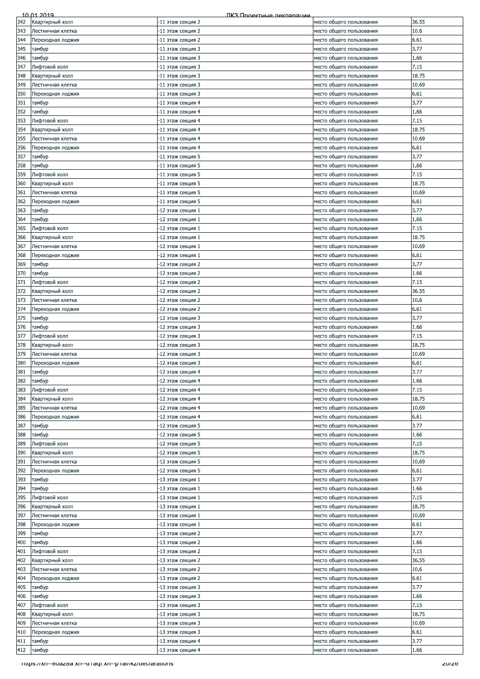| 342 | Квартирный холл                                         | -11 этаж секция 2 | место общего пользования | 36.55 |
|-----|---------------------------------------------------------|-------------------|--------------------------|-------|
| 343 | Лестничная клетка                                       | -11 этаж секция 2 | место общего пользования | 10.6  |
|     |                                                         |                   |                          | 6.61  |
| 344 | Переходная лоджия                                       | -11 этаж секция 2 | место общего пользования |       |
| 345 | тамбур                                                  | -11 этаж секция 3 | место общего пользования | 3.77  |
| 346 | тамбур                                                  | -11 этаж секция 3 | место общего пользования | 1.66  |
| 347 | Лифтовой холл                                           | -11 этаж секция 3 | место общего пользования | 7.15  |
| 348 | Квартирный холл                                         | -11 этаж секция 3 | место общего пользования | 18.75 |
|     |                                                         |                   |                          |       |
| 349 | Лестничная клетка                                       | -11 этаж секция 3 | место общего пользования | 10.69 |
| 350 | Переходная лоджия                                       | -11 этаж секция 3 | место общего пользования | 6.61  |
| 351 | тамбур                                                  | -11 этаж секция 4 | место общего пользования | 3.77  |
| 352 | тамбур                                                  | -11 этаж секция 4 | место общего пользования | 1.66  |
| 353 | Лифтовой холл                                           | -11 этаж секция 4 | место общего пользования | 7.15  |
|     |                                                         |                   |                          |       |
| 354 | Квартирный холл                                         | -11 этаж секция 4 | место общего пользования | 18.75 |
| 355 | Лестничная клетка                                       | -11 этаж секция 4 | место общего пользования | 10.69 |
| 356 | Переходная лоджия                                       | -11 этаж секция 4 | место общего пользования | 6.61  |
| 357 | тамбур                                                  | -11 этаж секция 5 | место общего пользования | 3.77  |
| 358 | тамбур                                                  | -11 этаж секция 5 | место общего пользования | 1.66  |
|     |                                                         |                   |                          |       |
| 359 | Лифтовой холл                                           | -11 этаж секция 5 | место общего пользования | 7.15  |
| 360 | Квартирный холл                                         | 11 этаж секция 5  | место общего пользования | 18.75 |
| 361 | Лестничная клетка                                       | -11 этаж секция 5 | место общего пользования | 10.69 |
| 362 | Переходная лоджия                                       | -11 этаж секция 5 | место общего пользования | 6.61  |
| 363 | тамбур                                                  | -12 этаж секция 1 | место общего пользования | 3.77  |
|     |                                                         |                   |                          |       |
| 364 | тамбур                                                  | -12 этаж секция 1 | место общего пользования | 1.66  |
| 365 | Лифтовой холл                                           | -12 этаж секция 1 | место общего пользования | 7.15  |
| 366 | Квартирный холл                                         | -12 этаж секция 1 | место общего пользования | 18.75 |
| 367 | Лестничная клетка                                       | -12 этаж секция 1 | место общего пользования | 10.69 |
| 368 | Переходная лоджия                                       | 12 этаж секция 1  | место общего пользования | 6.61  |
|     |                                                         |                   |                          |       |
| 369 | тамбур                                                  | -12 этаж секция 2 | место общего пользования | 3.77  |
| 370 | тамбур                                                  | -12 этаж секция 2 | место общего пользования | 1.66  |
| 371 | Лифтовой холл                                           | -12 этаж секция 2 | место общего пользования | 7.15  |
| 372 | Квартирный холл                                         | -12 этаж секция 2 | место общего пользования | 36.55 |
| 373 | Лестничная клетка                                       | -12 этаж секция 2 | место общего пользования | 10.6  |
|     |                                                         |                   |                          |       |
| 374 | Переходная лоджия                                       | -12 этаж секция 2 | место общего пользования | 6.61  |
| 375 | тамбур                                                  | 12 этаж секция 3  | место общего пользования | 3.77  |
| 376 | тамбур                                                  | -12 этаж секция 3 | место общего пользования | 1.66  |
| 377 | Лифтовой холл                                           | -12 этаж секция 3 | место общего пользования | 7.15  |
| 378 | Квартирный холл                                         | -12 этаж секция 3 | место общего пользования | 18.75 |
|     |                                                         |                   |                          |       |
| 379 | Лестничная клетка                                       | -12 этаж секция 3 | место общего пользования | 10.69 |
| 380 | Переходная лоджия                                       | -12 этаж секция 3 | место общего пользования | 6.61  |
| 381 | тамбур                                                  | -12 этаж секция 4 | место общего пользования | 3.77  |
| 382 | тамбур                                                  | -12 этаж секция 4 | место общего пользования | 1.66  |
| 383 | Лифтовой холл                                           | -12 этаж секция 4 | место общего пользования | 7.15  |
|     |                                                         |                   |                          |       |
| 384 | Квартирный холл                                         | -12 этаж секция 4 | место общего пользования | 18.75 |
| 385 | Лестничная клетка                                       | -12 этаж секция 4 | место общего пользования | 10.69 |
| 386 | Переходная лоджия                                       | 12 этаж секция 4  | место общего пользования | 6.61  |
| 387 | тамбур                                                  | -12 этаж секция 5 | место общего пользования | 3.77  |
| 388 | тамбур                                                  | -12 этаж секция 5 | место общего пользования | 1.66  |
|     |                                                         |                   |                          |       |
| 389 | Лифтовой холл                                           | -12 этаж секция 5 | место общего пользования | 7.15  |
| 390 | Квартирный холл                                         | -12 этаж секция 5 | место общего пользования | 18.75 |
| 391 | Лестничная клетка                                       | -12 этаж секция 5 | место общего пользования | 10.69 |
| 392 | Переходная лоджия                                       | -12 этаж секция 5 | место общего пользования | 6.61  |
| 393 | тамбур                                                  | -13 этаж секция 1 | место общего пользования | 3.77  |
| 394 | тамбур                                                  | -13 этаж секция 1 |                          | 1.66  |
|     |                                                         |                   | место общего пользования |       |
| 395 | Лифтовой холл                                           | -13 этаж секция 1 | место общего пользования | 7.15  |
| 396 | Квартирный холл                                         | -13 этаж секция 1 | место общего пользования | 18.75 |
| 397 | Лестничная клетка                                       | -13 этаж секция 1 | место общего пользования | 10.69 |
| 398 | Переходная лоджия                                       | -13 этаж секция 1 | место общего пользования | 6.61  |
| 399 | тамбур                                                  | -13 этаж секция 2 | место общего пользования | 3.77  |
| 400 | тамбур                                                  | -13 этаж секция 2 | место общего пользования | 1.66  |
|     |                                                         |                   |                          |       |
| 401 | Лифтовой холл                                           | -13 этаж секция 2 | место общего пользования | 7.15  |
| 402 | Квартирный холл                                         | -13 этаж секция 2 | место общего пользования | 36.55 |
| 403 | Лестничная клетка                                       | -13 этаж секция 2 | место общего пользования | 10.6  |
| 404 | Переходная лоджия                                       | -13 этаж секция 2 | место общего пользования | 6.61  |
| 405 | тамбур                                                  | -13 этаж секция 3 | место общего пользования | 3.77  |
|     |                                                         |                   |                          |       |
| 406 | тамбур                                                  | -13 этаж секция 3 | место общего пользования | 1.66  |
| 407 | Лифтовой холл                                           | -13 этаж секция 3 | место общего пользования | 7.15  |
| 408 | Квартирный холл                                         | -13 этаж секция 3 | место общего пользования | 18.75 |
| 409 | Лестничная клетка                                       | -13 этаж секция 3 | место общего пользования | 10.69 |
| 410 | Переходная лоджия                                       | -13 этаж секция 3 | место общего пользования | 6.61  |
|     |                                                         |                   |                          |       |
| 411 | тамбур                                                  | -13 этаж секция 4 | место общего пользования | 3.77  |
| 412 | тамбур                                                  | 13 этаж секция 4  | место общего пользования | 1.66  |
|     | mups://xn--ovazoa.xn--u raqi.xn--p rai/ikz/deciarations |                   |                          | ZU/ZO |
|     |                                                         |                   |                          |       |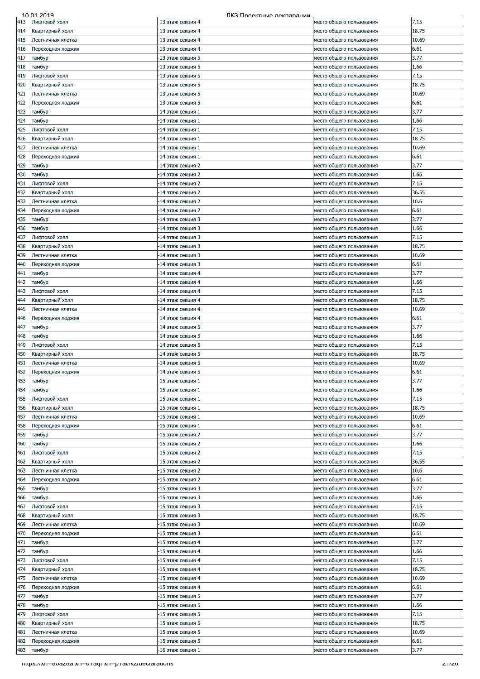|     | 10 01 2019                                                | ПКЗ: Проектные лекпарации |                          |        |
|-----|-----------------------------------------------------------|---------------------------|--------------------------|--------|
| 413 | Лифтовой холл                                             | -13 этаж секция 4         | место общего пользования | 7.15   |
| 414 | Квартирный холл                                           | -13 этаж секция 4         | место общего пользования | 18.75  |
| 415 | Лестничная клетка                                         | -13 этаж секция 4         | место общего пользования | 10.69  |
| 416 | Переходная лоджия                                         | -13 этаж секция 4         | место общего пользования | 6.61   |
|     |                                                           |                           |                          |        |
| 417 | тамбур                                                    | -13 этаж секция 5         | место общего пользования | 3.77   |
| 418 | тамбур                                                    | -13 этаж секция 5         | место общего пользования | 1.66   |
| 419 | Лифтовой холл                                             | -13 этаж секция 5         | место общего пользования | 7.15   |
| 420 | Квартирный холл                                           | -13 этаж секция 5         | место общего пользования | 18.75  |
| 421 | Лестничная клетка                                         | -13 этаж секция 5         | место общего пользования | 10.69  |
| 422 | Переходная лоджия                                         | -13 этаж секция 5         | место общего пользования | 6.61   |
| 423 | тамбур                                                    | -14 этаж секция 1         | место общего пользования | 3.77   |
| 424 | тамбур                                                    | -14 этаж секция 1         | место общего пользования | 1.66   |
|     |                                                           |                           |                          |        |
| 425 | Лифтовой холл                                             | -14 этаж секция 1         | место общего пользования | 7.15   |
| 426 | Квартирный холл                                           | -14 этаж секция 1         | место общего пользования | 18.75  |
| 427 | Лестничная клетка                                         | -14 этаж секция 1         | место общего пользования | 10.69  |
| 428 | Переходная лоджия                                         | -14 этаж секция 1         | место общего пользования | 6.61   |
| 429 | тамбур                                                    | -14 этаж секция 2         | место общего пользования | 3.77   |
| 430 | тамбур                                                    | -14 этаж секция 2         | место общего пользования | 1.66   |
| 431 | Лифтовой холл                                             | 14 этаж секция 2          | место общего пользования | 7.15   |
| 432 | Квартирный холл                                           | -14 этаж секция 2         | место общего пользования | 36.55  |
|     |                                                           |                           |                          |        |
| 433 | Лестничная клетка                                         | -14 этаж секция 2         | место общего пользования | 10.6   |
| 434 | Переходная лоджия                                         | 14 этаж секция 2          | место общего пользования | 6.61   |
| 435 | тамбур                                                    | -14 этаж секция 3         | место общего пользования | 3.77   |
| 436 | тамбур                                                    | -14 этаж секция 3         | место общего пользования | 1.66   |
| 437 | Лифтовой холл                                             | -14 этаж секция 3         | место общего пользования | 7.15   |
| 438 | Квартирный холл                                           | -14 этаж секция 3         | место общего пользования | 18.75  |
| 439 | Лестничная клетка                                         | 14 этаж секция 3          | место общего пользования | 10.69  |
|     |                                                           | -14 этаж секция 3         |                          | 6.61   |
| 440 | Переходная лоджия                                         |                           | место общего пользования |        |
| 441 | тамбур                                                    | -14 этаж секция 4         | место общего пользования | 3.77   |
| 442 | тамбур                                                    | -14 этаж секция 4         | место общего пользования | 1.66   |
| 443 | Лифтовой холл                                             | -14 этаж секция 4         | место общего пользования | 7.15   |
| 444 | Квартирный холл                                           | -14 этаж секция 4         | место общего пользования | 18.75  |
| 445 | Лестничная клетка                                         | -14 этаж секция 4         | место общего пользования | 10.69  |
| 446 | Переходная лоджия                                         | 14 этаж секция 4          | место общего пользования | 6.61   |
| 447 | тамбур                                                    | -14 этаж секция 5         | место общего пользования | 3.77   |
| 448 | тамбур                                                    | -14 этаж секция 5         | место общего пользования | 1.66   |
|     |                                                           |                           |                          |        |
| 449 | Лифтовой холл                                             | -14 этаж секция 5         | место общего пользования | 7.15   |
| 450 | Квартирный холл                                           | -14 этаж секция 5         | место общего пользования | 18.75  |
| 451 | Лестничная клетка                                         | -14 этаж секция 5         | место общего пользования | 10.69  |
| 452 | Переходная лоджия                                         | -14 этаж секция 5         | место общего пользования | 6.61   |
| 453 | тамбур                                                    | -15 этаж секция 1         | место общего пользования | 3.77   |
| 454 | тамбур                                                    | -15 этаж секция 1         | место общего пользования | 1.66   |
| 455 | Лифтовой холл                                             | 15 этаж секция 1          | место общего пользования | 7.15   |
| 456 | Квартирный холл                                           | -15 этаж секция 1         | место общего пользования | 18.75  |
| 457 | Лестничная клетка                                         | -15 этаж секция 1         | место общего пользования | 10.69  |
|     |                                                           |                           |                          |        |
| 458 | Переходная лоджия                                         | -15 этаж секция 1         | место общего пользования | 6.61   |
| 459 | тамбур                                                    | -15 этаж секция 2         | место общего пользования | 3.77   |
| 460 | тамбур                                                    | -15 этаж секция 2         | место общего пользования | 1.66   |
| 461 | Лифтовой холл                                             | -15 этаж секция 2         | место общего пользования | 7.15   |
| 462 | Квартирный холл                                           | -15 этаж секция 2         | место общего пользования | 36.55  |
| 463 | Лестничная клетка                                         | -15 этаж секция 2         | место общего пользования | 10.6   |
| 464 | Переходная лоджия                                         | -15 этаж секция 2         | место общего пользования | 6.61   |
| 465 | тамбур                                                    | -15 этаж секция 3         | место общего пользования | 3.77   |
|     |                                                           | -15 этаж секция 3         |                          | 1.66   |
| 466 | тамбур                                                    |                           | место общего пользования |        |
| 467 | Лифтовой холл                                             | -15 этаж секция 3         | место общего пользования | 7.15   |
| 468 | Квартирный холл                                           | -15 этаж секция 3         | место общего пользования | 18.75  |
| 469 | Лестничная клетка                                         | -15 этаж секция 3         | место общего пользования | 10.69  |
| 470 | Переходная лоджия                                         | 15 этаж секция 3          | место общего пользования | 6.61   |
| 471 | тамбур                                                    | -15 этаж секция 4         | место общего пользования | 3.77   |
| 472 | тамбур                                                    | -15 этаж секция 4         | место общего пользования | 1.66   |
| 473 | Лифтовой холл                                             | -15 этаж секция 4         | место общего пользования | 7.15   |
| 474 | Квартирный холл                                           | -15 этаж секция 4         | место общего пользования | 18.75  |
| 475 | Лестничная клетка                                         | -15 этаж секция 4         | место общего пользования | 10.69  |
|     |                                                           |                           |                          |        |
| 476 | Переходная лоджия                                         | -15 этаж секция 4         | место общего пользования | 6.61   |
| 477 | тамбур                                                    | -15 этаж секция 5         | место общего пользования | 3.77   |
| 478 | тамбур                                                    | -15 этаж секция 5         | место общего пользования | 1.66   |
| 479 | Лифтовой холл                                             | -15 этаж секция 5         | место общего пользования | 7.15   |
| 480 | Квартирный холл                                           | -15 этаж секция 5         | место общего пользования | 18.75  |
| 481 | Лестничная клетка                                         | -15 этаж секция 5         | место общего пользования | 10.69  |
| 482 | Переходная лоджия                                         | 15 этаж секция 5          | место общего пользования | 6.61   |
| 483 | тамбур                                                    | -16 этаж секция 1         | место общего пользования | 3.77   |
|     |                                                           |                           |                          |        |
|     | - https://xn--ouazoa.xn--diaqi.xn--pilal/ikz/declarations |                           |                          | Z 1/20 |
|     |                                                           |                           |                          |        |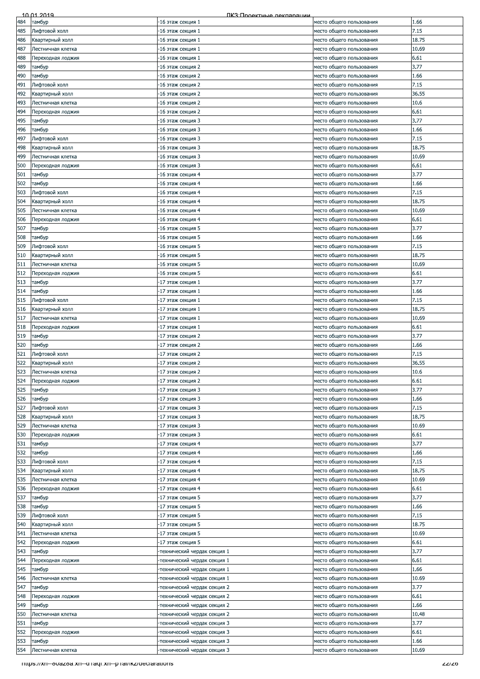| 484<br>485<br>486<br>487<br>488<br>489<br>490<br>491<br>492<br>493<br>494<br>495 | тамбур<br>Лифтовой холл<br>Квартирный холл<br>Лестничная клетка<br>Переходная лоджия<br>тамбур<br>тамбур<br>Лифтовой холл | -16 этаж секция 1<br>-16 этаж секция 1<br>-16 этаж секция 1<br>-16 этаж секция 1<br>-16 этаж секция 1<br>16 этаж секция 2 | место общего пользования<br>место общего пользования<br>место общего пользования<br>место общего пользования<br>место общего пользования | 1.66<br>7.15<br>18.75<br>10.69 |
|----------------------------------------------------------------------------------|---------------------------------------------------------------------------------------------------------------------------|---------------------------------------------------------------------------------------------------------------------------|------------------------------------------------------------------------------------------------------------------------------------------|--------------------------------|
|                                                                                  |                                                                                                                           |                                                                                                                           |                                                                                                                                          |                                |
|                                                                                  |                                                                                                                           |                                                                                                                           |                                                                                                                                          |                                |
|                                                                                  |                                                                                                                           |                                                                                                                           |                                                                                                                                          |                                |
|                                                                                  |                                                                                                                           |                                                                                                                           |                                                                                                                                          |                                |
|                                                                                  |                                                                                                                           |                                                                                                                           |                                                                                                                                          | 6.61                           |
|                                                                                  |                                                                                                                           |                                                                                                                           |                                                                                                                                          | 3.77                           |
|                                                                                  |                                                                                                                           |                                                                                                                           | место общего пользования                                                                                                                 |                                |
|                                                                                  |                                                                                                                           | -16 этаж секция 2                                                                                                         | место общего пользования                                                                                                                 | 1.66                           |
|                                                                                  |                                                                                                                           | -16 этаж секция 2                                                                                                         | место общего пользования                                                                                                                 | 7.15                           |
|                                                                                  | Квартирный холл                                                                                                           | 16 этаж секция 2                                                                                                          | место общего пользования                                                                                                                 | 36.55                          |
|                                                                                  | Лестничная клетка                                                                                                         | 16 этаж секция 2                                                                                                          | место общего пользования                                                                                                                 | 10.6                           |
|                                                                                  | Переходная лоджия                                                                                                         | -16 этаж секция 2                                                                                                         | место общего пользования                                                                                                                 | 6.61                           |
|                                                                                  | тамбур                                                                                                                    | -16 этаж секция 3                                                                                                         | место общего пользования                                                                                                                 | 3.77                           |
| 496                                                                              | тамбур                                                                                                                    | -16 этаж секция 3                                                                                                         | место общего пользования                                                                                                                 | 1.66                           |
| 497                                                                              | Лифтовой холл                                                                                                             | -16 этаж секция 3                                                                                                         | место общего пользования                                                                                                                 | 7.15                           |
| 498                                                                              | Квартирный холл                                                                                                           | -16 этаж секция 3                                                                                                         | место общего пользования                                                                                                                 | 18.75                          |
| 499                                                                              | Лестничная клетка                                                                                                         | 16 этаж секция 3                                                                                                          | место общего пользования                                                                                                                 | 10.69                          |
| 500                                                                              | Переходная лоджия                                                                                                         | -16 этаж секция 3                                                                                                         | место общего пользования                                                                                                                 | 6.61                           |
| 501                                                                              | тамбур                                                                                                                    | -16 этаж секция 4                                                                                                         | место общего пользования                                                                                                                 | 3.77                           |
| 502                                                                              | тамбур                                                                                                                    | -16 этаж секция 4                                                                                                         | место общего пользования                                                                                                                 | 1.66                           |
| 503                                                                              | Лифтовой холл                                                                                                             | 16 этаж секция 4                                                                                                          | место общего пользования                                                                                                                 | 7.15                           |
| 504                                                                              | Квартирный холл                                                                                                           | -16 этаж секция 4                                                                                                         | место общего пользования                                                                                                                 | 18.75                          |
|                                                                                  |                                                                                                                           |                                                                                                                           |                                                                                                                                          | 10.69                          |
| 505                                                                              | Лестничная клетка                                                                                                         | 16 этаж секция 4                                                                                                          | место общего пользования                                                                                                                 |                                |
| 506                                                                              | Переходная лоджия                                                                                                         | -16 этаж секция 4                                                                                                         | место общего пользования                                                                                                                 | 6.61                           |
| 507                                                                              | тамбур                                                                                                                    | -16 этаж секция 5                                                                                                         | место общего пользования                                                                                                                 | 3.77                           |
| 508                                                                              | тамбур                                                                                                                    | -16 этаж секция 5                                                                                                         | место общего пользования                                                                                                                 | 1.66                           |
| 509                                                                              | Лифтовой холл                                                                                                             | -16 этаж секция 5                                                                                                         | место общего пользования                                                                                                                 | 7.15                           |
| 510                                                                              | Квартирный холл                                                                                                           | 16 этаж секция 5                                                                                                          | место общего пользования                                                                                                                 | 18.75                          |
| 511                                                                              | Лестничная клетка                                                                                                         | -16 этаж секция 5                                                                                                         | место общего пользования                                                                                                                 | 10.69                          |
| 512                                                                              | Переходная лоджия                                                                                                         | -16 этаж секция 5                                                                                                         | место общего пользования                                                                                                                 | 6.61                           |
| 513                                                                              | тамбур                                                                                                                    | -17 этаж секция 1                                                                                                         | место общего пользования                                                                                                                 | 3.77                           |
| 514                                                                              | тамбур                                                                                                                    | -17 этаж секция 1                                                                                                         | место общего пользования                                                                                                                 | 1.66                           |
| 515                                                                              | Лифтовой холл                                                                                                             | -17 этаж секция 1                                                                                                         | место общего пользования                                                                                                                 | 7.15                           |
| 516                                                                              | Квартирный холл                                                                                                           | -17 этаж секция 1                                                                                                         | место общего пользования                                                                                                                 | 18.75                          |
| 517                                                                              | Лестничная клетка                                                                                                         | 17 этаж секция 1                                                                                                          | место общего пользования                                                                                                                 | 10.69                          |
| 518                                                                              | Переходная лоджия                                                                                                         | -17 этаж секция 1                                                                                                         | место общего пользования                                                                                                                 | 6.61                           |
| 519                                                                              | тамбур                                                                                                                    | 17 этаж секция 2                                                                                                          | место общего пользования                                                                                                                 | 3.77                           |
| 520                                                                              | тамбур                                                                                                                    | -17 этаж секция 2                                                                                                         | место общего пользования                                                                                                                 | 1.66                           |
|                                                                                  |                                                                                                                           |                                                                                                                           |                                                                                                                                          |                                |
| 521                                                                              | Лифтовой холл                                                                                                             | -17 этаж секция 2                                                                                                         | место общего пользования                                                                                                                 | 7.15                           |
| 522                                                                              | Квартирный холл                                                                                                           | -17 этаж секция 2                                                                                                         | место общего пользования                                                                                                                 | 36.55                          |
| 523                                                                              | Лестничная клетка                                                                                                         | -17 этаж секция 2                                                                                                         | место общего пользования                                                                                                                 | 10.6                           |
| 524                                                                              | Переходная лоджия                                                                                                         | -17 этаж секция 2                                                                                                         | место общего пользования                                                                                                                 | 6.61                           |
| 525                                                                              | тамбур                                                                                                                    | -17 этаж секция 3                                                                                                         | место общего пользования                                                                                                                 | 3.77                           |
| 526                                                                              | тамбур                                                                                                                    | 17 этаж секция 3                                                                                                          | место общего пользования                                                                                                                 | 1.66                           |
| 527                                                                              | Лифтовой холл                                                                                                             | 17 этаж секция 3                                                                                                          | место общего пользования                                                                                                                 | 7.15                           |
| 528                                                                              | Квартирный холл                                                                                                           | -17 этаж секция 3                                                                                                         | место общего пользования                                                                                                                 | 18.75                          |
| 529                                                                              | Лестничная клетка                                                                                                         | 17 этаж секция 3                                                                                                          | место общего пользования                                                                                                                 | 10.69                          |
| 530                                                                              | Переходная лоджия                                                                                                         | 17 этаж секция 3                                                                                                          | место общего пользования                                                                                                                 | 6.61                           |
| 531                                                                              | тамбур                                                                                                                    | -17 этаж секция 4                                                                                                         | место общего пользования                                                                                                                 | 3.77                           |
| 532                                                                              | тамбур                                                                                                                    | -17 этаж секция 4                                                                                                         | место общего пользования                                                                                                                 | 1.66                           |
| 533                                                                              | Лифтовой холл                                                                                                             | 17 этаж секция 4                                                                                                          | место общего пользования                                                                                                                 | 7.15                           |
| 534                                                                              | Квартирный холл                                                                                                           | -17 этаж секция 4                                                                                                         | место общего пользования                                                                                                                 | 18.75                          |
|                                                                                  |                                                                                                                           |                                                                                                                           |                                                                                                                                          |                                |
| 535                                                                              | Лестничная клетка                                                                                                         | -17 этаж секция 4                                                                                                         | место общего пользования                                                                                                                 | 10.69                          |
| 536                                                                              | Переходная лоджия                                                                                                         | -17 этаж секция 4                                                                                                         | место общего пользования                                                                                                                 | 6.61                           |
| 537                                                                              | тамбур                                                                                                                    | -17 этаж секция 5                                                                                                         | место общего пользования                                                                                                                 | 3.77                           |
| 538                                                                              | тамбур                                                                                                                    | -17 этаж секция 5                                                                                                         | место общего пользования                                                                                                                 | 1.66                           |
| 539                                                                              | Лифтовой холл                                                                                                             | -17 этаж секция 5                                                                                                         | место общего пользования                                                                                                                 | 7.15                           |
| 540                                                                              | Квартирный холл                                                                                                           | -17 этаж секция 5                                                                                                         | место общего пользования                                                                                                                 | 18.75                          |
| 541                                                                              | Лестничная клетка                                                                                                         | 17 этаж секция 5                                                                                                          | место общего пользования                                                                                                                 | 10.69                          |
| 542                                                                              | Переходная лоджия                                                                                                         | -17 этаж секция 5                                                                                                         | место общего пользования                                                                                                                 | 6.61                           |
| 543                                                                              | тамбур                                                                                                                    | технический чердак секция 1-                                                                                              | место общего пользования                                                                                                                 | 3.77                           |
| 544                                                                              | Переходная лоджия                                                                                                         | технический чердак секция 1-                                                                                              | место общего пользования                                                                                                                 | 6.61                           |
| 545                                                                              | тамбур                                                                                                                    | технический чердак секция 1-                                                                                              | место общего пользования                                                                                                                 | 1.66                           |
| 546                                                                              | Лестничная клетка                                                                                                         | технический чердак секция 1-                                                                                              | место общего пользования                                                                                                                 | 10.69                          |
| 547                                                                              | тамбур                                                                                                                    | технический чердак секция 2                                                                                               | место общего пользования                                                                                                                 | 3.77                           |
| 548                                                                              | Переходная лоджия                                                                                                         | технический чердак секция 2                                                                                               | место общего пользования                                                                                                                 | 6.61                           |
| 549                                                                              | тамбур                                                                                                                    | -технический чердак секция 2                                                                                              | место общего пользования                                                                                                                 | 1.66                           |
| 550                                                                              | Лестничная клетка                                                                                                         | технический чердак секция 2                                                                                               | место общего пользования                                                                                                                 | 10.48                          |
| 551                                                                              | тамбур                                                                                                                    | технический чердак секция 3-                                                                                              | место общего пользования                                                                                                                 | 3.77                           |
| 552                                                                              | Переходная лоджия                                                                                                         | технический чердак секция 3-                                                                                              | место общего пользования                                                                                                                 | 6.61                           |
| 553                                                                              | тамбур                                                                                                                    | технический чердак секция 3                                                                                               | место общего пользования                                                                                                                 | 1.66                           |
| 554                                                                              | Лестничная клетка                                                                                                         | технический чердак секция 3                                                                                               | место общего пользования                                                                                                                 | 10.69                          |
|                                                                                  |                                                                                                                           |                                                                                                                           |                                                                                                                                          |                                |
|                                                                                  | - https://xn--ouazoa.xn--u-raqi.xn--p-rai/ikz/declarations                                                                |                                                                                                                           |                                                                                                                                          | ZZI ZO                         |
|                                                                                  |                                                                                                                           |                                                                                                                           |                                                                                                                                          |                                |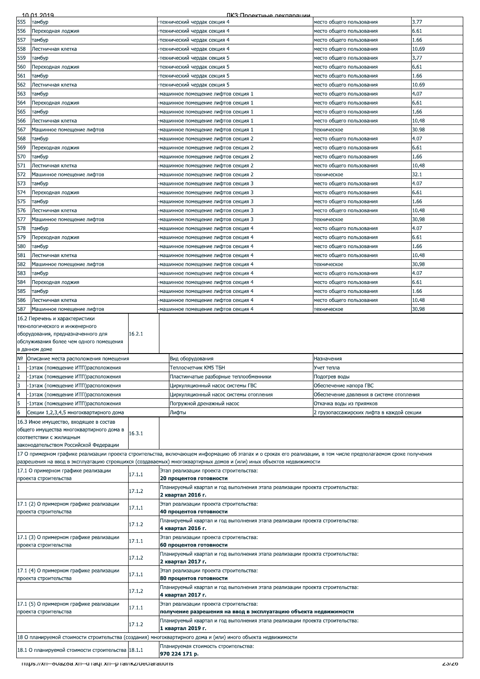|                | 10 01 2019                                                                                                                                                         |        | ПКЗ: Проектные лекляряции                                                                                                                                      |                                           |              |
|----------------|--------------------------------------------------------------------------------------------------------------------------------------------------------------------|--------|----------------------------------------------------------------------------------------------------------------------------------------------------------------|-------------------------------------------|--------------|
| 555            | тамбур                                                                                                                                                             |        | технический чердак секция 4-                                                                                                                                   | место общего пользования                  | 3.77         |
| 556            | Переходная лоджия                                                                                                                                                  |        | технический чердак секция 4-                                                                                                                                   | место общего пользования                  | 6.61         |
| 557            | тамбур                                                                                                                                                             |        | технический чердак секция 4                                                                                                                                    | место общего пользования                  | 1.66         |
| 558            | Лестничная клетка                                                                                                                                                  |        | технический чердак секция 4-                                                                                                                                   | место общего пользования                  | 10.69        |
| 559            | тамбур                                                                                                                                                             |        | технический чердак секция 5-                                                                                                                                   | место общего пользования                  | 3.77         |
| 560            | Переходная лоджия                                                                                                                                                  |        | -технический чердак секция 5                                                                                                                                   | место общего пользования                  | 6.61         |
| 561            | тамбур                                                                                                                                                             |        | -технический чердак секция 5                                                                                                                                   | место общего пользования                  | 1.66         |
| 562            | Лестничная клетка                                                                                                                                                  |        | технический чердак секция 5-                                                                                                                                   | место общего пользования                  | 10.69        |
| 563            | тамбур                                                                                                                                                             |        | -машинное помещение лифтов секция 1                                                                                                                            | место общего пользования                  | 4.07         |
| 564            | Тереходная лоджия                                                                                                                                                  |        | -машинное помещение лифтов секция 1                                                                                                                            | место общего пользования                  | 6.61         |
| 565            | тамбур                                                                                                                                                             |        | машинное помещение лифтов секция 1                                                                                                                             | место общего пользования                  | 1.66         |
| 566            | Лестничная клетка                                                                                                                                                  |        | машинное помещение лифтов секция 1                                                                                                                             | место общего пользования                  | 10.48        |
| 567            | Машинное помещение лифтов                                                                                                                                          |        | -машинное помещение лифтов секция 1                                                                                                                            | техническое                               | 30.98        |
| 568            | тамбур                                                                                                                                                             |        | -машинное помещение лифтов секция 2                                                                                                                            | место общего пользования                  | 4.07         |
| 569            | Переходная лоджия                                                                                                                                                  |        | -машинное помещение лифтов секция 2                                                                                                                            | место общего пользования                  | 6.61         |
| 570            | тамбур                                                                                                                                                             |        | -машинное помещение лифтов секция 2                                                                                                                            | место общего пользования                  | 1.66         |
| 571            | Лестничная клетка                                                                                                                                                  |        | -машинное помещение лифтов секция 2                                                                                                                            | место общего пользования                  | 10.48        |
| 572            | Машинное помещение лифтов                                                                                                                                          |        | -машинное помещение лифтов секция 2                                                                                                                            | техническое                               | 32.1         |
| 573            | тамбур                                                                                                                                                             |        | машинное помещение лифтов секция 3                                                                                                                             | место общего пользования                  | 4.07         |
| 574            | Переходная лоджия                                                                                                                                                  |        | -машинное помещение лифтов секция 3                                                                                                                            | место общего пользования                  | 6.61         |
| 575            | тамбур                                                                                                                                                             |        | -машинное помещение лифтов секция 3                                                                                                                            | место общего пользования                  | 1.66         |
| 576            | Лестничная клетка                                                                                                                                                  |        | -машинное помещение лифтов секция 3                                                                                                                            | место общего пользования                  | 10.48        |
| 577            | Машинное помещение лифтов                                                                                                                                          |        | -машинное помещение лифтов секция 3                                                                                                                            | техническое                               | 30.98        |
| 578            | тамбур                                                                                                                                                             |        | -машинное помещение лифтов секция 4                                                                                                                            | место общего пользования                  | 4.07         |
| 579            | Переходная лоджия                                                                                                                                                  |        | машинное помещение лифтов секция 4                                                                                                                             | место общего пользования                  | 6.61         |
| 580            | тамбур                                                                                                                                                             |        | -машинное помещение лифтов секция 4                                                                                                                            | место общего пользования                  | 1.66         |
| 581            | Лестничная клетка                                                                                                                                                  |        | -машинное помещение лифтов секция 4                                                                                                                            | место общего пользования                  | 10.48        |
| 582            | Машинное помещение лифтов                                                                                                                                          |        | -машинное помещение лифтов секция 4                                                                                                                            | техническое                               | 30.98        |
| 583            | тамбур                                                                                                                                                             |        | -машинное помещение лифтов секция 4                                                                                                                            | место общего пользования                  | 4.07         |
| 584            | Переходная лоджия                                                                                                                                                  |        | -машинное помещение лифтов секция 4                                                                                                                            | место общего пользования                  | 6.61         |
| 585            | тамбур                                                                                                                                                             |        | -машинное помещение лифтов секция 4                                                                                                                            | место общего пользования                  | 1.66         |
| 586            | Лестничная клетка                                                                                                                                                  |        | -машинное помещение лифтов секция 4                                                                                                                            | место общего пользования                  | 10.48        |
| 587            | Машинное помещение лифтов                                                                                                                                          |        | -машинное помещение лифтов секция 4                                                                                                                            | техническое                               | 30.98        |
|                | 16.2 Перечень и характеристики<br>технологического и инженерного<br>оборудования, предназначенного для<br>обслуживания более чем одного помещения<br>в данном доме | 16.2.1 |                                                                                                                                                                |                                           |              |
| Νō             | Описание места расположения помещения                                                                                                                              |        | Вид оборудования                                                                                                                                               | Назначения                                |              |
|                | -1этаж (помещение ИТП)расположения                                                                                                                                 |        | Теплосчетчик КМ5 ТБН                                                                                                                                           | Учет тепла                                |              |
|                |                                                                                                                                                                    |        |                                                                                                                                                                |                                           |              |
| 2              | -1этаж (помещение ИТП)расположения                                                                                                                                 |        | Пластинчатые разборные теплообменники                                                                                                                          | Подогрев воды                             |              |
| 3              | -1этаж (помещение ИТП)расположения                                                                                                                                 |        | Циркуляционный насос системы ГВС                                                                                                                               | Обеспечение напора ГВС                    |              |
| $\overline{a}$ | -1этаж (помещение ИТП)расположения                                                                                                                                 |        | Циркуляционный насос системы отопления                                                                                                                         | Обеспечение давления в системе отопления  |              |
| 5              | -1этаж (помещение ИТП)расположения                                                                                                                                 |        | Погружной дренажный насос                                                                                                                                      | Откачка воды из приямков                  |              |
| 6              | Секции 1,2,3,4,5 многоквартирного дома                                                                                                                             |        | Лифты                                                                                                                                                          | 2 грузопассажирских лифта в каждой секции |              |
|                | 16.3 Иное имущество, входящее в состав<br>общего имущества многоквартирного дома в<br>соответствии с жилищным<br>законодательством Российской Федерации            | 16.3.1 |                                                                                                                                                                |                                           |              |
|                |                                                                                                                                                                    |        | 17 О примерном графике реализации проекта строительства, включающем информацию об этапах и о сроках его реализации, в том числе предполагаемом сроке получения |                                           |              |
|                |                                                                                                                                                                    |        | разрешения на ввод в эксплуатацию строящихся (создаваемых) многоквартирных домов и (или) иных объектов недвижимости                                            |                                           |              |
|                | 17.1 О примерном графике реализации<br>проекта строительства                                                                                                       | 17.1.1 | Этап реализации проекта строительства:<br>20 процентов готовности                                                                                              |                                           |              |
|                |                                                                                                                                                                    |        | Планируемый квартал и год выполнения этапа реализации проекта строительства:                                                                                   |                                           |              |
|                |                                                                                                                                                                    | 17.1.2 | 2 квартал 2016 г.                                                                                                                                              |                                           |              |
|                | 17.1 (2) О примерном графике реализации                                                                                                                            | 17.1.1 | Этап реализации проекта строительства:                                                                                                                         |                                           |              |
|                | проекта строительства                                                                                                                                              |        | 40 процентов готовности                                                                                                                                        |                                           |              |
|                |                                                                                                                                                                    | 17.1.2 | Планируемый квартал и год выполнения этапа реализации проекта строительства:                                                                                   |                                           |              |
|                | 17.1 (3) О примерном графике реализации                                                                                                                            |        | 4 квартал 2016 г.<br>Этап реализации проекта строительства:                                                                                                    |                                           |              |
|                | проекта строительства                                                                                                                                              | 17.1.1 | 60 процентов готовности                                                                                                                                        |                                           |              |
|                |                                                                                                                                                                    | 17.1.2 | Планируемый квартал и год выполнения этапа реализации проекта строительства:<br>2 квартал 2017 г.                                                              |                                           |              |
|                | 17.1 (4) О примерном графике реализации                                                                                                                            | 17.1.1 | Этап реализации проекта строительства:                                                                                                                         |                                           |              |
|                | проекта строительства                                                                                                                                              |        | 80 процентов готовности<br>Планируемый квартал и год выполнения этапа реализации проекта строительства:                                                        |                                           |              |
|                | 17.1 (5) О примерном графике реализации                                                                                                                            | 17.1.2 | 4 квартал 2017 г.<br>Этап реализации проекта строительства:                                                                                                    |                                           |              |
|                | проекта строительства                                                                                                                                              | 17.1.1 | получение разрешения на ввод в эксплуатацию объекта недвижимости                                                                                               |                                           |              |
|                |                                                                                                                                                                    | 17.1.2 | Планируемый квартал и год выполнения этапа реализации проекта строительства:<br>1 квартал 2019 г.                                                              |                                           |              |
|                |                                                                                                                                                                    |        | 18 О планируемой стоимости строительства (создания) многоквартирного дома и (или) иного объекта недвижимости                                                   |                                           |              |
|                | 18.1 О планируемой стоимости строительства 18.1.1                                                                                                                  |        | Планируемая стоимость строительства:                                                                                                                           |                                           |              |
|                |                                                                                                                                                                    |        | 970 224 171 p.                                                                                                                                                 |                                           |              |
|                | Thttps://xn--ouazoa.xn--u ragi.xn--p rai/ikz/deciarations                                                                                                          |        |                                                                                                                                                                |                                           | <b>ZJIZ0</b> |
|                |                                                                                                                                                                    |        |                                                                                                                                                                |                                           |              |
|                |                                                                                                                                                                    |        |                                                                                                                                                                |                                           |              |
|                |                                                                                                                                                                    |        |                                                                                                                                                                |                                           |              |
|                |                                                                                                                                                                    |        |                                                                                                                                                                |                                           |              |
|                |                                                                                                                                                                    |        |                                                                                                                                                                |                                           |              |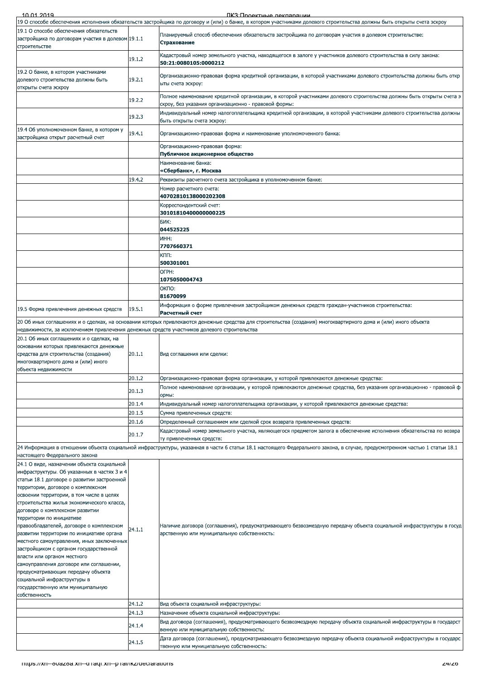| 10 01 2019                                                                                                                                                                                                                                                                                                                                                                                                                                                                                                                                                                                                                                                                                                                  |        | ПКЗ: Проектные лекляряции                                                                                                                                                                       |
|-----------------------------------------------------------------------------------------------------------------------------------------------------------------------------------------------------------------------------------------------------------------------------------------------------------------------------------------------------------------------------------------------------------------------------------------------------------------------------------------------------------------------------------------------------------------------------------------------------------------------------------------------------------------------------------------------------------------------------|--------|-------------------------------------------------------------------------------------------------------------------------------------------------------------------------------------------------|
| 19.1 О способе обеспечения обязательств                                                                                                                                                                                                                                                                                                                                                                                                                                                                                                                                                                                                                                                                                     |        | 19 О способе обеспечения исполнения обязательств застройщика по договору и (или) о банке, в котором участниками долевого строительства должны быть открыты счета эскроу                         |
| застройщика по договорам участия в долевом 19.1.1<br>строительстве                                                                                                                                                                                                                                                                                                                                                                                                                                                                                                                                                                                                                                                          |        | Планируемый способ обеспечения обязательств застройщика по договорам участия в долевом строительстве:<br>Страхование                                                                            |
|                                                                                                                                                                                                                                                                                                                                                                                                                                                                                                                                                                                                                                                                                                                             | 19.1.2 | Кадастровый номер земельного участка, находящегося в залоге у участников долевого строительства в силу закона:<br>50:21:0080105:0000212                                                         |
| 19.2 О банке, в котором участниками<br>долевого строительства должны быть<br>открыты счета эскроу                                                                                                                                                                                                                                                                                                                                                                                                                                                                                                                                                                                                                           | 19.2.1 | Организационно-правовая форма кредитной организации, в которой участниками долевого строительства должны быть откр<br>ыты счета эскроу:                                                         |
|                                                                                                                                                                                                                                                                                                                                                                                                                                                                                                                                                                                                                                                                                                                             | 19.2.2 | Полное наименование кредитной организации, в которой участниками долевого строительства должны быть открыты счета э<br>скроу, без указания организационно - правовой формы:                     |
|                                                                                                                                                                                                                                                                                                                                                                                                                                                                                                                                                                                                                                                                                                                             | 19.2.3 | Индивидуальный номер налогоплательщика кредитной организации, в которой участниками долевого строительства должны<br>быть открыты счета эскроу:                                                 |
| 19.4 Об уполномоченном банке, в котором у<br>застройщика открыт расчетный счет                                                                                                                                                                                                                                                                                                                                                                                                                                                                                                                                                                                                                                              | 19.4.1 | Организационно-правовая форма и наименование уполномоченного банка:                                                                                                                             |
|                                                                                                                                                                                                                                                                                                                                                                                                                                                                                                                                                                                                                                                                                                                             |        | Организационно-правовая форма:<br>Публичное акционерное общество                                                                                                                                |
|                                                                                                                                                                                                                                                                                                                                                                                                                                                                                                                                                                                                                                                                                                                             |        | Наименование банка:                                                                                                                                                                             |
|                                                                                                                                                                                                                                                                                                                                                                                                                                                                                                                                                                                                                                                                                                                             |        | «Сбербанк», г. Москва                                                                                                                                                                           |
|                                                                                                                                                                                                                                                                                                                                                                                                                                                                                                                                                                                                                                                                                                                             | 19.4.2 | Реквизиты расчетного счета застройщика в уполномоченном банке:                                                                                                                                  |
|                                                                                                                                                                                                                                                                                                                                                                                                                                                                                                                                                                                                                                                                                                                             |        | Номер расчетного счета:<br>40702810138000202308                                                                                                                                                 |
|                                                                                                                                                                                                                                                                                                                                                                                                                                                                                                                                                                                                                                                                                                                             |        | Корреспондентский счет:                                                                                                                                                                         |
|                                                                                                                                                                                                                                                                                                                                                                                                                                                                                                                                                                                                                                                                                                                             |        | 30101810400000000225<br>БИК:                                                                                                                                                                    |
|                                                                                                                                                                                                                                                                                                                                                                                                                                                                                                                                                                                                                                                                                                                             |        | 044525225                                                                                                                                                                                       |
|                                                                                                                                                                                                                                                                                                                                                                                                                                                                                                                                                                                                                                                                                                                             |        | ИНН:<br>7707660371                                                                                                                                                                              |
|                                                                                                                                                                                                                                                                                                                                                                                                                                                                                                                                                                                                                                                                                                                             |        | KПП:<br>500301001                                                                                                                                                                               |
|                                                                                                                                                                                                                                                                                                                                                                                                                                                                                                                                                                                                                                                                                                                             |        | OFPH:                                                                                                                                                                                           |
|                                                                                                                                                                                                                                                                                                                                                                                                                                                                                                                                                                                                                                                                                                                             |        | 1075050004743<br>ОКПО:                                                                                                                                                                          |
|                                                                                                                                                                                                                                                                                                                                                                                                                                                                                                                                                                                                                                                                                                                             |        | 81670099                                                                                                                                                                                        |
| 19.5 Форма привлечения денежных средств                                                                                                                                                                                                                                                                                                                                                                                                                                                                                                                                                                                                                                                                                     | 19.5.1 | "Информация о форме привлечения застройщиком денежных средств граждан-участников строительства<br>Расчетный счет                                                                                |
| недвижимости, за исключением привлечения денежных средств участников долевого строительства                                                                                                                                                                                                                                                                                                                                                                                                                                                                                                                                                                                                                                 |        | 20 Об иных соглашениях и о сделках, на основании которых привлекаются денежные средства для строительства (создания) многоквартирного дома и (или) иного объекта                                |
| 20.1 Об иных соглашениях и о сделках, на                                                                                                                                                                                                                                                                                                                                                                                                                                                                                                                                                                                                                                                                                    |        |                                                                                                                                                                                                 |
| основании которых привлекаются денежные<br>средства для строительства (создания)<br>многоквартирного дома и (или) иного<br>объекта недвижимости                                                                                                                                                                                                                                                                                                                                                                                                                                                                                                                                                                             | 20.1.1 | Вид соглашения или сделки:                                                                                                                                                                      |
|                                                                                                                                                                                                                                                                                                                                                                                                                                                                                                                                                                                                                                                                                                                             | 20.1.2 | Организационно-правовая форма организации, у которой привлекаются денежные средства:                                                                                                            |
|                                                                                                                                                                                                                                                                                                                                                                                                                                                                                                                                                                                                                                                                                                                             | 20.1.3 | Полное наименование организации, у которой привлекаются денежные средства, без указания организационно - правовой ф<br>ормы:                                                                    |
|                                                                                                                                                                                                                                                                                                                                                                                                                                                                                                                                                                                                                                                                                                                             | 20.1.4 | "Индивидуальный номер налогоплательщика организации, у которой привлекаются денежные средства                                                                                                   |
|                                                                                                                                                                                                                                                                                                                                                                                                                                                                                                                                                                                                                                                                                                                             | 20.1.5 | Сумма привлеченных средств:                                                                                                                                                                     |
|                                                                                                                                                                                                                                                                                                                                                                                                                                                                                                                                                                                                                                                                                                                             | 20.1.6 | Определенный соглашением или сделкой срок возврата привлеченных средств:<br>Кадастровый номер земельного участка, являющегося предметом залога в обеспечение исполнения обязательства по возвра |
|                                                                                                                                                                                                                                                                                                                                                                                                                                                                                                                                                                                                                                                                                                                             | 20.1.7 | ту привлеченных средств:                                                                                                                                                                        |
| настоящего Федерального закона                                                                                                                                                                                                                                                                                                                                                                                                                                                                                                                                                                                                                                                                                              |        | 24 Информация в отношении объекта социальной инфраструктуры, указанная в части 6 статьи 18.1 настоящего Федерального закона, в случае, предусмотренном частью 1 статьи 18.1                     |
| 24.1 О виде, назначении объекта социальной<br>инфраструктуры. Об указанных в частях 3 и 4<br>статьи 18.1 договоре о развитии застроенной<br>территории, договоре о комплексном<br>освоении территории, в том числе в целях<br>строительства жилья экономического класса,<br>договоре о комплексном развитии<br>территории по инициативе<br>правообладателей, договоре о комплексном<br>развитии территории по инициативе органа<br>местного самоуправления, иных заключенных<br>застройщиком с органом государственной<br>власти или органом местного<br>самоуправления договоре или соглашении,<br>предусматривающих передачу объекта<br>социальной инфраструктуры в<br>государственную или муниципальную<br>собственность | 24.1.1 | Наличие договора (соглашения), предусматривающего безвозмездную передачу объекта социальной инфраструктуры в госуд<br>арственную или муниципальную собственность:                               |
|                                                                                                                                                                                                                                                                                                                                                                                                                                                                                                                                                                                                                                                                                                                             | 24.1.2 | Вид объекта социальной инфраструктуры:                                                                                                                                                          |
|                                                                                                                                                                                                                                                                                                                                                                                                                                                                                                                                                                                                                                                                                                                             | 24.1.3 | Назначение объекта социальной инфраструктуры:                                                                                                                                                   |
|                                                                                                                                                                                                                                                                                                                                                                                                                                                                                                                                                                                                                                                                                                                             | 24.1.4 | Вид договора (соглашения), предусматривающего безвозмездную передачу объекта социальной инфраструктуры в государст<br>венную или муниципальную собственность:                                   |
|                                                                                                                                                                                                                                                                                                                                                                                                                                                                                                                                                                                                                                                                                                                             | 24.1.5 | Дата договора (соглашения), предусматривающего безвозмездную передачу объекта социальной инфраструктуры в государс<br>твенную или муниципальную собственность:                                  |
| - https://xn--ouazoa.xn--u-raqi.xn--p-rai/ikz/declarations                                                                                                                                                                                                                                                                                                                                                                                                                                                                                                                                                                                                                                                                  |        | 24/20                                                                                                                                                                                           |
|                                                                                                                                                                                                                                                                                                                                                                                                                                                                                                                                                                                                                                                                                                                             |        |                                                                                                                                                                                                 |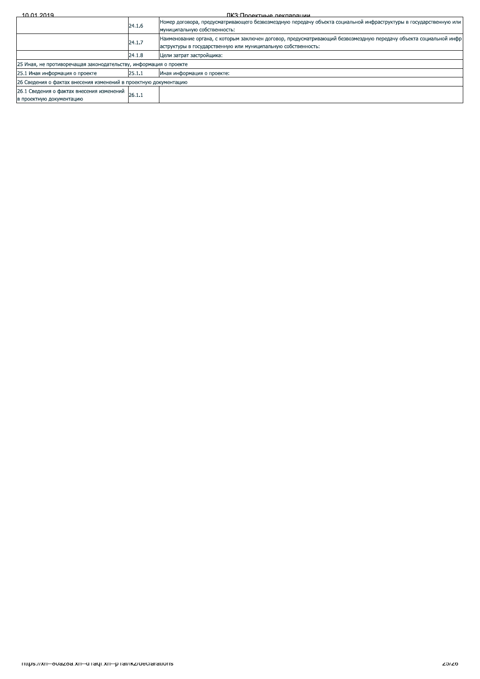| 10.01.2019<br>ПКЗ: Проектные декларации                               |        |                                                                                                                                                                                    |
|-----------------------------------------------------------------------|--------|------------------------------------------------------------------------------------------------------------------------------------------------------------------------------------|
|                                                                       | 24.1.6 | Номер договора, предусматривающего безвозмездную передачу объекта социальной инфраструктуры в государственную или<br>муниципальную собственность:                                  |
|                                                                       | 24.1.7 | Наименование органа, с которым заключен договор, предусматривающий безвозмездную передачу объекта социальной инфр<br>аструктуры в государственную или муниципальную собственность: |
|                                                                       | 24.1.8 | Цели затрат застройщика:                                                                                                                                                           |
| 25 Иная, не противоречащая законодательству, информация о проекте     |        |                                                                                                                                                                                    |
| 25.1 Иная информация о проекте                                        | 25.1.1 | Иная информация о проекте:                                                                                                                                                         |
| 26 Сведения о фактах внесения изменений в проектную документацию      |        |                                                                                                                                                                                    |
| 26.1 Сведения о фактах внесения изменений<br>в проектную документацию | 26.1.1 |                                                                                                                                                                                    |